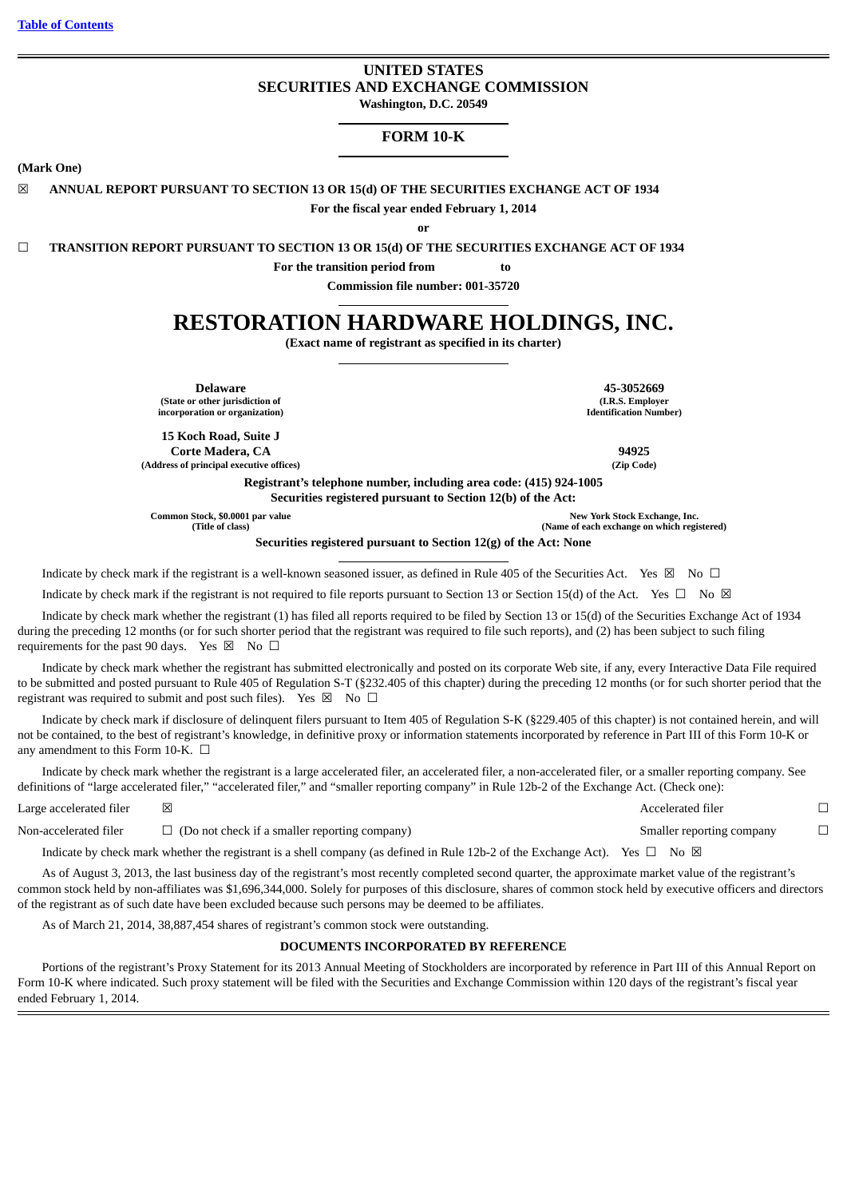# **UNITED STATES SECURITIES AND EXCHANGE COMMISSION Washington, D.C. 20549**

# **FORM 10-K**

**(Mark One)**

☒ **ANNUAL REPORT PURSUANT TO SECTION 13 OR 15(d) OF THE SECURITIES EXCHANGE ACT OF 1934**

**For the fiscal year ended February 1, 2014**

**or**

☐ **TRANSITION REPORT PURSUANT TO SECTION 13 OR 15(d) OF THE SECURITIES EXCHANGE ACT OF 1934**

**For the transition period from** 

**Commission file number: 001-35720**

# **RESTORATION HARDWARE HOLDINGS, INC.**

**(Exact name of registrant as specified in its charter)**

**Delaware 45-3052669 (State or other jurisdiction of incorporation or organization)**

**15 Koch Road, Suite J Corte Madera, CA**

**(Address of principal executive offices)**

**(I.R.S. Employer Identification Number)**

> **94925 (Zip Code)**

**Registrant's telephone number, including area code: (415) 924-1005 Securities registered pursuant to Section 12(b) of the Act:**

**Common Stock, \$0.0001 par value New York Stock Exchange, Inc.**

**(Title of class) (Name of each exchange on which registered)**

**Securities registered pursuant to Section 12(g) of the Act: None**

Indicate by check mark if the registrant is a well-known seasoned issuer, as defined in Rule 405 of the Securities Act. Yes  $\boxtimes$  No  $\Box$ 

Indicate by check mark if the registrant is not required to file reports pursuant to Section 13 or Section 15(d) of the Act. Yes  $\Box$  No  $\boxtimes$ 

Indicate by check mark whether the registrant (1) has filed all reports required to be filed by Section 13 or 15(d) of the Securities Exchange Act of 1934 during the preceding 12 months (or for such shorter period that the registrant was required to file such reports), and (2) has been subject to such filing requirements for the past 90 days. Yes  $\boxtimes$  No  $\Box$ 

Indicate by check mark whether the registrant has submitted electronically and posted on its corporate Web site, if any, every Interactive Data File required to be submitted and posted pursuant to Rule 405 of Regulation S-T (§232.405 of this chapter) during the preceding 12 months (or for such shorter period that the registrant was required to submit and post such files). Yes  $\boxtimes$  No  $\Box$ 

Indicate by check mark if disclosure of delinquent filers pursuant to Item 405 of Regulation S-K (§229.405 of this chapter) is not contained herein, and will not be contained, to the best of registrant's knowledge, in definitive proxy or information statements incorporated by reference in Part III of this Form 10-K or any amendment to this Form  $10-K$ .  $\Box$ 

Indicate by check mark whether the registrant is a large accelerated filer, an accelerated filer, a non-accelerated filer, or a smaller reporting company. See definitions of "large accelerated filer," "accelerated filer," and "smaller reporting company" in Rule 12b-2 of the Exchange Act. (Check one):

Large accelerated filer ☒ Accelerated filer ☐

Non-accelerated filer □ (Do not check if a smaller reporting company) Smaller reporting company □

Indicate by check mark whether the registrant is a shell company (as defined in Rule 12b-2 of the Exchange Act). Yes  $\Box$  No  $\boxtimes$ 

As of August 3, 2013, the last business day of the registrant's most recently completed second quarter, the approximate market value of the registrant's common stock held by non-affiliates was \$1,696,344,000. Solely for purposes of this disclosure, shares of common stock held by executive officers and directors of the registrant as of such date have been excluded because such persons may be deemed to be affiliates.

As of March 21, 2014, 38,887,454 shares of registrant's common stock were outstanding.

### **DOCUMENTS INCORPORATED BY REFERENCE**

Portions of the registrant's Proxy Statement for its 2013 Annual Meeting of Stockholders are incorporated by reference in Part III of this Annual Report on Form 10-K where indicated. Such proxy statement will be filed with the Securities and Exchange Commission within 120 days of the registrant's fiscal year ended February 1, 2014.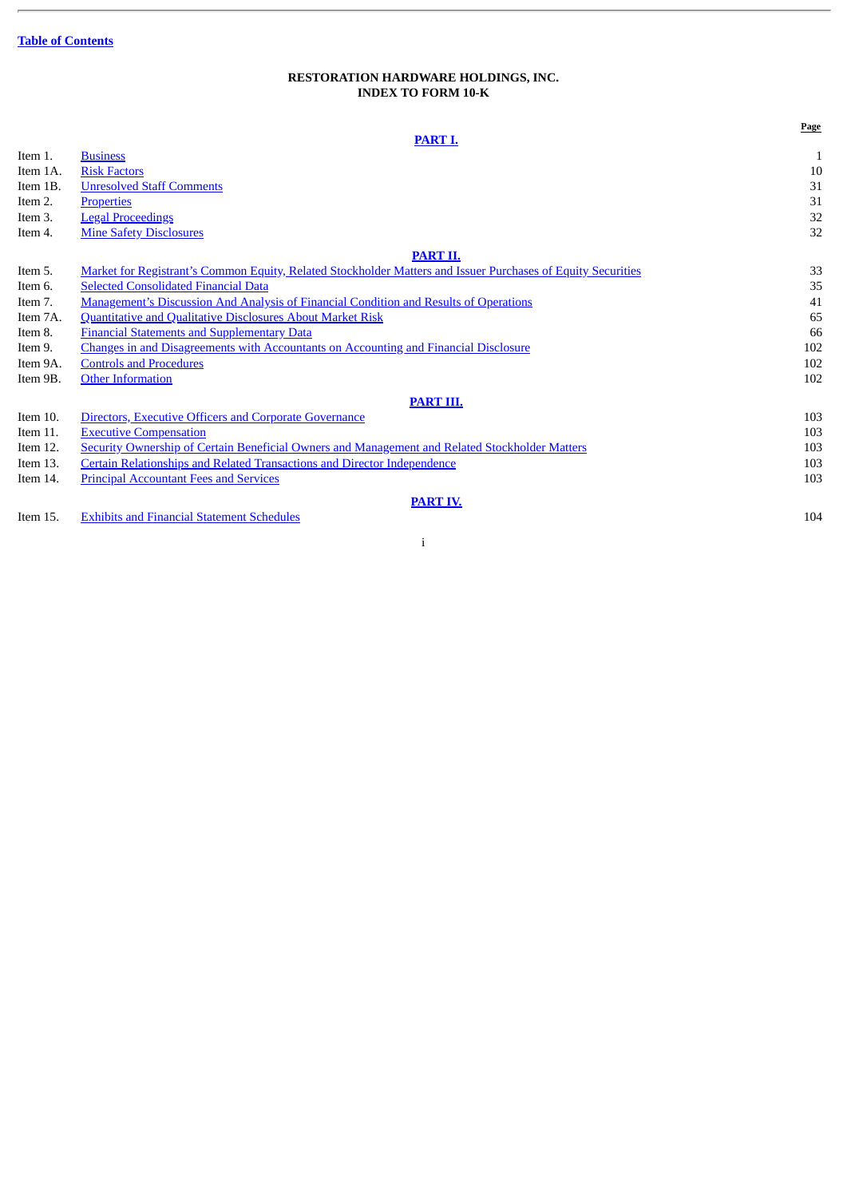# **RESTORATION HARDWARE HOLDINGS, INC. INDEX TO FORM 10-K**

<span id="page-1-0"></span>

|          |                                                                                                              | Page |
|----------|--------------------------------------------------------------------------------------------------------------|------|
|          | PART I.                                                                                                      |      |
| Item 1.  | <b>Business</b>                                                                                              | 1    |
| Item 1A. | <b>Risk Factors</b>                                                                                          | 10   |
| Item 1B. | <b>Unresolved Staff Comments</b>                                                                             | 31   |
| Item 2.  | <b>Properties</b>                                                                                            | 31   |
| Item 3.  | <b>Legal Proceedings</b>                                                                                     | 32   |
| Item 4.  | <b>Mine Safety Disclosures</b>                                                                               | 32   |
|          | PART II.                                                                                                     |      |
| Item 5.  | Market for Registrant's Common Equity, Related Stockholder Matters and Issuer Purchases of Equity Securities | 33   |
| Item 6.  | <b>Selected Consolidated Financial Data</b>                                                                  | 35   |
| Item 7.  | Management's Discussion And Analysis of Financial Condition and Results of Operations                        | 41   |
| Item 7A. | <b>Quantitative and Qualitative Disclosures About Market Risk</b>                                            | 65   |
| Item 8.  | <b>Financial Statements and Supplementary Data</b>                                                           | 66   |
| Item 9.  | Changes in and Disagreements with Accountants on Accounting and Financial Disclosure                         | 102  |
| Item 9A. | <b>Controls and Procedures</b>                                                                               | 102  |
| Item 9B. | <b>Other Information</b>                                                                                     | 102  |
|          | <b>PART III.</b>                                                                                             |      |
| Item 10. | <b>Directors, Executive Officers and Corporate Governance</b>                                                | 103  |
| Item 11. | <b>Executive Compensation</b>                                                                                | 103  |
| Item 12. | <b>Security Ownership of Certain Beneficial Owners and Management and Related Stockholder Matters</b>        | 103  |
| Item 13. | <b>Certain Relationships and Related Transactions and Director Independence</b>                              | 103  |
| Item 14. | <b>Principal Accountant Fees and Services</b>                                                                | 103  |
|          | PART IV.                                                                                                     |      |
| Item 15. | <b>Exhibits and Financial Statement Schedules</b>                                                            | 104  |

i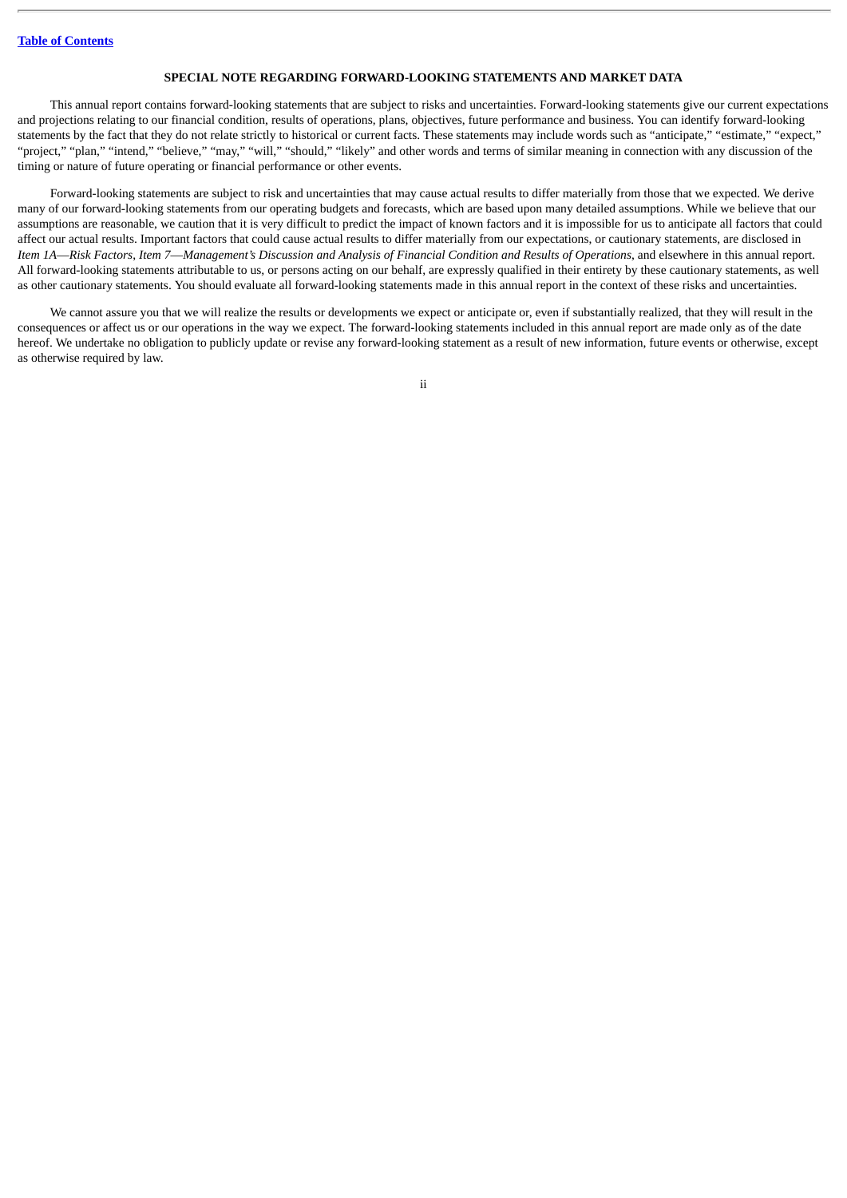### **SPECIAL NOTE REGARDING FORWARD-LOOKING STATEMENTS AND MARKET DATA**

This annual report contains forward-looking statements that are subject to risks and uncertainties. Forward-looking statements give our current expectations and projections relating to our financial condition, results of operations, plans, objectives, future performance and business. You can identify forward-looking statements by the fact that they do not relate strictly to historical or current facts. These statements may include words such as "anticipate," "estimate," "expect," "project," "plan," "intend," "believe," "may," "will," "should," "likely" and other words and terms of similar meaning in connection with any discussion of the timing or nature of future operating or financial performance or other events.

Forward-looking statements are subject to risk and uncertainties that may cause actual results to differ materially from those that we expected. We derive many of our forward-looking statements from our operating budgets and forecasts, which are based upon many detailed assumptions. While we believe that our assumptions are reasonable, we caution that it is very difficult to predict the impact of known factors and it is impossible for us to anticipate all factors that could affect our actual results. Important factors that could cause actual results to differ materially from our expectations, or cautionary statements, are disclosed in *Item 1A*—*Risk Factors*, *Item 7*—*Management's Discussion and Analysis of Financial Condition and Results of Operations*, and elsewhere in this annual report. All forward-looking statements attributable to us, or persons acting on our behalf, are expressly qualified in their entirety by these cautionary statements, as well as other cautionary statements. You should evaluate all forward-looking statements made in this annual report in the context of these risks and uncertainties.

We cannot assure you that we will realize the results or developments we expect or anticipate or, even if substantially realized, that they will result in the consequences or affect us or our operations in the way we expect. The forward-looking statements included in this annual report are made only as of the date hereof. We undertake no obligation to publicly update or revise any forward-looking statement as a result of new information, future events or otherwise, except as otherwise required by law.

ii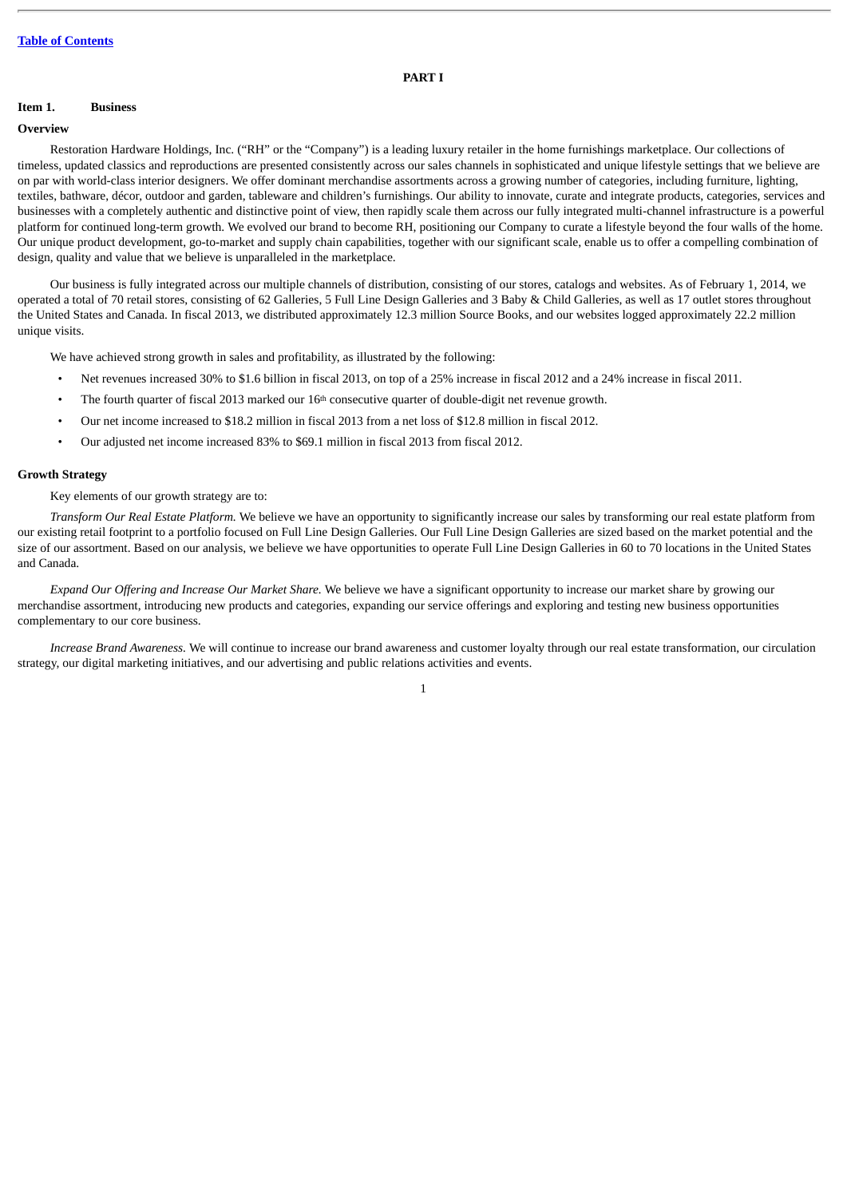### **PART I**

# <span id="page-3-1"></span><span id="page-3-0"></span>**Item 1. Business**

#### **Overview**

Restoration Hardware Holdings, Inc. ("RH" or the "Company") is a leading luxury retailer in the home furnishings marketplace. Our collections of timeless, updated classics and reproductions are presented consistently across our sales channels in sophisticated and unique lifestyle settings that we believe are on par with world-class interior designers. We offer dominant merchandise assortments across a growing number of categories, including furniture, lighting, textiles, bathware, décor, outdoor and garden, tableware and children's furnishings. Our ability to innovate, curate and integrate products, categories, services and businesses with a completely authentic and distinctive point of view, then rapidly scale them across our fully integrated multi-channel infrastructure is a powerful platform for continued long-term growth. We evolved our brand to become RH, positioning our Company to curate a lifestyle beyond the four walls of the home. Our unique product development, go-to-market and supply chain capabilities, together with our significant scale, enable us to offer a compelling combination of design, quality and value that we believe is unparalleled in the marketplace.

Our business is fully integrated across our multiple channels of distribution, consisting of our stores, catalogs and websites. As of February 1, 2014, we operated a total of 70 retail stores, consisting of 62 Galleries, 5 Full Line Design Galleries and 3 Baby & Child Galleries, as well as 17 outlet stores throughout the United States and Canada. In fiscal 2013, we distributed approximately 12.3 million Source Books, and our websites logged approximately 22.2 million unique visits.

We have achieved strong growth in sales and profitability, as illustrated by the following:

- Net revenues increased 30% to \$1.6 billion in fiscal 2013, on top of a 25% increase in fiscal 2012 and a 24% increase in fiscal 2011.
- The fourth quarter of fiscal 2013 marked our  $16<sup>th</sup>$  consecutive quarter of double-digit net revenue growth.
- Our net income increased to \$18.2 million in fiscal 2013 from a net loss of \$12.8 million in fiscal 2012.
- Our adjusted net income increased 83% to \$69.1 million in fiscal 2013 from fiscal 2012.

# **Growth Strategy**

# Key elements of our growth strategy are to:

*Transform Our Real Estate Platform.* We believe we have an opportunity to significantly increase our sales by transforming our real estate platform from our existing retail footprint to a portfolio focused on Full Line Design Galleries. Our Full Line Design Galleries are sized based on the market potential and the size of our assortment. Based on our analysis, we believe we have opportunities to operate Full Line Design Galleries in 60 to 70 locations in the United States and Canada.

*Expand Our Offering and Increase Our Market Share.* We believe we have a significant opportunity to increase our market share by growing our merchandise assortment, introducing new products and categories, expanding our service offerings and exploring and testing new business opportunities complementary to our core business.

*Increase Brand Awareness.* We will continue to increase our brand awareness and customer loyalty through our real estate transformation, our circulation strategy, our digital marketing initiatives, and our advertising and public relations activities and events.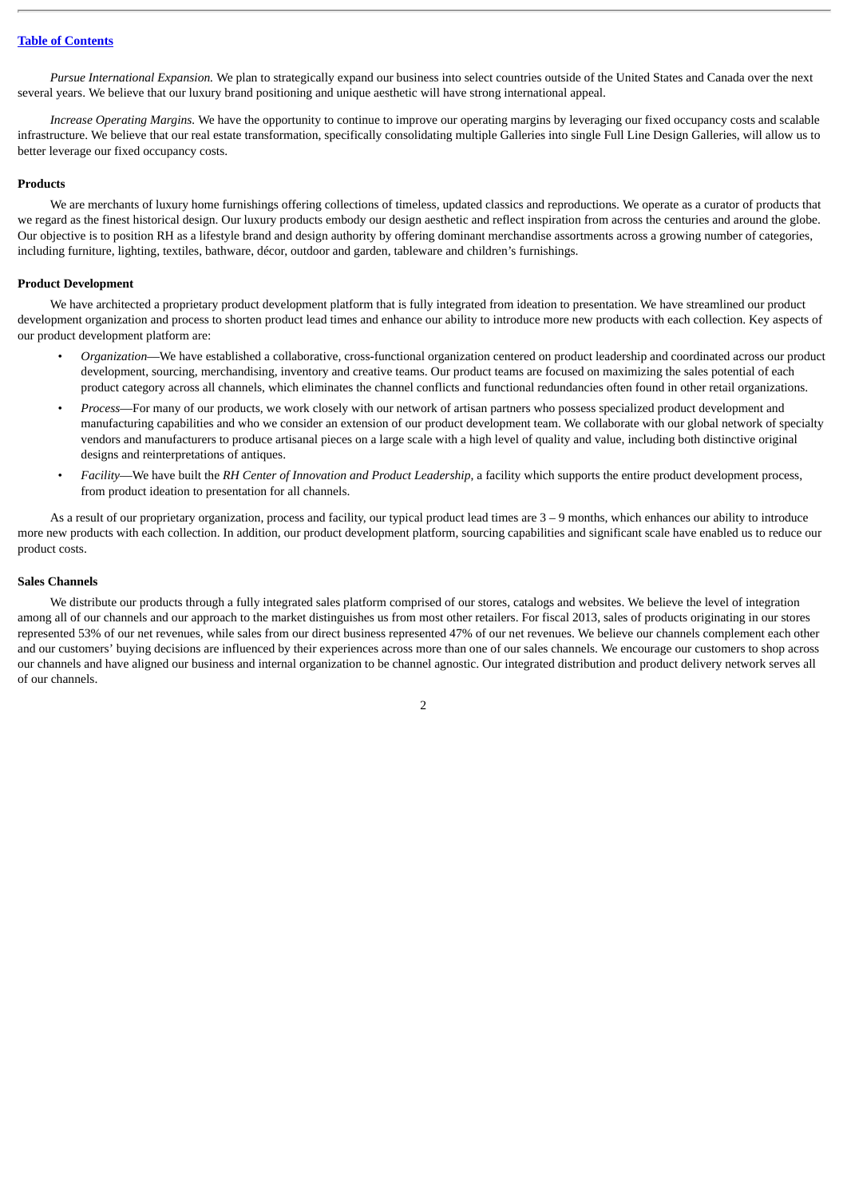*Pursue International Expansion.* We plan to strategically expand our business into select countries outside of the United States and Canada over the next several years. We believe that our luxury brand positioning and unique aesthetic will have strong international appeal.

*Increase Operating Margins.* We have the opportunity to continue to improve our operating margins by leveraging our fixed occupancy costs and scalable infrastructure. We believe that our real estate transformation, specifically consolidating multiple Galleries into single Full Line Design Galleries, will allow us to better leverage our fixed occupancy costs.

#### **Products**

We are merchants of luxury home furnishings offering collections of timeless, updated classics and reproductions. We operate as a curator of products that we regard as the finest historical design. Our luxury products embody our design aesthetic and reflect inspiration from across the centuries and around the globe. Our objective is to position RH as a lifestyle brand and design authority by offering dominant merchandise assortments across a growing number of categories, including furniture, lighting, textiles, bathware, décor, outdoor and garden, tableware and children's furnishings.

#### **Product Development**

We have architected a proprietary product development platform that is fully integrated from ideation to presentation. We have streamlined our product development organization and process to shorten product lead times and enhance our ability to introduce more new products with each collection. Key aspects of our product development platform are:

- *Organization*—We have established a collaborative, cross-functional organization centered on product leadership and coordinated across our product development, sourcing, merchandising, inventory and creative teams. Our product teams are focused on maximizing the sales potential of each product category across all channels, which eliminates the channel conflicts and functional redundancies often found in other retail organizations.
- *Process*—For many of our products, we work closely with our network of artisan partners who possess specialized product development and manufacturing capabilities and who we consider an extension of our product development team. We collaborate with our global network of specialty vendors and manufacturers to produce artisanal pieces on a large scale with a high level of quality and value, including both distinctive original designs and reinterpretations of antiques.
- *Facility*—We have built the *RH Center of Innovation and Product Leadership*, a facility which supports the entire product development process, from product ideation to presentation for all channels.

As a result of our proprietary organization, process and facility, our typical product lead times are 3 – 9 months, which enhances our ability to introduce more new products with each collection. In addition, our product development platform, sourcing capabilities and significant scale have enabled us to reduce our product costs.

#### **Sales Channels**

We distribute our products through a fully integrated sales platform comprised of our stores, catalogs and websites. We believe the level of integration among all of our channels and our approach to the market distinguishes us from most other retailers. For fiscal 2013, sales of products originating in our stores represented 53% of our net revenues, while sales from our direct business represented 47% of our net revenues. We believe our channels complement each other and our customers' buying decisions are influenced by their experiences across more than one of our sales channels. We encourage our customers to shop across our channels and have aligned our business and internal organization to be channel agnostic. Our integrated distribution and product delivery network serves all of our channels.

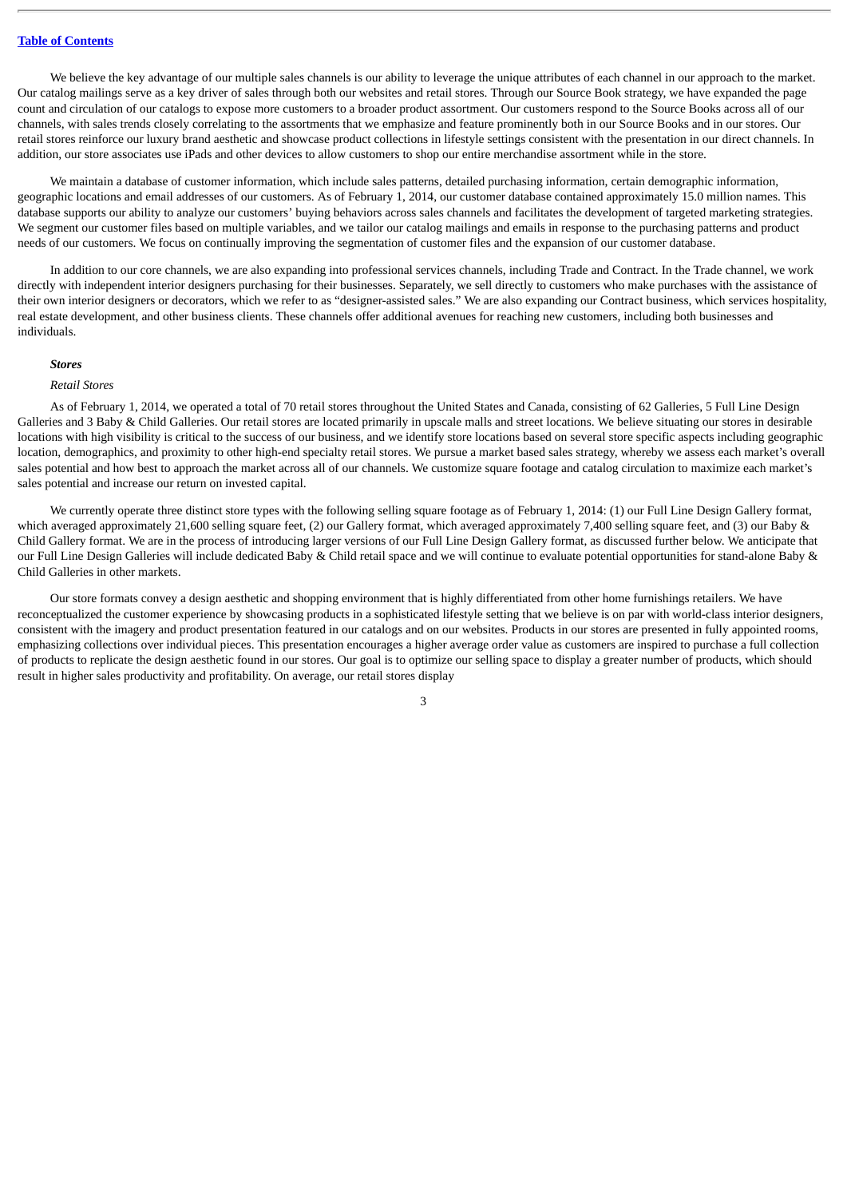We believe the key advantage of our multiple sales channels is our ability to leverage the unique attributes of each channel in our approach to the market. Our catalog mailings serve as a key driver of sales through both our websites and retail stores. Through our Source Book strategy, we have expanded the page count and circulation of our catalogs to expose more customers to a broader product assortment. Our customers respond to the Source Books across all of our channels, with sales trends closely correlating to the assortments that we emphasize and feature prominently both in our Source Books and in our stores. Our retail stores reinforce our luxury brand aesthetic and showcase product collections in lifestyle settings consistent with the presentation in our direct channels. In addition, our store associates use iPads and other devices to allow customers to shop our entire merchandise assortment while in the store.

We maintain a database of customer information, which include sales patterns, detailed purchasing information, certain demographic information, geographic locations and email addresses of our customers. As of February 1, 2014, our customer database contained approximately 15.0 million names. This database supports our ability to analyze our customers' buying behaviors across sales channels and facilitates the development of targeted marketing strategies. We segment our customer files based on multiple variables, and we tailor our catalog mailings and emails in response to the purchasing patterns and product needs of our customers. We focus on continually improving the segmentation of customer files and the expansion of our customer database.

In addition to our core channels, we are also expanding into professional services channels, including Trade and Contract. In the Trade channel, we work directly with independent interior designers purchasing for their businesses. Separately, we sell directly to customers who make purchases with the assistance of their own interior designers or decorators, which we refer to as "designer-assisted sales." We are also expanding our Contract business, which services hospitality, real estate development, and other business clients. These channels offer additional avenues for reaching new customers, including both businesses and individuals.

### *Stores*

# *Retail Stores*

As of February 1, 2014, we operated a total of 70 retail stores throughout the United States and Canada, consisting of 62 Galleries, 5 Full Line Design Galleries and 3 Baby & Child Galleries. Our retail stores are located primarily in upscale malls and street locations. We believe situating our stores in desirable locations with high visibility is critical to the success of our business, and we identify store locations based on several store specific aspects including geographic location, demographics, and proximity to other high-end specialty retail stores. We pursue a market based sales strategy, whereby we assess each market's overall sales potential and how best to approach the market across all of our channels. We customize square footage and catalog circulation to maximize each market's sales potential and increase our return on invested capital.

We currently operate three distinct store types with the following selling square footage as of February 1, 2014: (1) our Full Line Design Gallery format, which averaged approximately 21,600 selling square feet, (2) our Gallery format, which averaged approximately 7,400 selling square feet, and (3) our Baby & Child Gallery format. We are in the process of introducing larger versions of our Full Line Design Gallery format, as discussed further below. We anticipate that our Full Line Design Galleries will include dedicated Baby & Child retail space and we will continue to evaluate potential opportunities for stand-alone Baby & Child Galleries in other markets.

Our store formats convey a design aesthetic and shopping environment that is highly differentiated from other home furnishings retailers. We have reconceptualized the customer experience by showcasing products in a sophisticated lifestyle setting that we believe is on par with world-class interior designers, consistent with the imagery and product presentation featured in our catalogs and on our websites. Products in our stores are presented in fully appointed rooms, emphasizing collections over individual pieces. This presentation encourages a higher average order value as customers are inspired to purchase a full collection of products to replicate the design aesthetic found in our stores. Our goal is to optimize our selling space to display a greater number of products, which should result in higher sales productivity and profitability. On average, our retail stores display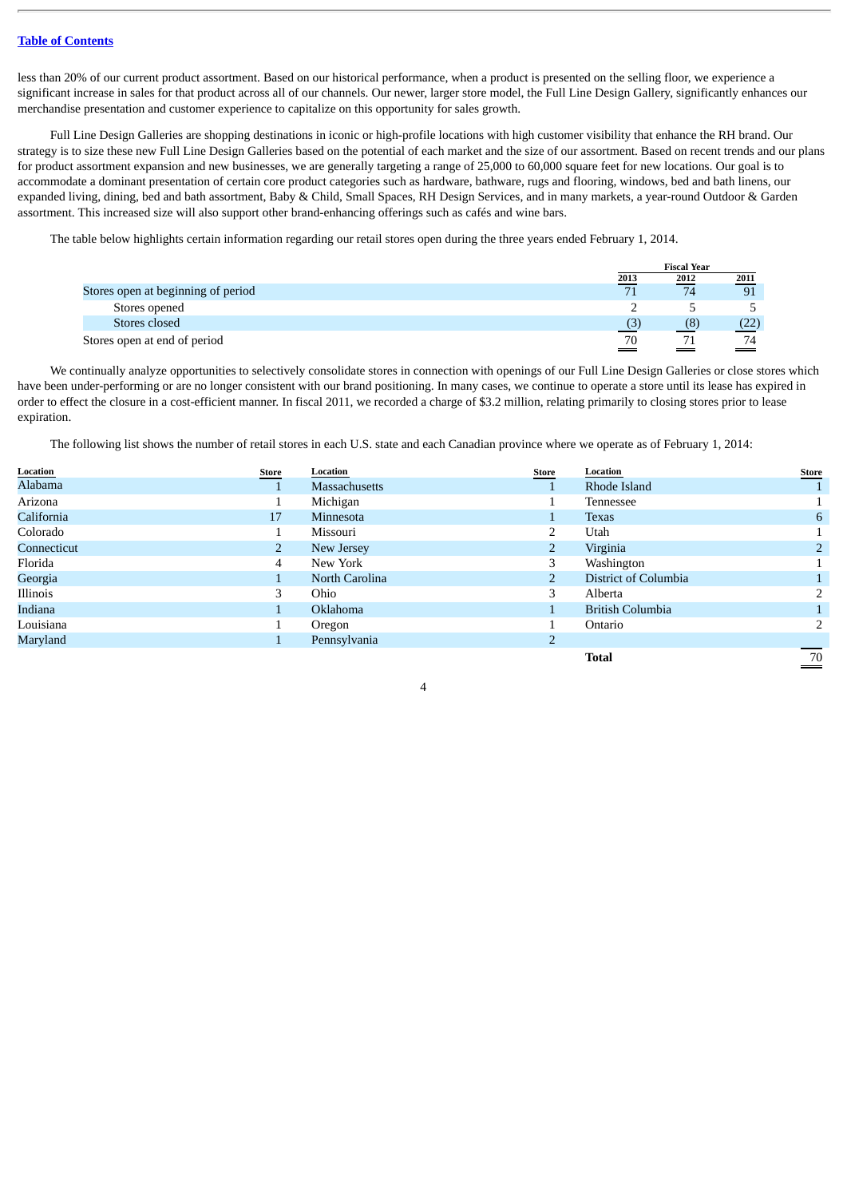less than 20% of our current product assortment. Based on our historical performance, when a product is presented on the selling floor, we experience a significant increase in sales for that product across all of our channels. Our newer, larger store model, the Full Line Design Gallery, significantly enhances our merchandise presentation and customer experience to capitalize on this opportunity for sales growth.

Full Line Design Galleries are shopping destinations in iconic or high-profile locations with high customer visibility that enhance the RH brand. Our strategy is to size these new Full Line Design Galleries based on the potential of each market and the size of our assortment. Based on recent trends and our plans for product assortment expansion and new businesses, we are generally targeting a range of 25,000 to 60,000 square feet for new locations. Our goal is to accommodate a dominant presentation of certain core product categories such as hardware, bathware, rugs and flooring, windows, bed and bath linens, our expanded living, dining, bed and bath assortment, Baby & Child, Small Spaces, RH Design Services, and in many markets, a year-round Outdoor & Garden assortment. This increased size will also support other brand-enhancing offerings such as cafés and wine bars.

The table below highlights certain information regarding our retail stores open during the three years ended February 1, 2014.

|                                    |      | <b>Fiscal Year</b> |      |
|------------------------------------|------|--------------------|------|
|                                    | 2013 | 2012               | 2011 |
| Stores open at beginning of period | 71   | 74                 | 91   |
| Stores opened                      |      |                    |      |
| Stores closed                      | (3)  | (8)                | (22) |
| Stores open at end of period       | 70   | 71                 | 74   |

We continually analyze opportunities to selectively consolidate stores in connection with openings of our Full Line Design Galleries or close stores which have been under-performing or are no longer consistent with our brand positioning. In many cases, we continue to operate a store until its lease has expired in order to effect the closure in a cost-efficient manner. In fiscal 2011, we recorded a charge of \$3.2 million, relating primarily to closing stores prior to lease expiration.

The following list shows the number of retail stores in each U.S. state and each Canadian province where we operate as of February 1, 2014:

| <b>Location</b> | Store          | Location       | <b>Store</b>   | Location                | <b>Store</b> |
|-----------------|----------------|----------------|----------------|-------------------------|--------------|
| Alabama         |                | Massachusetts  |                | Rhode Island            |              |
| Arizona         |                | Michigan       |                | Tennessee               |              |
| California      | 17             | Minnesota      |                | Texas                   | 6            |
| Colorado        |                | Missouri       | 2              | Utah                    |              |
| Connecticut     | $\overline{2}$ | New Jersey     | 2              | Virginia                |              |
| Florida         | 4              | New York       | 3              | Washington              |              |
| Georgia         |                | North Carolina | $\overline{2}$ | District of Columbia    |              |
| Illinois        | 3              | Ohio           | 3              | Alberta                 |              |
| Indiana         |                | Oklahoma       |                | <b>British Columbia</b> |              |
| Louisiana       |                | Oregon         |                | Ontario                 |              |
| Maryland        |                | Pennsylvania   |                |                         |              |
|                 |                |                |                | <b>Total</b>            | 70           |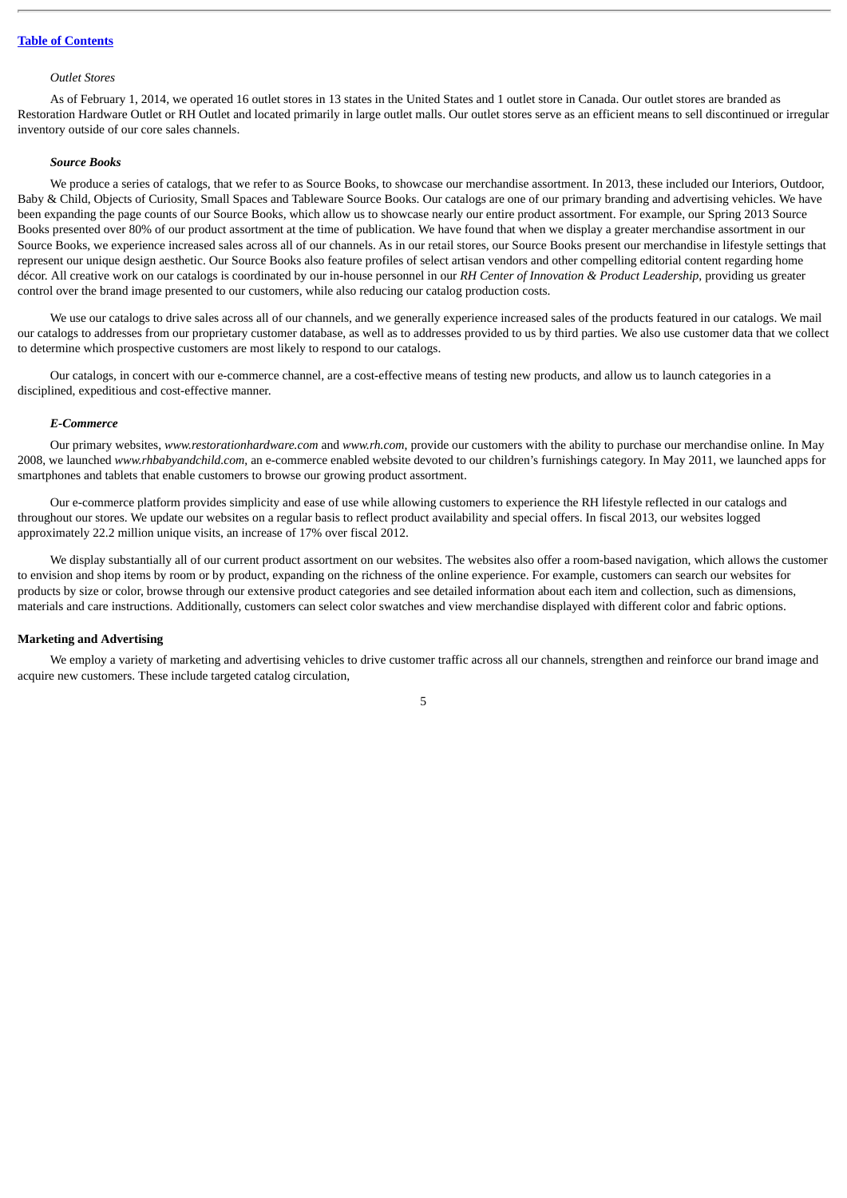#### *Outlet Stores*

As of February 1, 2014, we operated 16 outlet stores in 13 states in the United States and 1 outlet store in Canada. Our outlet stores are branded as Restoration Hardware Outlet or RH Outlet and located primarily in large outlet malls. Our outlet stores serve as an efficient means to sell discontinued or irregular inventory outside of our core sales channels.

#### *Source Books*

We produce a series of catalogs, that we refer to as Source Books, to showcase our merchandise assortment. In 2013, these included our Interiors, Outdoor, Baby & Child, Objects of Curiosity, Small Spaces and Tableware Source Books. Our catalogs are one of our primary branding and advertising vehicles. We have been expanding the page counts of our Source Books, which allow us to showcase nearly our entire product assortment. For example, our Spring 2013 Source Books presented over 80% of our product assortment at the time of publication. We have found that when we display a greater merchandise assortment in our Source Books, we experience increased sales across all of our channels. As in our retail stores, our Source Books present our merchandise in lifestyle settings that represent our unique design aesthetic. Our Source Books also feature profiles of select artisan vendors and other compelling editorial content regarding home décor. All creative work on our catalogs is coordinated by our in-house personnel in our *RH Center of Innovation & Product Leadership*, providing us greater control over the brand image presented to our customers, while also reducing our catalog production costs.

We use our catalogs to drive sales across all of our channels, and we generally experience increased sales of the products featured in our catalogs. We mail our catalogs to addresses from our proprietary customer database, as well as to addresses provided to us by third parties. We also use customer data that we collect to determine which prospective customers are most likely to respond to our catalogs.

Our catalogs, in concert with our e-commerce channel, are a cost-effective means of testing new products, and allow us to launch categories in a disciplined, expeditious and cost-effective manner.

#### *E-Commerce*

Our primary websites, *www.restorationhardware.com* and *www.rh.com*, provide our customers with the ability to purchase our merchandise online. In May 2008, we launched *www.rhbabyandchild.com*, an e-commerce enabled website devoted to our children's furnishings category. In May 2011, we launched apps for smartphones and tablets that enable customers to browse our growing product assortment.

Our e-commerce platform provides simplicity and ease of use while allowing customers to experience the RH lifestyle reflected in our catalogs and throughout our stores. We update our websites on a regular basis to reflect product availability and special offers. In fiscal 2013, our websites logged approximately 22.2 million unique visits, an increase of 17% over fiscal 2012.

We display substantially all of our current product assortment on our websites. The websites also offer a room-based navigation, which allows the customer to envision and shop items by room or by product, expanding on the richness of the online experience. For example, customers can search our websites for products by size or color, browse through our extensive product categories and see detailed information about each item and collection, such as dimensions, materials and care instructions. Additionally, customers can select color swatches and view merchandise displayed with different color and fabric options.

#### **Marketing and Advertising**

We employ a variety of marketing and advertising vehicles to drive customer traffic across all our channels, strengthen and reinforce our brand image and acquire new customers. These include targeted catalog circulation,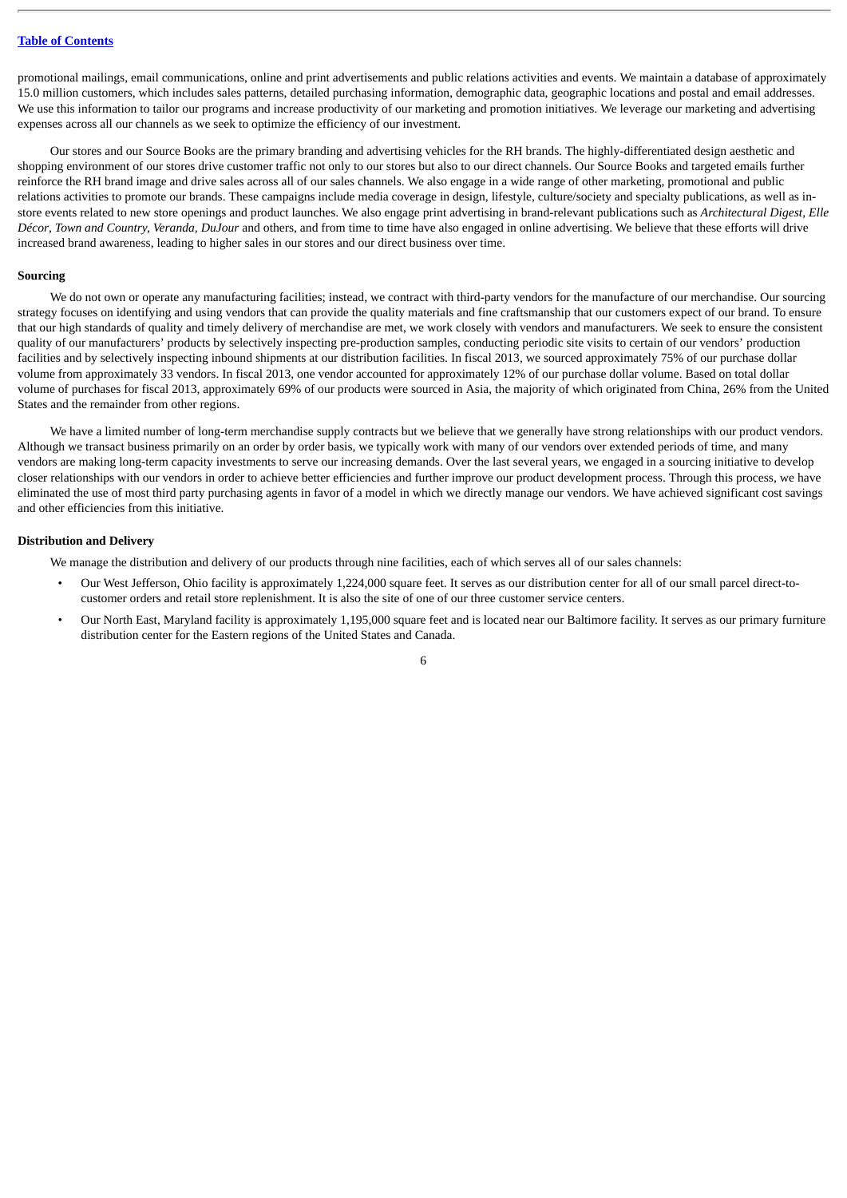promotional mailings, email communications, online and print advertisements and public relations activities and events. We maintain a database of approximately 15.0 million customers, which includes sales patterns, detailed purchasing information, demographic data, geographic locations and postal and email addresses. We use this information to tailor our programs and increase productivity of our marketing and promotion initiatives. We leverage our marketing and advertising expenses across all our channels as we seek to optimize the efficiency of our investment.

Our stores and our Source Books are the primary branding and advertising vehicles for the RH brands. The highly-differentiated design aesthetic and shopping environment of our stores drive customer traffic not only to our stores but also to our direct channels. Our Source Books and targeted emails further reinforce the RH brand image and drive sales across all of our sales channels. We also engage in a wide range of other marketing, promotional and public relations activities to promote our brands. These campaigns include media coverage in design, lifestyle, culture/society and specialty publications, as well as instore events related to new store openings and product launches. We also engage print advertising in brand-relevant publications such as *Architectural Digest, Elle Décor*, *Town and Country, Veranda, DuJour* and others, and from time to time have also engaged in online advertising. We believe that these efforts will drive increased brand awareness, leading to higher sales in our stores and our direct business over time.

#### **Sourcing**

We do not own or operate any manufacturing facilities; instead, we contract with third-party vendors for the manufacture of our merchandise. Our sourcing strategy focuses on identifying and using vendors that can provide the quality materials and fine craftsmanship that our customers expect of our brand. To ensure that our high standards of quality and timely delivery of merchandise are met, we work closely with vendors and manufacturers. We seek to ensure the consistent quality of our manufacturers' products by selectively inspecting pre-production samples, conducting periodic site visits to certain of our vendors' production facilities and by selectively inspecting inbound shipments at our distribution facilities. In fiscal 2013, we sourced approximately 75% of our purchase dollar volume from approximately 33 vendors. In fiscal 2013, one vendor accounted for approximately 12% of our purchase dollar volume. Based on total dollar volume of purchases for fiscal 2013, approximately 69% of our products were sourced in Asia, the majority of which originated from China, 26% from the United States and the remainder from other regions.

We have a limited number of long-term merchandise supply contracts but we believe that we generally have strong relationships with our product vendors. Although we transact business primarily on an order by order basis, we typically work with many of our vendors over extended periods of time, and many vendors are making long-term capacity investments to serve our increasing demands. Over the last several years, we engaged in a sourcing initiative to develop closer relationships with our vendors in order to achieve better efficiencies and further improve our product development process. Through this process, we have eliminated the use of most third party purchasing agents in favor of a model in which we directly manage our vendors. We have achieved significant cost savings and other efficiencies from this initiative.

#### **Distribution and Delivery**

We manage the distribution and delivery of our products through nine facilities, each of which serves all of our sales channels:

- Our West Jefferson, Ohio facility is approximately 1,224,000 square feet. It serves as our distribution center for all of our small parcel direct-tocustomer orders and retail store replenishment. It is also the site of one of our three customer service centers.
- Our North East, Maryland facility is approximately 1,195,000 square feet and is located near our Baltimore facility. It serves as our primary furniture distribution center for the Eastern regions of the United States and Canada.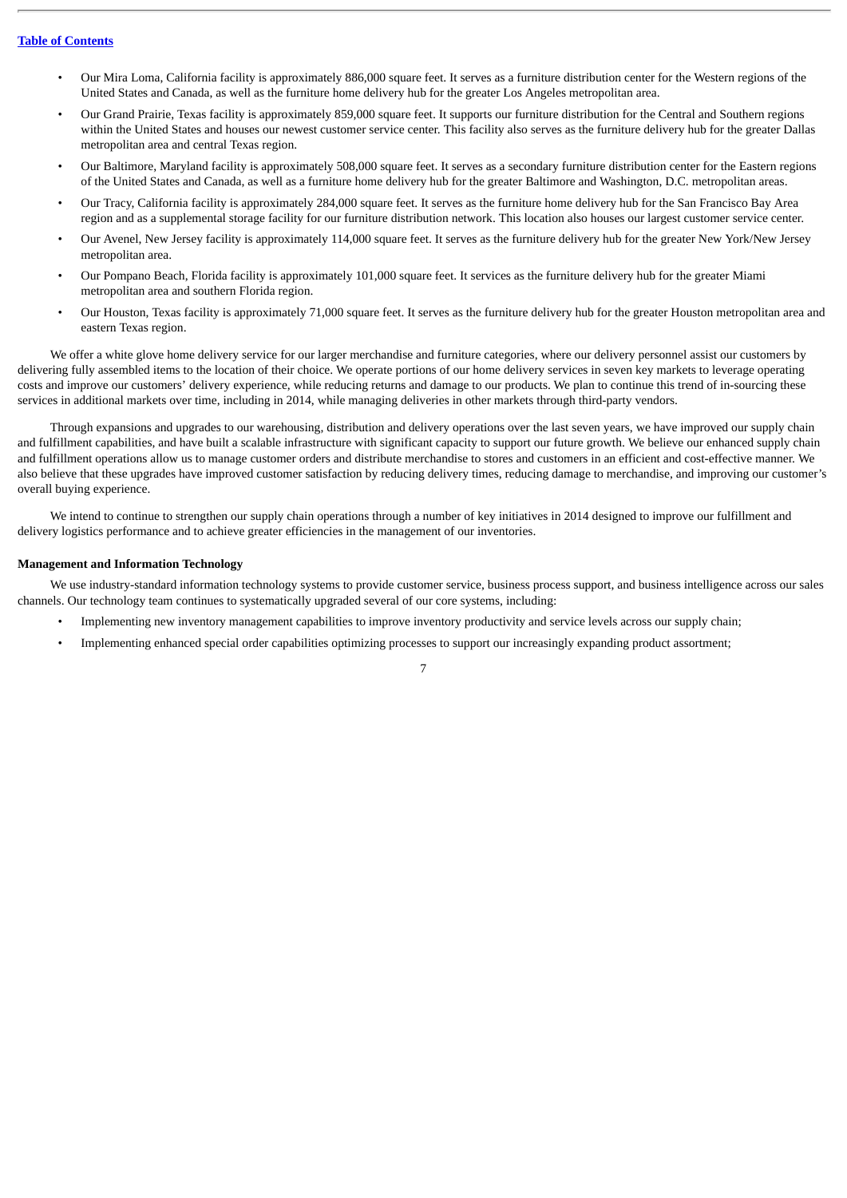- Our Mira Loma, California facility is approximately 886,000 square feet. It serves as a furniture distribution center for the Western regions of the United States and Canada, as well as the furniture home delivery hub for the greater Los Angeles metropolitan area.
- Our Grand Prairie, Texas facility is approximately 859,000 square feet. It supports our furniture distribution for the Central and Southern regions within the United States and houses our newest customer service center. This facility also serves as the furniture delivery hub for the greater Dallas metropolitan area and central Texas region.
- Our Baltimore, Maryland facility is approximately 508,000 square feet. It serves as a secondary furniture distribution center for the Eastern regions of the United States and Canada, as well as a furniture home delivery hub for the greater Baltimore and Washington, D.C. metropolitan areas.
- Our Tracy, California facility is approximately 284,000 square feet. It serves as the furniture home delivery hub for the San Francisco Bay Area region and as a supplemental storage facility for our furniture distribution network. This location also houses our largest customer service center.
- Our Avenel, New Jersey facility is approximately 114,000 square feet. It serves as the furniture delivery hub for the greater New York/New Jersey metropolitan area.
- Our Pompano Beach, Florida facility is approximately 101,000 square feet. It services as the furniture delivery hub for the greater Miami metropolitan area and southern Florida region.
- Our Houston, Texas facility is approximately 71,000 square feet. It serves as the furniture delivery hub for the greater Houston metropolitan area and eastern Texas region.

We offer a white glove home delivery service for our larger merchandise and furniture categories, where our delivery personnel assist our customers by delivering fully assembled items to the location of their choice. We operate portions of our home delivery services in seven key markets to leverage operating costs and improve our customers' delivery experience, while reducing returns and damage to our products. We plan to continue this trend of in-sourcing these services in additional markets over time, including in 2014, while managing deliveries in other markets through third-party vendors.

Through expansions and upgrades to our warehousing, distribution and delivery operations over the last seven years, we have improved our supply chain and fulfillment capabilities, and have built a scalable infrastructure with significant capacity to support our future growth. We believe our enhanced supply chain and fulfillment operations allow us to manage customer orders and distribute merchandise to stores and customers in an efficient and cost-effective manner. We also believe that these upgrades have improved customer satisfaction by reducing delivery times, reducing damage to merchandise, and improving our customer's overall buying experience.

We intend to continue to strengthen our supply chain operations through a number of key initiatives in 2014 designed to improve our fulfillment and delivery logistics performance and to achieve greater efficiencies in the management of our inventories.

# **Management and Information Technology**

We use industry-standard information technology systems to provide customer service, business process support, and business intelligence across our sales channels. Our technology team continues to systematically upgraded several of our core systems, including:

- Implementing new inventory management capabilities to improve inventory productivity and service levels across our supply chain;
- Implementing enhanced special order capabilities optimizing processes to support our increasingly expanding product assortment;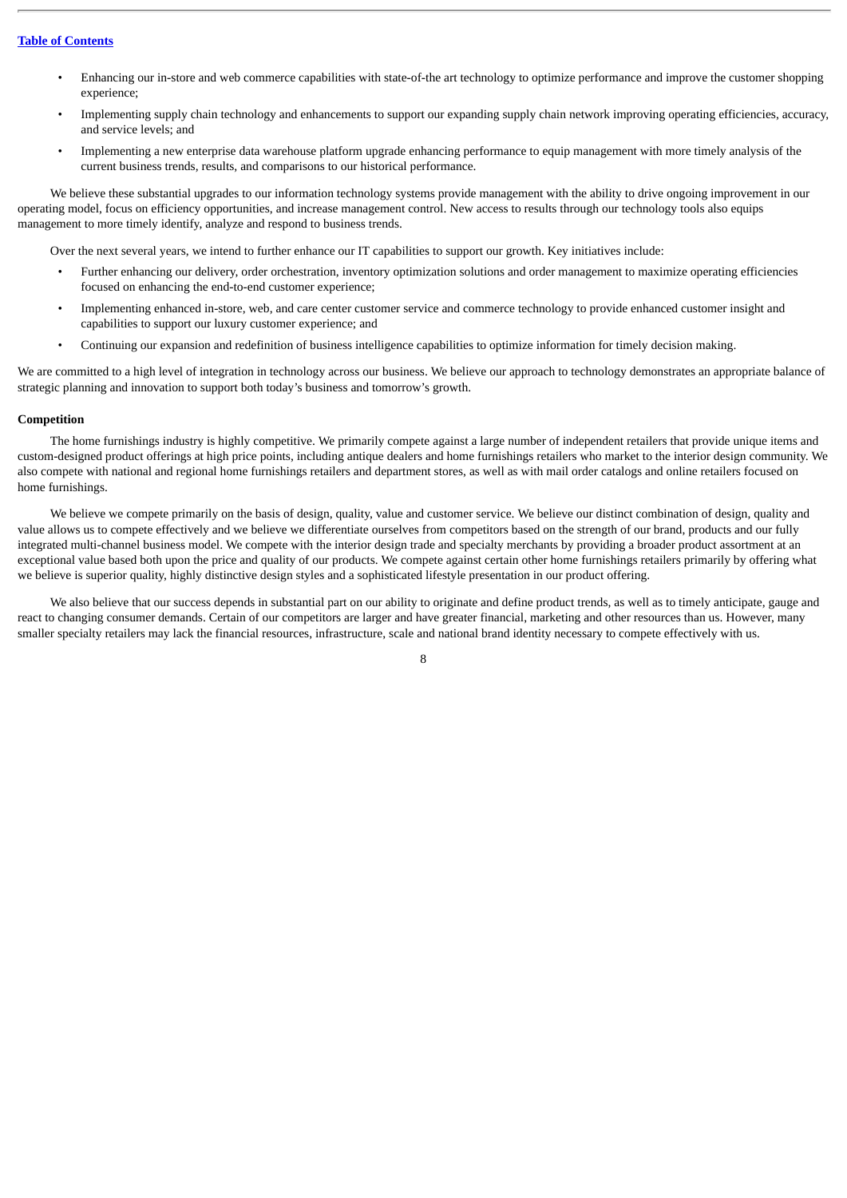- Enhancing our in-store and web commerce capabilities with state-of-the art technology to optimize performance and improve the customer shopping experience;
- Implementing supply chain technology and enhancements to support our expanding supply chain network improving operating efficiencies, accuracy, and service levels; and
- Implementing a new enterprise data warehouse platform upgrade enhancing performance to equip management with more timely analysis of the current business trends, results, and comparisons to our historical performance.

We believe these substantial upgrades to our information technology systems provide management with the ability to drive ongoing improvement in our operating model, focus on efficiency opportunities, and increase management control. New access to results through our technology tools also equips management to more timely identify, analyze and respond to business trends.

Over the next several years, we intend to further enhance our IT capabilities to support our growth. Key initiatives include:

- Further enhancing our delivery, order orchestration, inventory optimization solutions and order management to maximize operating efficiencies focused on enhancing the end-to-end customer experience;
- Implementing enhanced in-store, web, and care center customer service and commerce technology to provide enhanced customer insight and capabilities to support our luxury customer experience; and
- Continuing our expansion and redefinition of business intelligence capabilities to optimize information for timely decision making.

We are committed to a high level of integration in technology across our business. We believe our approach to technology demonstrates an appropriate balance of strategic planning and innovation to support both today's business and tomorrow's growth.

# **Competition**

The home furnishings industry is highly competitive. We primarily compete against a large number of independent retailers that provide unique items and custom-designed product offerings at high price points, including antique dealers and home furnishings retailers who market to the interior design community. We also compete with national and regional home furnishings retailers and department stores, as well as with mail order catalogs and online retailers focused on home furnishings.

We believe we compete primarily on the basis of design, quality, value and customer service. We believe our distinct combination of design, quality and value allows us to compete effectively and we believe we differentiate ourselves from competitors based on the strength of our brand, products and our fully integrated multi-channel business model. We compete with the interior design trade and specialty merchants by providing a broader product assortment at an exceptional value based both upon the price and quality of our products. We compete against certain other home furnishings retailers primarily by offering what we believe is superior quality, highly distinctive design styles and a sophisticated lifestyle presentation in our product offering.

We also believe that our success depends in substantial part on our ability to originate and define product trends, as well as to timely anticipate, gauge and react to changing consumer demands. Certain of our competitors are larger and have greater financial, marketing and other resources than us. However, many smaller specialty retailers may lack the financial resources, infrastructure, scale and national brand identity necessary to compete effectively with us.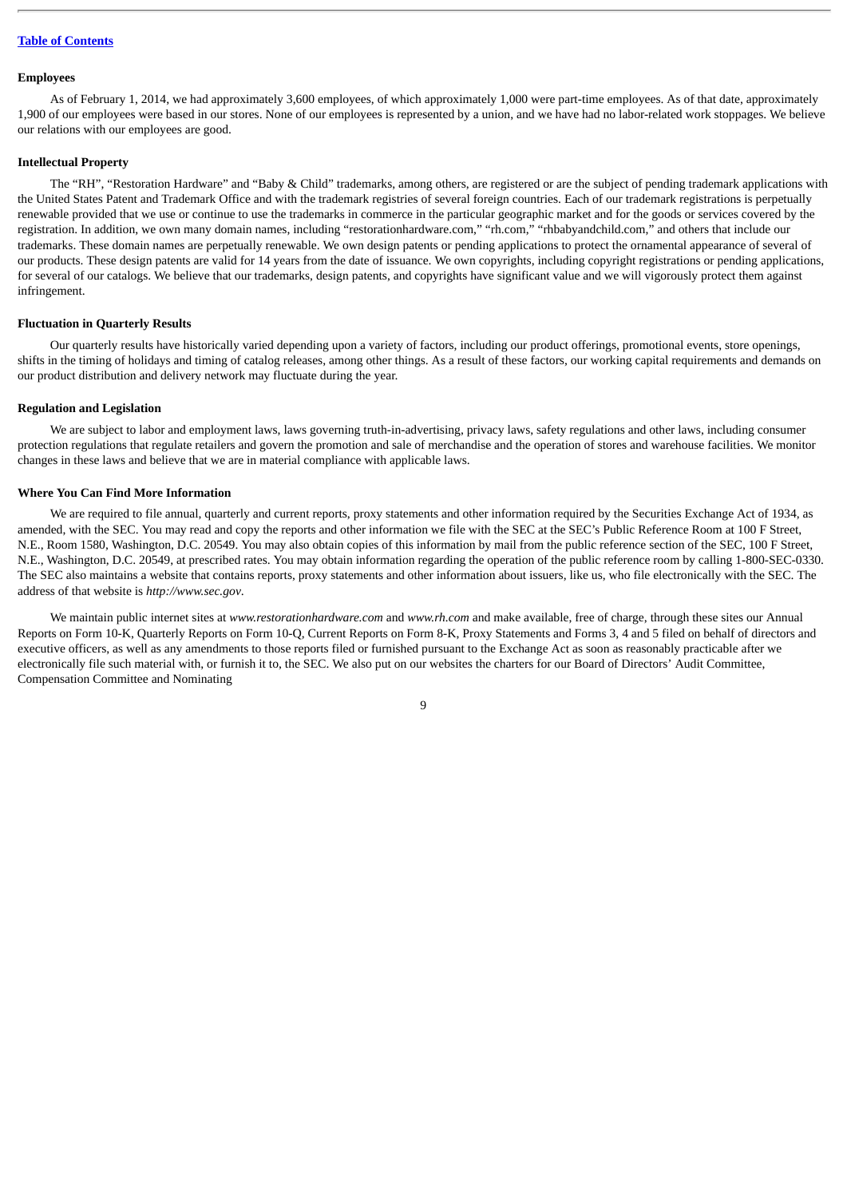#### **Employees**

As of February 1, 2014, we had approximately 3,600 employees, of which approximately 1,000 were part-time employees. As of that date, approximately 1,900 of our employees were based in our stores. None of our employees is represented by a union, and we have had no labor-related work stoppages. We believe our relations with our employees are good.

#### **Intellectual Property**

The "RH", "Restoration Hardware" and "Baby & Child" trademarks, among others, are registered or are the subject of pending trademark applications with the United States Patent and Trademark Office and with the trademark registries of several foreign countries. Each of our trademark registrations is perpetually renewable provided that we use or continue to use the trademarks in commerce in the particular geographic market and for the goods or services covered by the registration. In addition, we own many domain names, including "restorationhardware.com," "rh.com," "rhbabyandchild.com," and others that include our trademarks. These domain names are perpetually renewable. We own design patents or pending applications to protect the ornamental appearance of several of our products. These design patents are valid for 14 years from the date of issuance. We own copyrights, including copyright registrations or pending applications, for several of our catalogs. We believe that our trademarks, design patents, and copyrights have significant value and we will vigorously protect them against infringement.

#### **Fluctuation in Quarterly Results**

Our quarterly results have historically varied depending upon a variety of factors, including our product offerings, promotional events, store openings, shifts in the timing of holidays and timing of catalog releases, among other things. As a result of these factors, our working capital requirements and demands on our product distribution and delivery network may fluctuate during the year.

#### **Regulation and Legislation**

We are subject to labor and employment laws, laws governing truth-in-advertising, privacy laws, safety regulations and other laws, including consumer protection regulations that regulate retailers and govern the promotion and sale of merchandise and the operation of stores and warehouse facilities. We monitor changes in these laws and believe that we are in material compliance with applicable laws.

# **Where You Can Find More Information**

We are required to file annual, quarterly and current reports, proxy statements and other information required by the Securities Exchange Act of 1934, as amended, with the SEC. You may read and copy the reports and other information we file with the SEC at the SEC's Public Reference Room at 100 F Street, N.E., Room 1580, Washington, D.C. 20549. You may also obtain copies of this information by mail from the public reference section of the SEC, 100 F Street, N.E., Washington, D.C. 20549, at prescribed rates. You may obtain information regarding the operation of the public reference room by calling 1-800-SEC-0330. The SEC also maintains a website that contains reports, proxy statements and other information about issuers, like us, who file electronically with the SEC. The address of that website is *http://www.sec.gov*.

We maintain public internet sites at *www.restorationhardware.com* and *www.rh.com* and make available, free of charge, through these sites our Annual Reports on Form 10-K, Quarterly Reports on Form 10-Q, Current Reports on Form 8-K, Proxy Statements and Forms 3, 4 and 5 filed on behalf of directors and executive officers, as well as any amendments to those reports filed or furnished pursuant to the Exchange Act as soon as reasonably practicable after we electronically file such material with, or furnish it to, the SEC. We also put on our websites the charters for our Board of Directors' Audit Committee, Compensation Committee and Nominating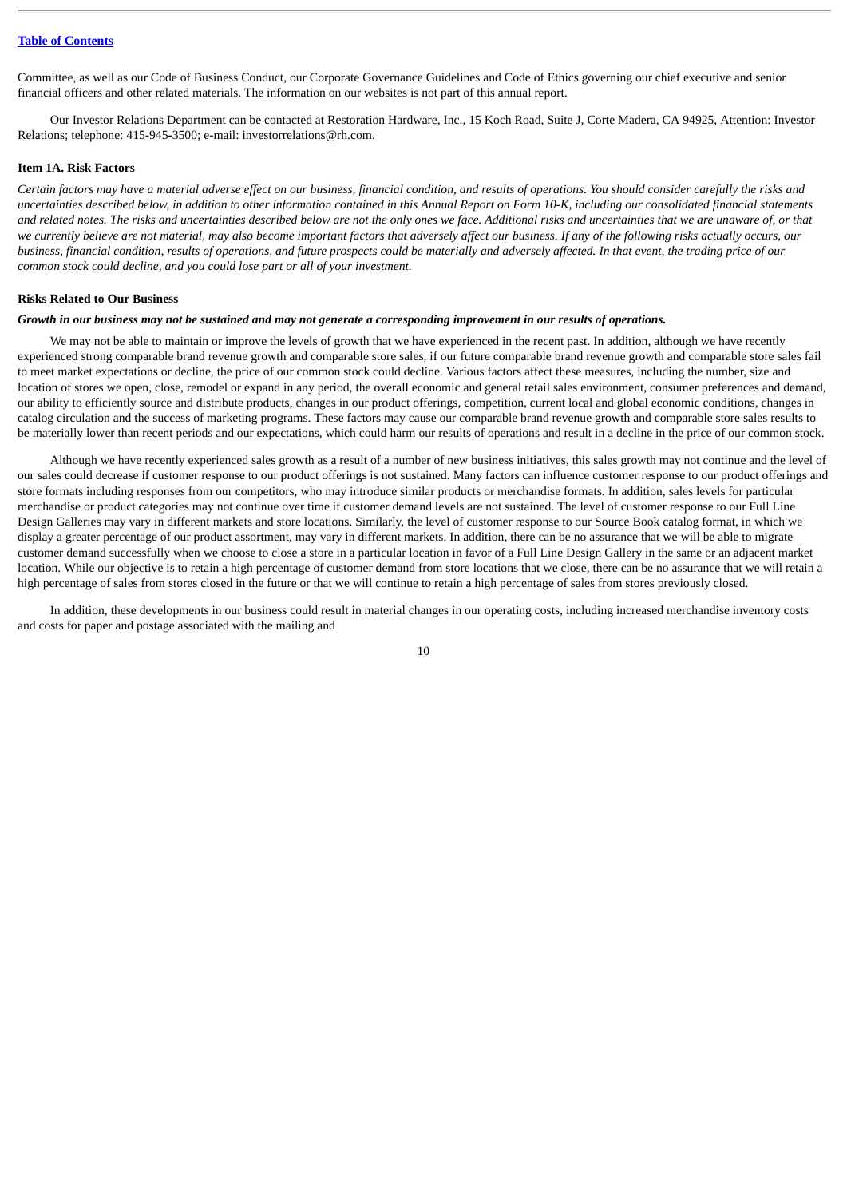Committee, as well as our Code of Business Conduct, our Corporate Governance Guidelines and Code of Ethics governing our chief executive and senior financial officers and other related materials. The information on our websites is not part of this annual report.

Our Investor Relations Department can be contacted at Restoration Hardware, Inc., 15 Koch Road, Suite J, Corte Madera, CA 94925, Attention: Investor Relations; telephone: 415-945-3500; e-mail: investorrelations@rh.com.

#### <span id="page-12-0"></span>**Item 1A. Risk Factors**

*Certain factors may have a material adverse effect on our business, financial condition, and results of operations. You should consider carefully the risks and uncertainties described below, in addition to other information contained in this Annual Report on Form 10-K, including our consolidated financial statements and related notes. The risks and uncertainties described below are not the only ones we face. Additional risks and uncertainties that we are unaware of, or that we currently believe are not material, may also become important factors that adversely affect our business. If any of the following risks actually occurs, our business, financial condition, results of operations, and future prospects could be materially and adversely affected. In that event, the trading price of our common stock could decline, and you could lose part or all of your investment.*

#### **Risks Related to Our Business**

# *Growth in our business may not be sustained and may not generate a corresponding improvement in our results of operations.*

We may not be able to maintain or improve the levels of growth that we have experienced in the recent past. In addition, although we have recently experienced strong comparable brand revenue growth and comparable store sales, if our future comparable brand revenue growth and comparable store sales fail to meet market expectations or decline, the price of our common stock could decline. Various factors affect these measures, including the number, size and location of stores we open, close, remodel or expand in any period, the overall economic and general retail sales environment, consumer preferences and demand, our ability to efficiently source and distribute products, changes in our product offerings, competition, current local and global economic conditions, changes in catalog circulation and the success of marketing programs. These factors may cause our comparable brand revenue growth and comparable store sales results to be materially lower than recent periods and our expectations, which could harm our results of operations and result in a decline in the price of our common stock.

Although we have recently experienced sales growth as a result of a number of new business initiatives, this sales growth may not continue and the level of our sales could decrease if customer response to our product offerings is not sustained. Many factors can influence customer response to our product offerings and store formats including responses from our competitors, who may introduce similar products or merchandise formats. In addition, sales levels for particular merchandise or product categories may not continue over time if customer demand levels are not sustained. The level of customer response to our Full Line Design Galleries may vary in different markets and store locations. Similarly, the level of customer response to our Source Book catalog format, in which we display a greater percentage of our product assortment, may vary in different markets. In addition, there can be no assurance that we will be able to migrate customer demand successfully when we choose to close a store in a particular location in favor of a Full Line Design Gallery in the same or an adjacent market location. While our objective is to retain a high percentage of customer demand from store locations that we close, there can be no assurance that we will retain a high percentage of sales from stores closed in the future or that we will continue to retain a high percentage of sales from stores previously closed.

In addition, these developments in our business could result in material changes in our operating costs, including increased merchandise inventory costs and costs for paper and postage associated with the mailing and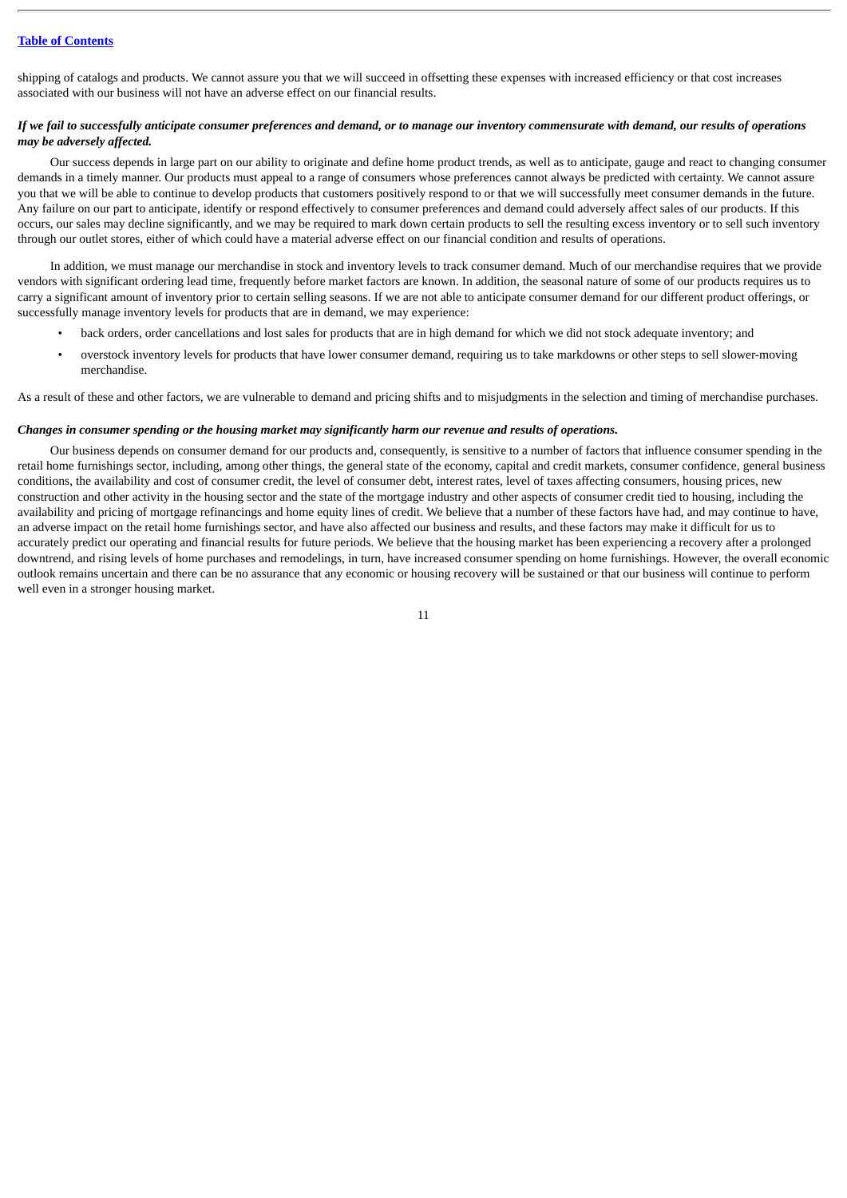shipping of catalogs and products. We cannot assure you that we will succeed in offsetting these expenses with increased efficiency or that cost increases associated with our business will not have an adverse effect on our financial results.

### *If we fail to successfully anticipate consumer preferences and demand, or to manage our inventory commensurate with demand, our results of operations may be adversely affected.*

Our success depends in large part on our ability to originate and define home product trends, as well as to anticipate, gauge and react to changing consumer demands in a timely manner. Our products must appeal to a range of consumers whose preferences cannot always be predicted with certainty. We cannot assure you that we will be able to continue to develop products that customers positively respond to or that we will successfully meet consumer demands in the future. Any failure on our part to anticipate, identify or respond effectively to consumer preferences and demand could adversely affect sales of our products. If this occurs, our sales may decline significantly, and we may be required to mark down certain products to sell the resulting excess inventory or to sell such inventory through our outlet stores, either of which could have a material adverse effect on our financial condition and results of operations.

In addition, we must manage our merchandise in stock and inventory levels to track consumer demand. Much of our merchandise requires that we provide vendors with significant ordering lead time, frequently before market factors are known. In addition, the seasonal nature of some of our products requires us to carry a significant amount of inventory prior to certain selling seasons. If we are not able to anticipate consumer demand for our different product offerings, or successfully manage inventory levels for products that are in demand, we may experience:

- back orders, order cancellations and lost sales for products that are in high demand for which we did not stock adequate inventory; and
- overstock inventory levels for products that have lower consumer demand, requiring us to take markdowns or other steps to sell slower-moving merchandise.

As a result of these and other factors, we are vulnerable to demand and pricing shifts and to misjudgments in the selection and timing of merchandise purchases.

#### *Changes in consumer spending or the housing market may significantly harm our revenue and results of operations.*

Our business depends on consumer demand for our products and, consequently, is sensitive to a number of factors that influence consumer spending in the retail home furnishings sector, including, among other things, the general state of the economy, capital and credit markets, consumer confidence, general business conditions, the availability and cost of consumer credit, the level of consumer debt, interest rates, level of taxes affecting consumers, housing prices, new construction and other activity in the housing sector and the state of the mortgage industry and other aspects of consumer credit tied to housing, including the availability and pricing of mortgage refinancings and home equity lines of credit. We believe that a number of these factors have had, and may continue to have, an adverse impact on the retail home furnishings sector, and have also affected our business and results, and these factors may make it difficult for us to accurately predict our operating and financial results for future periods. We believe that the housing market has been experiencing a recovery after a prolonged downtrend, and rising levels of home purchases and remodelings, in turn, have increased consumer spending on home furnishings. However, the overall economic outlook remains uncertain and there can be no assurance that any economic or housing recovery will be sustained or that our business will continue to perform well even in a stronger housing market.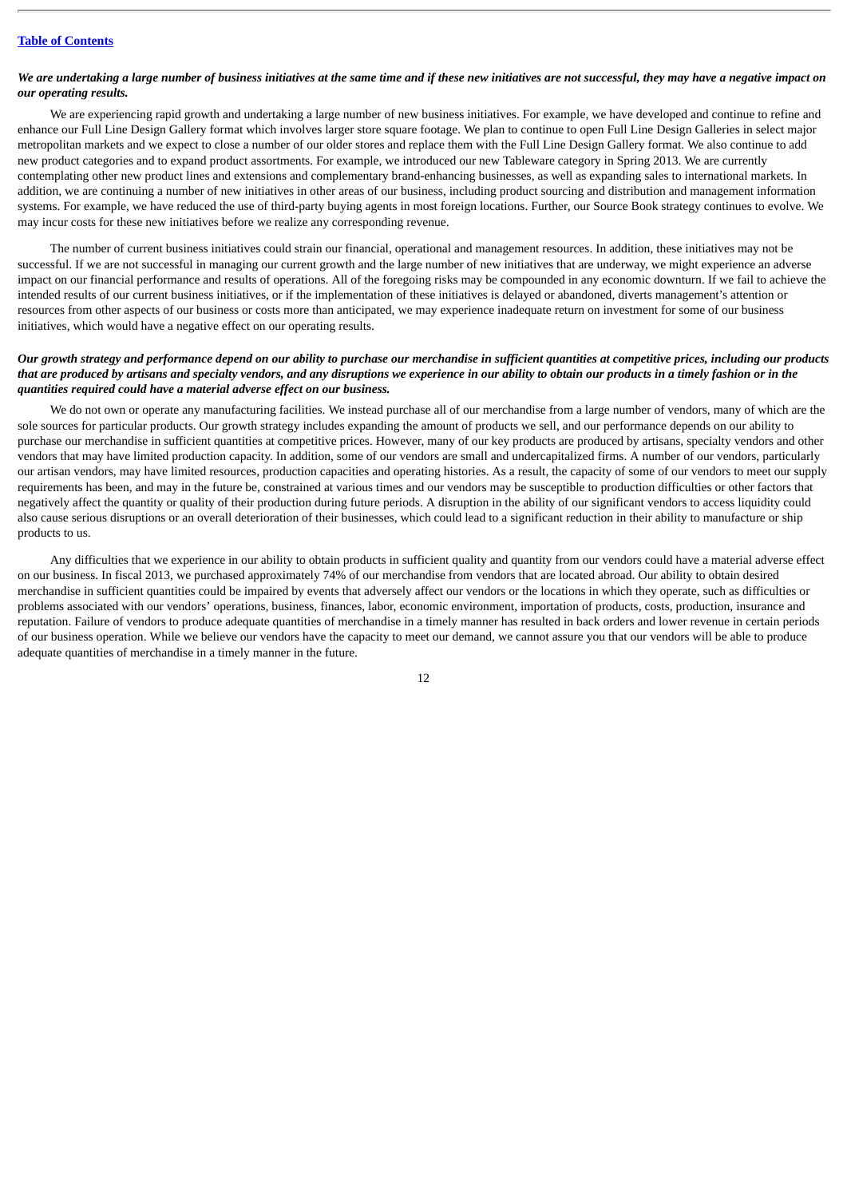# *We are undertaking a large number of business initiatives at the same time and if these new initiatives are not successful, they may have a negative impact on our operating results.*

We are experiencing rapid growth and undertaking a large number of new business initiatives. For example, we have developed and continue to refine and enhance our Full Line Design Gallery format which involves larger store square footage. We plan to continue to open Full Line Design Galleries in select major metropolitan markets and we expect to close a number of our older stores and replace them with the Full Line Design Gallery format. We also continue to add new product categories and to expand product assortments. For example, we introduced our new Tableware category in Spring 2013. We are currently contemplating other new product lines and extensions and complementary brand-enhancing businesses, as well as expanding sales to international markets. In addition, we are continuing a number of new initiatives in other areas of our business, including product sourcing and distribution and management information systems. For example, we have reduced the use of third-party buying agents in most foreign locations. Further, our Source Book strategy continues to evolve. We may incur costs for these new initiatives before we realize any corresponding revenue.

The number of current business initiatives could strain our financial, operational and management resources. In addition, these initiatives may not be successful. If we are not successful in managing our current growth and the large number of new initiatives that are underway, we might experience an adverse impact on our financial performance and results of operations. All of the foregoing risks may be compounded in any economic downturn. If we fail to achieve the intended results of our current business initiatives, or if the implementation of these initiatives is delayed or abandoned, diverts management's attention or resources from other aspects of our business or costs more than anticipated, we may experience inadequate return on investment for some of our business initiatives, which would have a negative effect on our operating results.

# *Our growth strategy and performance depend on our ability to purchase our merchandise in sufficient quantities at competitive prices, including our products that are produced by artisans and specialty vendors, and any disruptions we experience in our ability to obtain our products in a timely fashion or in the quantities required could have a material adverse effect on our business.*

We do not own or operate any manufacturing facilities. We instead purchase all of our merchandise from a large number of vendors, many of which are the sole sources for particular products. Our growth strategy includes expanding the amount of products we sell, and our performance depends on our ability to purchase our merchandise in sufficient quantities at competitive prices. However, many of our key products are produced by artisans, specialty vendors and other vendors that may have limited production capacity. In addition, some of our vendors are small and undercapitalized firms. A number of our vendors, particularly our artisan vendors, may have limited resources, production capacities and operating histories. As a result, the capacity of some of our vendors to meet our supply requirements has been, and may in the future be, constrained at various times and our vendors may be susceptible to production difficulties or other factors that negatively affect the quantity or quality of their production during future periods. A disruption in the ability of our significant vendors to access liquidity could also cause serious disruptions or an overall deterioration of their businesses, which could lead to a significant reduction in their ability to manufacture or ship products to us.

Any difficulties that we experience in our ability to obtain products in sufficient quality and quantity from our vendors could have a material adverse effect on our business. In fiscal 2013, we purchased approximately 74% of our merchandise from vendors that are located abroad. Our ability to obtain desired merchandise in sufficient quantities could be impaired by events that adversely affect our vendors or the locations in which they operate, such as difficulties or problems associated with our vendors' operations, business, finances, labor, economic environment, importation of products, costs, production, insurance and reputation. Failure of vendors to produce adequate quantities of merchandise in a timely manner has resulted in back orders and lower revenue in certain periods of our business operation. While we believe our vendors have the capacity to meet our demand, we cannot assure you that our vendors will be able to produce adequate quantities of merchandise in a timely manner in the future.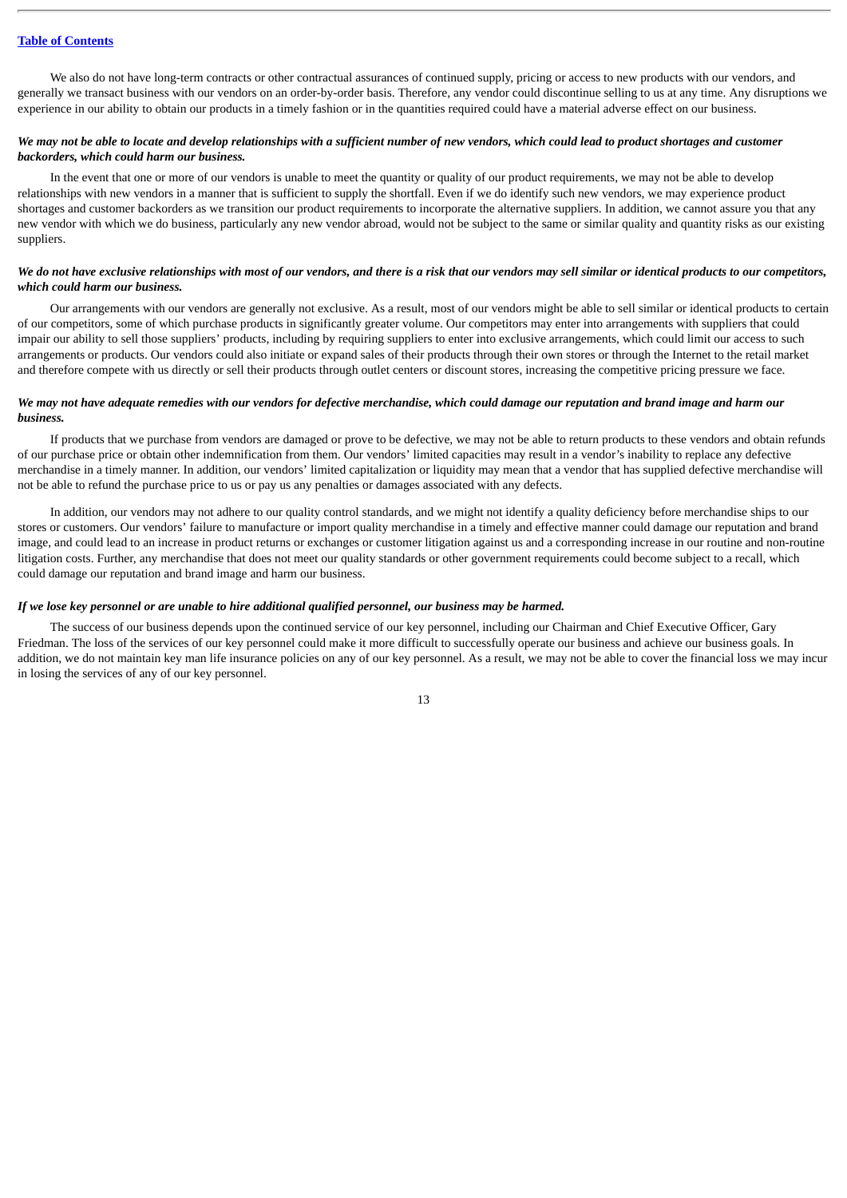We also do not have long-term contracts or other contractual assurances of continued supply, pricing or access to new products with our vendors, and generally we transact business with our vendors on an order-by-order basis. Therefore, any vendor could discontinue selling to us at any time. Any disruptions we experience in our ability to obtain our products in a timely fashion or in the quantities required could have a material adverse effect on our business.

# *We may not be able to locate and develop relationships with a sufficient number of new vendors, which could lead to product shortages and customer backorders, which could harm our business.*

In the event that one or more of our vendors is unable to meet the quantity or quality of our product requirements, we may not be able to develop relationships with new vendors in a manner that is sufficient to supply the shortfall. Even if we do identify such new vendors, we may experience product shortages and customer backorders as we transition our product requirements to incorporate the alternative suppliers. In addition, we cannot assure you that any new vendor with which we do business, particularly any new vendor abroad, would not be subject to the same or similar quality and quantity risks as our existing suppliers.

# *We do not have exclusive relationships with most of our vendors, and there is a risk that our vendors may sell similar or identical products to our competitors, which could harm our business.*

Our arrangements with our vendors are generally not exclusive. As a result, most of our vendors might be able to sell similar or identical products to certain of our competitors, some of which purchase products in significantly greater volume. Our competitors may enter into arrangements with suppliers that could impair our ability to sell those suppliers' products, including by requiring suppliers to enter into exclusive arrangements, which could limit our access to such arrangements or products. Our vendors could also initiate or expand sales of their products through their own stores or through the Internet to the retail market and therefore compete with us directly or sell their products through outlet centers or discount stores, increasing the competitive pricing pressure we face.

# *We may not have adequate remedies with our vendors for defective merchandise, which could damage our reputation and brand image and harm our business.*

If products that we purchase from vendors are damaged or prove to be defective, we may not be able to return products to these vendors and obtain refunds of our purchase price or obtain other indemnification from them. Our vendors' limited capacities may result in a vendor's inability to replace any defective merchandise in a timely manner. In addition, our vendors' limited capitalization or liquidity may mean that a vendor that has supplied defective merchandise will not be able to refund the purchase price to us or pay us any penalties or damages associated with any defects.

In addition, our vendors may not adhere to our quality control standards, and we might not identify a quality deficiency before merchandise ships to our stores or customers. Our vendors' failure to manufacture or import quality merchandise in a timely and effective manner could damage our reputation and brand image, and could lead to an increase in product returns or exchanges or customer litigation against us and a corresponding increase in our routine and non-routine litigation costs. Further, any merchandise that does not meet our quality standards or other government requirements could become subject to a recall, which could damage our reputation and brand image and harm our business.

#### *If we lose key personnel or are unable to hire additional qualified personnel, our business may be harmed.*

The success of our business depends upon the continued service of our key personnel, including our Chairman and Chief Executive Officer, Gary Friedman. The loss of the services of our key personnel could make it more difficult to successfully operate our business and achieve our business goals. In addition, we do not maintain key man life insurance policies on any of our key personnel. As a result, we may not be able to cover the financial loss we may incur in losing the services of any of our key personnel.

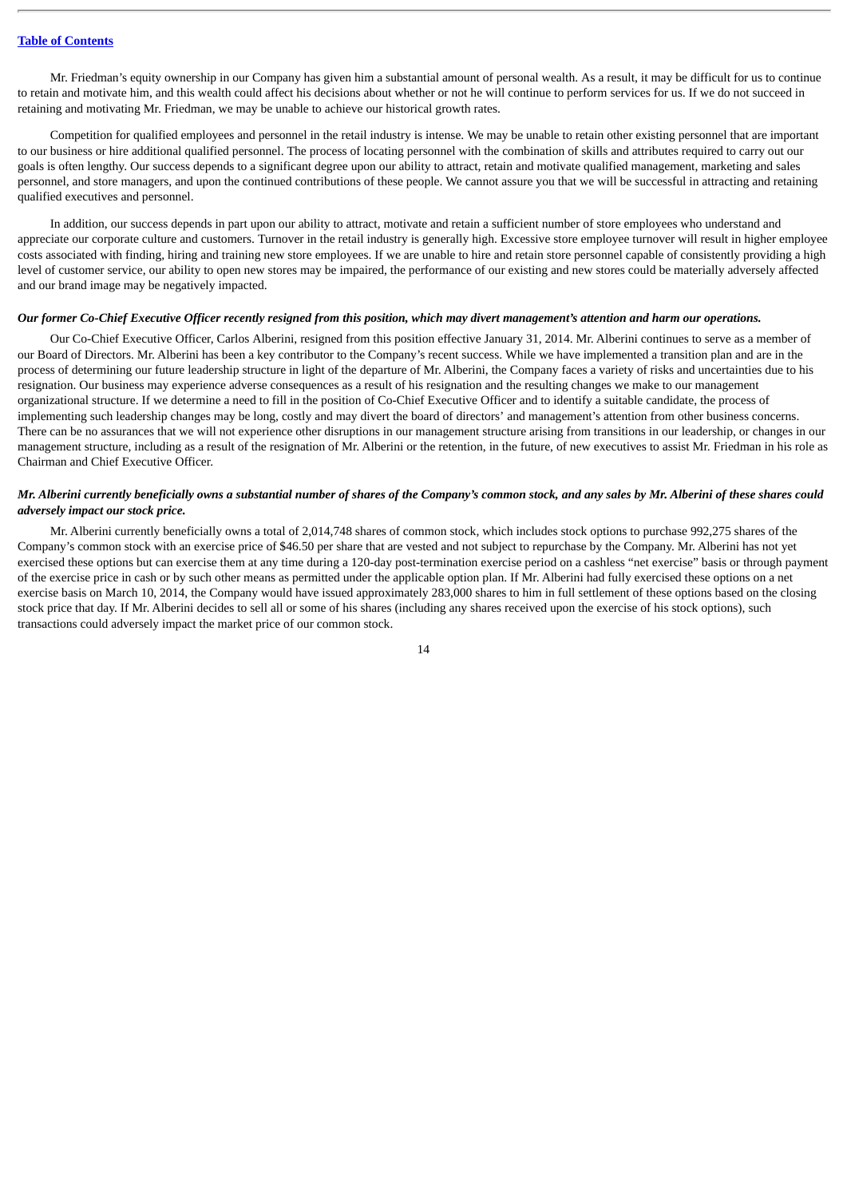Mr. Friedman's equity ownership in our Company has given him a substantial amount of personal wealth. As a result, it may be difficult for us to continue to retain and motivate him, and this wealth could affect his decisions about whether or not he will continue to perform services for us. If we do not succeed in retaining and motivating Mr. Friedman, we may be unable to achieve our historical growth rates.

Competition for qualified employees and personnel in the retail industry is intense. We may be unable to retain other existing personnel that are important to our business or hire additional qualified personnel. The process of locating personnel with the combination of skills and attributes required to carry out our goals is often lengthy. Our success depends to a significant degree upon our ability to attract, retain and motivate qualified management, marketing and sales personnel, and store managers, and upon the continued contributions of these people. We cannot assure you that we will be successful in attracting and retaining qualified executives and personnel.

In addition, our success depends in part upon our ability to attract, motivate and retain a sufficient number of store employees who understand and appreciate our corporate culture and customers. Turnover in the retail industry is generally high. Excessive store employee turnover will result in higher employee costs associated with finding, hiring and training new store employees. If we are unable to hire and retain store personnel capable of consistently providing a high level of customer service, our ability to open new stores may be impaired, the performance of our existing and new stores could be materially adversely affected and our brand image may be negatively impacted.

#### *Our former Co-Chief Executive Officer recently resigned from this position, which may divert management's attention and harm our operations.*

Our Co-Chief Executive Officer, Carlos Alberini, resigned from this position effective January 31, 2014. Mr. Alberini continues to serve as a member of our Board of Directors. Mr. Alberini has been a key contributor to the Company's recent success. While we have implemented a transition plan and are in the process of determining our future leadership structure in light of the departure of Mr. Alberini, the Company faces a variety of risks and uncertainties due to his resignation. Our business may experience adverse consequences as a result of his resignation and the resulting changes we make to our management organizational structure. If we determine a need to fill in the position of Co-Chief Executive Officer and to identify a suitable candidate, the process of implementing such leadership changes may be long, costly and may divert the board of directors' and management's attention from other business concerns. There can be no assurances that we will not experience other disruptions in our management structure arising from transitions in our leadership, or changes in our management structure, including as a result of the resignation of Mr. Alberini or the retention, in the future, of new executives to assist Mr. Friedman in his role as Chairman and Chief Executive Officer.

# *Mr. Alberini currently beneficially owns a substantial number of shares of the Company's common stock, and any sales by Mr. Alberini of these shares could adversely impact our stock price.*

Mr. Alberini currently beneficially owns a total of 2,014,748 shares of common stock, which includes stock options to purchase 992,275 shares of the Company's common stock with an exercise price of \$46.50 per share that are vested and not subject to repurchase by the Company. Mr. Alberini has not yet exercised these options but can exercise them at any time during a 120-day post-termination exercise period on a cashless "net exercise" basis or through payment of the exercise price in cash or by such other means as permitted under the applicable option plan. If Mr. Alberini had fully exercised these options on a net exercise basis on March 10, 2014, the Company would have issued approximately 283,000 shares to him in full settlement of these options based on the closing stock price that day. If Mr. Alberini decides to sell all or some of his shares (including any shares received upon the exercise of his stock options), such transactions could adversely impact the market price of our common stock.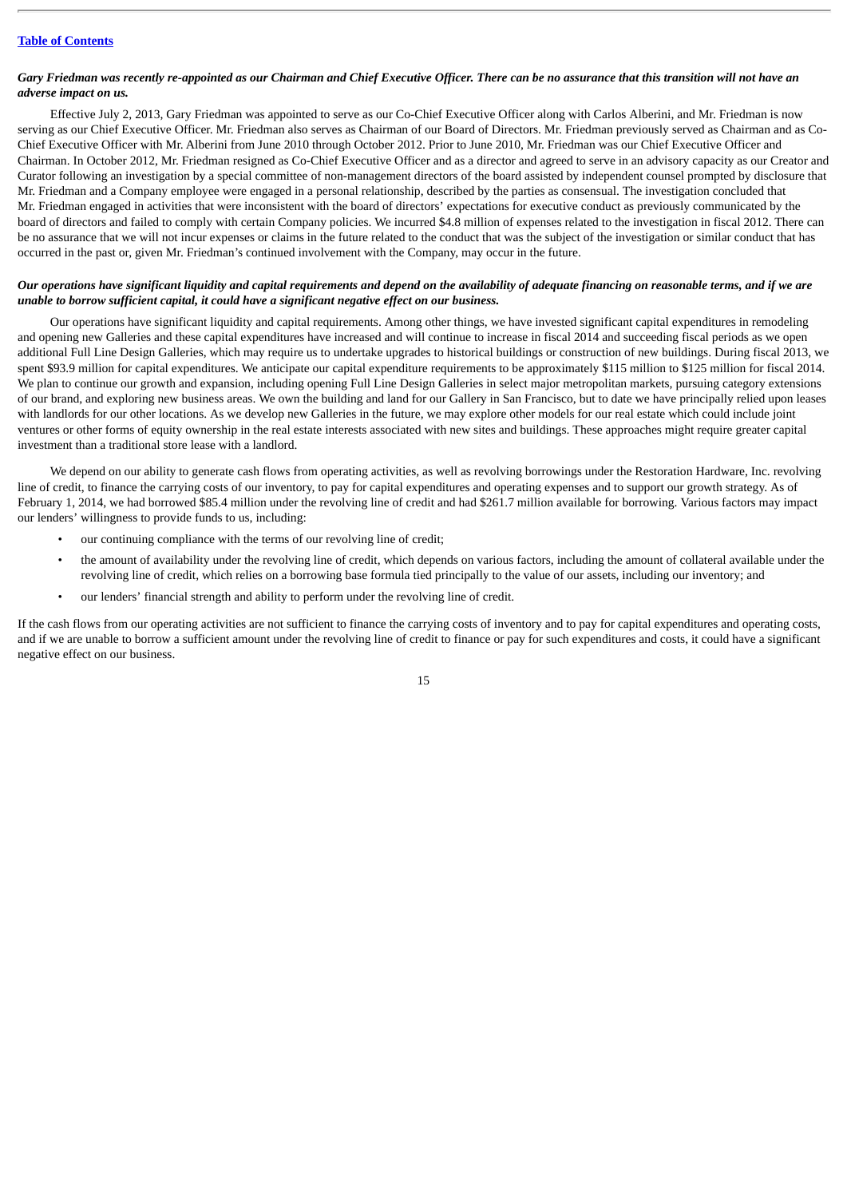# *Gary Friedman was recently re-appointed as our Chairman and Chief Executive Officer. There can be no assurance that this transition will not have an adverse impact on us.*

Effective July 2, 2013, Gary Friedman was appointed to serve as our Co-Chief Executive Officer along with Carlos Alberini, and Mr. Friedman is now serving as our Chief Executive Officer. Mr. Friedman also serves as Chairman of our Board of Directors. Mr. Friedman previously served as Chairman and as Co-Chief Executive Officer with Mr. Alberini from June 2010 through October 2012. Prior to June 2010, Mr. Friedman was our Chief Executive Officer and Chairman. In October 2012, Mr. Friedman resigned as Co-Chief Executive Officer and as a director and agreed to serve in an advisory capacity as our Creator and Curator following an investigation by a special committee of non-management directors of the board assisted by independent counsel prompted by disclosure that Mr. Friedman and a Company employee were engaged in a personal relationship, described by the parties as consensual. The investigation concluded that Mr. Friedman engaged in activities that were inconsistent with the board of directors' expectations for executive conduct as previously communicated by the board of directors and failed to comply with certain Company policies. We incurred \$4.8 million of expenses related to the investigation in fiscal 2012. There can be no assurance that we will not incur expenses or claims in the future related to the conduct that was the subject of the investigation or similar conduct that has occurred in the past or, given Mr. Friedman's continued involvement with the Company, may occur in the future.

# *Our operations have significant liquidity and capital requirements and depend on the availability of adequate financing on reasonable terms, and if we are unable to borrow sufficient capital, it could have a significant negative effect on our business.*

Our operations have significant liquidity and capital requirements. Among other things, we have invested significant capital expenditures in remodeling and opening new Galleries and these capital expenditures have increased and will continue to increase in fiscal 2014 and succeeding fiscal periods as we open additional Full Line Design Galleries, which may require us to undertake upgrades to historical buildings or construction of new buildings. During fiscal 2013, we spent \$93.9 million for capital expenditures. We anticipate our capital expenditure requirements to be approximately \$115 million to \$125 million for fiscal 2014. We plan to continue our growth and expansion, including opening Full Line Design Galleries in select major metropolitan markets, pursuing category extensions of our brand, and exploring new business areas. We own the building and land for our Gallery in San Francisco, but to date we have principally relied upon leases with landlords for our other locations. As we develop new Galleries in the future, we may explore other models for our real estate which could include joint ventures or other forms of equity ownership in the real estate interests associated with new sites and buildings. These approaches might require greater capital investment than a traditional store lease with a landlord.

We depend on our ability to generate cash flows from operating activities, as well as revolving borrowings under the Restoration Hardware, Inc. revolving line of credit, to finance the carrying costs of our inventory, to pay for capital expenditures and operating expenses and to support our growth strategy. As of February 1, 2014, we had borrowed \$85.4 million under the revolving line of credit and had \$261.7 million available for borrowing. Various factors may impact our lenders' willingness to provide funds to us, including:

- our continuing compliance with the terms of our revolving line of credit;
- the amount of availability under the revolving line of credit, which depends on various factors, including the amount of collateral available under the revolving line of credit, which relies on a borrowing base formula tied principally to the value of our assets, including our inventory; and
- our lenders' financial strength and ability to perform under the revolving line of credit.

If the cash flows from our operating activities are not sufficient to finance the carrying costs of inventory and to pay for capital expenditures and operating costs, and if we are unable to borrow a sufficient amount under the revolving line of credit to finance or pay for such expenditures and costs, it could have a significant negative effect on our business.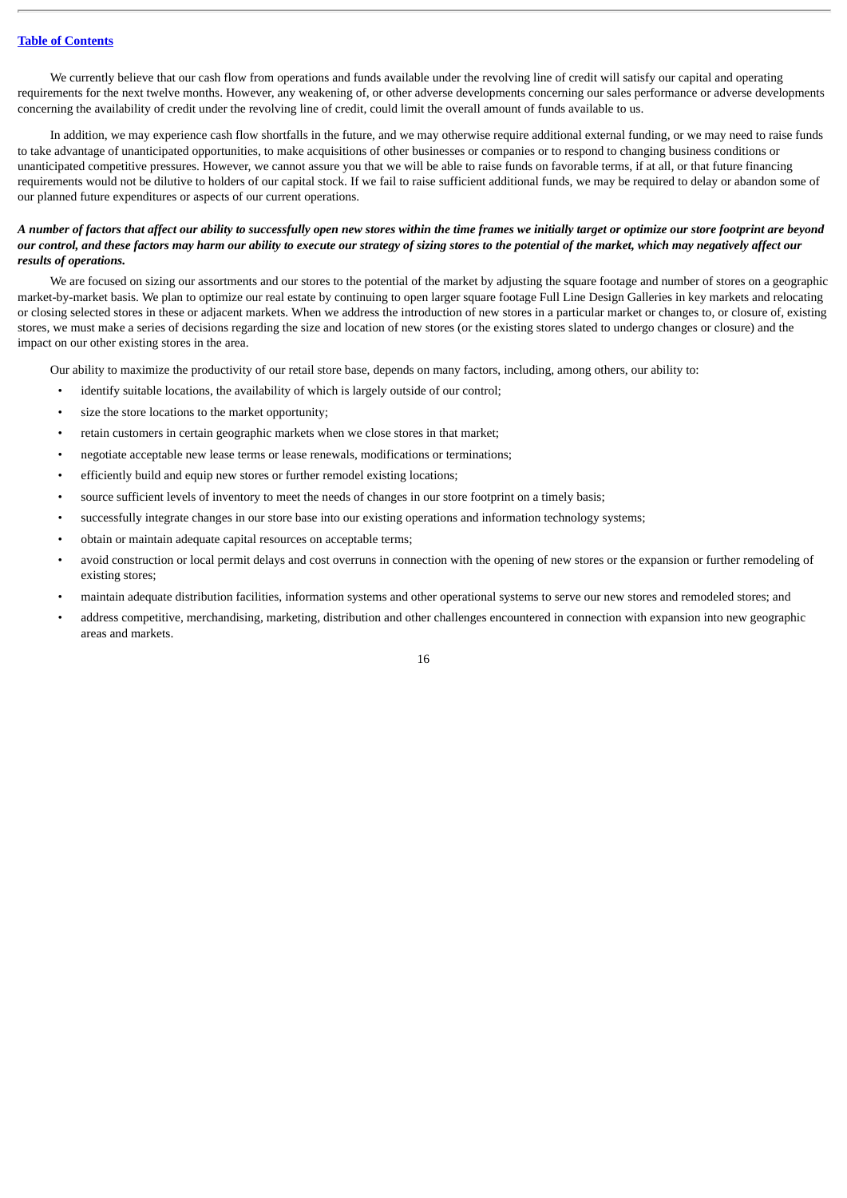We currently believe that our cash flow from operations and funds available under the revolving line of credit will satisfy our capital and operating requirements for the next twelve months. However, any weakening of, or other adverse developments concerning our sales performance or adverse developments concerning the availability of credit under the revolving line of credit, could limit the overall amount of funds available to us.

In addition, we may experience cash flow shortfalls in the future, and we may otherwise require additional external funding, or we may need to raise funds to take advantage of unanticipated opportunities, to make acquisitions of other businesses or companies or to respond to changing business conditions or unanticipated competitive pressures. However, we cannot assure you that we will be able to raise funds on favorable terms, if at all, or that future financing requirements would not be dilutive to holders of our capital stock. If we fail to raise sufficient additional funds, we may be required to delay or abandon some of our planned future expenditures or aspects of our current operations.

# *A number of factors that affect our ability to successfully open new stores within the time frames we initially target or optimize our store footprint are beyond our control, and these factors may harm our ability to execute our strategy of sizing stores to the potential of the market, which may negatively affect our results of operations.*

We are focused on sizing our assortments and our stores to the potential of the market by adjusting the square footage and number of stores on a geographic market-by-market basis. We plan to optimize our real estate by continuing to open larger square footage Full Line Design Galleries in key markets and relocating or closing selected stores in these or adjacent markets. When we address the introduction of new stores in a particular market or changes to, or closure of, existing stores, we must make a series of decisions regarding the size and location of new stores (or the existing stores slated to undergo changes or closure) and the impact on our other existing stores in the area.

Our ability to maximize the productivity of our retail store base, depends on many factors, including, among others, our ability to:

- identify suitable locations, the availability of which is largely outside of our control;
- size the store locations to the market opportunity;
- retain customers in certain geographic markets when we close stores in that market;
- negotiate acceptable new lease terms or lease renewals, modifications or terminations;
- efficiently build and equip new stores or further remodel existing locations;
- source sufficient levels of inventory to meet the needs of changes in our store footprint on a timely basis;
- successfully integrate changes in our store base into our existing operations and information technology systems;
- obtain or maintain adequate capital resources on acceptable terms;
- avoid construction or local permit delays and cost overruns in connection with the opening of new stores or the expansion or further remodeling of existing stores;
- maintain adequate distribution facilities, information systems and other operational systems to serve our new stores and remodeled stores; and
- address competitive, merchandising, marketing, distribution and other challenges encountered in connection with expansion into new geographic areas and markets.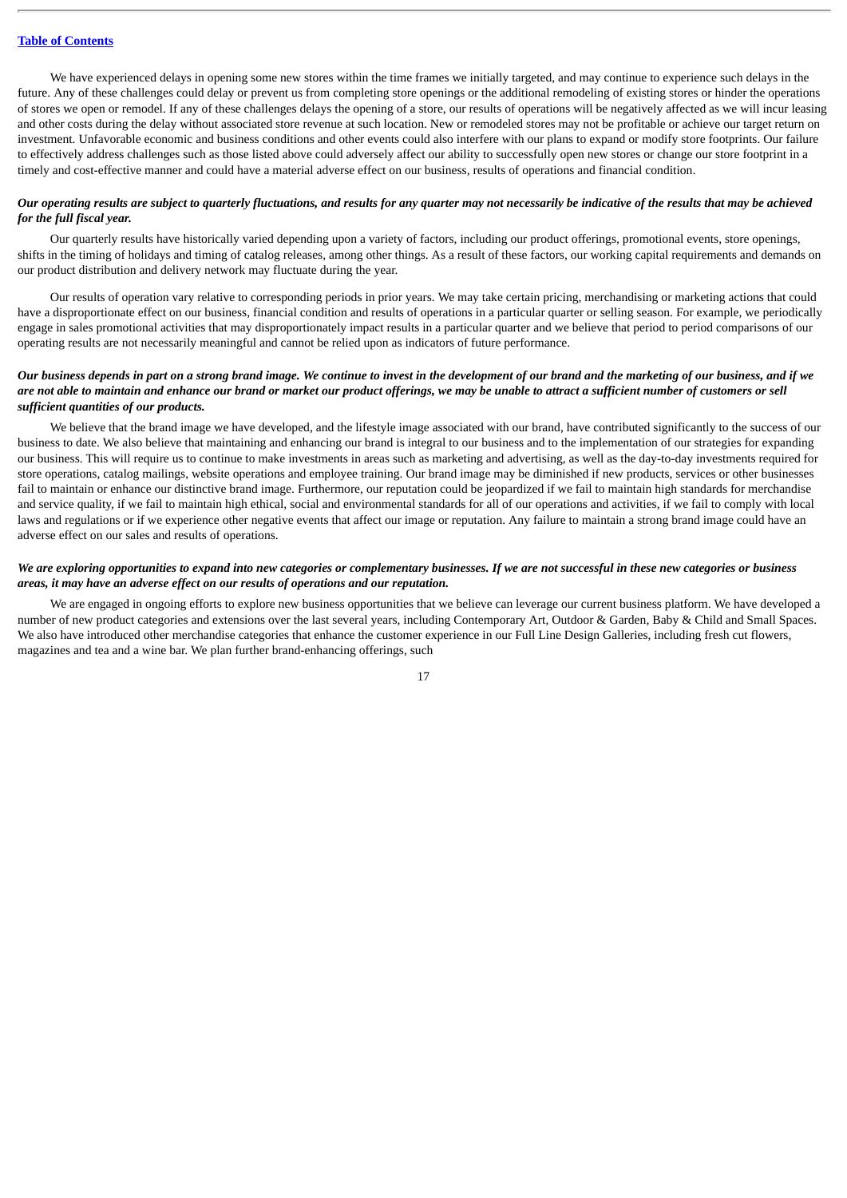We have experienced delays in opening some new stores within the time frames we initially targeted, and may continue to experience such delays in the future. Any of these challenges could delay or prevent us from completing store openings or the additional remodeling of existing stores or hinder the operations of stores we open or remodel. If any of these challenges delays the opening of a store, our results of operations will be negatively affected as we will incur leasing and other costs during the delay without associated store revenue at such location. New or remodeled stores may not be profitable or achieve our target return on investment. Unfavorable economic and business conditions and other events could also interfere with our plans to expand or modify store footprints. Our failure to effectively address challenges such as those listed above could adversely affect our ability to successfully open new stores or change our store footprint in a timely and cost-effective manner and could have a material adverse effect on our business, results of operations and financial condition.

# *Our operating results are subject to quarterly fluctuations, and results for any quarter may not necessarily be indicative of the results that may be achieved for the full fiscal year.*

Our quarterly results have historically varied depending upon a variety of factors, including our product offerings, promotional events, store openings, shifts in the timing of holidays and timing of catalog releases, among other things. As a result of these factors, our working capital requirements and demands on our product distribution and delivery network may fluctuate during the year.

Our results of operation vary relative to corresponding periods in prior years. We may take certain pricing, merchandising or marketing actions that could have a disproportionate effect on our business, financial condition and results of operations in a particular quarter or selling season. For example, we periodically engage in sales promotional activities that may disproportionately impact results in a particular quarter and we believe that period to period comparisons of our operating results are not necessarily meaningful and cannot be relied upon as indicators of future performance.

# *Our business depends in part on a strong brand image. We continue to invest in the development of our brand and the marketing of our business, and if we are not able to maintain and enhance our brand or market our product offerings, we may be unable to attract a sufficient number of customers or sell sufficient quantities of our products.*

We believe that the brand image we have developed, and the lifestyle image associated with our brand, have contributed significantly to the success of our business to date. We also believe that maintaining and enhancing our brand is integral to our business and to the implementation of our strategies for expanding our business. This will require us to continue to make investments in areas such as marketing and advertising, as well as the day-to-day investments required for store operations, catalog mailings, website operations and employee training. Our brand image may be diminished if new products, services or other businesses fail to maintain or enhance our distinctive brand image. Furthermore, our reputation could be jeopardized if we fail to maintain high standards for merchandise and service quality, if we fail to maintain high ethical, social and environmental standards for all of our operations and activities, if we fail to comply with local laws and regulations or if we experience other negative events that affect our image or reputation. Any failure to maintain a strong brand image could have an adverse effect on our sales and results of operations.

# *We are exploring opportunities to expand into new categories or complementary businesses. If we are not successful in these new categories or business areas, it may have an adverse effect on our results of operations and our reputation.*

We are engaged in ongoing efforts to explore new business opportunities that we believe can leverage our current business platform. We have developed a number of new product categories and extensions over the last several years, including Contemporary Art, Outdoor & Garden, Baby & Child and Small Spaces. We also have introduced other merchandise categories that enhance the customer experience in our Full Line Design Galleries, including fresh cut flowers, magazines and tea and a wine bar. We plan further brand-enhancing offerings, such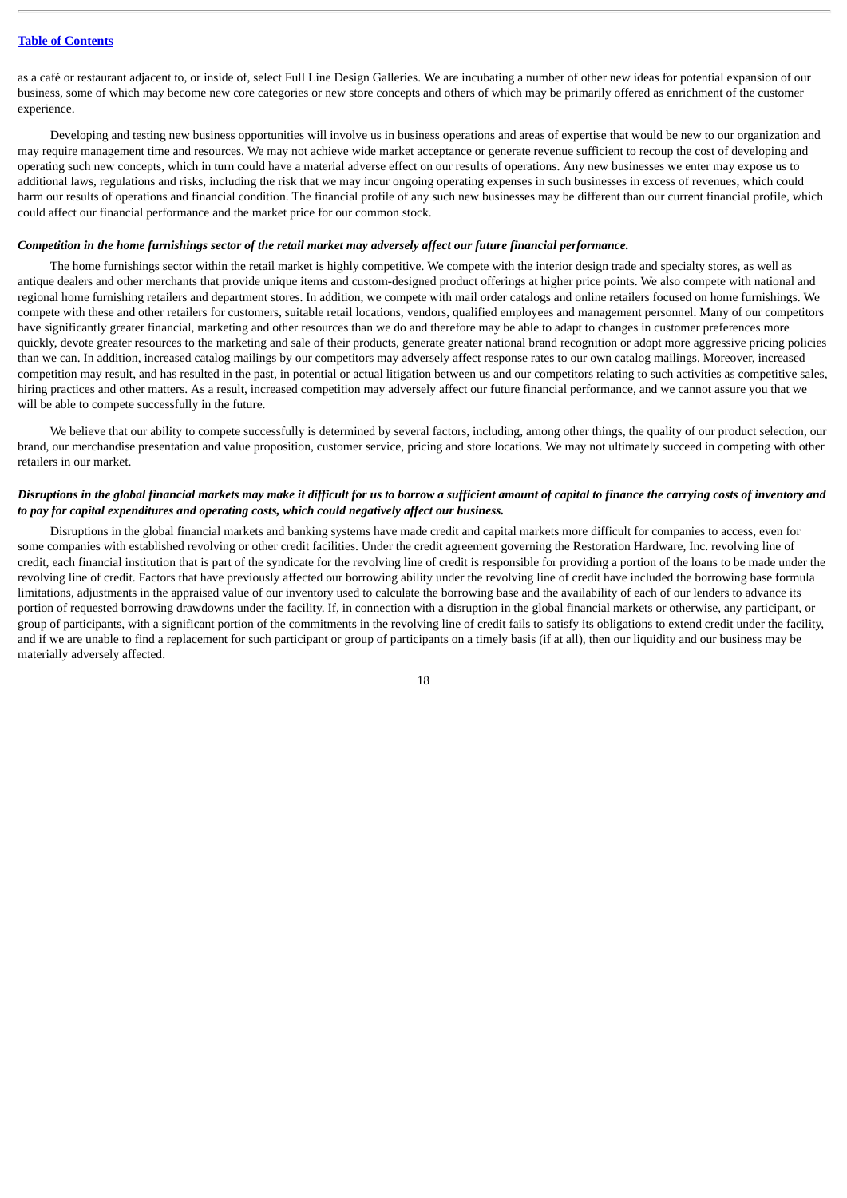as a café or restaurant adjacent to, or inside of, select Full Line Design Galleries. We are incubating a number of other new ideas for potential expansion of our business, some of which may become new core categories or new store concepts and others of which may be primarily offered as enrichment of the customer experience.

Developing and testing new business opportunities will involve us in business operations and areas of expertise that would be new to our organization and may require management time and resources. We may not achieve wide market acceptance or generate revenue sufficient to recoup the cost of developing and operating such new concepts, which in turn could have a material adverse effect on our results of operations. Any new businesses we enter may expose us to additional laws, regulations and risks, including the risk that we may incur ongoing operating expenses in such businesses in excess of revenues, which could harm our results of operations and financial condition. The financial profile of any such new businesses may be different than our current financial profile, which could affect our financial performance and the market price for our common stock.

#### *Competition in the home furnishings sector of the retail market may adversely affect our future financial performance.*

The home furnishings sector within the retail market is highly competitive. We compete with the interior design trade and specialty stores, as well as antique dealers and other merchants that provide unique items and custom-designed product offerings at higher price points. We also compete with national and regional home furnishing retailers and department stores. In addition, we compete with mail order catalogs and online retailers focused on home furnishings. We compete with these and other retailers for customers, suitable retail locations, vendors, qualified employees and management personnel. Many of our competitors have significantly greater financial, marketing and other resources than we do and therefore may be able to adapt to changes in customer preferences more quickly, devote greater resources to the marketing and sale of their products, generate greater national brand recognition or adopt more aggressive pricing policies than we can. In addition, increased catalog mailings by our competitors may adversely affect response rates to our own catalog mailings. Moreover, increased competition may result, and has resulted in the past, in potential or actual litigation between us and our competitors relating to such activities as competitive sales, hiring practices and other matters. As a result, increased competition may adversely affect our future financial performance, and we cannot assure you that we will be able to compete successfully in the future.

We believe that our ability to compete successfully is determined by several factors, including, among other things, the quality of our product selection, our brand, our merchandise presentation and value proposition, customer service, pricing and store locations. We may not ultimately succeed in competing with other retailers in our market.

# *Disruptions in the global financial markets may make it difficult for us to borrow a sufficient amount of capital to finance the carrying costs of inventory and to pay for capital expenditures and operating costs, which could negatively affect our business.*

Disruptions in the global financial markets and banking systems have made credit and capital markets more difficult for companies to access, even for some companies with established revolving or other credit facilities. Under the credit agreement governing the Restoration Hardware, Inc. revolving line of credit, each financial institution that is part of the syndicate for the revolving line of credit is responsible for providing a portion of the loans to be made under the revolving line of credit. Factors that have previously affected our borrowing ability under the revolving line of credit have included the borrowing base formula limitations, adjustments in the appraised value of our inventory used to calculate the borrowing base and the availability of each of our lenders to advance its portion of requested borrowing drawdowns under the facility. If, in connection with a disruption in the global financial markets or otherwise, any participant, or group of participants, with a significant portion of the commitments in the revolving line of credit fails to satisfy its obligations to extend credit under the facility, and if we are unable to find a replacement for such participant or group of participants on a timely basis (if at all), then our liquidity and our business may be materially adversely affected.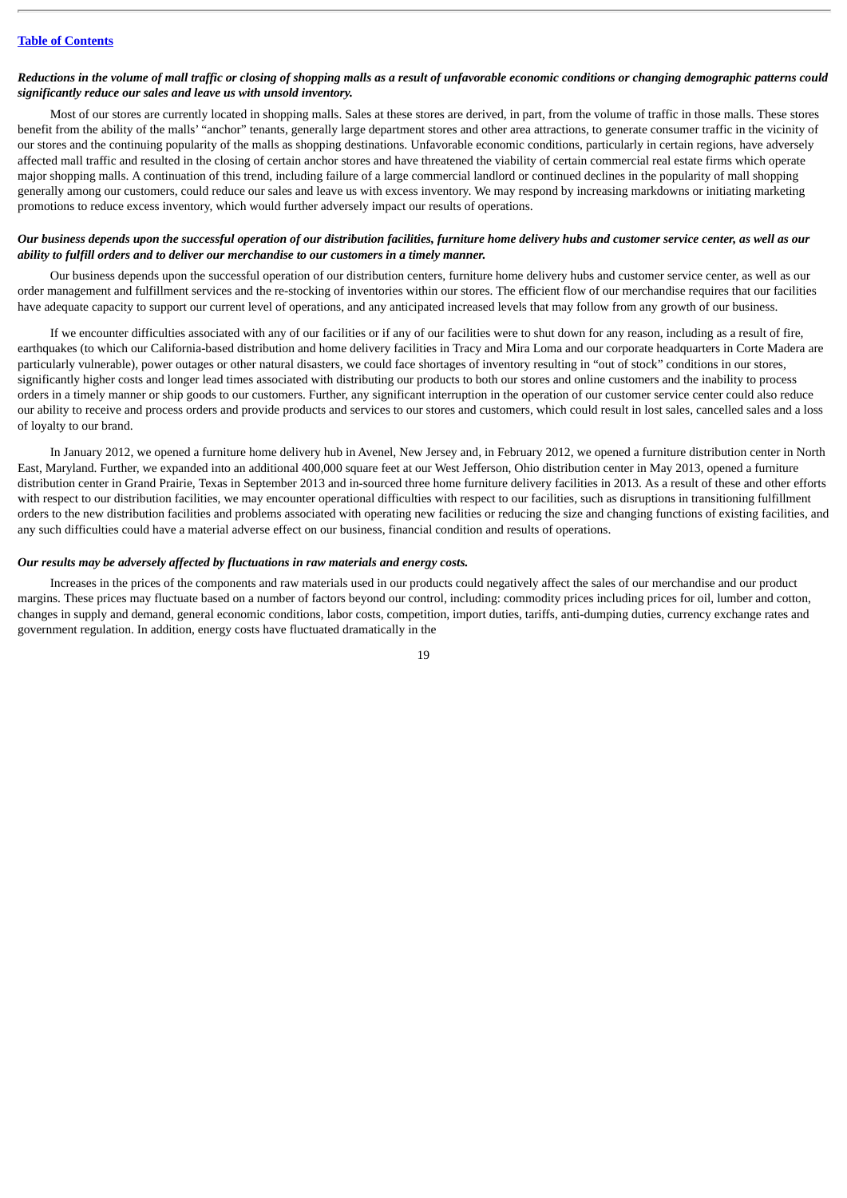#### *Reductions in the volume of mall traffic or closing of shopping malls as a result of unfavorable economic conditions or changing demographic patterns could significantly reduce our sales and leave us with unsold inventory.*

Most of our stores are currently located in shopping malls. Sales at these stores are derived, in part, from the volume of traffic in those malls. These stores benefit from the ability of the malls' "anchor" tenants, generally large department stores and other area attractions, to generate consumer traffic in the vicinity of our stores and the continuing popularity of the malls as shopping destinations. Unfavorable economic conditions, particularly in certain regions, have adversely affected mall traffic and resulted in the closing of certain anchor stores and have threatened the viability of certain commercial real estate firms which operate major shopping malls. A continuation of this trend, including failure of a large commercial landlord or continued declines in the popularity of mall shopping generally among our customers, could reduce our sales and leave us with excess inventory. We may respond by increasing markdowns or initiating marketing promotions to reduce excess inventory, which would further adversely impact our results of operations.

# *Our business depends upon the successful operation of our distribution facilities, furniture home delivery hubs and customer service center, as well as our ability to fulfill orders and to deliver our merchandise to our customers in a timely manner.*

Our business depends upon the successful operation of our distribution centers, furniture home delivery hubs and customer service center, as well as our order management and fulfillment services and the re-stocking of inventories within our stores. The efficient flow of our merchandise requires that our facilities have adequate capacity to support our current level of operations, and any anticipated increased levels that may follow from any growth of our business.

If we encounter difficulties associated with any of our facilities or if any of our facilities were to shut down for any reason, including as a result of fire, earthquakes (to which our California-based distribution and home delivery facilities in Tracy and Mira Loma and our corporate headquarters in Corte Madera are particularly vulnerable), power outages or other natural disasters, we could face shortages of inventory resulting in "out of stock" conditions in our stores, significantly higher costs and longer lead times associated with distributing our products to both our stores and online customers and the inability to process orders in a timely manner or ship goods to our customers. Further, any significant interruption in the operation of our customer service center could also reduce our ability to receive and process orders and provide products and services to our stores and customers, which could result in lost sales, cancelled sales and a loss of loyalty to our brand.

In January 2012, we opened a furniture home delivery hub in Avenel, New Jersey and, in February 2012, we opened a furniture distribution center in North East, Maryland. Further, we expanded into an additional 400,000 square feet at our West Jefferson, Ohio distribution center in May 2013, opened a furniture distribution center in Grand Prairie, Texas in September 2013 and in-sourced three home furniture delivery facilities in 2013. As a result of these and other efforts with respect to our distribution facilities, we may encounter operational difficulties with respect to our facilities, such as disruptions in transitioning fulfillment orders to the new distribution facilities and problems associated with operating new facilities or reducing the size and changing functions of existing facilities, and any such difficulties could have a material adverse effect on our business, financial condition and results of operations.

#### *Our results may be adversely affected by fluctuations in raw materials and energy costs.*

Increases in the prices of the components and raw materials used in our products could negatively affect the sales of our merchandise and our product margins. These prices may fluctuate based on a number of factors beyond our control, including: commodity prices including prices for oil, lumber and cotton, changes in supply and demand, general economic conditions, labor costs, competition, import duties, tariffs, anti-dumping duties, currency exchange rates and government regulation. In addition, energy costs have fluctuated dramatically in the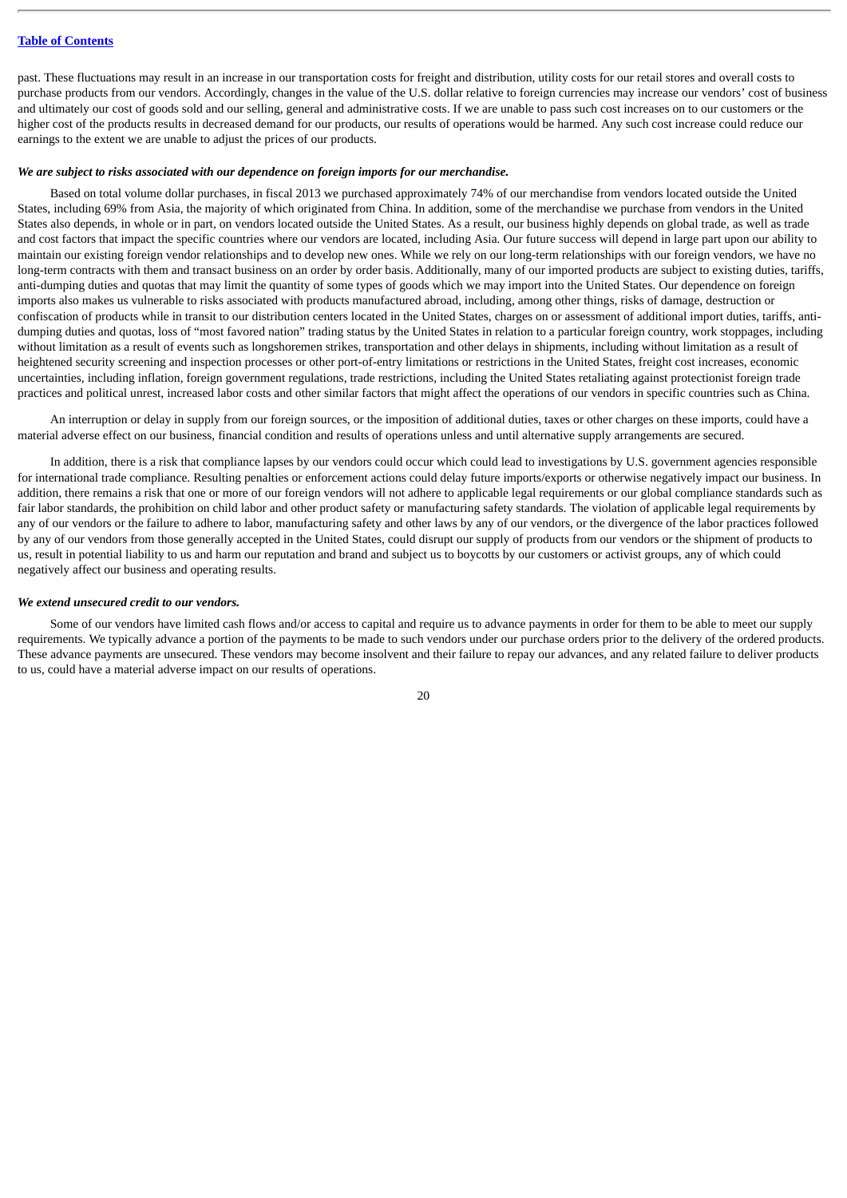past. These fluctuations may result in an increase in our transportation costs for freight and distribution, utility costs for our retail stores and overall costs to purchase products from our vendors. Accordingly, changes in the value of the U.S. dollar relative to foreign currencies may increase our vendors' cost of business and ultimately our cost of goods sold and our selling, general and administrative costs. If we are unable to pass such cost increases on to our customers or the higher cost of the products results in decreased demand for our products, our results of operations would be harmed. Any such cost increase could reduce our earnings to the extent we are unable to adjust the prices of our products.

#### *We are subject to risks associated with our dependence on foreign imports for our merchandise.*

Based on total volume dollar purchases, in fiscal 2013 we purchased approximately 74% of our merchandise from vendors located outside the United States, including 69% from Asia, the majority of which originated from China. In addition, some of the merchandise we purchase from vendors in the United States also depends, in whole or in part, on vendors located outside the United States. As a result, our business highly depends on global trade, as well as trade and cost factors that impact the specific countries where our vendors are located, including Asia. Our future success will depend in large part upon our ability to maintain our existing foreign vendor relationships and to develop new ones. While we rely on our long-term relationships with our foreign vendors, we have no long-term contracts with them and transact business on an order by order basis. Additionally, many of our imported products are subject to existing duties, tariffs, anti-dumping duties and quotas that may limit the quantity of some types of goods which we may import into the United States. Our dependence on foreign imports also makes us vulnerable to risks associated with products manufactured abroad, including, among other things, risks of damage, destruction or confiscation of products while in transit to our distribution centers located in the United States, charges on or assessment of additional import duties, tariffs, antidumping duties and quotas, loss of "most favored nation" trading status by the United States in relation to a particular foreign country, work stoppages, including without limitation as a result of events such as longshoremen strikes, transportation and other delays in shipments, including without limitation as a result of heightened security screening and inspection processes or other port-of-entry limitations or restrictions in the United States, freight cost increases, economic uncertainties, including inflation, foreign government regulations, trade restrictions, including the United States retaliating against protectionist foreign trade practices and political unrest, increased labor costs and other similar factors that might affect the operations of our vendors in specific countries such as China.

An interruption or delay in supply from our foreign sources, or the imposition of additional duties, taxes or other charges on these imports, could have a material adverse effect on our business, financial condition and results of operations unless and until alternative supply arrangements are secured.

In addition, there is a risk that compliance lapses by our vendors could occur which could lead to investigations by U.S. government agencies responsible for international trade compliance. Resulting penalties or enforcement actions could delay future imports/exports or otherwise negatively impact our business. In addition, there remains a risk that one or more of our foreign vendors will not adhere to applicable legal requirements or our global compliance standards such as fair labor standards, the prohibition on child labor and other product safety or manufacturing safety standards. The violation of applicable legal requirements by any of our vendors or the failure to adhere to labor, manufacturing safety and other laws by any of our vendors, or the divergence of the labor practices followed by any of our vendors from those generally accepted in the United States, could disrupt our supply of products from our vendors or the shipment of products to us, result in potential liability to us and harm our reputation and brand and subject us to boycotts by our customers or activist groups, any of which could negatively affect our business and operating results.

# *We extend unsecured credit to our vendors.*

Some of our vendors have limited cash flows and/or access to capital and require us to advance payments in order for them to be able to meet our supply requirements. We typically advance a portion of the payments to be made to such vendors under our purchase orders prior to the delivery of the ordered products. These advance payments are unsecured. These vendors may become insolvent and their failure to repay our advances, and any related failure to deliver products to us, could have a material adverse impact on our results of operations.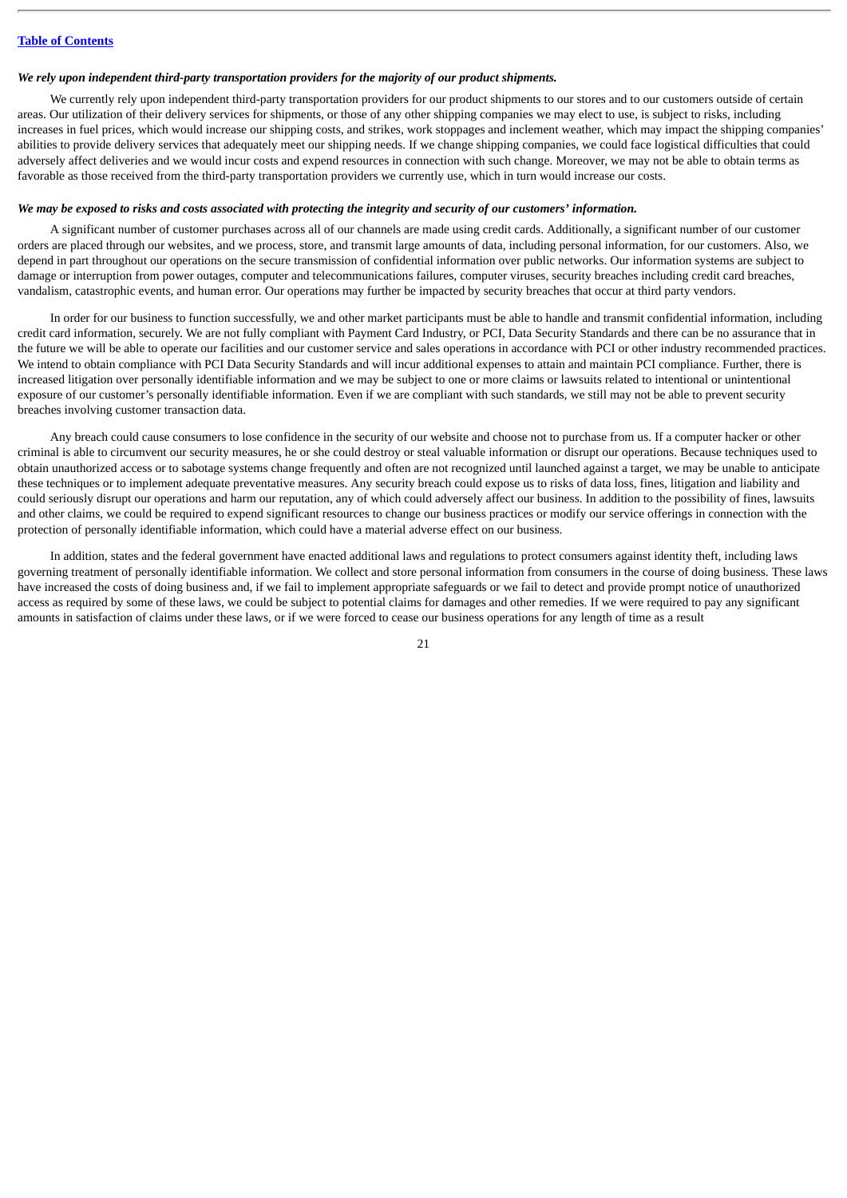#### *We rely upon independent third-party transportation providers for the majority of our product shipments.*

We currently rely upon independent third-party transportation providers for our product shipments to our stores and to our customers outside of certain areas. Our utilization of their delivery services for shipments, or those of any other shipping companies we may elect to use, is subject to risks, including increases in fuel prices, which would increase our shipping costs, and strikes, work stoppages and inclement weather, which may impact the shipping companies' abilities to provide delivery services that adequately meet our shipping needs. If we change shipping companies, we could face logistical difficulties that could adversely affect deliveries and we would incur costs and expend resources in connection with such change. Moreover, we may not be able to obtain terms as favorable as those received from the third-party transportation providers we currently use, which in turn would increase our costs.

# *We may be exposed to risks and costs associated with protecting the integrity and security of our customers' information.*

A significant number of customer purchases across all of our channels are made using credit cards. Additionally, a significant number of our customer orders are placed through our websites, and we process, store, and transmit large amounts of data, including personal information, for our customers. Also, we depend in part throughout our operations on the secure transmission of confidential information over public networks. Our information systems are subject to damage or interruption from power outages, computer and telecommunications failures, computer viruses, security breaches including credit card breaches, vandalism, catastrophic events, and human error. Our operations may further be impacted by security breaches that occur at third party vendors.

In order for our business to function successfully, we and other market participants must be able to handle and transmit confidential information, including credit card information, securely. We are not fully compliant with Payment Card Industry, or PCI, Data Security Standards and there can be no assurance that in the future we will be able to operate our facilities and our customer service and sales operations in accordance with PCI or other industry recommended practices. We intend to obtain compliance with PCI Data Security Standards and will incur additional expenses to attain and maintain PCI compliance. Further, there is increased litigation over personally identifiable information and we may be subject to one or more claims or lawsuits related to intentional or unintentional exposure of our customer's personally identifiable information. Even if we are compliant with such standards, we still may not be able to prevent security breaches involving customer transaction data.

Any breach could cause consumers to lose confidence in the security of our website and choose not to purchase from us. If a computer hacker or other criminal is able to circumvent our security measures, he or she could destroy or steal valuable information or disrupt our operations. Because techniques used to obtain unauthorized access or to sabotage systems change frequently and often are not recognized until launched against a target, we may be unable to anticipate these techniques or to implement adequate preventative measures. Any security breach could expose us to risks of data loss, fines, litigation and liability and could seriously disrupt our operations and harm our reputation, any of which could adversely affect our business. In addition to the possibility of fines, lawsuits and other claims, we could be required to expend significant resources to change our business practices or modify our service offerings in connection with the protection of personally identifiable information, which could have a material adverse effect on our business.

In addition, states and the federal government have enacted additional laws and regulations to protect consumers against identity theft, including laws governing treatment of personally identifiable information. We collect and store personal information from consumers in the course of doing business. These laws have increased the costs of doing business and, if we fail to implement appropriate safeguards or we fail to detect and provide prompt notice of unauthorized access as required by some of these laws, we could be subject to potential claims for damages and other remedies. If we were required to pay any significant amounts in satisfaction of claims under these laws, or if we were forced to cease our business operations for any length of time as a result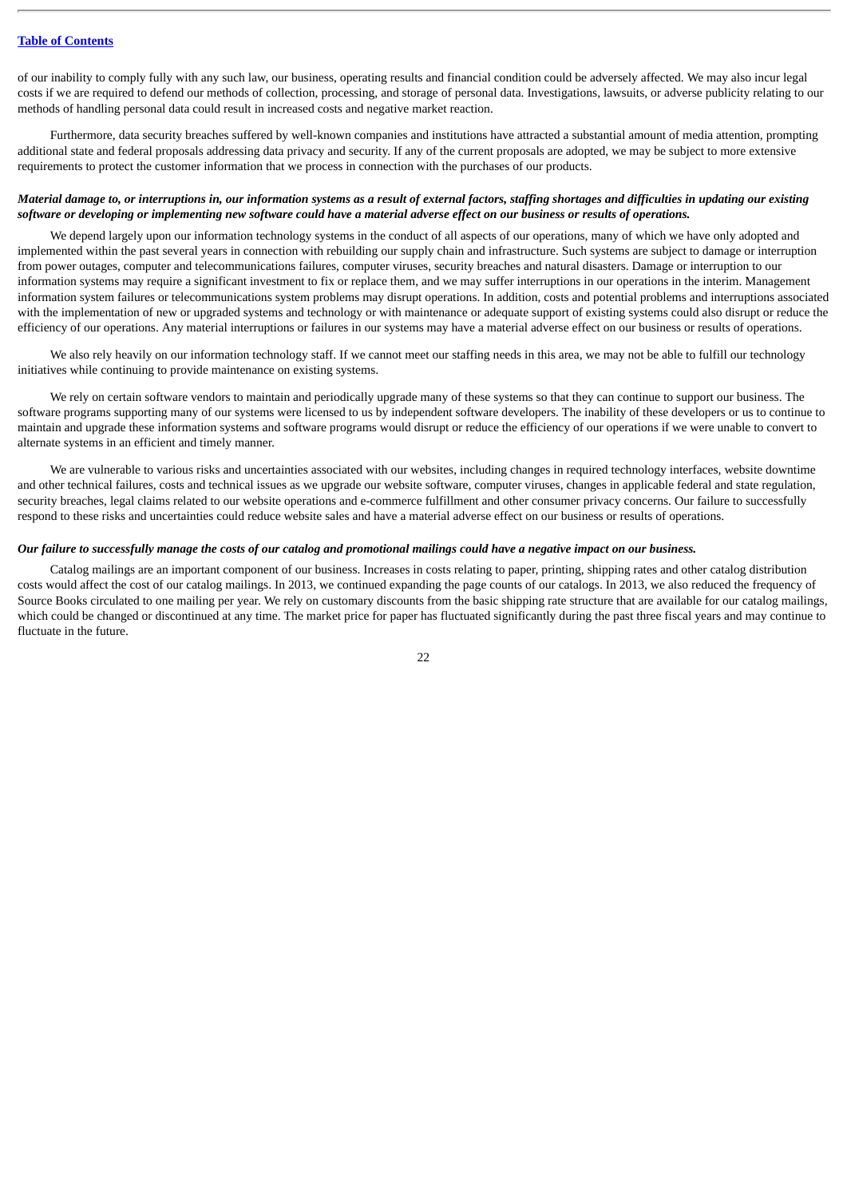of our inability to comply fully with any such law, our business, operating results and financial condition could be adversely affected. We may also incur legal costs if we are required to defend our methods of collection, processing, and storage of personal data. Investigations, lawsuits, or adverse publicity relating to our methods of handling personal data could result in increased costs and negative market reaction.

Furthermore, data security breaches suffered by well-known companies and institutions have attracted a substantial amount of media attention, prompting additional state and federal proposals addressing data privacy and security. If any of the current proposals are adopted, we may be subject to more extensive requirements to protect the customer information that we process in connection with the purchases of our products.

# *Material damage to, or interruptions in, our information systems as a result of external factors, staffing shortages and difficulties in updating our existing software or developing or implementing new software could have a material adverse effect on our business or results of operations.*

We depend largely upon our information technology systems in the conduct of all aspects of our operations, many of which we have only adopted and implemented within the past several years in connection with rebuilding our supply chain and infrastructure. Such systems are subject to damage or interruption from power outages, computer and telecommunications failures, computer viruses, security breaches and natural disasters. Damage or interruption to our information systems may require a significant investment to fix or replace them, and we may suffer interruptions in our operations in the interim. Management information system failures or telecommunications system problems may disrupt operations. In addition, costs and potential problems and interruptions associated with the implementation of new or upgraded systems and technology or with maintenance or adequate support of existing systems could also disrupt or reduce the efficiency of our operations. Any material interruptions or failures in our systems may have a material adverse effect on our business or results of operations.

We also rely heavily on our information technology staff. If we cannot meet our staffing needs in this area, we may not be able to fulfill our technology initiatives while continuing to provide maintenance on existing systems.

We rely on certain software vendors to maintain and periodically upgrade many of these systems so that they can continue to support our business. The software programs supporting many of our systems were licensed to us by independent software developers. The inability of these developers or us to continue to maintain and upgrade these information systems and software programs would disrupt or reduce the efficiency of our operations if we were unable to convert to alternate systems in an efficient and timely manner.

We are vulnerable to various risks and uncertainties associated with our websites, including changes in required technology interfaces, website downtime and other technical failures, costs and technical issues as we upgrade our website software, computer viruses, changes in applicable federal and state regulation, security breaches, legal claims related to our website operations and e-commerce fulfillment and other consumer privacy concerns. Our failure to successfully respond to these risks and uncertainties could reduce website sales and have a material adverse effect on our business or results of operations.

#### *Our failure to successfully manage the costs of our catalog and promotional mailings could have a negative impact on our business.*

Catalog mailings are an important component of our business. Increases in costs relating to paper, printing, shipping rates and other catalog distribution costs would affect the cost of our catalog mailings. In 2013, we continued expanding the page counts of our catalogs. In 2013, we also reduced the frequency of Source Books circulated to one mailing per year. We rely on customary discounts from the basic shipping rate structure that are available for our catalog mailings, which could be changed or discontinued at any time. The market price for paper has fluctuated significantly during the past three fiscal years and may continue to fluctuate in the future.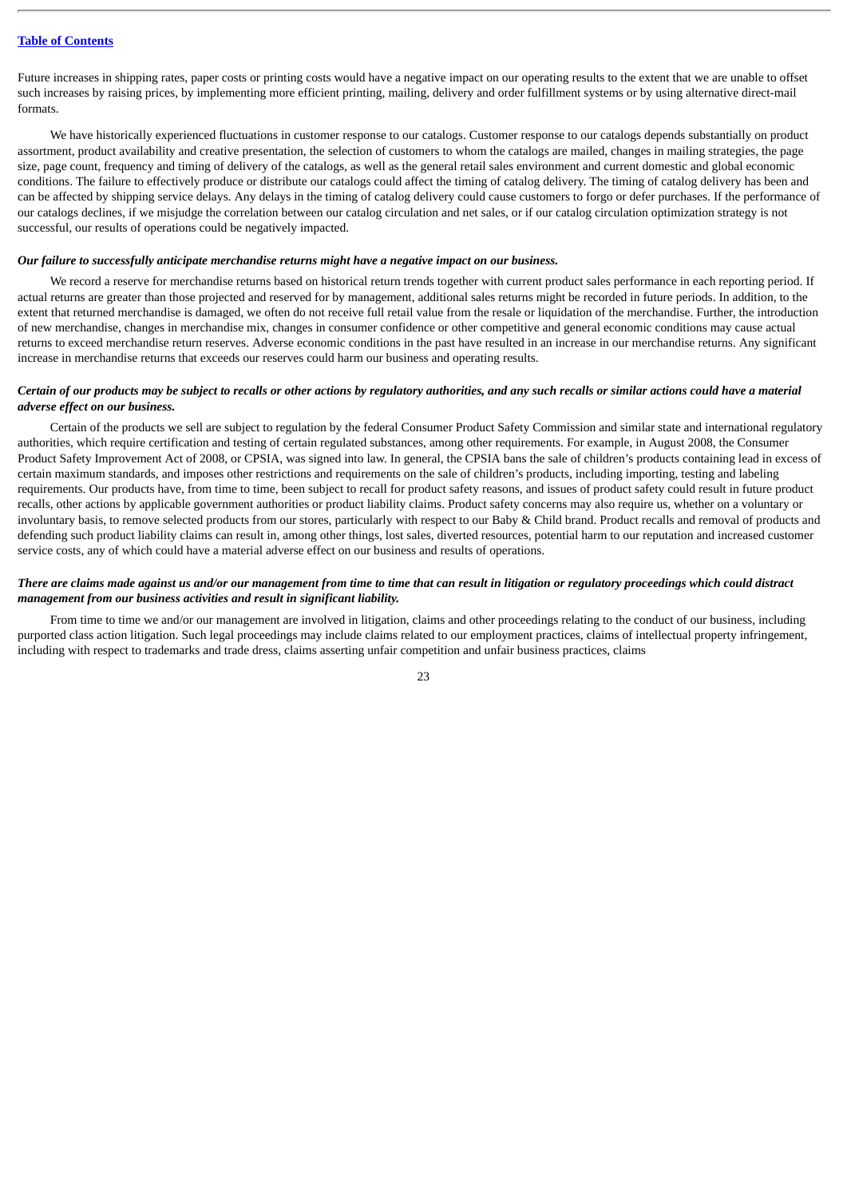Future increases in shipping rates, paper costs or printing costs would have a negative impact on our operating results to the extent that we are unable to offset such increases by raising prices, by implementing more efficient printing, mailing, delivery and order fulfillment systems or by using alternative direct-mail formats.

We have historically experienced fluctuations in customer response to our catalogs. Customer response to our catalogs depends substantially on product assortment, product availability and creative presentation, the selection of customers to whom the catalogs are mailed, changes in mailing strategies, the page size, page count, frequency and timing of delivery of the catalogs, as well as the general retail sales environment and current domestic and global economic conditions. The failure to effectively produce or distribute our catalogs could affect the timing of catalog delivery. The timing of catalog delivery has been and can be affected by shipping service delays. Any delays in the timing of catalog delivery could cause customers to forgo or defer purchases. If the performance of our catalogs declines, if we misjudge the correlation between our catalog circulation and net sales, or if our catalog circulation optimization strategy is not successful, our results of operations could be negatively impacted.

# *Our failure to successfully anticipate merchandise returns might have a negative impact on our business.*

We record a reserve for merchandise returns based on historical return trends together with current product sales performance in each reporting period. If actual returns are greater than those projected and reserved for by management, additional sales returns might be recorded in future periods. In addition, to the extent that returned merchandise is damaged, we often do not receive full retail value from the resale or liquidation of the merchandise. Further, the introduction of new merchandise, changes in merchandise mix, changes in consumer confidence or other competitive and general economic conditions may cause actual returns to exceed merchandise return reserves. Adverse economic conditions in the past have resulted in an increase in our merchandise returns. Any significant increase in merchandise returns that exceeds our reserves could harm our business and operating results.

# *Certain of our products may be subject to recalls or other actions by regulatory authorities, and any such recalls or similar actions could have a material adverse effect on our business.*

Certain of the products we sell are subject to regulation by the federal Consumer Product Safety Commission and similar state and international regulatory authorities, which require certification and testing of certain regulated substances, among other requirements. For example, in August 2008, the Consumer Product Safety Improvement Act of 2008, or CPSIA, was signed into law. In general, the CPSIA bans the sale of children's products containing lead in excess of certain maximum standards, and imposes other restrictions and requirements on the sale of children's products, including importing, testing and labeling requirements. Our products have, from time to time, been subject to recall for product safety reasons, and issues of product safety could result in future product recalls, other actions by applicable government authorities or product liability claims. Product safety concerns may also require us, whether on a voluntary or involuntary basis, to remove selected products from our stores, particularly with respect to our Baby & Child brand. Product recalls and removal of products and defending such product liability claims can result in, among other things, lost sales, diverted resources, potential harm to our reputation and increased customer service costs, any of which could have a material adverse effect on our business and results of operations.

# *There are claims made against us and/or our management from time to time that can result in litigation or regulatory proceedings which could distract management from our business activities and result in significant liability.*

From time to time we and/or our management are involved in litigation, claims and other proceedings relating to the conduct of our business, including purported class action litigation. Such legal proceedings may include claims related to our employment practices, claims of intellectual property infringement, including with respect to trademarks and trade dress, claims asserting unfair competition and unfair business practices, claims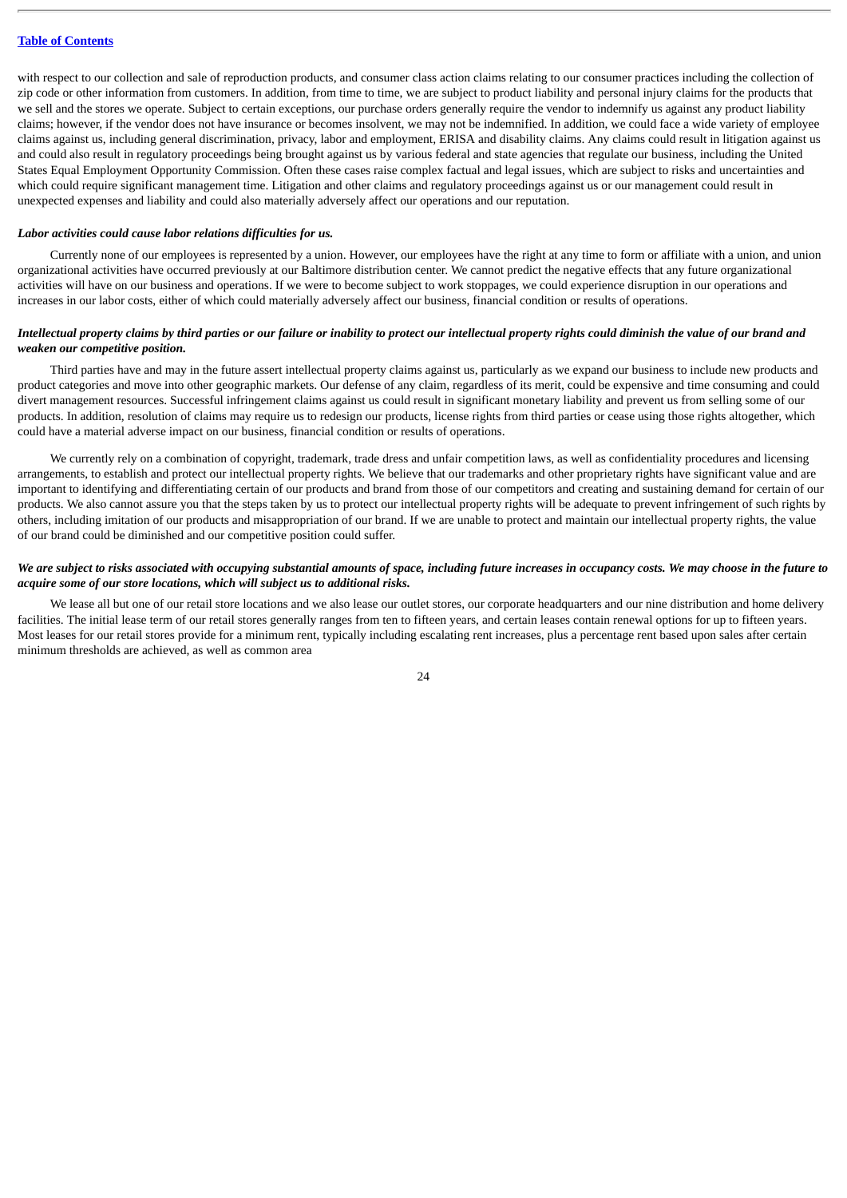with respect to our collection and sale of reproduction products, and consumer class action claims relating to our consumer practices including the collection of zip code or other information from customers. In addition, from time to time, we are subject to product liability and personal injury claims for the products that we sell and the stores we operate. Subject to certain exceptions, our purchase orders generally require the vendor to indemnify us against any product liability claims; however, if the vendor does not have insurance or becomes insolvent, we may not be indemnified. In addition, we could face a wide variety of employee claims against us, including general discrimination, privacy, labor and employment, ERISA and disability claims. Any claims could result in litigation against us and could also result in regulatory proceedings being brought against us by various federal and state agencies that regulate our business, including the United States Equal Employment Opportunity Commission. Often these cases raise complex factual and legal issues, which are subject to risks and uncertainties and which could require significant management time. Litigation and other claims and regulatory proceedings against us or our management could result in unexpected expenses and liability and could also materially adversely affect our operations and our reputation.

#### *Labor activities could cause labor relations difficulties for us.*

Currently none of our employees is represented by a union. However, our employees have the right at any time to form or affiliate with a union, and union organizational activities have occurred previously at our Baltimore distribution center. We cannot predict the negative effects that any future organizational activities will have on our business and operations. If we were to become subject to work stoppages, we could experience disruption in our operations and increases in our labor costs, either of which could materially adversely affect our business, financial condition or results of operations.

# *Intellectual property claims by third parties or our failure or inability to protect our intellectual property rights could diminish the value of our brand and weaken our competitive position.*

Third parties have and may in the future assert intellectual property claims against us, particularly as we expand our business to include new products and product categories and move into other geographic markets. Our defense of any claim, regardless of its merit, could be expensive and time consuming and could divert management resources. Successful infringement claims against us could result in significant monetary liability and prevent us from selling some of our products. In addition, resolution of claims may require us to redesign our products, license rights from third parties or cease using those rights altogether, which could have a material adverse impact on our business, financial condition or results of operations.

We currently rely on a combination of copyright, trademark, trade dress and unfair competition laws, as well as confidentiality procedures and licensing arrangements, to establish and protect our intellectual property rights. We believe that our trademarks and other proprietary rights have significant value and are important to identifying and differentiating certain of our products and brand from those of our competitors and creating and sustaining demand for certain of our products. We also cannot assure you that the steps taken by us to protect our intellectual property rights will be adequate to prevent infringement of such rights by others, including imitation of our products and misappropriation of our brand. If we are unable to protect and maintain our intellectual property rights, the value of our brand could be diminished and our competitive position could suffer.

# *We are subject to risks associated with occupying substantial amounts of space, including future increases in occupancy costs. We may choose in the future to acquire some of our store locations, which will subject us to additional risks.*

We lease all but one of our retail store locations and we also lease our outlet stores, our corporate headquarters and our nine distribution and home delivery facilities. The initial lease term of our retail stores generally ranges from ten to fifteen years, and certain leases contain renewal options for up to fifteen years. Most leases for our retail stores provide for a minimum rent, typically including escalating rent increases, plus a percentage rent based upon sales after certain minimum thresholds are achieved, as well as common area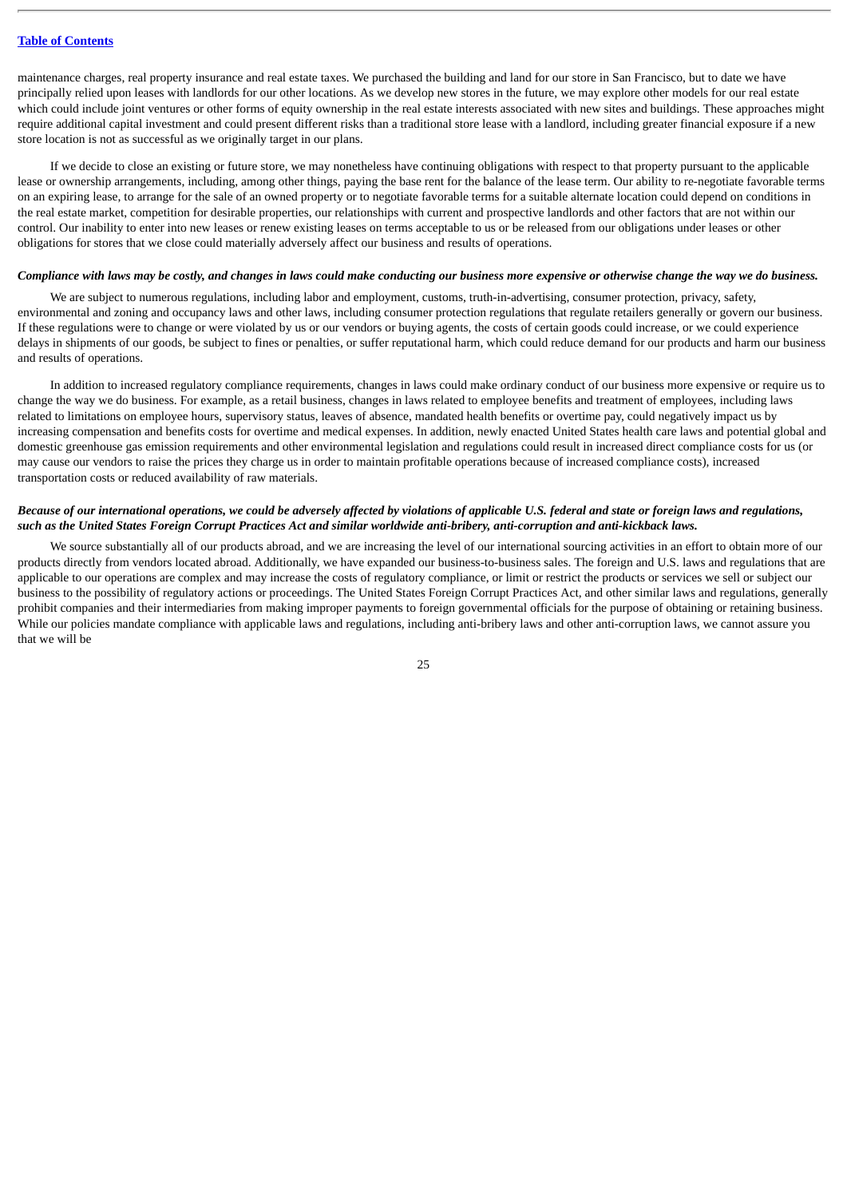maintenance charges, real property insurance and real estate taxes. We purchased the building and land for our store in San Francisco, but to date we have principally relied upon leases with landlords for our other locations. As we develop new stores in the future, we may explore other models for our real estate which could include joint ventures or other forms of equity ownership in the real estate interests associated with new sites and buildings. These approaches might require additional capital investment and could present different risks than a traditional store lease with a landlord, including greater financial exposure if a new store location is not as successful as we originally target in our plans.

If we decide to close an existing or future store, we may nonetheless have continuing obligations with respect to that property pursuant to the applicable lease or ownership arrangements, including, among other things, paying the base rent for the balance of the lease term. Our ability to re-negotiate favorable terms on an expiring lease, to arrange for the sale of an owned property or to negotiate favorable terms for a suitable alternate location could depend on conditions in the real estate market, competition for desirable properties, our relationships with current and prospective landlords and other factors that are not within our control. Our inability to enter into new leases or renew existing leases on terms acceptable to us or be released from our obligations under leases or other obligations for stores that we close could materially adversely affect our business and results of operations.

# *Compliance with laws may be costly, and changes in laws could make conducting our business more expensive or otherwise change the way we do business.*

We are subject to numerous regulations, including labor and employment, customs, truth-in-advertising, consumer protection, privacy, safety, environmental and zoning and occupancy laws and other laws, including consumer protection regulations that regulate retailers generally or govern our business. If these regulations were to change or were violated by us or our vendors or buying agents, the costs of certain goods could increase, or we could experience delays in shipments of our goods, be subject to fines or penalties, or suffer reputational harm, which could reduce demand for our products and harm our business and results of operations.

In addition to increased regulatory compliance requirements, changes in laws could make ordinary conduct of our business more expensive or require us to change the way we do business. For example, as a retail business, changes in laws related to employee benefits and treatment of employees, including laws related to limitations on employee hours, supervisory status, leaves of absence, mandated health benefits or overtime pay, could negatively impact us by increasing compensation and benefits costs for overtime and medical expenses. In addition, newly enacted United States health care laws and potential global and domestic greenhouse gas emission requirements and other environmental legislation and regulations could result in increased direct compliance costs for us (or may cause our vendors to raise the prices they charge us in order to maintain profitable operations because of increased compliance costs), increased transportation costs or reduced availability of raw materials.

# *Because of our international operations, we could be adversely affected by violations of applicable U.S. federal and state or foreign laws and regulations, such as the United States Foreign Corrupt Practices Act and similar worldwide anti-bribery, anti-corruption and anti-kickback laws.*

We source substantially all of our products abroad, and we are increasing the level of our international sourcing activities in an effort to obtain more of our products directly from vendors located abroad. Additionally, we have expanded our business-to-business sales. The foreign and U.S. laws and regulations that are applicable to our operations are complex and may increase the costs of regulatory compliance, or limit or restrict the products or services we sell or subject our business to the possibility of regulatory actions or proceedings. The United States Foreign Corrupt Practices Act, and other similar laws and regulations, generally prohibit companies and their intermediaries from making improper payments to foreign governmental officials for the purpose of obtaining or retaining business. While our policies mandate compliance with applicable laws and regulations, including anti-bribery laws and other anti-corruption laws, we cannot assure you that we will be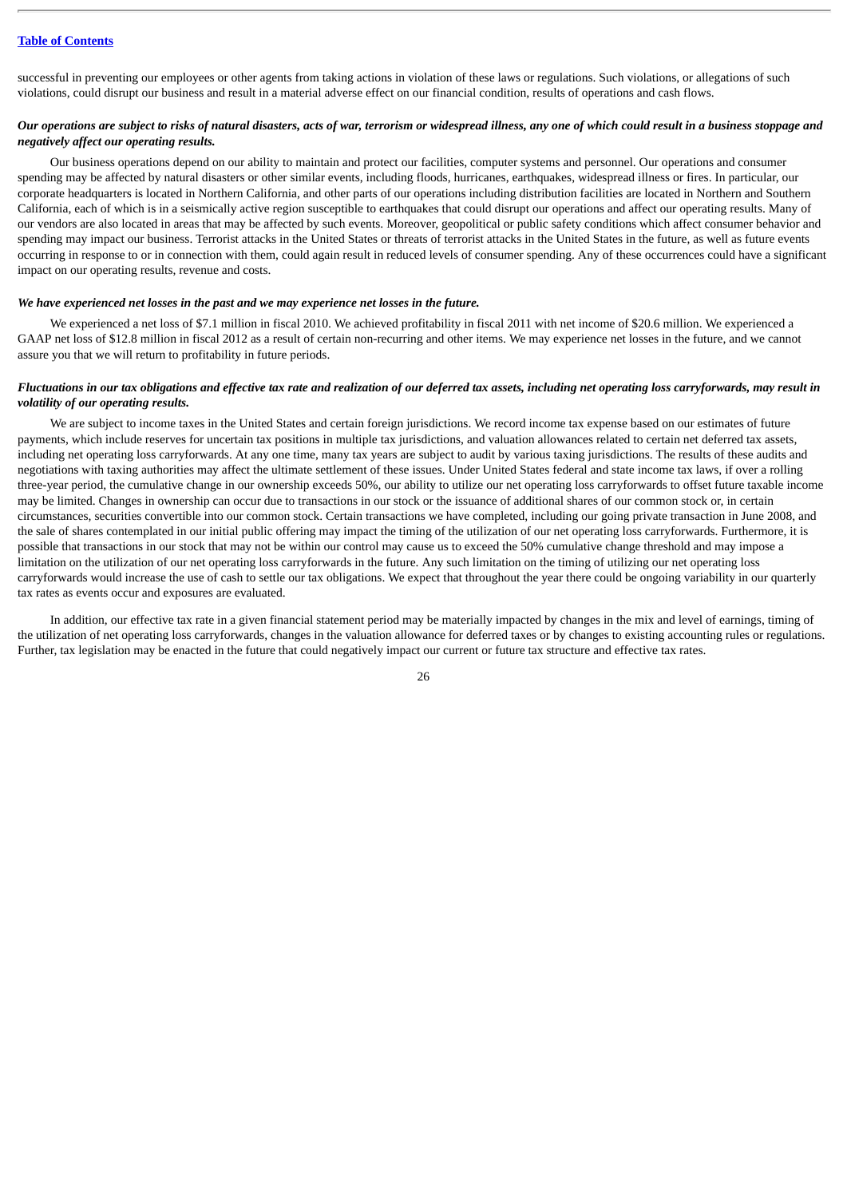successful in preventing our employees or other agents from taking actions in violation of these laws or regulations. Such violations, or allegations of such violations, could disrupt our business and result in a material adverse effect on our financial condition, results of operations and cash flows.

# *Our operations are subject to risks of natural disasters, acts of war, terrorism or widespread illness, any one of which could result in a business stoppage and negatively affect our operating results.*

Our business operations depend on our ability to maintain and protect our facilities, computer systems and personnel. Our operations and consumer spending may be affected by natural disasters or other similar events, including floods, hurricanes, earthquakes, widespread illness or fires. In particular, our corporate headquarters is located in Northern California, and other parts of our operations including distribution facilities are located in Northern and Southern California, each of which is in a seismically active region susceptible to earthquakes that could disrupt our operations and affect our operating results. Many of our vendors are also located in areas that may be affected by such events. Moreover, geopolitical or public safety conditions which affect consumer behavior and spending may impact our business. Terrorist attacks in the United States or threats of terrorist attacks in the United States in the future, as well as future events occurring in response to or in connection with them, could again result in reduced levels of consumer spending. Any of these occurrences could have a significant impact on our operating results, revenue and costs.

# *We have experienced net losses in the past and we may experience net losses in the future.*

We experienced a net loss of \$7.1 million in fiscal 2010. We achieved profitability in fiscal 2011 with net income of \$20.6 million. We experienced a GAAP net loss of \$12.8 million in fiscal 2012 as a result of certain non-recurring and other items. We may experience net losses in the future, and we cannot assure you that we will return to profitability in future periods.

# *Fluctuations in our tax obligations and effective tax rate and realization of our deferred tax assets, including net operating loss carryforwards, may result in volatility of our operating results.*

We are subject to income taxes in the United States and certain foreign jurisdictions. We record income tax expense based on our estimates of future payments, which include reserves for uncertain tax positions in multiple tax jurisdictions, and valuation allowances related to certain net deferred tax assets, including net operating loss carryforwards. At any one time, many tax years are subject to audit by various taxing jurisdictions. The results of these audits and negotiations with taxing authorities may affect the ultimate settlement of these issues. Under United States federal and state income tax laws, if over a rolling three-year period, the cumulative change in our ownership exceeds 50%, our ability to utilize our net operating loss carryforwards to offset future taxable income may be limited. Changes in ownership can occur due to transactions in our stock or the issuance of additional shares of our common stock or, in certain circumstances, securities convertible into our common stock. Certain transactions we have completed, including our going private transaction in June 2008, and the sale of shares contemplated in our initial public offering may impact the timing of the utilization of our net operating loss carryforwards. Furthermore, it is possible that transactions in our stock that may not be within our control may cause us to exceed the 50% cumulative change threshold and may impose a limitation on the utilization of our net operating loss carryforwards in the future. Any such limitation on the timing of utilizing our net operating loss carryforwards would increase the use of cash to settle our tax obligations. We expect that throughout the year there could be ongoing variability in our quarterly tax rates as events occur and exposures are evaluated.

In addition, our effective tax rate in a given financial statement period may be materially impacted by changes in the mix and level of earnings, timing of the utilization of net operating loss carryforwards, changes in the valuation allowance for deferred taxes or by changes to existing accounting rules or regulations. Further, tax legislation may be enacted in the future that could negatively impact our current or future tax structure and effective tax rates.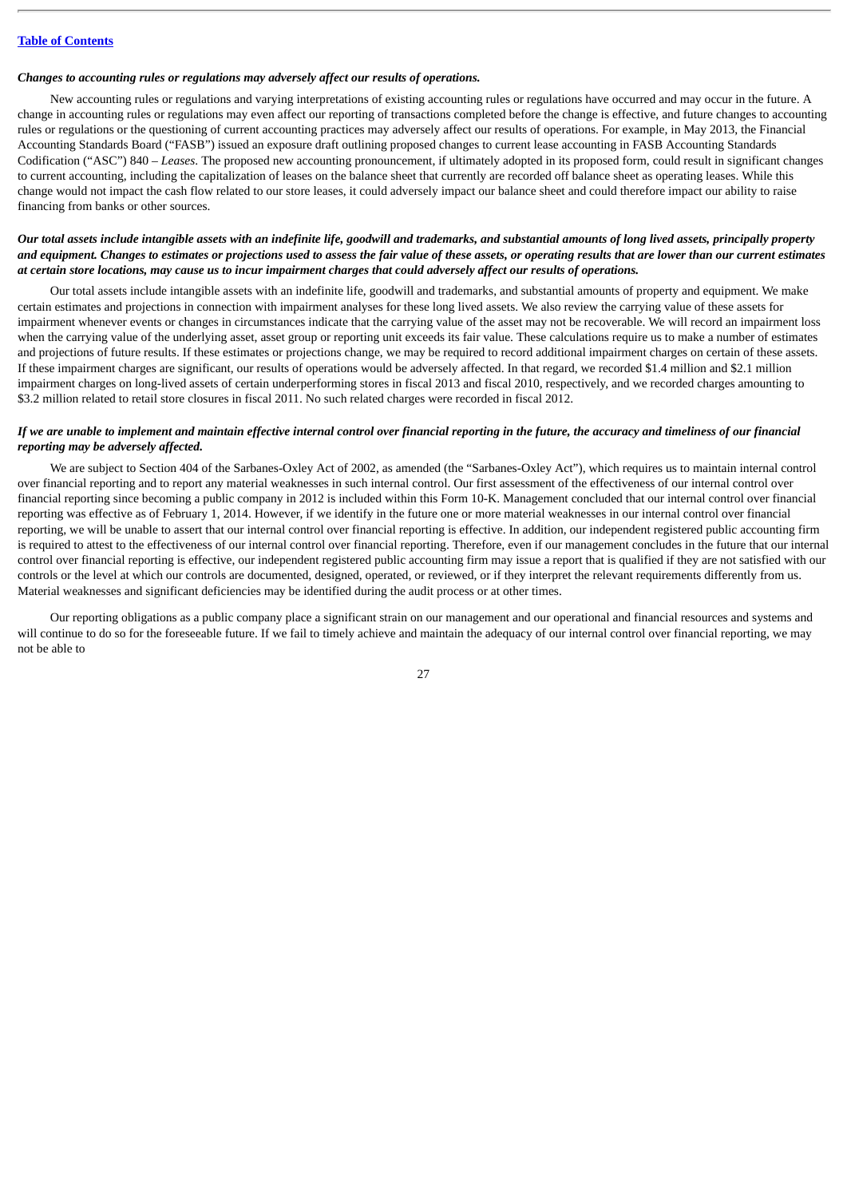#### *Changes to accounting rules or regulations may adversely affect our results of operations.*

New accounting rules or regulations and varying interpretations of existing accounting rules or regulations have occurred and may occur in the future. A change in accounting rules or regulations may even affect our reporting of transactions completed before the change is effective, and future changes to accounting rules or regulations or the questioning of current accounting practices may adversely affect our results of operations. For example, in May 2013, the Financial Accounting Standards Board ("FASB") issued an exposure draft outlining proposed changes to current lease accounting in FASB Accounting Standards Codification ("ASC") 840 – *Leases*. The proposed new accounting pronouncement, if ultimately adopted in its proposed form, could result in significant changes to current accounting, including the capitalization of leases on the balance sheet that currently are recorded off balance sheet as operating leases. While this change would not impact the cash flow related to our store leases, it could adversely impact our balance sheet and could therefore impact our ability to raise financing from banks or other sources.

# *Our total assets include intangible assets with an indefinite life, goodwill and trademarks, and substantial amounts of long lived assets, principally property and equipment. Changes to estimates or projections used to assess the fair value of these assets, or operating results that are lower than our current estimates at certain store locations, may cause us to incur impairment charges that could adversely affect our results of operations.*

Our total assets include intangible assets with an indefinite life, goodwill and trademarks, and substantial amounts of property and equipment. We make certain estimates and projections in connection with impairment analyses for these long lived assets. We also review the carrying value of these assets for impairment whenever events or changes in circumstances indicate that the carrying value of the asset may not be recoverable. We will record an impairment loss when the carrying value of the underlying asset, asset group or reporting unit exceeds its fair value. These calculations require us to make a number of estimates and projections of future results. If these estimates or projections change, we may be required to record additional impairment charges on certain of these assets. If these impairment charges are significant, our results of operations would be adversely affected. In that regard, we recorded \$1.4 million and \$2.1 million impairment charges on long-lived assets of certain underperforming stores in fiscal 2013 and fiscal 2010, respectively, and we recorded charges amounting to \$3.2 million related to retail store closures in fiscal 2011. No such related charges were recorded in fiscal 2012.

# *If we are unable to implement and maintain effective internal control over financial reporting in the future, the accuracy and timeliness of our financial reporting may be adversely affected.*

We are subject to Section 404 of the Sarbanes-Oxley Act of 2002, as amended (the "Sarbanes-Oxley Act"), which requires us to maintain internal control over financial reporting and to report any material weaknesses in such internal control. Our first assessment of the effectiveness of our internal control over financial reporting since becoming a public company in 2012 is included within this Form 10-K. Management concluded that our internal control over financial reporting was effective as of February 1, 2014. However, if we identify in the future one or more material weaknesses in our internal control over financial reporting, we will be unable to assert that our internal control over financial reporting is effective. In addition, our independent registered public accounting firm is required to attest to the effectiveness of our internal control over financial reporting. Therefore, even if our management concludes in the future that our internal control over financial reporting is effective, our independent registered public accounting firm may issue a report that is qualified if they are not satisfied with our controls or the level at which our controls are documented, designed, operated, or reviewed, or if they interpret the relevant requirements differently from us. Material weaknesses and significant deficiencies may be identified during the audit process or at other times.

Our reporting obligations as a public company place a significant strain on our management and our operational and financial resources and systems and will continue to do so for the foreseeable future. If we fail to timely achieve and maintain the adequacy of our internal control over financial reporting, we may not be able to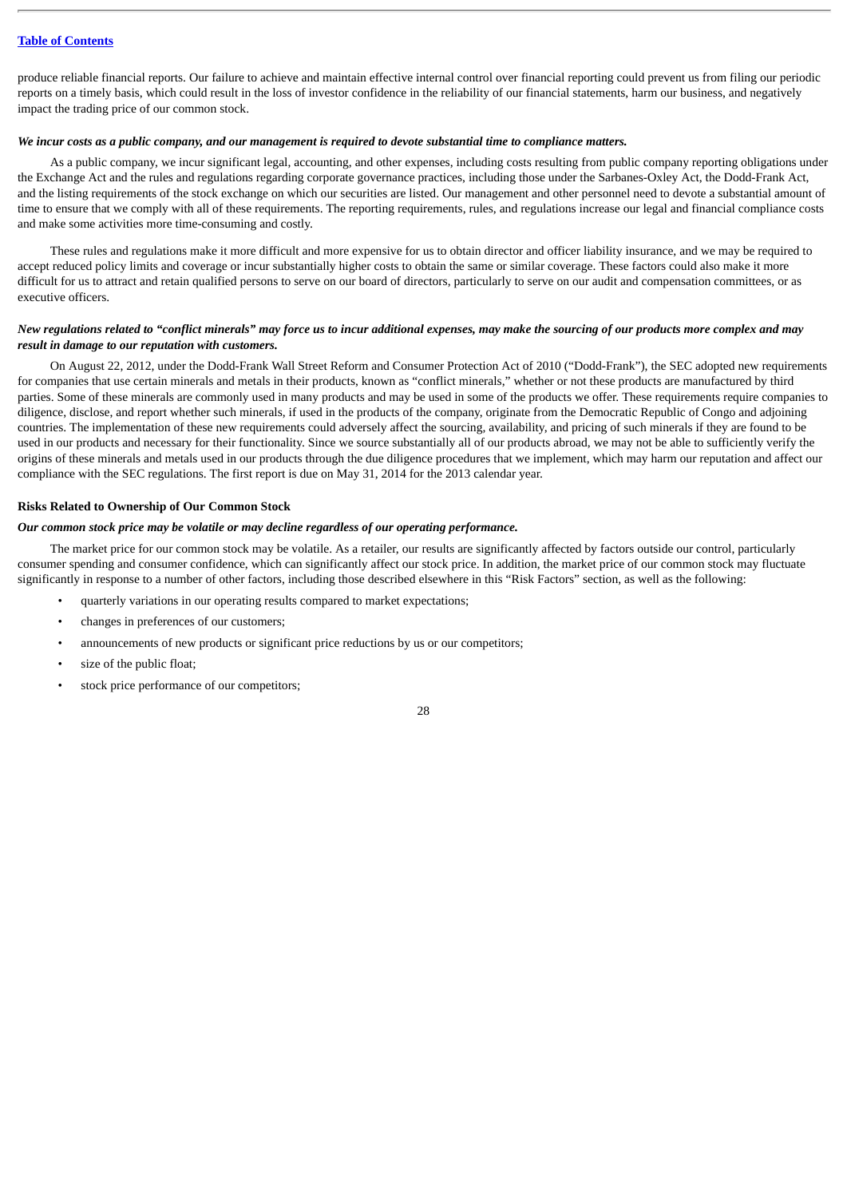produce reliable financial reports. Our failure to achieve and maintain effective internal control over financial reporting could prevent us from filing our periodic reports on a timely basis, which could result in the loss of investor confidence in the reliability of our financial statements, harm our business, and negatively impact the trading price of our common stock.

#### *We incur costs as a public company, and our management is required to devote substantial time to compliance matters.*

As a public company, we incur significant legal, accounting, and other expenses, including costs resulting from public company reporting obligations under the Exchange Act and the rules and regulations regarding corporate governance practices, including those under the Sarbanes-Oxley Act, the Dodd-Frank Act, and the listing requirements of the stock exchange on which our securities are listed. Our management and other personnel need to devote a substantial amount of time to ensure that we comply with all of these requirements. The reporting requirements, rules, and regulations increase our legal and financial compliance costs and make some activities more time-consuming and costly.

These rules and regulations make it more difficult and more expensive for us to obtain director and officer liability insurance, and we may be required to accept reduced policy limits and coverage or incur substantially higher costs to obtain the same or similar coverage. These factors could also make it more difficult for us to attract and retain qualified persons to serve on our board of directors, particularly to serve on our audit and compensation committees, or as executive officers.

### *New regulations related to "conflict minerals" may force us to incur additional expenses, may make the sourcing of our products more complex and may result in damage to our reputation with customers.*

On August 22, 2012, under the Dodd-Frank Wall Street Reform and Consumer Protection Act of 2010 ("Dodd-Frank"), the SEC adopted new requirements for companies that use certain minerals and metals in their products, known as "conflict minerals," whether or not these products are manufactured by third parties. Some of these minerals are commonly used in many products and may be used in some of the products we offer. These requirements require companies to diligence, disclose, and report whether such minerals, if used in the products of the company, originate from the Democratic Republic of Congo and adjoining countries. The implementation of these new requirements could adversely affect the sourcing, availability, and pricing of such minerals if they are found to be used in our products and necessary for their functionality. Since we source substantially all of our products abroad, we may not be able to sufficiently verify the origins of these minerals and metals used in our products through the due diligence procedures that we implement, which may harm our reputation and affect our compliance with the SEC regulations. The first report is due on May 31, 2014 for the 2013 calendar year.

# **Risks Related to Ownership of Our Common Stock**

# *Our common stock price may be volatile or may decline regardless of our operating performance.*

The market price for our common stock may be volatile. As a retailer, our results are significantly affected by factors outside our control, particularly consumer spending and consumer confidence, which can significantly affect our stock price. In addition, the market price of our common stock may fluctuate significantly in response to a number of other factors, including those described elsewhere in this "Risk Factors" section, as well as the following:

- quarterly variations in our operating results compared to market expectations;
- changes in preferences of our customers;
- announcements of new products or significant price reductions by us or our competitors;
- size of the public float:
- stock price performance of our competitors;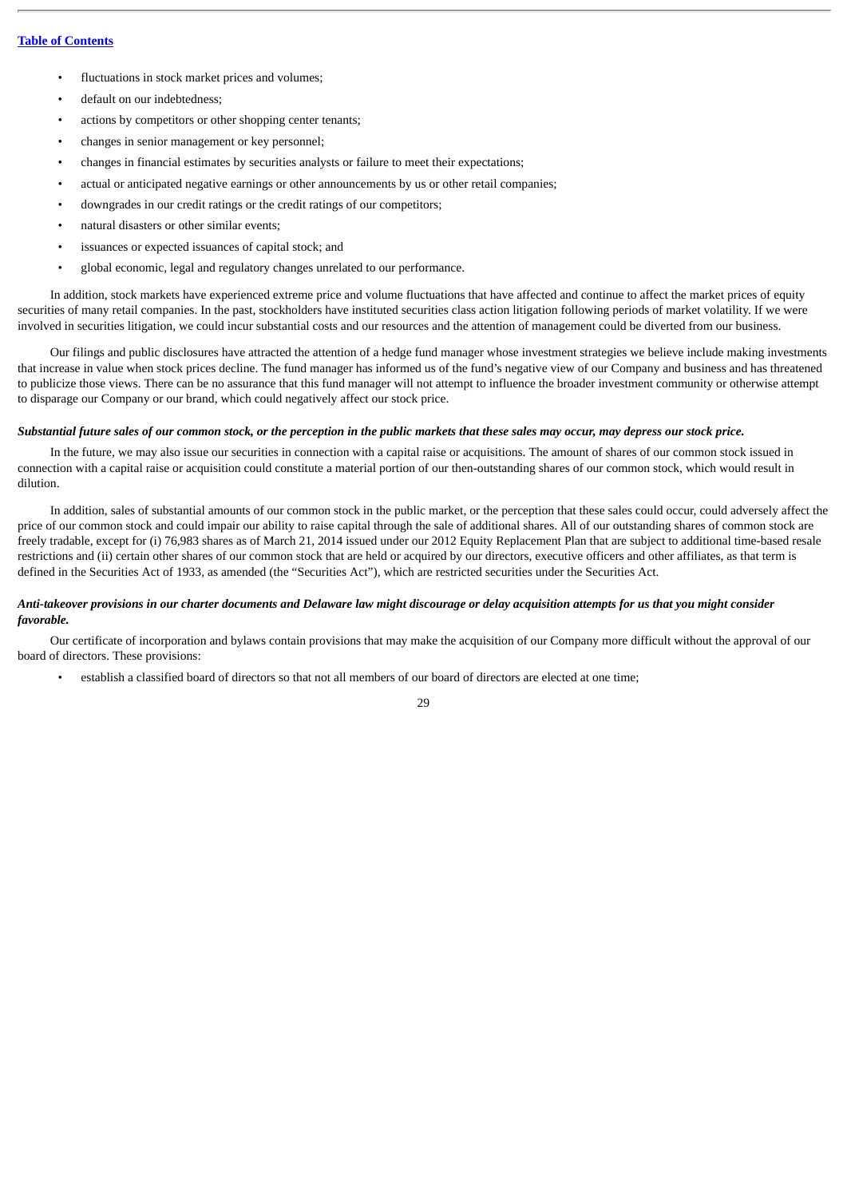- fluctuations in stock market prices and volumes;
- default on our indebtedness;
- actions by competitors or other shopping center tenants;
- changes in senior management or key personnel;
- changes in financial estimates by securities analysts or failure to meet their expectations;
- actual or anticipated negative earnings or other announcements by us or other retail companies;
- downgrades in our credit ratings or the credit ratings of our competitors;
- natural disasters or other similar events;
- issuances or expected issuances of capital stock; and
- global economic, legal and regulatory changes unrelated to our performance.

In addition, stock markets have experienced extreme price and volume fluctuations that have affected and continue to affect the market prices of equity securities of many retail companies. In the past, stockholders have instituted securities class action litigation following periods of market volatility. If we were involved in securities litigation, we could incur substantial costs and our resources and the attention of management could be diverted from our business.

Our filings and public disclosures have attracted the attention of a hedge fund manager whose investment strategies we believe include making investments that increase in value when stock prices decline. The fund manager has informed us of the fund's negative view of our Company and business and has threatened to publicize those views. There can be no assurance that this fund manager will not attempt to influence the broader investment community or otherwise attempt to disparage our Company or our brand, which could negatively affect our stock price.

# *Substantial future sales of our common stock, or the perception in the public markets that these sales may occur, may depress our stock price.*

In the future, we may also issue our securities in connection with a capital raise or acquisitions. The amount of shares of our common stock issued in connection with a capital raise or acquisition could constitute a material portion of our then-outstanding shares of our common stock, which would result in dilution.

In addition, sales of substantial amounts of our common stock in the public market, or the perception that these sales could occur, could adversely affect the price of our common stock and could impair our ability to raise capital through the sale of additional shares. All of our outstanding shares of common stock are freely tradable, except for (i) 76,983 shares as of March 21, 2014 issued under our 2012 Equity Replacement Plan that are subject to additional time-based resale restrictions and (ii) certain other shares of our common stock that are held or acquired by our directors, executive officers and other affiliates, as that term is defined in the Securities Act of 1933, as amended (the "Securities Act"), which are restricted securities under the Securities Act.

# *Anti-takeover provisions in our charter documents and Delaware law might discourage or delay acquisition attempts for us that you might consider favorable.*

Our certificate of incorporation and bylaws contain provisions that may make the acquisition of our Company more difficult without the approval of our board of directors. These provisions:

• establish a classified board of directors so that not all members of our board of directors are elected at one time;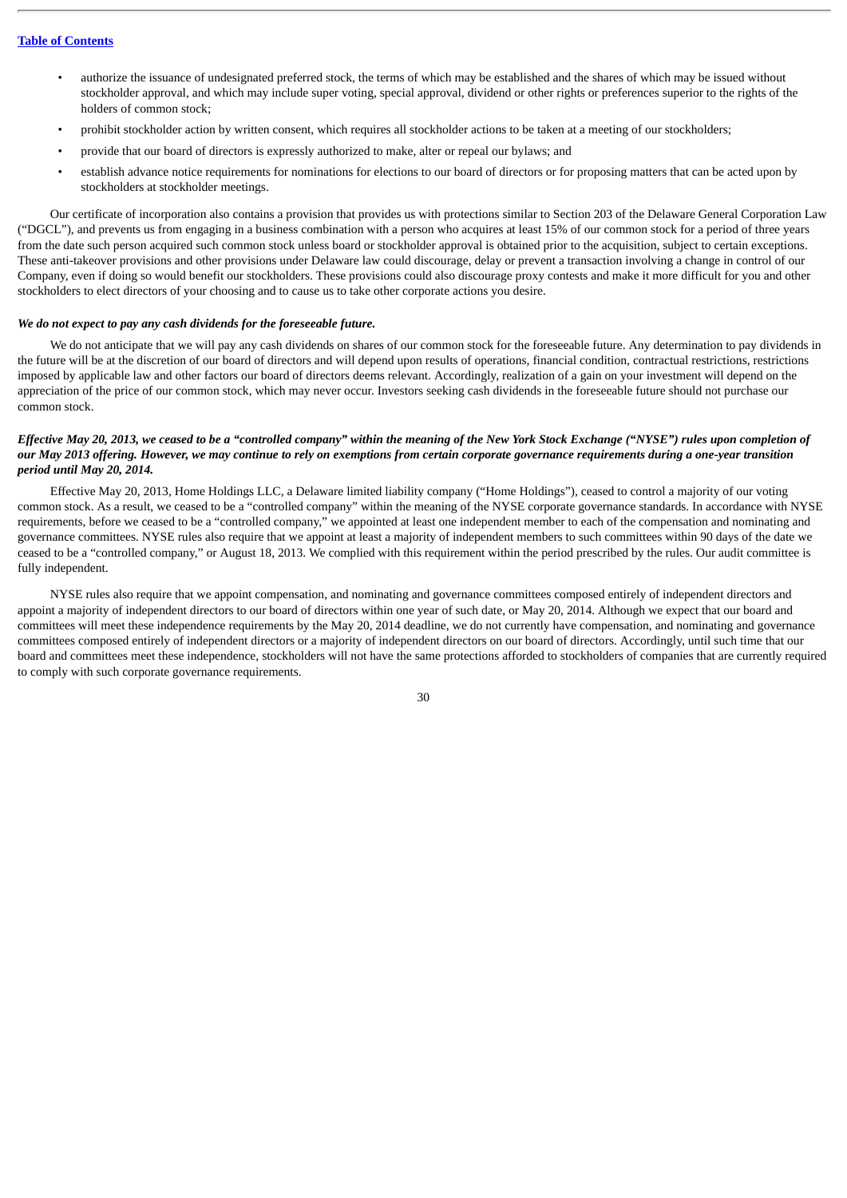- authorize the issuance of undesignated preferred stock, the terms of which may be established and the shares of which may be issued without stockholder approval, and which may include super voting, special approval, dividend or other rights or preferences superior to the rights of the holders of common stock;
- prohibit stockholder action by written consent, which requires all stockholder actions to be taken at a meeting of our stockholders;
- provide that our board of directors is expressly authorized to make, alter or repeal our bylaws; and
- establish advance notice requirements for nominations for elections to our board of directors or for proposing matters that can be acted upon by stockholders at stockholder meetings.

Our certificate of incorporation also contains a provision that provides us with protections similar to Section 203 of the Delaware General Corporation Law ("DGCL"), and prevents us from engaging in a business combination with a person who acquires at least 15% of our common stock for a period of three years from the date such person acquired such common stock unless board or stockholder approval is obtained prior to the acquisition, subject to certain exceptions. These anti-takeover provisions and other provisions under Delaware law could discourage, delay or prevent a transaction involving a change in control of our Company, even if doing so would benefit our stockholders. These provisions could also discourage proxy contests and make it more difficult for you and other stockholders to elect directors of your choosing and to cause us to take other corporate actions you desire.

# *We do not expect to pay any cash dividends for the foreseeable future.*

We do not anticipate that we will pay any cash dividends on shares of our common stock for the foreseeable future. Any determination to pay dividends in the future will be at the discretion of our board of directors and will depend upon results of operations, financial condition, contractual restrictions, restrictions imposed by applicable law and other factors our board of directors deems relevant. Accordingly, realization of a gain on your investment will depend on the appreciation of the price of our common stock, which may never occur. Investors seeking cash dividends in the foreseeable future should not purchase our common stock.

# *Effective May 20, 2013, we ceased to be a "controlled company" within the meaning of the New York Stock Exchange ("NYSE") rules upon completion of our May 2013 offering. However, we may continue to rely on exemptions from certain corporate governance requirements during a one-year transition period until May 20, 2014.*

Effective May 20, 2013, Home Holdings LLC, a Delaware limited liability company ("Home Holdings"), ceased to control a majority of our voting common stock. As a result, we ceased to be a "controlled company" within the meaning of the NYSE corporate governance standards. In accordance with NYSE requirements, before we ceased to be a "controlled company," we appointed at least one independent member to each of the compensation and nominating and governance committees. NYSE rules also require that we appoint at least a majority of independent members to such committees within 90 days of the date we ceased to be a "controlled company," or August 18, 2013. We complied with this requirement within the period prescribed by the rules. Our audit committee is fully independent.

NYSE rules also require that we appoint compensation, and nominating and governance committees composed entirely of independent directors and appoint a majority of independent directors to our board of directors within one year of such date, or May 20, 2014. Although we expect that our board and committees will meet these independence requirements by the May 20, 2014 deadline, we do not currently have compensation, and nominating and governance committees composed entirely of independent directors or a majority of independent directors on our board of directors. Accordingly, until such time that our board and committees meet these independence, stockholders will not have the same protections afforded to stockholders of companies that are currently required to comply with such corporate governance requirements.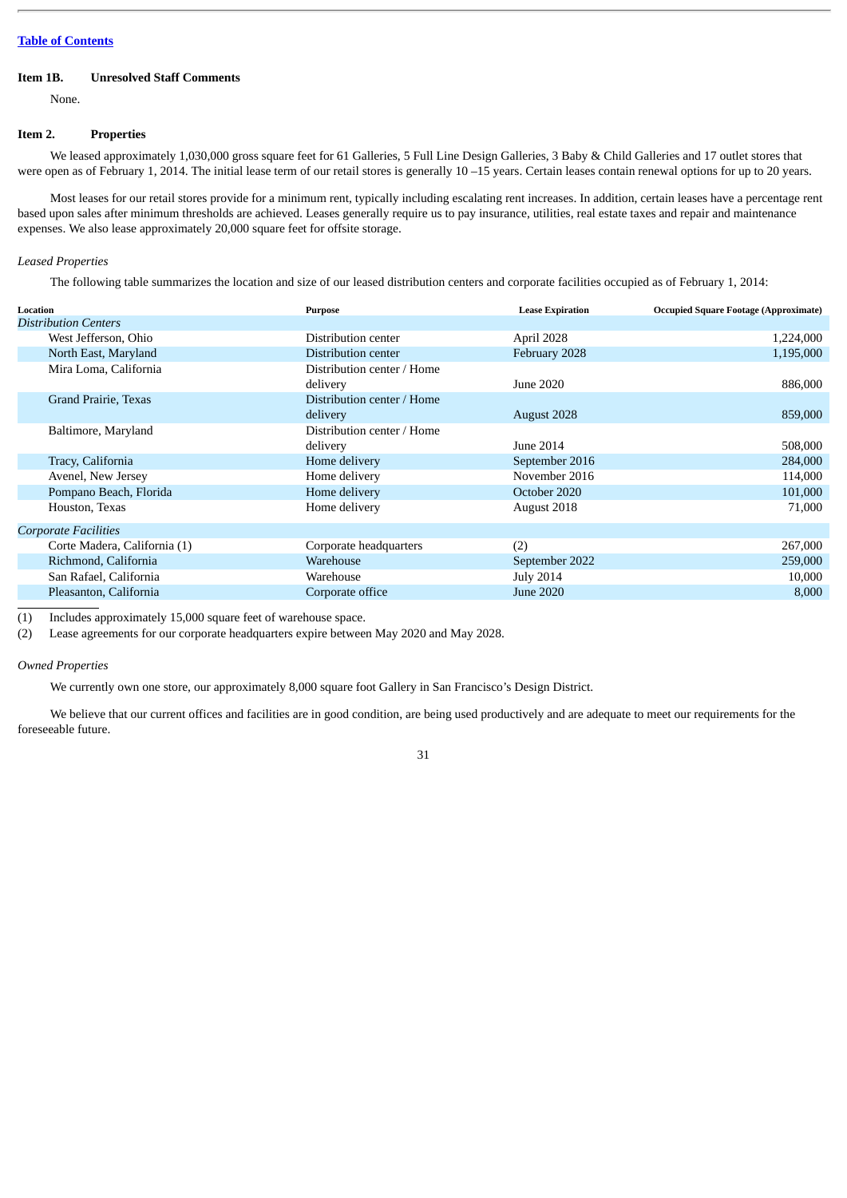#### <span id="page-33-0"></span>**Item 1B. Unresolved Staff Comments**

None.

#### <span id="page-33-1"></span>**Item 2. Properties**

We leased approximately 1,030,000 gross square feet for 61 Galleries, 5 Full Line Design Galleries, 3 Baby & Child Galleries and 17 outlet stores that were open as of February 1, 2014. The initial lease term of our retail stores is generally 10 –15 years. Certain leases contain renewal options for up to 20 years.

Most leases for our retail stores provide for a minimum rent, typically including escalating rent increases. In addition, certain leases have a percentage rent based upon sales after minimum thresholds are achieved. Leases generally require us to pay insurance, utilities, real estate taxes and repair and maintenance expenses. We also lease approximately 20,000 square feet for offsite storage.

#### *Leased Properties*

The following table summarizes the location and size of our leased distribution centers and corporate facilities occupied as of February 1, 2014:

| Location                     | <b>Purpose</b>             | <b>Lease Expiration</b> | Occupied Square Footage (Approximate) |
|------------------------------|----------------------------|-------------------------|---------------------------------------|
| <b>Distribution Centers</b>  |                            |                         |                                       |
| West Jefferson, Ohio         | Distribution center        | April 2028              | 1,224,000                             |
| North East, Maryland         | Distribution center        | February 2028           | 1,195,000                             |
| Mira Loma, California        | Distribution center / Home |                         |                                       |
|                              | delivery                   | June 2020               | 886,000                               |
| Grand Prairie, Texas         | Distribution center / Home |                         |                                       |
|                              | delivery                   | August 2028             | 859,000                               |
| Baltimore, Maryland          | Distribution center / Home |                         |                                       |
|                              | delivery                   | June 2014               | 508,000                               |
| Tracy, California            | Home delivery              | September 2016          | 284,000                               |
| Avenel, New Jersey           | Home delivery              | November 2016           | 114,000                               |
| Pompano Beach, Florida       | Home delivery              | October 2020            | 101,000                               |
| Houston, Texas               | Home delivery              | August 2018             | 71,000                                |
| Corporate Facilities         |                            |                         |                                       |
| Corte Madera, California (1) | Corporate headquarters     | (2)                     | 267,000                               |
| Richmond, California         | Warehouse                  | September 2022          | 259,000                               |
| San Rafael, California       | Warehouse                  | July 2014               | 10,000                                |
| Pleasanton, California       | Corporate office           | June 2020               | 8,000                                 |
|                              |                            |                         |                                       |

(1) Includes approximately 15,000 square feet of warehouse space.

(2) Lease agreements for our corporate headquarters expire between May 2020 and May 2028.

#### *Owned Properties*

We currently own one store, our approximately 8,000 square foot Gallery in San Francisco's Design District.

We believe that our current offices and facilities are in good condition, are being used productively and are adequate to meet our requirements for the foreseeable future.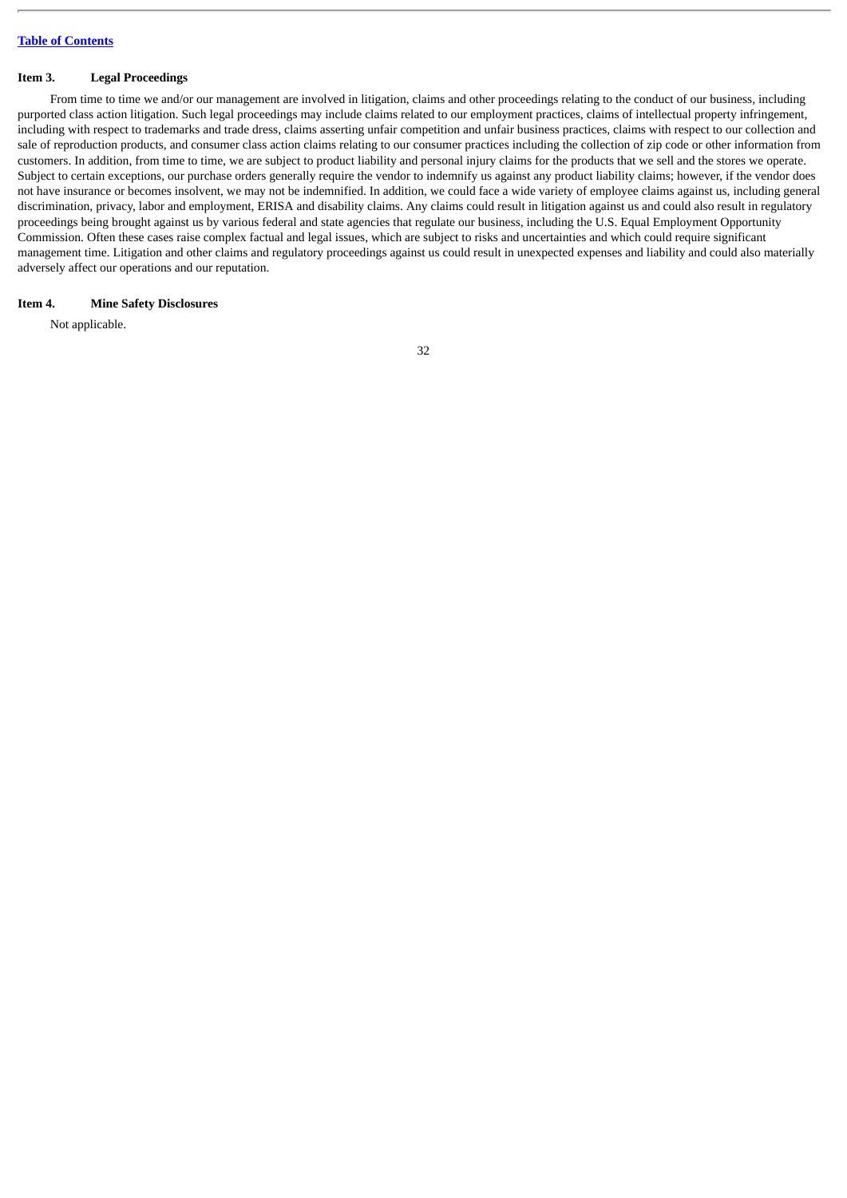# <span id="page-34-0"></span>**Item 3. Legal Proceedings**

From time to time we and/or our management are involved in litigation, claims and other proceedings relating to the conduct of our business, including purported class action litigation. Such legal proceedings may include claims related to our employment practices, claims of intellectual property infringement, including with respect to trademarks and trade dress, claims asserting unfair competition and unfair business practices, claims with respect to our collection and sale of reproduction products, and consumer class action claims relating to our consumer practices including the collection of zip code or other information from customers. In addition, from time to time, we are subject to product liability and personal injury claims for the products that we sell and the stores we operate. Subject to certain exceptions, our purchase orders generally require the vendor to indemnify us against any product liability claims; however, if the vendor does not have insurance or becomes insolvent, we may not be indemnified. In addition, we could face a wide variety of employee claims against us, including general discrimination, privacy, labor and employment, ERISA and disability claims. Any claims could result in litigation against us and could also result in regulatory proceedings being brought against us by various federal and state agencies that regulate our business, including the U.S. Equal Employment Opportunity Commission. Often these cases raise complex factual and legal issues, which are subject to risks and uncertainties and which could require significant management time. Litigation and other claims and regulatory proceedings against us could result in unexpected expenses and liability and could also materially adversely affect our operations and our reputation.

# <span id="page-34-1"></span>**Item 4. Mine Safety Disclosures**

Not applicable.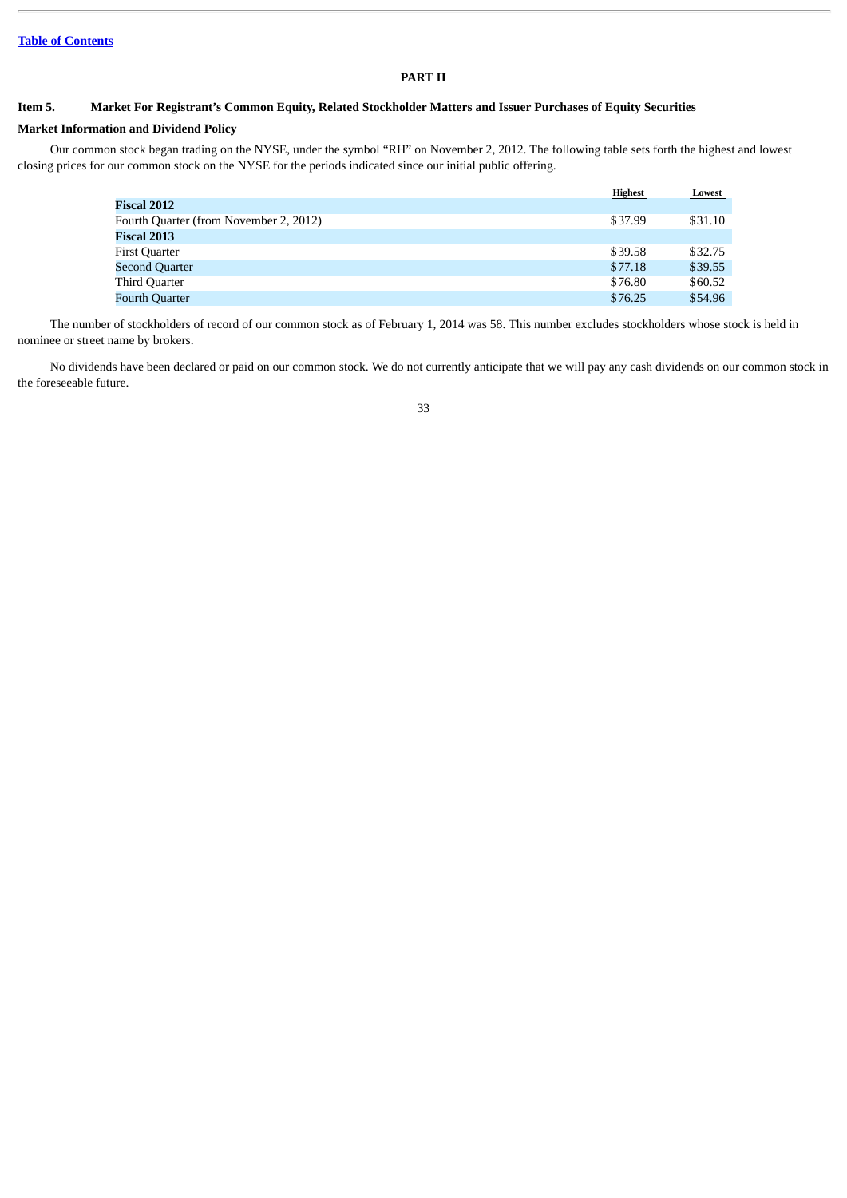# **PART II**

# <span id="page-35-1"></span><span id="page-35-0"></span>**Item 5. Market For Registrant's Common Equity, Related Stockholder Matters and Issuer Purchases of Equity Securities**

# **Market Information and Dividend Policy**

Our common stock began trading on the NYSE, under the symbol "RH" on November 2, 2012. The following table sets forth the highest and lowest closing prices for our common stock on the NYSE for the periods indicated since our initial public offering.

|                                        | <b>Highest</b> | Lowest  |
|----------------------------------------|----------------|---------|
| Fiscal 2012                            |                |         |
| Fourth Quarter (from November 2, 2012) | \$37.99        | \$31.10 |
| Fiscal 2013                            |                |         |
| <b>First Quarter</b>                   | \$39.58        | \$32.75 |
| Second Quarter                         | \$77.18        | \$39.55 |
| Third Quarter                          | \$76.80        | \$60.52 |
| Fourth Quarter                         | \$76.25        | \$54.96 |
|                                        |                |         |

The number of stockholders of record of our common stock as of February 1, 2014 was 58. This number excludes stockholders whose stock is held in nominee or street name by brokers.

No dividends have been declared or paid on our common stock. We do not currently anticipate that we will pay any cash dividends on our common stock in the foreseeable future.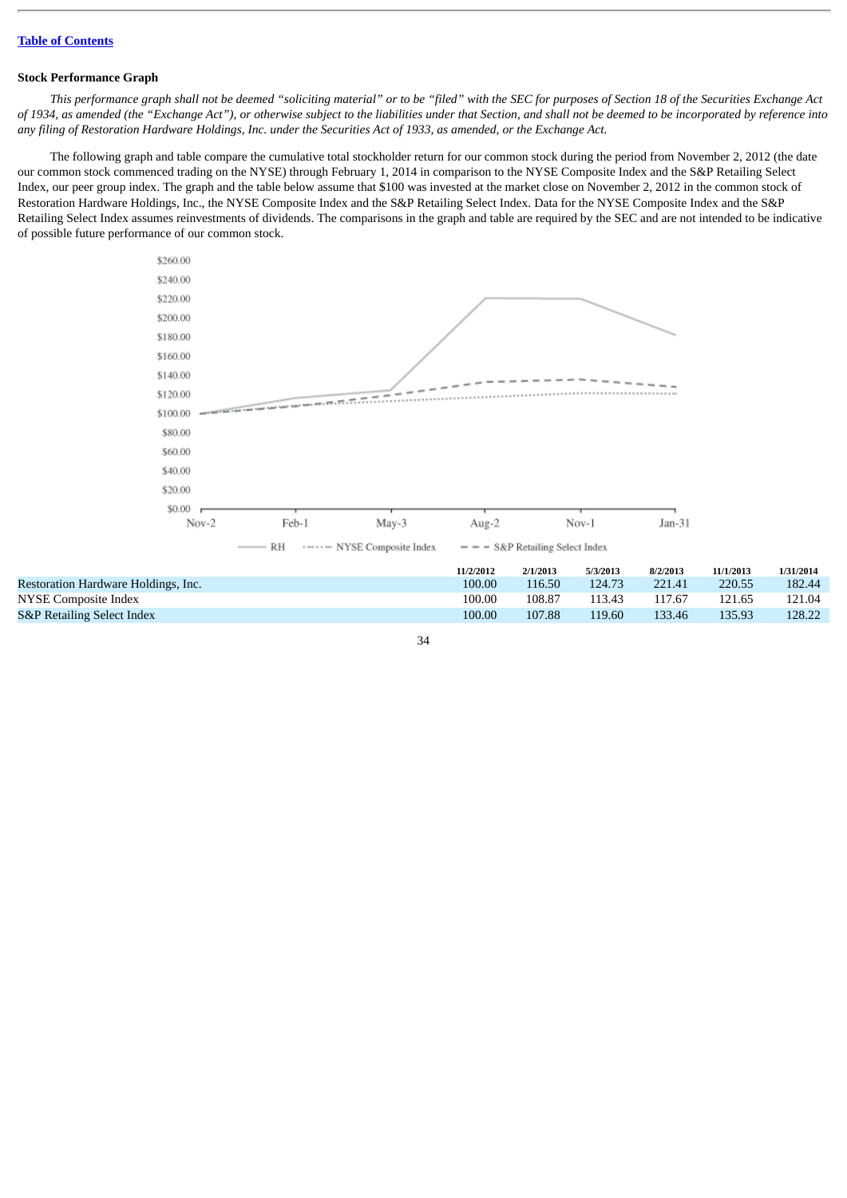#### **Stock Performance Graph**

*This performance graph shall not be deemed "soliciting material" or to be "filed" with the SEC for purposes of Section 18 of the Securities Exchange Act of 1934, as amended (the "Exchange Act"), or otherwise subject to the liabilities under that Section, and shall not be deemed to be incorporated by reference into any filing of Restoration Hardware Holdings, Inc. under the Securities Act of 1933, as amended, or the Exchange Act.*

The following graph and table compare the cumulative total stockholder return for our common stock during the period from November 2, 2012 (the date our common stock commenced trading on the NYSE) through February 1, 2014 in comparison to the NYSE Composite Index and the S&P Retailing Select Index, our peer group index. The graph and the table below assume that \$100 was invested at the market close on November 2, 2012 in the common stock of Restoration Hardware Holdings, Inc., the NYSE Composite Index and the S&P Retailing Select Index. Data for the NYSE Composite Index and the S&P Retailing Select Index assumes reinvestments of dividends. The comparisons in the graph and table are required by the SEC and are not intended to be indicative of possible future performance of our common stock.

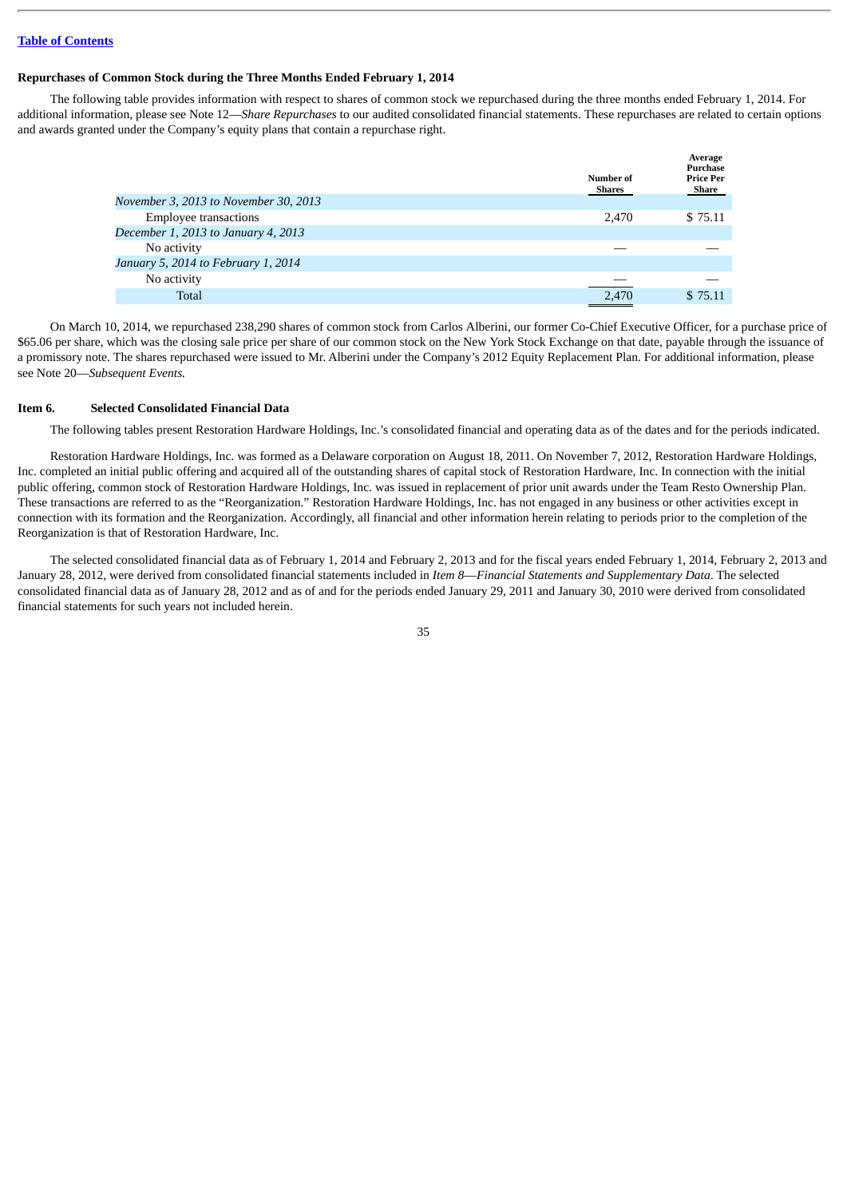#### **Repurchases of Common Stock during the Three Months Ended February 1, 2014**

The following table provides information with respect to shares of common stock we repurchased during the three months ended February 1, 2014. For additional information, please see Note 12—*Share Repurchases* to our audited consolidated financial statements. These repurchases are related to certain options and awards granted under the Company's equity plans that contain a repurchase right.

|                                       | Number of<br><b>Shares</b> | Average<br>Purchase<br><b>Price Per</b><br>Share |
|---------------------------------------|----------------------------|--------------------------------------------------|
| November 3, 2013 to November 30, 2013 |                            |                                                  |
| <b>Employee transactions</b>          | 2.470                      | \$75.11                                          |
| December 1, 2013 to January 4, 2013   |                            |                                                  |
| No activity                           |                            |                                                  |
| January 5, 2014 to February 1, 2014   |                            |                                                  |
| No activity                           |                            |                                                  |
| Total                                 | 2,470                      | \$75.11                                          |
|                                       |                            |                                                  |

On March 10, 2014, we repurchased 238,290 shares of common stock from Carlos Alberini, our former Co-Chief Executive Officer, for a purchase price of \$65.06 per share, which was the closing sale price per share of our common stock on the New York Stock Exchange on that date, payable through the issuance of a promissory note. The shares repurchased were issued to Mr. Alberini under the Company's 2012 Equity Replacement Plan. For additional information, please see Note 20—*Subsequent Events.*

#### **Item 6. Selected Consolidated Financial Data**

The following tables present Restoration Hardware Holdings, Inc.'s consolidated financial and operating data as of the dates and for the periods indicated.

Restoration Hardware Holdings, Inc. was formed as a Delaware corporation on August 18, 2011. On November 7, 2012, Restoration Hardware Holdings, Inc. completed an initial public offering and acquired all of the outstanding shares of capital stock of Restoration Hardware, Inc. In connection with the initial public offering, common stock of Restoration Hardware Holdings, Inc. was issued in replacement of prior unit awards under the Team Resto Ownership Plan. These transactions are referred to as the "Reorganization." Restoration Hardware Holdings, Inc. has not engaged in any business or other activities except in connection with its formation and the Reorganization. Accordingly, all financial and other information herein relating to periods prior to the completion of the Reorganization is that of Restoration Hardware, Inc.

The selected consolidated financial data as of February 1, 2014 and February 2, 2013 and for the fiscal years ended February 1, 2014, February 2, 2013 and January 28, 2012, were derived from consolidated financial statements included in *Item 8*—*Financial Statements and Supplementary Data*. The selected consolidated financial data as of January 28, 2012 and as of and for the periods ended January 29, 2011 and January 30, 2010 were derived from consolidated financial statements for such years not included herein.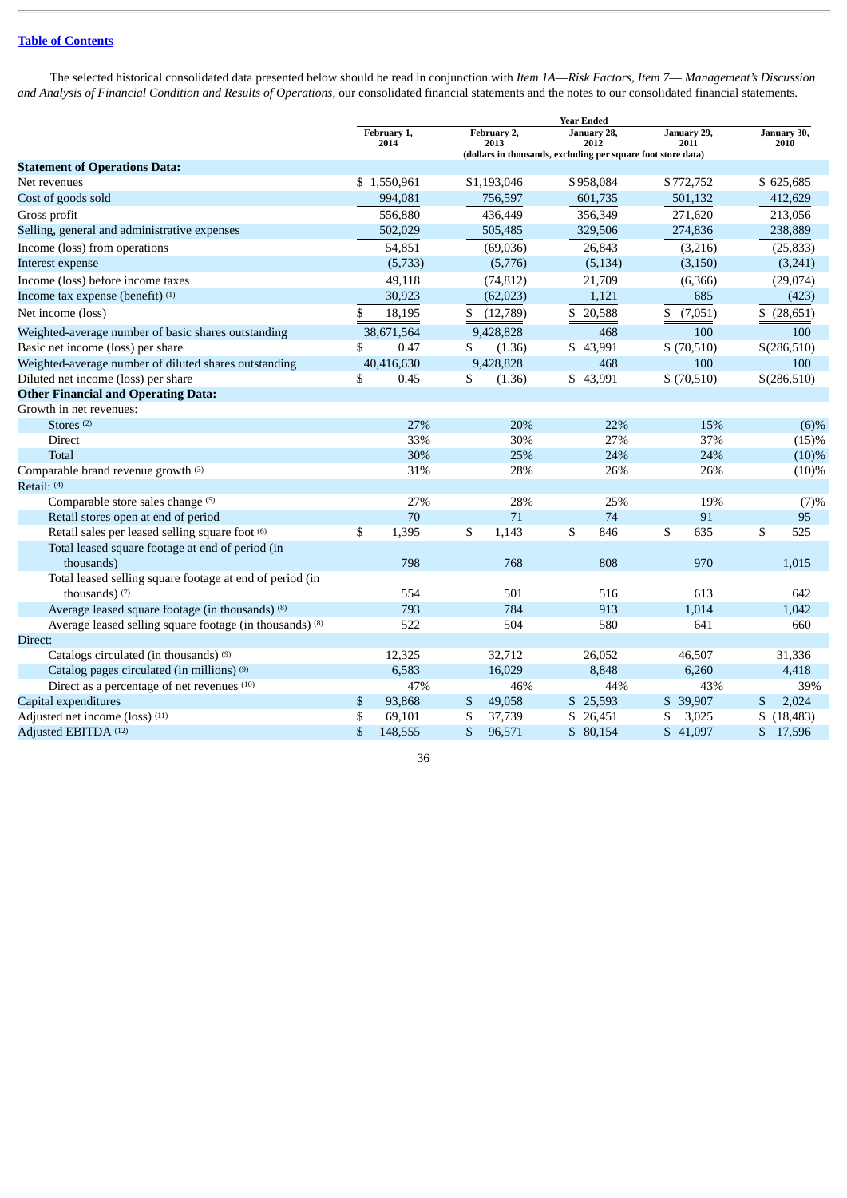The selected historical consolidated data presented below should be read in conjunction with *Item 1A*—*Risk Factors, Item 7*— *Management's Discussion and Analysis of Financial Condition and Results of Operations*, our consolidated financial statements and the notes to our consolidated financial statements.

|                                                          | <b>Year Ended</b> |                     |    |                                                              |    |                     |                     |    |                     |
|----------------------------------------------------------|-------------------|---------------------|----|--------------------------------------------------------------|----|---------------------|---------------------|----|---------------------|
|                                                          |                   | February 1,<br>2014 |    | February 2,<br>2013                                          |    | January 28,<br>2012 | January 29,<br>2011 |    | January 30,<br>2010 |
|                                                          |                   |                     |    | (dollars in thousands, excluding per square foot store data) |    |                     |                     |    |                     |
| <b>Statement of Operations Data:</b>                     |                   |                     |    |                                                              |    |                     |                     |    |                     |
| Net revenues                                             |                   | \$1,550,961         |    | \$1,193,046                                                  |    | \$958,084           | \$772,752           |    | \$625,685           |
| Cost of goods sold                                       |                   | 994,081             |    | 756,597                                                      |    | 601,735             | 501,132             |    | 412,629             |
| Gross profit                                             |                   | 556,880             |    | 436,449                                                      |    | 356,349             | 271,620             |    | 213,056             |
| Selling, general and administrative expenses             |                   | 502,029             |    | 505,485                                                      |    | 329,506             | 274,836             |    | 238,889             |
| Income (loss) from operations                            |                   | 54,851              |    | (69,036)                                                     |    | 26,843              | (3,216)             |    | (25, 833)           |
| Interest expense                                         |                   | (5,733)             |    | (5,776)                                                      |    | (5, 134)            | (3, 150)            |    | (3,241)             |
| Income (loss) before income taxes                        |                   | 49,118              |    | (74, 812)                                                    |    | 21,709              | (6,366)             |    | (29,074)            |
| Income tax expense (benefit) (1)                         |                   | 30,923              |    | (62, 023)                                                    |    | 1,121               | 685                 |    | (423)               |
| Net income (loss)                                        | \$                | 18,195              | \$ | (12,789)                                                     |    | \$20,588            | \$<br>(7,051)       |    | $$$ (28,651)        |
| Weighted-average number of basic shares outstanding      |                   | 38,671,564          |    | 9,428,828                                                    |    | 468                 | 100                 |    | 100                 |
| Basic net income (loss) per share                        | \$                | 0.47                | \$ | (1.36)                                                       |    | \$43,991            | \$(70,510)          |    | \$(286,510)         |
| Weighted-average number of diluted shares outstanding    |                   | 40,416,630          |    | 9,428,828                                                    |    | 468                 | 100                 |    | 100                 |
| Diluted net income (loss) per share                      | \$                | 0.45                | \$ | (1.36)                                                       |    | \$43,991            | \$(70,510)          |    | \$(286,510)         |
| <b>Other Financial and Operating Data:</b>               |                   |                     |    |                                                              |    |                     |                     |    |                     |
| Growth in net revenues:                                  |                   |                     |    |                                                              |    |                     |                     |    |                     |
| Stores <sup>(2)</sup>                                    |                   | 27%                 |    | 20%                                                          |    | 22%                 | 15%                 |    | (6)%                |
| Direct                                                   |                   | 33%                 |    | 30%                                                          |    | 27%                 | 37%                 |    | (15)%               |
| <b>Total</b>                                             |                   | 30%                 |    | 25%                                                          |    | 24%                 | 24%                 |    | $(10)\%$            |
| Comparable brand revenue growth (3)                      |                   | 31%                 |    | 28%                                                          |    | 26%                 | 26%                 |    | $(10)\%$            |
| Retail: (4)                                              |                   |                     |    |                                                              |    |                     |                     |    |                     |
| Comparable store sales change (5)                        |                   | 27%                 |    | 28%                                                          |    | 25%                 | 19%                 |    | (7)%                |
| Retail stores open at end of period                      |                   | 70                  |    | 71                                                           |    | 74                  | 91                  |    | 95                  |
| Retail sales per leased selling square foot (6)          | \$                | 1,395               | \$ | 1,143                                                        | \$ | 846                 | \$<br>635           | \$ | 525                 |
| Total leased square footage at end of period (in         |                   |                     |    |                                                              |    |                     |                     |    |                     |
| thousands)                                               |                   | 798                 |    | 768                                                          |    | 808                 | 970                 |    | 1,015               |
| Total leased selling square footage at end of period (in |                   |                     |    |                                                              |    |                     |                     |    |                     |
| thousands) (7)                                           |                   | 554                 |    | 501                                                          |    | 516                 | 613                 |    | 642                 |
| Average leased square footage (in thousands) (8)         |                   | 793                 |    | 784                                                          |    | 913                 | 1,014               |    | 1,042               |
| Average leased selling square footage (in thousands) (8) |                   | 522                 |    | 504                                                          |    | 580                 | 641                 |    | 660                 |
| Direct:                                                  |                   |                     |    |                                                              |    |                     |                     |    |                     |
| Catalogs circulated (in thousands) (9)                   |                   | 12,325              |    | 32,712                                                       |    | 26,052              | 46,507              |    | 31,336              |
| Catalog pages circulated (in millions) (9)               |                   | 6,583               |    | 16,029                                                       |    | 8,848               | 6,260               |    | 4,418               |
| Direct as a percentage of net revenues (10)              |                   | 47%                 |    | 46%                                                          |    | 44%                 | 43%                 |    | 39%                 |
| Capital expenditures                                     | \$                | 93,868              | \$ | 49,058                                                       |    | \$25,593            | \$ 39,907           | \$ | 2,024               |
| Adjusted net income (loss) (11)                          | \$                | 69,101              | S  | 37,739                                                       |    | \$26,451            | 3,025               | \$ | (18, 483)           |
| Adjusted EBITDA (12)                                     | \$                | 148,555             | \$ | 96,571                                                       |    | \$80,154            | \$<br>41,097        | \$ | 17,596              |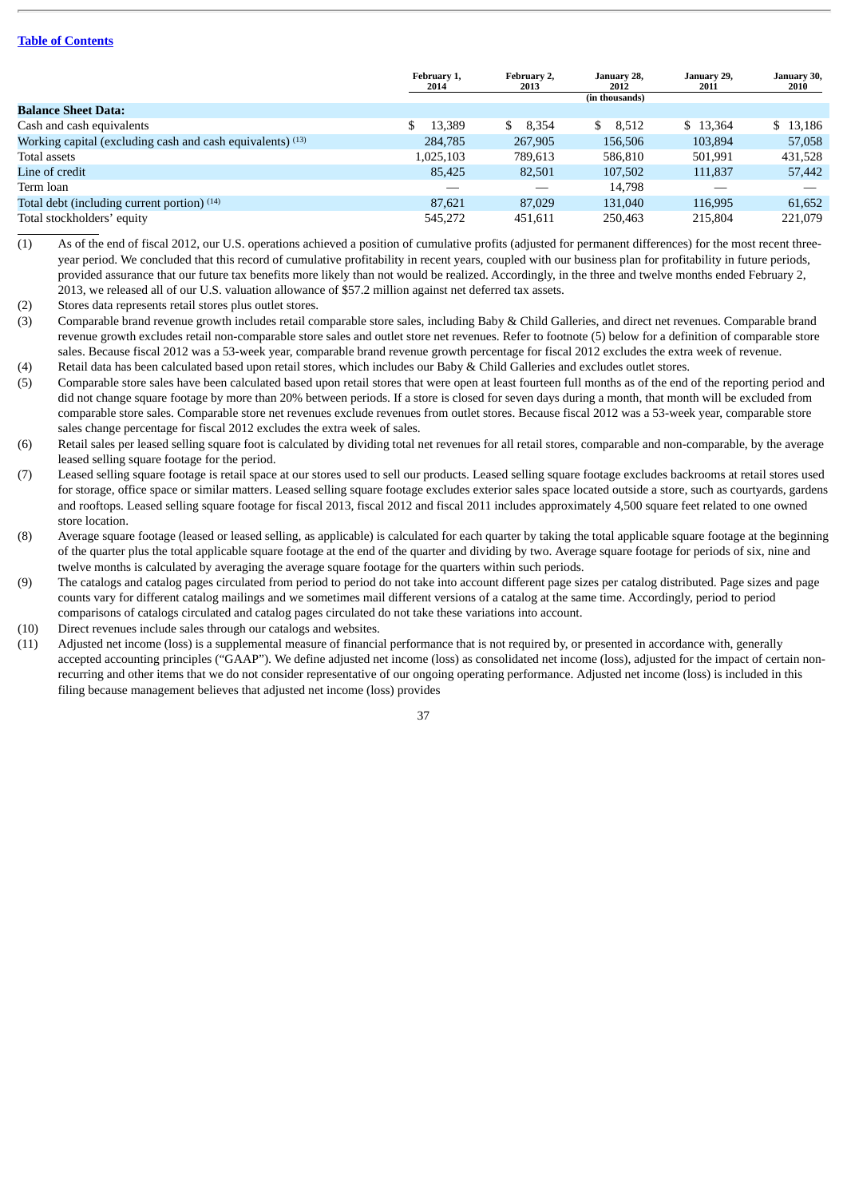|                                                            | February 1,<br>2014 | February 2,<br>2013 | January 28,<br>2012 | January 29,<br>2011 | January 30,<br>2010 |
|------------------------------------------------------------|---------------------|---------------------|---------------------|---------------------|---------------------|
|                                                            |                     |                     | (in thousands)      |                     |                     |
| <b>Balance Sheet Data:</b>                                 |                     |                     |                     |                     |                     |
| Cash and cash equivalents                                  | \$<br>13.389        | 8.354<br>S.         | 8.512<br>S          | \$13.364            | \$13,186            |
| Working capital (excluding cash and cash equivalents) (13) | 284,785             | 267,905             | 156,506             | 103,894             | 57,058              |
| Total assets                                               | 1,025,103           | 789.613             | 586,810             | 501.991             | 431,528             |
| Line of credit                                             | 85,425              | 82,501              | 107,502             | 111,837             | 57,442              |
| Term loan                                                  |                     |                     | 14.798              |                     |                     |
| Total debt (including current portion) (14)                | 87.621              | 87,029              | 131,040             | 116.995             | 61,652              |
| Total stockholders' equity                                 | 545,272             | 451,611             | 250,463             | 215,804             | 221.079             |

(1) As of the end of fiscal 2012, our U.S. operations achieved a position of cumulative profits (adjusted for permanent differences) for the most recent threeyear period. We concluded that this record of cumulative profitability in recent years, coupled with our business plan for profitability in future periods, provided assurance that our future tax benefits more likely than not would be realized. Accordingly, in the three and twelve months ended February 2, 2013, we released all of our U.S. valuation allowance of \$57.2 million against net deferred tax assets.

- (2) Stores data represents retail stores plus outlet stores.
- (3) Comparable brand revenue growth includes retail comparable store sales, including Baby & Child Galleries, and direct net revenues. Comparable brand revenue growth excludes retail non-comparable store sales and outlet store net revenues. Refer to footnote (5) below for a definition of comparable store sales. Because fiscal 2012 was a 53-week year, comparable brand revenue growth percentage for fiscal 2012 excludes the extra week of revenue. (4) Retail data has been calculated based upon retail stores, which includes our Baby & Child Galleries and excludes outlet stores.
- (5) Comparable store sales have been calculated based upon retail stores that were open at least fourteen full months as of the end of the reporting period and did not change square footage by more than 20% between periods. If a store is closed for seven days during a month, that month will be excluded from comparable store sales. Comparable store net revenues exclude revenues from outlet stores. Because fiscal 2012 was a 53-week year, comparable store sales change percentage for fiscal 2012 excludes the extra week of sales.
- (6) Retail sales per leased selling square foot is calculated by dividing total net revenues for all retail stores, comparable and non-comparable, by the average leased selling square footage for the period.
- (7) Leased selling square footage is retail space at our stores used to sell our products. Leased selling square footage excludes backrooms at retail stores used for storage, office space or similar matters. Leased selling square footage excludes exterior sales space located outside a store, such as courtyards, gardens and rooftops. Leased selling square footage for fiscal 2013, fiscal 2012 and fiscal 2011 includes approximately 4,500 square feet related to one owned store location.
- (8) Average square footage (leased or leased selling, as applicable) is calculated for each quarter by taking the total applicable square footage at the beginning of the quarter plus the total applicable square footage at the end of the quarter and dividing by two. Average square footage for periods of six, nine and twelve months is calculated by averaging the average square footage for the quarters within such periods.
- (9) The catalogs and catalog pages circulated from period to period do not take into account different page sizes per catalog distributed. Page sizes and page counts vary for different catalog mailings and we sometimes mail different versions of a catalog at the same time. Accordingly, period to period comparisons of catalogs circulated and catalog pages circulated do not take these variations into account.
- (10) Direct revenues include sales through our catalogs and websites.
- (11) Adjusted net income (loss) is a supplemental measure of financial performance that is not required by, or presented in accordance with, generally accepted accounting principles ("GAAP"). We define adjusted net income (loss) as consolidated net income (loss), adjusted for the impact of certain nonrecurring and other items that we do not consider representative of our ongoing operating performance. Adjusted net income (loss) is included in this filing because management believes that adjusted net income (loss) provides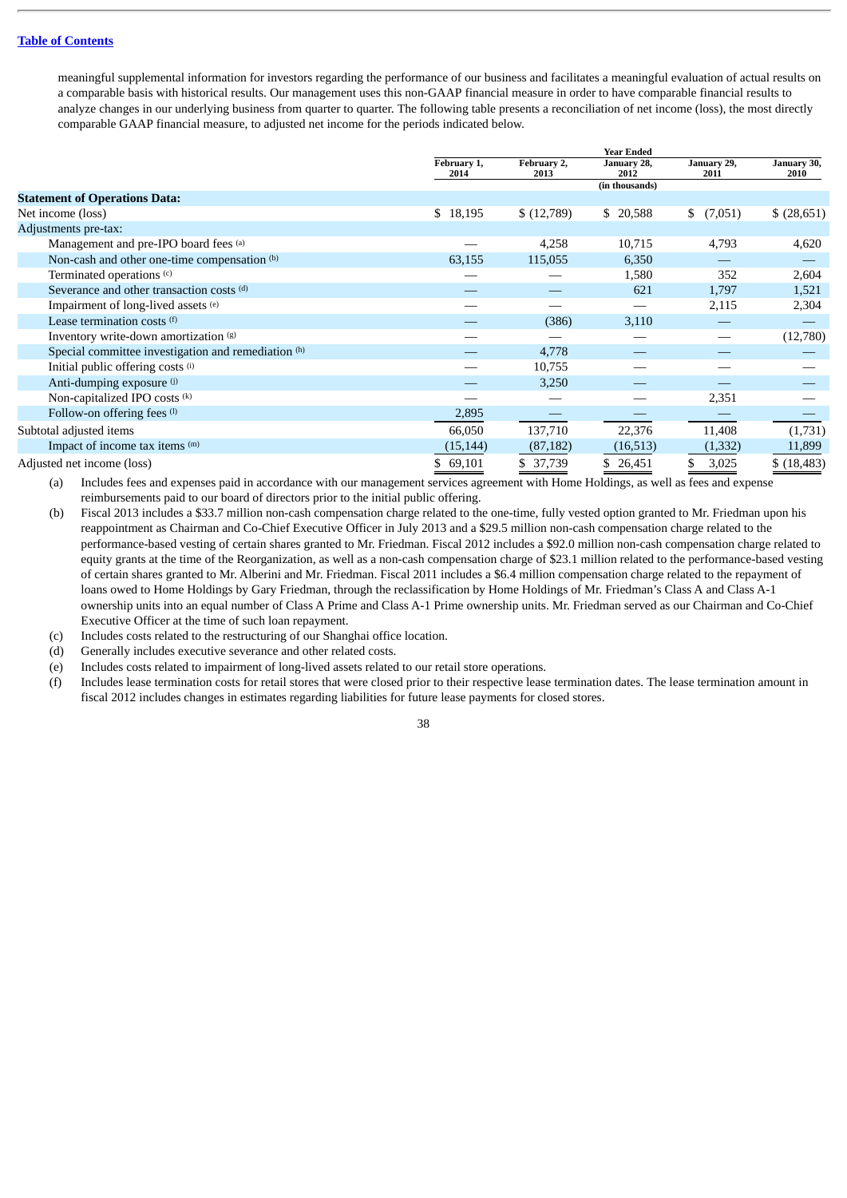meaningful supplemental information for investors regarding the performance of our business and facilitates a meaningful evaluation of actual results on a comparable basis with historical results. Our management uses this non-GAAP financial measure in order to have comparable financial results to analyze changes in our underlying business from quarter to quarter. The following table presents a reconciliation of net income (loss), the most directly comparable GAAP financial measure, to adjusted net income for the periods indicated below.

|                                                     |                     |                     | <b>Year Ended</b>   |                     |                     |
|-----------------------------------------------------|---------------------|---------------------|---------------------|---------------------|---------------------|
|                                                     | February 1,<br>2014 | February 2,<br>2013 | January 28,<br>2012 | January 29,<br>2011 | January 30,<br>2010 |
|                                                     |                     |                     | (in thousands)      |                     |                     |
| <b>Statement of Operations Data:</b>                |                     |                     |                     |                     |                     |
| Net income (loss)                                   | \$18,195            | \$(12,789)          | \$ 20,588           | \$<br>(7,051)       | $$$ (28,651)        |
| Adjustments pre-tax:                                |                     |                     |                     |                     |                     |
| Management and pre-IPO board fees (a)               |                     | 4,258               | 10,715              | 4,793               | 4,620               |
| Non-cash and other one-time compensation (b)        | 63,155              | 115,055             | 6,350               |                     |                     |
| Terminated operations (c)                           |                     |                     | 1,580               | 352                 | 2,604               |
| Severance and other transaction costs (d)           |                     |                     | 621                 | 1,797               | 1,521               |
| Impairment of long-lived assets (e)                 |                     |                     |                     | 2,115               | 2,304               |
| Lease termination costs <sup>(f)</sup>              |                     | (386)               | 3,110               |                     |                     |
| Inventory write-down amortization (g)               |                     |                     |                     |                     | (12,780)            |
| Special committee investigation and remediation (h) |                     | 4,778               |                     |                     |                     |
| Initial public offering costs (i)                   |                     | 10,755              |                     |                     |                     |
| Anti-dumping exposure (i)                           |                     | 3,250               |                     |                     |                     |
| Non-capitalized IPO costs (k)                       |                     |                     |                     | 2,351               |                     |
| Follow-on offering fees (1)                         | 2,895               |                     |                     |                     |                     |
| Subtotal adjusted items                             | 66,050              | 137,710             | 22,376              | 11,408              | (1,731)             |
| Impact of income tax items (m)                      | (15, 144)           | (87, 182)           | (16, 513)           | (1, 332)            | 11,899              |
| Adjusted net income (loss)                          | \$69,101            | \$ 37,739           | \$26,451            | 3,025               | \$ (18, 483)        |

 (a) Includes fees and expenses paid in accordance with our management services agreement with Home Holdings, as well as fees and expense reimbursements paid to our board of directors prior to the initial public offering.

- (b) Fiscal 2013 includes a \$33.7 million non-cash compensation charge related to the one-time, fully vested option granted to Mr. Friedman upon his reappointment as Chairman and Co-Chief Executive Officer in July 2013 and a \$29.5 million non-cash compensation charge related to the performance-based vesting of certain shares granted to Mr. Friedman. Fiscal 2012 includes a \$92.0 million non-cash compensation charge related to equity grants at the time of the Reorganization, as well as a non-cash compensation charge of \$23.1 million related to the performance-based vesting of certain shares granted to Mr. Alberini and Mr. Friedman. Fiscal 2011 includes a \$6.4 million compensation charge related to the repayment of loans owed to Home Holdings by Gary Friedman, through the reclassification by Home Holdings of Mr. Friedman's Class A and Class A-1 ownership units into an equal number of Class A Prime and Class A-1 Prime ownership units. Mr. Friedman served as our Chairman and Co-Chief Executive Officer at the time of such loan repayment.
- (c) Includes costs related to the restructuring of our Shanghai office location.
- (d) Generally includes executive severance and other related costs.
- (e) Includes costs related to impairment of long-lived assets related to our retail store operations.
- (f) Includes lease termination costs for retail stores that were closed prior to their respective lease termination dates. The lease termination amount in fiscal 2012 includes changes in estimates regarding liabilities for future lease payments for closed stores.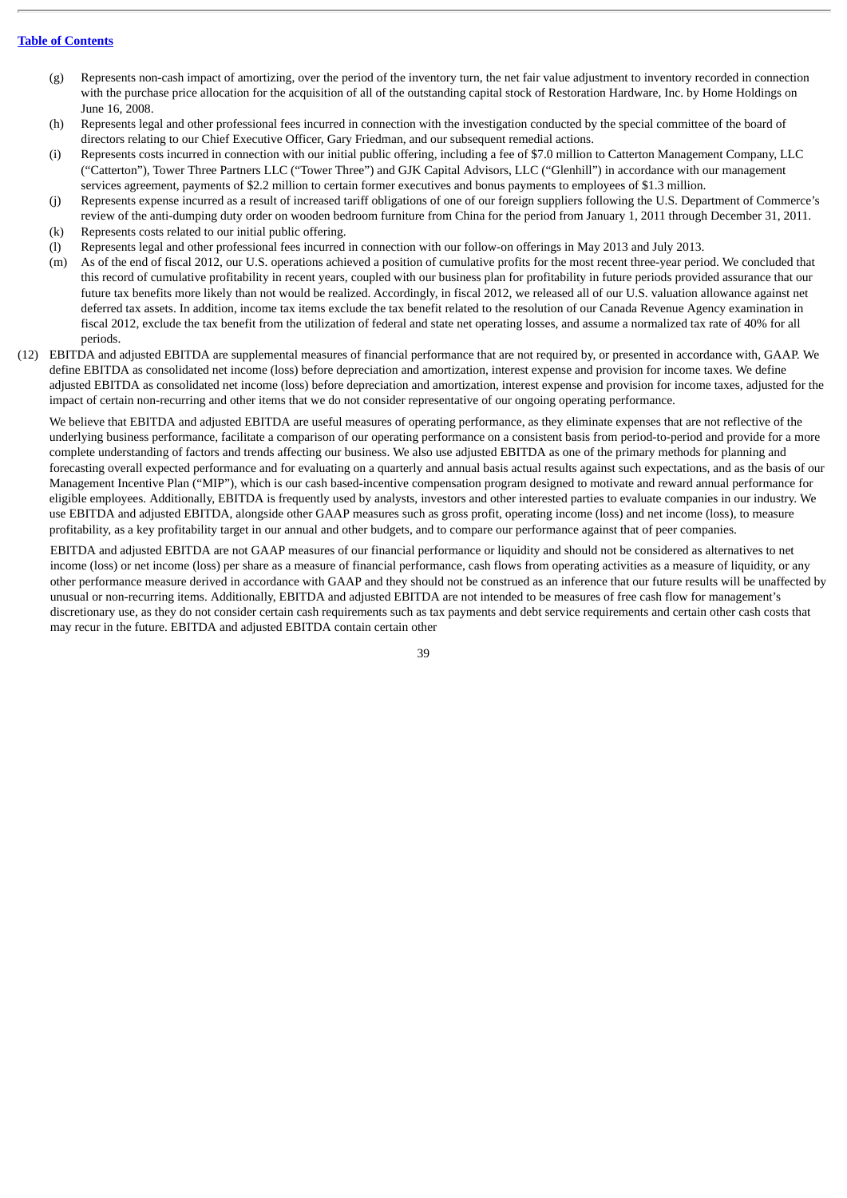- (g) Represents non-cash impact of amortizing, over the period of the inventory turn, the net fair value adjustment to inventory recorded in connection with the purchase price allocation for the acquisition of all of the outstanding capital stock of Restoration Hardware, Inc. by Home Holdings on June 16, 2008.
- (h) Represents legal and other professional fees incurred in connection with the investigation conducted by the special committee of the board of directors relating to our Chief Executive Officer, Gary Friedman, and our subsequent remedial actions.
- (i) Represents costs incurred in connection with our initial public offering, including a fee of \$7.0 million to Catterton Management Company, LLC ("Catterton"), Tower Three Partners LLC ("Tower Three") and GJK Capital Advisors, LLC ("Glenhill") in accordance with our management services agreement, payments of \$2.2 million to certain former executives and bonus payments to employees of \$1.3 million.
- (j) Represents expense incurred as a result of increased tariff obligations of one of our foreign suppliers following the U.S. Department of Commerce's review of the anti-dumping duty order on wooden bedroom furniture from China for the period from January 1, 2011 through December 31, 2011.
- (k) Represents costs related to our initial public offering.
- (l) Represents legal and other professional fees incurred in connection with our follow-on offerings in May 2013 and July 2013.
- (m) As of the end of fiscal 2012, our U.S. operations achieved a position of cumulative profits for the most recent three-year period. We concluded that this record of cumulative profitability in recent years, coupled with our business plan for profitability in future periods provided assurance that our future tax benefits more likely than not would be realized. Accordingly, in fiscal 2012, we released all of our U.S. valuation allowance against net deferred tax assets. In addition, income tax items exclude the tax benefit related to the resolution of our Canada Revenue Agency examination in fiscal 2012, exclude the tax benefit from the utilization of federal and state net operating losses, and assume a normalized tax rate of 40% for all periods.
- (12) EBITDA and adjusted EBITDA are supplemental measures of financial performance that are not required by, or presented in accordance with, GAAP. We define EBITDA as consolidated net income (loss) before depreciation and amortization, interest expense and provision for income taxes. We define adjusted EBITDA as consolidated net income (loss) before depreciation and amortization, interest expense and provision for income taxes, adjusted for the impact of certain non-recurring and other items that we do not consider representative of our ongoing operating performance.

 We believe that EBITDA and adjusted EBITDA are useful measures of operating performance, as they eliminate expenses that are not reflective of the underlying business performance, facilitate a comparison of our operating performance on a consistent basis from period-to-period and provide for a more complete understanding of factors and trends affecting our business. We also use adjusted EBITDA as one of the primary methods for planning and forecasting overall expected performance and for evaluating on a quarterly and annual basis actual results against such expectations, and as the basis of our Management Incentive Plan ("MIP"), which is our cash based-incentive compensation program designed to motivate and reward annual performance for eligible employees. Additionally, EBITDA is frequently used by analysts, investors and other interested parties to evaluate companies in our industry. We use EBITDA and adjusted EBITDA, alongside other GAAP measures such as gross profit, operating income (loss) and net income (loss), to measure profitability, as a key profitability target in our annual and other budgets, and to compare our performance against that of peer companies.

EBITDA and adjusted EBITDA are not GAAP measures of our financial performance or liquidity and should not be considered as alternatives to net income (loss) or net income (loss) per share as a measure of financial performance, cash flows from operating activities as a measure of liquidity, or any other performance measure derived in accordance with GAAP and they should not be construed as an inference that our future results will be unaffected by unusual or non-recurring items. Additionally, EBITDA and adjusted EBITDA are not intended to be measures of free cash flow for management's discretionary use, as they do not consider certain cash requirements such as tax payments and debt service requirements and certain other cash costs that may recur in the future. EBITDA and adjusted EBITDA contain certain other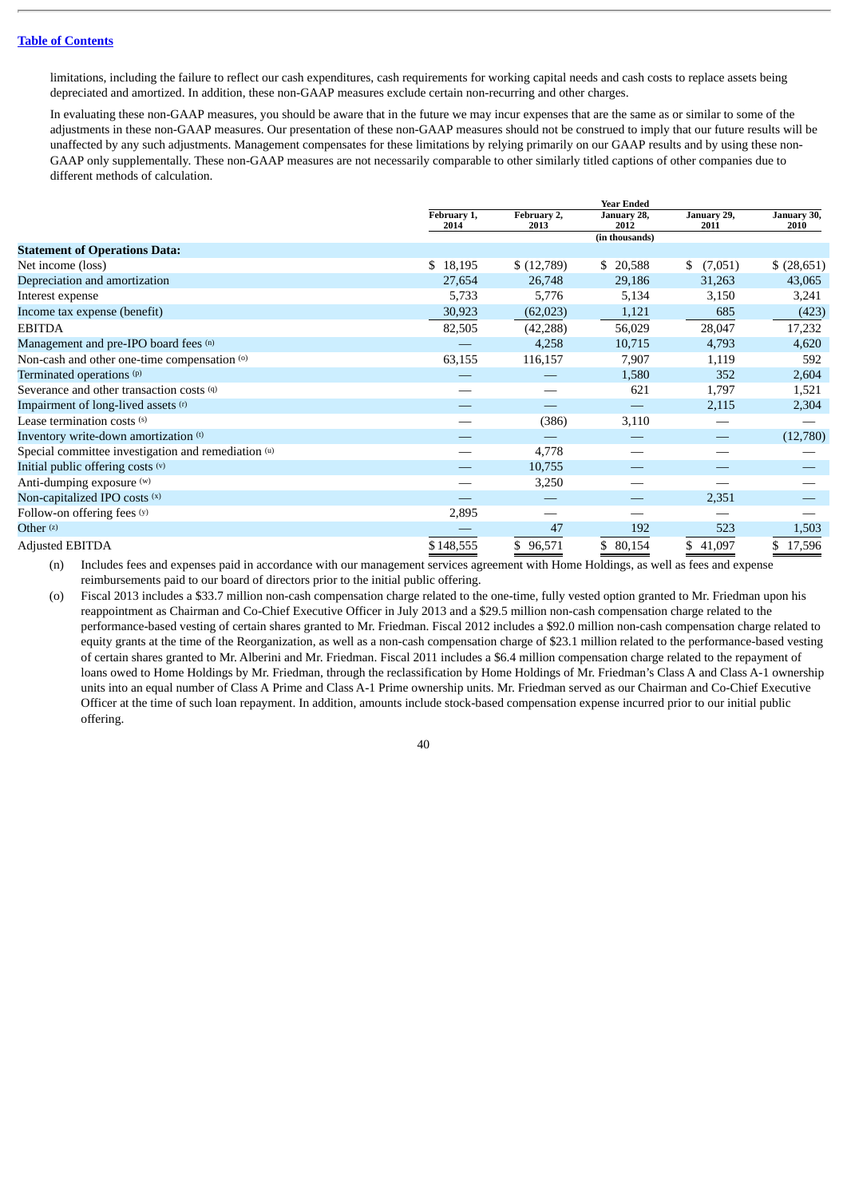limitations, including the failure to reflect our cash expenditures, cash requirements for working capital needs and cash costs to replace assets being depreciated and amortized. In addition, these non-GAAP measures exclude certain non-recurring and other charges.

In evaluating these non-GAAP measures, you should be aware that in the future we may incur expenses that are the same as or similar to some of the adjustments in these non-GAAP measures. Our presentation of these non-GAAP measures should not be construed to imply that our future results will be unaffected by any such adjustments. Management compensates for these limitations by relying primarily on our GAAP results and by using these non-GAAP only supplementally. These non-GAAP measures are not necessarily comparable to other similarly titled captions of other companies due to different methods of calculation.

|                                                     |                     | <b>Year Ended</b>   |                     |                     |                     |  |  |  |
|-----------------------------------------------------|---------------------|---------------------|---------------------|---------------------|---------------------|--|--|--|
|                                                     | February 1,<br>2014 | February 2,<br>2013 | January 28,<br>2012 | January 29,<br>2011 | January 30,<br>2010 |  |  |  |
|                                                     |                     |                     | (in thousands)      |                     |                     |  |  |  |
| <b>Statement of Operations Data:</b>                |                     |                     |                     |                     |                     |  |  |  |
| Net income (loss)                                   | \$18,195            | \$(12,789)          | \$20,588            | \$<br>(7,051)       | \$(28,651)          |  |  |  |
| Depreciation and amortization                       | 27,654              | 26,748              | 29,186              | 31,263              | 43,065              |  |  |  |
| Interest expense                                    | 5,733               | 5,776               | 5,134               | 3,150               | 3,241               |  |  |  |
| Income tax expense (benefit)                        | 30,923              | (62, 023)           | 1,121               | 685                 | (423)               |  |  |  |
| <b>EBITDA</b>                                       | 82,505              | (42, 288)           | 56,029              | 28,047              | 17,232              |  |  |  |
| Management and pre-IPO board fees (n)               |                     | 4,258               | 10,715              | 4,793               | 4,620               |  |  |  |
| Non-cash and other one-time compensation (o)        | 63,155              | 116,157             | 7,907               | 1,119               | 592                 |  |  |  |
| Terminated operations (p)                           |                     |                     | 1,580               | 352                 | 2,604               |  |  |  |
| Severance and other transaction costs (q)           |                     |                     | 621                 | 1,797               | 1,521               |  |  |  |
| Impairment of long-lived assets (r)                 |                     |                     |                     | 2,115               | 2,304               |  |  |  |
| Lease termination costs (s)                         |                     | (386)               | 3,110               |                     |                     |  |  |  |
| Inventory write-down amortization (t)               |                     |                     |                     |                     | (12,780)            |  |  |  |
| Special committee investigation and remediation (u) |                     | 4,778               |                     |                     |                     |  |  |  |
| Initial public offering costs (v)                   |                     | 10,755              |                     |                     |                     |  |  |  |
| Anti-dumping exposure (w)                           |                     | 3,250               |                     |                     |                     |  |  |  |
| Non-capitalized IPO costs (x)                       |                     |                     |                     | 2,351               |                     |  |  |  |
| Follow-on offering fees (y)                         | 2,895               |                     |                     |                     |                     |  |  |  |
| Other $(2)$                                         |                     | 47                  | 192                 | 523                 | 1,503               |  |  |  |
| <b>Adjusted EBITDA</b>                              | \$148,555           | \$96,571            | \$ 80,154           | \$41,097            | \$17,596            |  |  |  |

 (n) Includes fees and expenses paid in accordance with our management services agreement with Home Holdings, as well as fees and expense reimbursements paid to our board of directors prior to the initial public offering.

(o) Fiscal 2013 includes a \$33.7 million non-cash compensation charge related to the one-time, fully vested option granted to Mr. Friedman upon his reappointment as Chairman and Co-Chief Executive Officer in July 2013 and a \$29.5 million non-cash compensation charge related to the performance-based vesting of certain shares granted to Mr. Friedman. Fiscal 2012 includes a \$92.0 million non-cash compensation charge related to equity grants at the time of the Reorganization, as well as a non-cash compensation charge of \$23.1 million related to the performance-based vesting of certain shares granted to Mr. Alberini and Mr. Friedman. Fiscal 2011 includes a \$6.4 million compensation charge related to the repayment of loans owed to Home Holdings by Mr. Friedman, through the reclassification by Home Holdings of Mr. Friedman's Class A and Class A-1 ownership units into an equal number of Class A Prime and Class A-1 Prime ownership units. Mr. Friedman served as our Chairman and Co-Chief Executive Officer at the time of such loan repayment. In addition, amounts include stock-based compensation expense incurred prior to our initial public offering.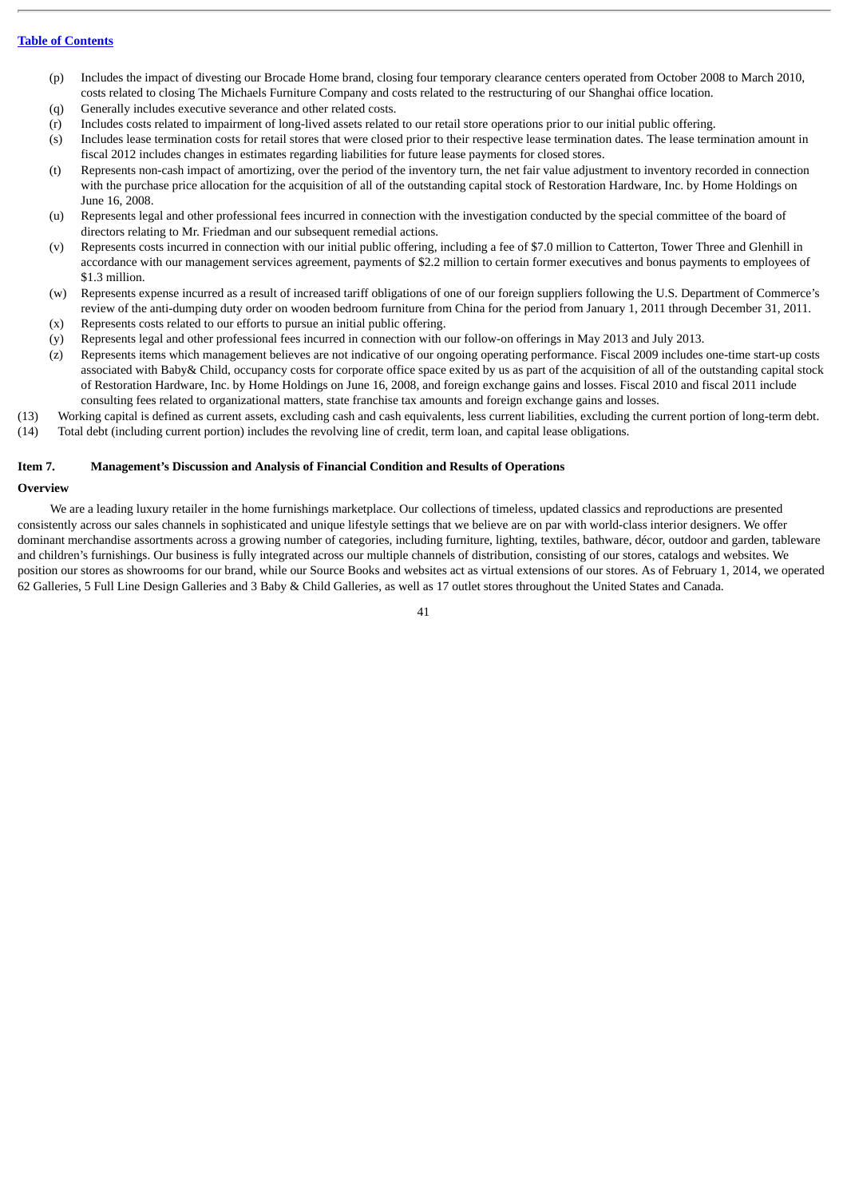- (p) Includes the impact of divesting our Brocade Home brand, closing four temporary clearance centers operated from October 2008 to March 2010, costs related to closing The Michaels Furniture Company and costs related to the restructuring of our Shanghai office location.
- (q) Generally includes executive severance and other related costs.
- (r) Includes costs related to impairment of long-lived assets related to our retail store operations prior to our initial public offering.
- (s) Includes lease termination costs for retail stores that were closed prior to their respective lease termination dates. The lease termination amount in fiscal 2012 includes changes in estimates regarding liabilities for future lease payments for closed stores.
- (t) Represents non-cash impact of amortizing, over the period of the inventory turn, the net fair value adjustment to inventory recorded in connection with the purchase price allocation for the acquisition of all of the outstanding capital stock of Restoration Hardware, Inc. by Home Holdings on June 16, 2008.
- (u) Represents legal and other professional fees incurred in connection with the investigation conducted by the special committee of the board of directors relating to Mr. Friedman and our subsequent remedial actions.
- (v) Represents costs incurred in connection with our initial public offering, including a fee of \$7.0 million to Catterton, Tower Three and Glenhill in accordance with our management services agreement, payments of \$2.2 million to certain former executives and bonus payments to employees of \$1.3 million.
- (w) Represents expense incurred as a result of increased tariff obligations of one of our foreign suppliers following the U.S. Department of Commerce's review of the anti-dumping duty order on wooden bedroom furniture from China for the period from January 1, 2011 through December 31, 2011.
- (x) Represents costs related to our efforts to pursue an initial public offering.
- (y) Represents legal and other professional fees incurred in connection with our follow-on offerings in May 2013 and July 2013.
- (z) Represents items which management believes are not indicative of our ongoing operating performance. Fiscal 2009 includes one-time start-up costs associated with Baby& Child, occupancy costs for corporate office space exited by us as part of the acquisition of all of the outstanding capital stock of Restoration Hardware, Inc. by Home Holdings on June 16, 2008, and foreign exchange gains and losses. Fiscal 2010 and fiscal 2011 include consulting fees related to organizational matters, state franchise tax amounts and foreign exchange gains and losses.
- (13) Working capital is defined as current assets, excluding cash and cash equivalents, less current liabilities, excluding the current portion of long-term debt. (14) Total debt (including current portion) includes the revolving line of credit, term loan, and capital lease obligations.
- 

## **Item 7. Management's Discussion and Analysis of Financial Condition and Results of Operations**

#### **Overview**

We are a leading luxury retailer in the home furnishings marketplace. Our collections of timeless, updated classics and reproductions are presented consistently across our sales channels in sophisticated and unique lifestyle settings that we believe are on par with world-class interior designers. We offer dominant merchandise assortments across a growing number of categories, including furniture, lighting, textiles, bathware, décor, outdoor and garden, tableware and children's furnishings. Our business is fully integrated across our multiple channels of distribution, consisting of our stores, catalogs and websites. We position our stores as showrooms for our brand, while our Source Books and websites act as virtual extensions of our stores. As of February 1, 2014, we operated 62 Galleries, 5 Full Line Design Galleries and 3 Baby & Child Galleries, as well as 17 outlet stores throughout the United States and Canada.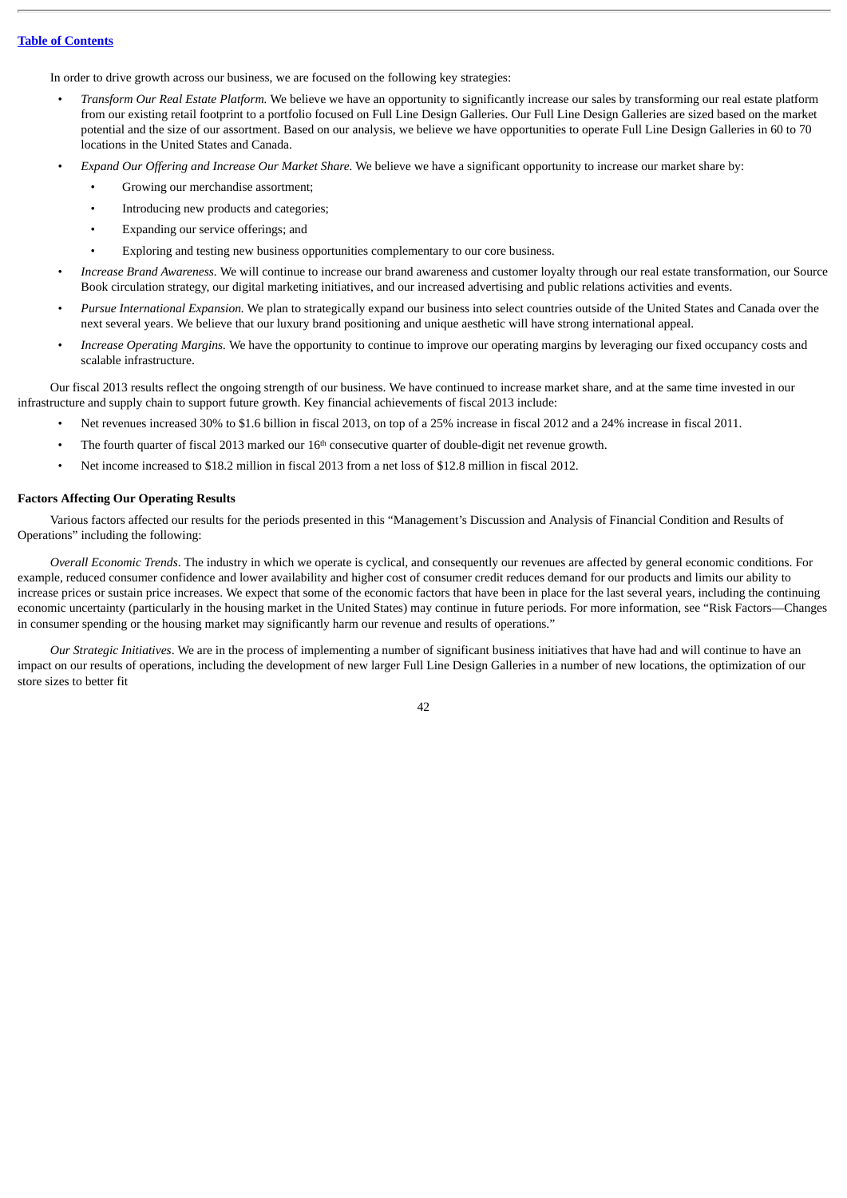In order to drive growth across our business, we are focused on the following key strategies:

- *Transform Our Real Estate Platform.* We believe we have an opportunity to significantly increase our sales by transforming our real estate platform from our existing retail footprint to a portfolio focused on Full Line Design Galleries. Our Full Line Design Galleries are sized based on the market potential and the size of our assortment. Based on our analysis, we believe we have opportunities to operate Full Line Design Galleries in 60 to 70 locations in the United States and Canada.
- *Expand Our Offering and Increase Our Market Share.* We believe we have a significant opportunity to increase our market share by:
	- Growing our merchandise assortment;
	- Introducing new products and categories;
	- Expanding our service offerings; and
	- Exploring and testing new business opportunities complementary to our core business.
- *Increase Brand Awareness.* We will continue to increase our brand awareness and customer loyalty through our real estate transformation, our Source Book circulation strategy, our digital marketing initiatives, and our increased advertising and public relations activities and events.
- *Pursue International Expansion.* We plan to strategically expand our business into select countries outside of the United States and Canada over the next several years. We believe that our luxury brand positioning and unique aesthetic will have strong international appeal.
- *Increase Operating Margins.* We have the opportunity to continue to improve our operating margins by leveraging our fixed occupancy costs and scalable infrastructure.

Our fiscal 2013 results reflect the ongoing strength of our business. We have continued to increase market share, and at the same time invested in our infrastructure and supply chain to support future growth. Key financial achievements of fiscal 2013 include:

- Net revenues increased 30% to \$1.6 billion in fiscal 2013, on top of a 25% increase in fiscal 2012 and a 24% increase in fiscal 2011.
- The fourth quarter of fiscal 2013 marked our  $16<sup>th</sup>$  consecutive quarter of double-digit net revenue growth.
- Net income increased to \$18.2 million in fiscal 2013 from a net loss of \$12.8 million in fiscal 2012.

## **Factors Affecting Our Operating Results**

Various factors affected our results for the periods presented in this "Management's Discussion and Analysis of Financial Condition and Results of Operations" including the following:

*Overall Economic Trends*. The industry in which we operate is cyclical, and consequently our revenues are affected by general economic conditions. For example, reduced consumer confidence and lower availability and higher cost of consumer credit reduces demand for our products and limits our ability to increase prices or sustain price increases. We expect that some of the economic factors that have been in place for the last several years, including the continuing economic uncertainty (particularly in the housing market in the United States) may continue in future periods. For more information, see "Risk Factors—Changes in consumer spending or the housing market may significantly harm our revenue and results of operations."

*Our Strategic Initiatives*. We are in the process of implementing a number of significant business initiatives that have had and will continue to have an impact on our results of operations, including the development of new larger Full Line Design Galleries in a number of new locations, the optimization of our store sizes to better fit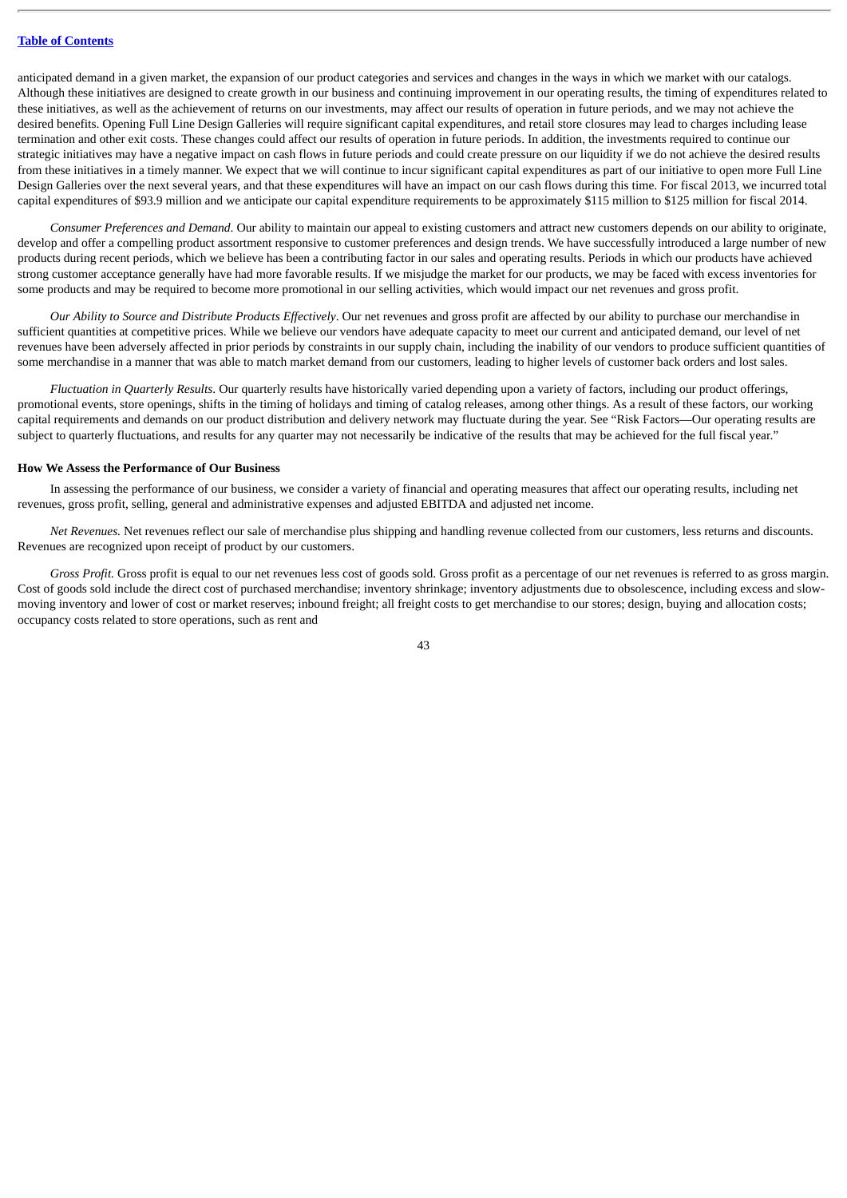anticipated demand in a given market, the expansion of our product categories and services and changes in the ways in which we market with our catalogs. Although these initiatives are designed to create growth in our business and continuing improvement in our operating results, the timing of expenditures related to these initiatives, as well as the achievement of returns on our investments, may affect our results of operation in future periods, and we may not achieve the desired benefits. Opening Full Line Design Galleries will require significant capital expenditures, and retail store closures may lead to charges including lease termination and other exit costs. These changes could affect our results of operation in future periods. In addition, the investments required to continue our strategic initiatives may have a negative impact on cash flows in future periods and could create pressure on our liquidity if we do not achieve the desired results from these initiatives in a timely manner. We expect that we will continue to incur significant capital expenditures as part of our initiative to open more Full Line Design Galleries over the next several years, and that these expenditures will have an impact on our cash flows during this time. For fiscal 2013, we incurred total capital expenditures of \$93.9 million and we anticipate our capital expenditure requirements to be approximately \$115 million to \$125 million for fiscal 2014.

*Consumer Preferences and Demand*. Our ability to maintain our appeal to existing customers and attract new customers depends on our ability to originate, develop and offer a compelling product assortment responsive to customer preferences and design trends. We have successfully introduced a large number of new products during recent periods, which we believe has been a contributing factor in our sales and operating results. Periods in which our products have achieved strong customer acceptance generally have had more favorable results. If we misjudge the market for our products, we may be faced with excess inventories for some products and may be required to become more promotional in our selling activities, which would impact our net revenues and gross profit.

*Our Ability to Source and Distribute Products Effectively*. Our net revenues and gross profit are affected by our ability to purchase our merchandise in sufficient quantities at competitive prices. While we believe our vendors have adequate capacity to meet our current and anticipated demand, our level of net revenues have been adversely affected in prior periods by constraints in our supply chain, including the inability of our vendors to produce sufficient quantities of some merchandise in a manner that was able to match market demand from our customers, leading to higher levels of customer back orders and lost sales.

*Fluctuation in Quarterly Results*. Our quarterly results have historically varied depending upon a variety of factors, including our product offerings, promotional events, store openings, shifts in the timing of holidays and timing of catalog releases, among other things. As a result of these factors, our working capital requirements and demands on our product distribution and delivery network may fluctuate during the year. See "Risk Factors—Our operating results are subject to quarterly fluctuations, and results for any quarter may not necessarily be indicative of the results that may be achieved for the full fiscal year."

#### **How We Assess the Performance of Our Business**

In assessing the performance of our business, we consider a variety of financial and operating measures that affect our operating results, including net revenues, gross profit, selling, general and administrative expenses and adjusted EBITDA and adjusted net income.

*Net Revenues.* Net revenues reflect our sale of merchandise plus shipping and handling revenue collected from our customers, less returns and discounts. Revenues are recognized upon receipt of product by our customers.

*Gross Profit.* Gross profit is equal to our net revenues less cost of goods sold. Gross profit as a percentage of our net revenues is referred to as gross margin. Cost of goods sold include the direct cost of purchased merchandise; inventory shrinkage; inventory adjustments due to obsolescence, including excess and slowmoving inventory and lower of cost or market reserves; inbound freight; all freight costs to get merchandise to our stores; design, buying and allocation costs; occupancy costs related to store operations, such as rent and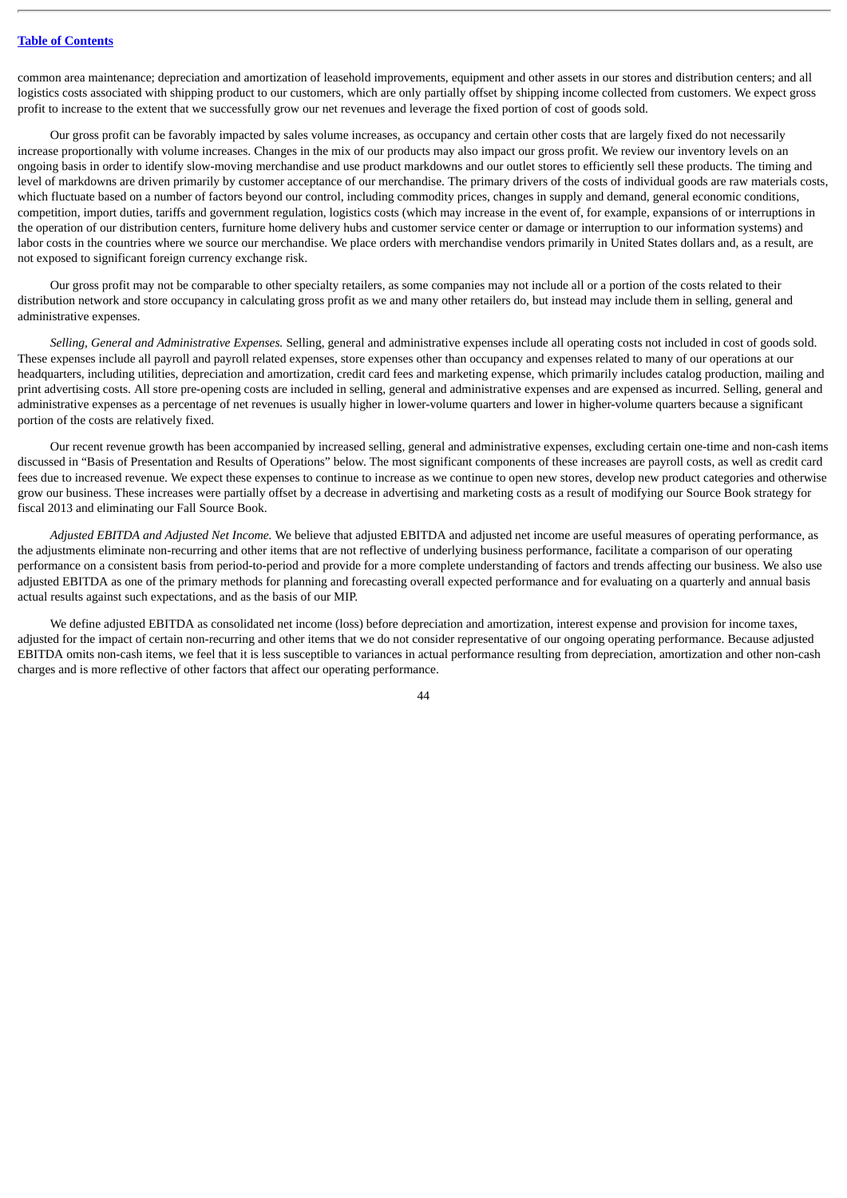common area maintenance; depreciation and amortization of leasehold improvements, equipment and other assets in our stores and distribution centers; and all logistics costs associated with shipping product to our customers, which are only partially offset by shipping income collected from customers. We expect gross profit to increase to the extent that we successfully grow our net revenues and leverage the fixed portion of cost of goods sold.

Our gross profit can be favorably impacted by sales volume increases, as occupancy and certain other costs that are largely fixed do not necessarily increase proportionally with volume increases. Changes in the mix of our products may also impact our gross profit. We review our inventory levels on an ongoing basis in order to identify slow-moving merchandise and use product markdowns and our outlet stores to efficiently sell these products. The timing and level of markdowns are driven primarily by customer acceptance of our merchandise. The primary drivers of the costs of individual goods are raw materials costs, which fluctuate based on a number of factors beyond our control, including commodity prices, changes in supply and demand, general economic conditions, competition, import duties, tariffs and government regulation, logistics costs (which may increase in the event of, for example, expansions of or interruptions in the operation of our distribution centers, furniture home delivery hubs and customer service center or damage or interruption to our information systems) and labor costs in the countries where we source our merchandise. We place orders with merchandise vendors primarily in United States dollars and, as a result, are not exposed to significant foreign currency exchange risk.

Our gross profit may not be comparable to other specialty retailers, as some companies may not include all or a portion of the costs related to their distribution network and store occupancy in calculating gross profit as we and many other retailers do, but instead may include them in selling, general and administrative expenses.

*Selling, General and Administrative Expenses.* Selling, general and administrative expenses include all operating costs not included in cost of goods sold. These expenses include all payroll and payroll related expenses, store expenses other than occupancy and expenses related to many of our operations at our headquarters, including utilities, depreciation and amortization, credit card fees and marketing expense, which primarily includes catalog production, mailing and print advertising costs. All store pre-opening costs are included in selling, general and administrative expenses and are expensed as incurred. Selling, general and administrative expenses as a percentage of net revenues is usually higher in lower-volume quarters and lower in higher-volume quarters because a significant portion of the costs are relatively fixed.

Our recent revenue growth has been accompanied by increased selling, general and administrative expenses, excluding certain one-time and non-cash items discussed in "Basis of Presentation and Results of Operations" below. The most significant components of these increases are payroll costs, as well as credit card fees due to increased revenue. We expect these expenses to continue to increase as we continue to open new stores, develop new product categories and otherwise grow our business. These increases were partially offset by a decrease in advertising and marketing costs as a result of modifying our Source Book strategy for fiscal 2013 and eliminating our Fall Source Book.

*Adjusted EBITDA and Adjusted Net Income.* We believe that adjusted EBITDA and adjusted net income are useful measures of operating performance, as the adjustments eliminate non-recurring and other items that are not reflective of underlying business performance, facilitate a comparison of our operating performance on a consistent basis from period-to-period and provide for a more complete understanding of factors and trends affecting our business. We also use adjusted EBITDA as one of the primary methods for planning and forecasting overall expected performance and for evaluating on a quarterly and annual basis actual results against such expectations, and as the basis of our MIP.

We define adjusted EBITDA as consolidated net income (loss) before depreciation and amortization, interest expense and provision for income taxes, adjusted for the impact of certain non-recurring and other items that we do not consider representative of our ongoing operating performance. Because adjusted EBITDA omits non-cash items, we feel that it is less susceptible to variances in actual performance resulting from depreciation, amortization and other non-cash charges and is more reflective of other factors that affect our operating performance.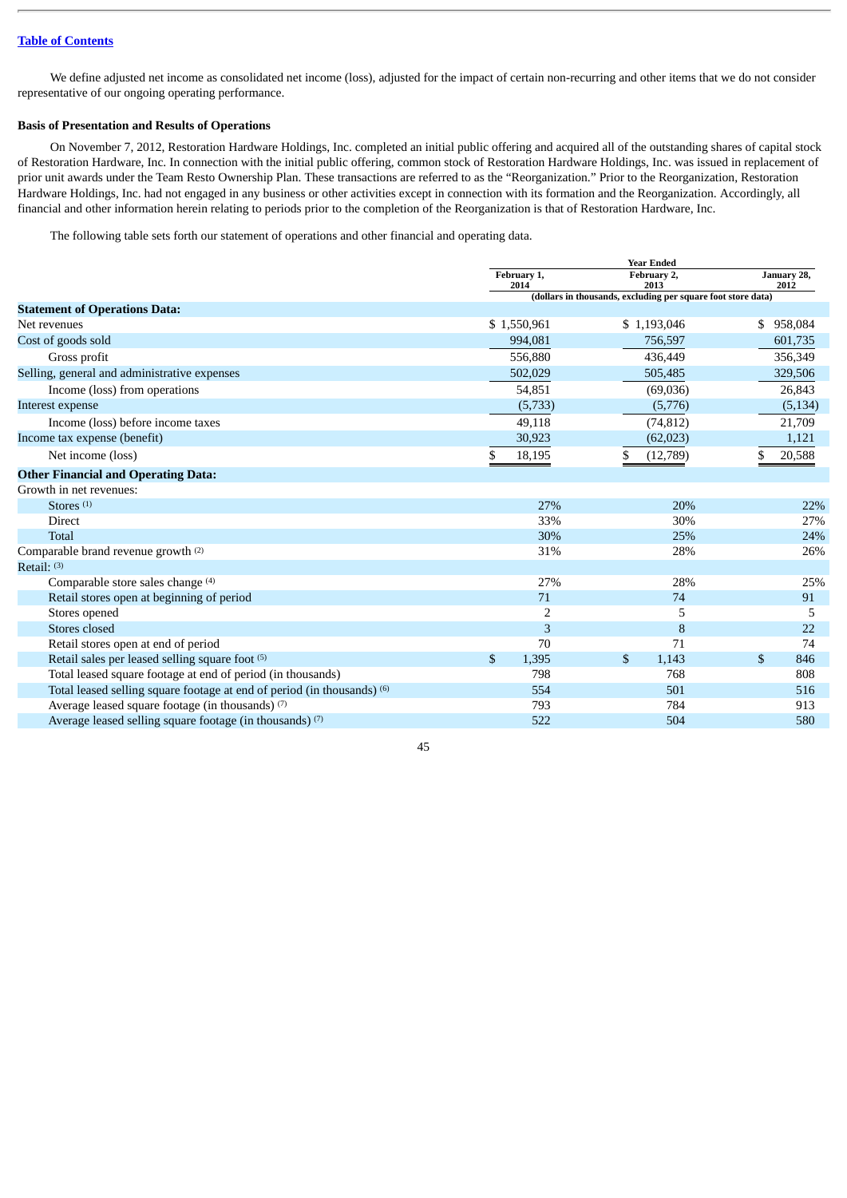We define adjusted net income as consolidated net income (loss), adjusted for the impact of certain non-recurring and other items that we do not consider representative of our ongoing operating performance.

## **Basis of Presentation and Results of Operations**

On November 7, 2012, Restoration Hardware Holdings, Inc. completed an initial public offering and acquired all of the outstanding shares of capital stock of Restoration Hardware, Inc. In connection with the initial public offering, common stock of Restoration Hardware Holdings, Inc. was issued in replacement of prior unit awards under the Team Resto Ownership Plan. These transactions are referred to as the "Reorganization." Prior to the Reorganization, Restoration Hardware Holdings, Inc. had not engaged in any business or other activities except in connection with its formation and the Reorganization. Accordingly, all financial and other information herein relating to periods prior to the completion of the Reorganization is that of Restoration Hardware, Inc.

The following table sets forth our statement of operations and other financial and operating data.

|                                                                         | February 1,<br>2014   | February 2,<br>2013                                          | January 28,<br>2012 |
|-------------------------------------------------------------------------|-----------------------|--------------------------------------------------------------|---------------------|
|                                                                         |                       | (dollars in thousands, excluding per square foot store data) |                     |
| <b>Statement of Operations Data:</b>                                    |                       |                                                              |                     |
| Net revenues                                                            | \$1,550,961           | \$1,193,046                                                  | \$958,084           |
| Cost of goods sold                                                      | 994,081               | 756,597                                                      | 601,735             |
| Gross profit                                                            | 556,880               | 436,449                                                      | 356,349             |
| Selling, general and administrative expenses                            | 502,029               | 505,485                                                      | 329,506             |
| Income (loss) from operations                                           | 54,851                | (69,036)                                                     | 26,843              |
| Interest expense                                                        | (5,733)               | (5,776)                                                      | (5, 134)            |
| Income (loss) before income taxes                                       | 49,118                | (74, 812)                                                    | 21,709              |
| Income tax expense (benefit)                                            | 30,923                | (62, 023)                                                    | 1,121               |
| Net income (loss)                                                       | \$<br>18,195          | \$<br>(12,789)                                               | \$<br>20,588        |
| <b>Other Financial and Operating Data:</b>                              |                       |                                                              |                     |
| Growth in net revenues:                                                 |                       |                                                              |                     |
| Stores $(1)$                                                            |                       | 27%<br>20%                                                   | 22%                 |
| Direct                                                                  |                       | 33%<br>30%                                                   | 27%                 |
| <b>Total</b>                                                            |                       | 30%<br>25%                                                   | 24%                 |
| Comparable brand revenue growth (2)                                     |                       | 31%<br>28%                                                   | 26%                 |
| Retail: $(3)$                                                           |                       |                                                              |                     |
| Comparable store sales change (4)                                       |                       | 27%<br>28%                                                   | 25%                 |
| Retail stores open at beginning of period                               |                       | 71<br>74                                                     | 91                  |
| Stores opened                                                           |                       | 5<br>2                                                       | 5                   |
| Stores closed                                                           |                       | 3<br>8                                                       | 22                  |
| Retail stores open at end of period                                     |                       | 70<br>71                                                     | 74                  |
| Retail sales per leased selling square foot (5)                         | $\mathbb{S}$<br>1,395 | \$<br>1.143                                                  | \$<br>846           |
| Total leased square footage at end of period (in thousands)             |                       | 798<br>768                                                   | 808                 |
| Total leased selling square footage at end of period (in thousands) (6) |                       | 554<br>501                                                   | 516                 |
| Average leased square footage (in thousands) (7)                        |                       | 793<br>784                                                   | 913                 |
| Average leased selling square footage (in thousands) (7)                |                       | 504<br>522                                                   | 580                 |
|                                                                         |                       |                                                              |                     |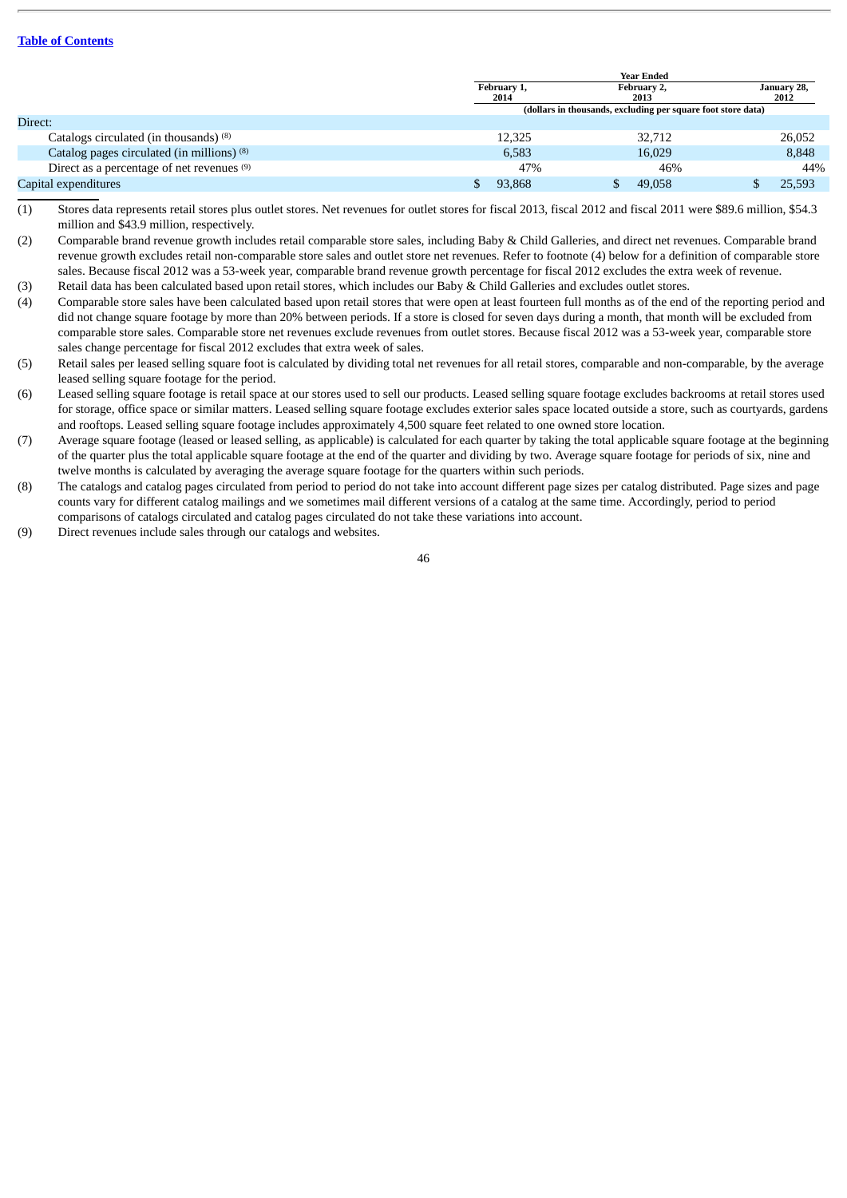|         |                                            | <b>Year Ended</b> |                                                              |             |  |             |  |
|---------|--------------------------------------------|-------------------|--------------------------------------------------------------|-------------|--|-------------|--|
|         |                                            | February 1,       |                                                              | February 2, |  | January 28, |  |
|         |                                            | 2014              |                                                              | 2013        |  | 2012        |  |
|         |                                            |                   | (dollars in thousands, excluding per square foot store data) |             |  |             |  |
| Direct: |                                            |                   |                                                              |             |  |             |  |
|         | Catalogs circulated (in thousands) (8)     | 12,325            |                                                              | 32,712      |  | 26,052      |  |
|         | Catalog pages circulated (in millions) (8) | 6,583             |                                                              | 16.029      |  | 8,848       |  |
|         | Direct as a percentage of net revenues (9) | 47%               |                                                              | 46%         |  | 44%         |  |
|         | Capital expenditures                       | 93.868            |                                                              | 49,058      |  | 25.593      |  |

(1) Stores data represents retail stores plus outlet stores. Net revenues for outlet stores for fiscal 2013, fiscal 2012 and fiscal 2011 were \$89.6 million, \$54.3 million and \$43.9 million, respectively.

- (2) Comparable brand revenue growth includes retail comparable store sales, including Baby & Child Galleries, and direct net revenues. Comparable brand revenue growth excludes retail non-comparable store sales and outlet store net revenues. Refer to footnote (4) below for a definition of comparable store sales. Because fiscal 2012 was a 53-week year, comparable brand revenue growth percentage for fiscal 2012 excludes the extra week of revenue.
- (3) Retail data has been calculated based upon retail stores, which includes our Baby & Child Galleries and excludes outlet stores.
- (4) Comparable store sales have been calculated based upon retail stores that were open at least fourteen full months as of the end of the reporting period and did not change square footage by more than 20% between periods. If a store is closed for seven days during a month, that month will be excluded from comparable store sales. Comparable store net revenues exclude revenues from outlet stores. Because fiscal 2012 was a 53-week year, comparable store sales change percentage for fiscal 2012 excludes that extra week of sales.
- (5) Retail sales per leased selling square foot is calculated by dividing total net revenues for all retail stores, comparable and non-comparable, by the average leased selling square footage for the period.
- (6) Leased selling square footage is retail space at our stores used to sell our products. Leased selling square footage excludes backrooms at retail stores used for storage, office space or similar matters. Leased selling square footage excludes exterior sales space located outside a store, such as courtyards, gardens and rooftops. Leased selling square footage includes approximately 4,500 square feet related to one owned store location.
- (7) Average square footage (leased or leased selling, as applicable) is calculated for each quarter by taking the total applicable square footage at the beginning of the quarter plus the total applicable square footage at the end of the quarter and dividing by two. Average square footage for periods of six, nine and twelve months is calculated by averaging the average square footage for the quarters within such periods.
- (8) The catalogs and catalog pages circulated from period to period do not take into account different page sizes per catalog distributed. Page sizes and page counts vary for different catalog mailings and we sometimes mail different versions of a catalog at the same time. Accordingly, period to period comparisons of catalogs circulated and catalog pages circulated do not take these variations into account.
- (9) Direct revenues include sales through our catalogs and websites.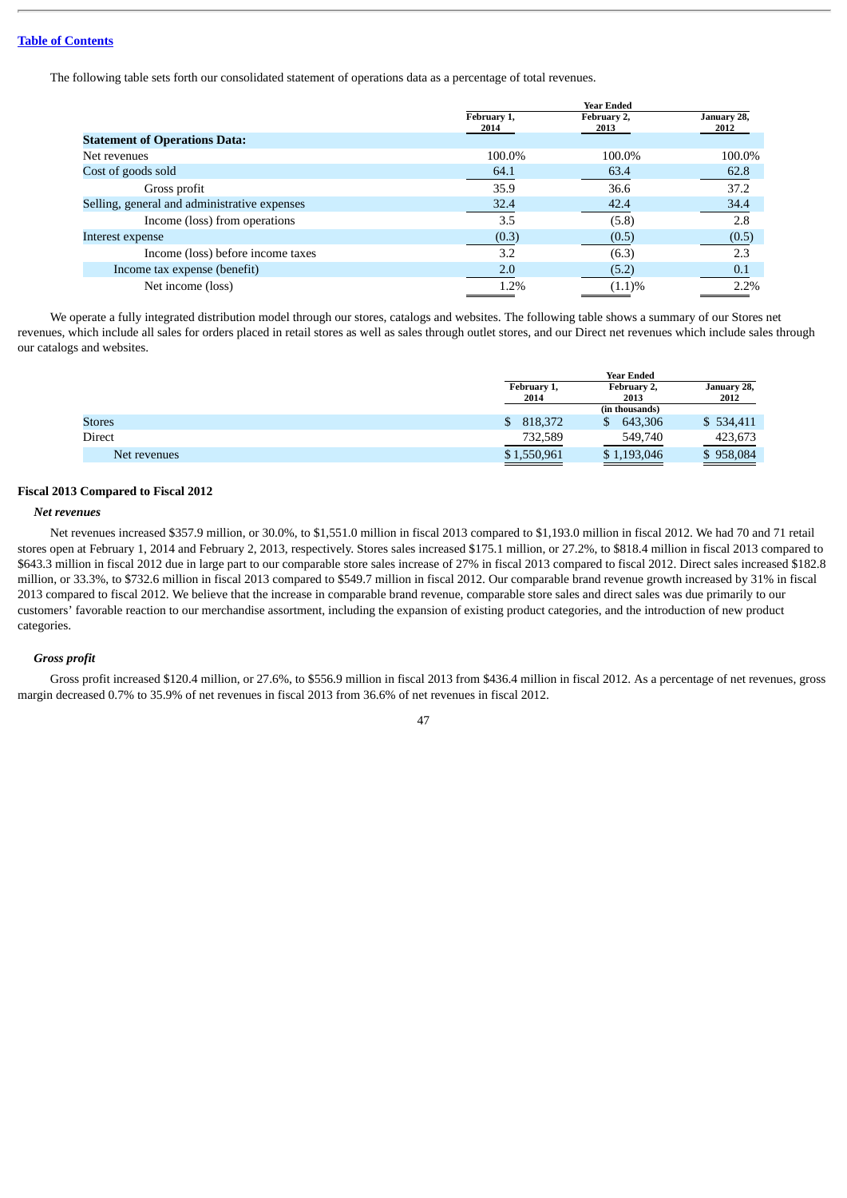The following table sets forth our consolidated statement of operations data as a percentage of total revenues.

|                                              |                     | <b>Year Ended</b>   |                     |  |  |  |
|----------------------------------------------|---------------------|---------------------|---------------------|--|--|--|
|                                              | February 1,<br>2014 | February 2,<br>2013 | January 28,<br>2012 |  |  |  |
| <b>Statement of Operations Data:</b>         |                     |                     |                     |  |  |  |
| Net revenues                                 | 100.0%              | 100.0%              | 100.0%              |  |  |  |
| Cost of goods sold                           | 64.1                | 63.4                | 62.8                |  |  |  |
| Gross profit                                 | 35.9                | 36.6                | 37.2                |  |  |  |
| Selling, general and administrative expenses | 32.4                | 42.4                | 34.4                |  |  |  |
| Income (loss) from operations                | 3.5                 | (5.8)               | 2.8                 |  |  |  |
| Interest expense                             | (0.3)               | (0.5)               | (0.5)               |  |  |  |
| Income (loss) before income taxes            | 3.2                 | (6.3)               | 2.3                 |  |  |  |
| Income tax expense (benefit)                 | 2.0                 | (5.2)               | 0.1                 |  |  |  |
| Net income (loss)                            | 1.2%                | $(1.1)\%$           | 2.2%                |  |  |  |

We operate a fully integrated distribution model through our stores, catalogs and websites. The following table shows a summary of our Stores net revenues, which include all sales for orders placed in retail stores as well as sales through outlet stores, and our Direct net revenues which include sales through our catalogs and websites.

|               |                                            | <b>Year Ended</b> |                     |  |  |
|---------------|--------------------------------------------|-------------------|---------------------|--|--|
|               | February 1,<br>February 2,<br>2014<br>2013 |                   | January 28,<br>2012 |  |  |
|               |                                            | (in thousands)    |                     |  |  |
| <b>Stores</b> | 818,372                                    | 643,306           | \$534,411           |  |  |
| Direct        | 732,589                                    | 549,740           | 423,673             |  |  |
| Net revenues  | \$1,550,961                                | \$1,193,046       | \$958,084           |  |  |

## **Fiscal 2013 Compared to Fiscal 2012**

## *Net revenues*

Net revenues increased \$357.9 million, or 30.0%, to \$1,551.0 million in fiscal 2013 compared to \$1,193.0 million in fiscal 2012. We had 70 and 71 retail stores open at February 1, 2014 and February 2, 2013, respectively. Stores sales increased \$175.1 million, or 27.2%, to \$818.4 million in fiscal 2013 compared to \$643.3 million in fiscal 2012 due in large part to our comparable store sales increase of 27% in fiscal 2013 compared to fiscal 2012. Direct sales increased \$182.8 million, or 33.3%, to \$732.6 million in fiscal 2013 compared to \$549.7 million in fiscal 2012. Our comparable brand revenue growth increased by 31% in fiscal 2013 compared to fiscal 2012. We believe that the increase in comparable brand revenue, comparable store sales and direct sales was due primarily to our customers' favorable reaction to our merchandise assortment, including the expansion of existing product categories, and the introduction of new product categories.

#### *Gross profit*

Gross profit increased \$120.4 million, or 27.6%, to \$556.9 million in fiscal 2013 from \$436.4 million in fiscal 2012. As a percentage of net revenues, gross margin decreased 0.7% to 35.9% of net revenues in fiscal 2013 from 36.6% of net revenues in fiscal 2012.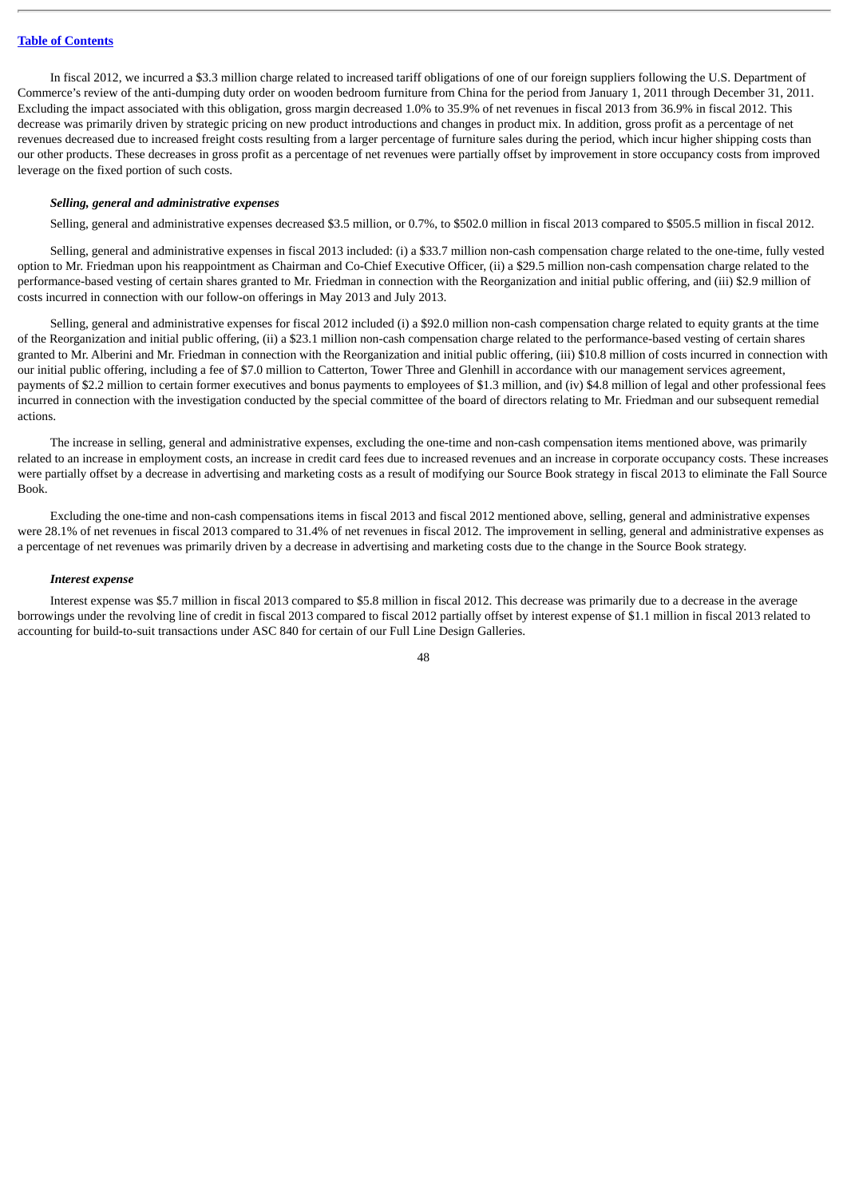In fiscal 2012, we incurred a \$3.3 million charge related to increased tariff obligations of one of our foreign suppliers following the U.S. Department of Commerce's review of the anti-dumping duty order on wooden bedroom furniture from China for the period from January 1, 2011 through December 31, 2011. Excluding the impact associated with this obligation, gross margin decreased 1.0% to 35.9% of net revenues in fiscal 2013 from 36.9% in fiscal 2012. This decrease was primarily driven by strategic pricing on new product introductions and changes in product mix. In addition, gross profit as a percentage of net revenues decreased due to increased freight costs resulting from a larger percentage of furniture sales during the period, which incur higher shipping costs than our other products. These decreases in gross profit as a percentage of net revenues were partially offset by improvement in store occupancy costs from improved leverage on the fixed portion of such costs.

### *Selling, general and administrative expenses*

Selling, general and administrative expenses decreased \$3.5 million, or 0.7%, to \$502.0 million in fiscal 2013 compared to \$505.5 million in fiscal 2012.

Selling, general and administrative expenses in fiscal 2013 included: (i) a \$33.7 million non-cash compensation charge related to the one-time, fully vested option to Mr. Friedman upon his reappointment as Chairman and Co-Chief Executive Officer, (ii) a \$29.5 million non-cash compensation charge related to the performance-based vesting of certain shares granted to Mr. Friedman in connection with the Reorganization and initial public offering, and (iii) \$2.9 million of costs incurred in connection with our follow-on offerings in May 2013 and July 2013.

Selling, general and administrative expenses for fiscal 2012 included (i) a \$92.0 million non-cash compensation charge related to equity grants at the time of the Reorganization and initial public offering, (ii) a \$23.1 million non-cash compensation charge related to the performance-based vesting of certain shares granted to Mr. Alberini and Mr. Friedman in connection with the Reorganization and initial public offering, (iii) \$10.8 million of costs incurred in connection with our initial public offering, including a fee of \$7.0 million to Catterton, Tower Three and Glenhill in accordance with our management services agreement, payments of \$2.2 million to certain former executives and bonus payments to employees of \$1.3 million, and (iv) \$4.8 million of legal and other professional fees incurred in connection with the investigation conducted by the special committee of the board of directors relating to Mr. Friedman and our subsequent remedial actions.

The increase in selling, general and administrative expenses, excluding the one-time and non-cash compensation items mentioned above, was primarily related to an increase in employment costs, an increase in credit card fees due to increased revenues and an increase in corporate occupancy costs. These increases were partially offset by a decrease in advertising and marketing costs as a result of modifying our Source Book strategy in fiscal 2013 to eliminate the Fall Source Book.

Excluding the one-time and non-cash compensations items in fiscal 2013 and fiscal 2012 mentioned above, selling, general and administrative expenses were 28.1% of net revenues in fiscal 2013 compared to 31.4% of net revenues in fiscal 2012. The improvement in selling, general and administrative expenses as a percentage of net revenues was primarily driven by a decrease in advertising and marketing costs due to the change in the Source Book strategy.

#### *Interest expense*

Interest expense was \$5.7 million in fiscal 2013 compared to \$5.8 million in fiscal 2012. This decrease was primarily due to a decrease in the average borrowings under the revolving line of credit in fiscal 2013 compared to fiscal 2012 partially offset by interest expense of \$1.1 million in fiscal 2013 related to accounting for build-to-suit transactions under ASC 840 for certain of our Full Line Design Galleries.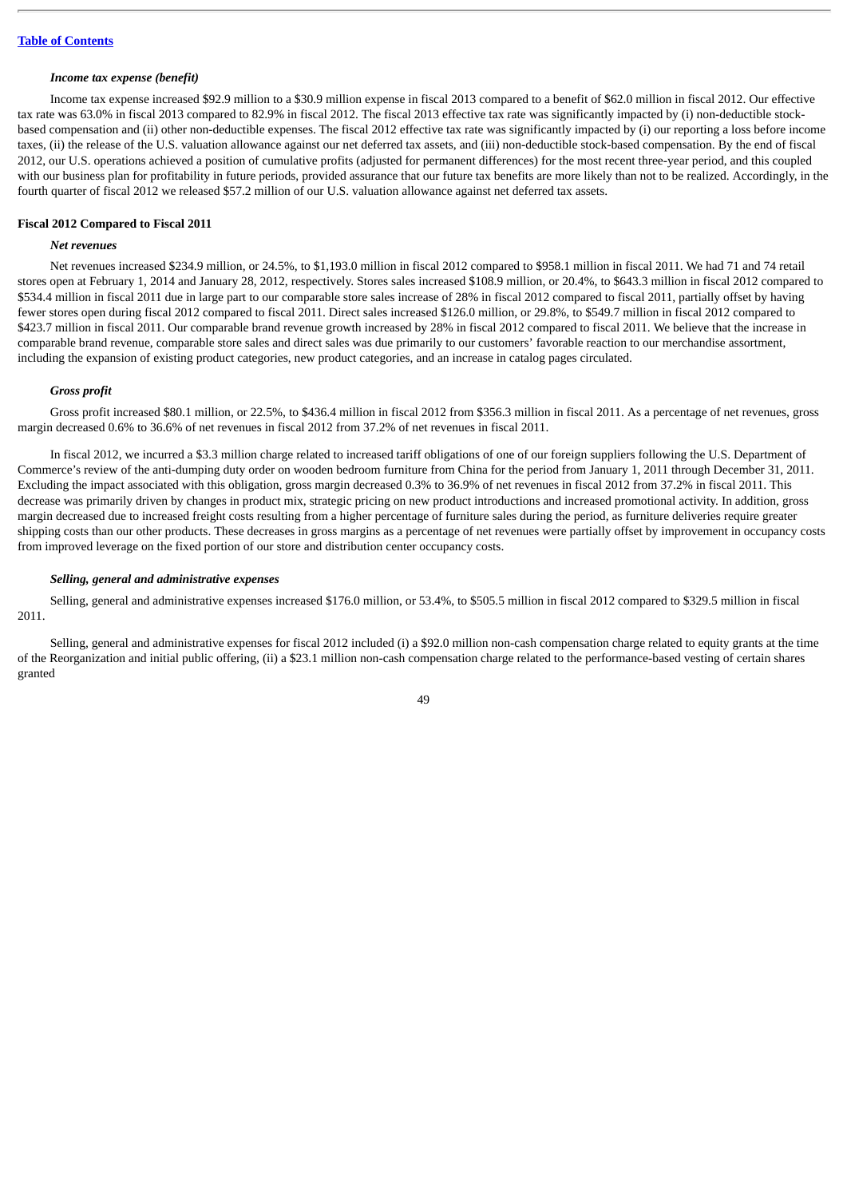#### *Income tax expense (benefit)*

Income tax expense increased \$92.9 million to a \$30.9 million expense in fiscal 2013 compared to a benefit of \$62.0 million in fiscal 2012. Our effective tax rate was 63.0% in fiscal 2013 compared to 82.9% in fiscal 2012. The fiscal 2013 effective tax rate was significantly impacted by (i) non-deductible stockbased compensation and (ii) other non-deductible expenses. The fiscal 2012 effective tax rate was significantly impacted by (i) our reporting a loss before income taxes, (ii) the release of the U.S. valuation allowance against our net deferred tax assets, and (iii) non-deductible stock-based compensation. By the end of fiscal 2012, our U.S. operations achieved a position of cumulative profits (adjusted for permanent differences) for the most recent three-year period, and this coupled with our business plan for profitability in future periods, provided assurance that our future tax benefits are more likely than not to be realized. Accordingly, in the fourth quarter of fiscal 2012 we released \$57.2 million of our U.S. valuation allowance against net deferred tax assets.

## **Fiscal 2012 Compared to Fiscal 2011**

#### *Net revenues*

Net revenues increased \$234.9 million, or 24.5%, to \$1,193.0 million in fiscal 2012 compared to \$958.1 million in fiscal 2011. We had 71 and 74 retail stores open at February 1, 2014 and January 28, 2012, respectively. Stores sales increased \$108.9 million, or 20.4%, to \$643.3 million in fiscal 2012 compared to \$534.4 million in fiscal 2011 due in large part to our comparable store sales increase of 28% in fiscal 2012 compared to fiscal 2011, partially offset by having fewer stores open during fiscal 2012 compared to fiscal 2011. Direct sales increased \$126.0 million, or 29.8%, to \$549.7 million in fiscal 2012 compared to \$423.7 million in fiscal 2011. Our comparable brand revenue growth increased by 28% in fiscal 2012 compared to fiscal 2011. We believe that the increase in comparable brand revenue, comparable store sales and direct sales was due primarily to our customers' favorable reaction to our merchandise assortment, including the expansion of existing product categories, new product categories, and an increase in catalog pages circulated.

### *Gross profit*

Gross profit increased \$80.1 million, or 22.5%, to \$436.4 million in fiscal 2012 from \$356.3 million in fiscal 2011. As a percentage of net revenues, gross margin decreased 0.6% to 36.6% of net revenues in fiscal 2012 from 37.2% of net revenues in fiscal 2011.

In fiscal 2012, we incurred a \$3.3 million charge related to increased tariff obligations of one of our foreign suppliers following the U.S. Department of Commerce's review of the anti-dumping duty order on wooden bedroom furniture from China for the period from January 1, 2011 through December 31, 2011. Excluding the impact associated with this obligation, gross margin decreased 0.3% to 36.9% of net revenues in fiscal 2012 from 37.2% in fiscal 2011. This decrease was primarily driven by changes in product mix, strategic pricing on new product introductions and increased promotional activity. In addition, gross margin decreased due to increased freight costs resulting from a higher percentage of furniture sales during the period, as furniture deliveries require greater shipping costs than our other products. These decreases in gross margins as a percentage of net revenues were partially offset by improvement in occupancy costs from improved leverage on the fixed portion of our store and distribution center occupancy costs.

#### *Selling, general and administrative expenses*

Selling, general and administrative expenses increased \$176.0 million, or 53.4%, to \$505.5 million in fiscal 2012 compared to \$329.5 million in fiscal 2011.

Selling, general and administrative expenses for fiscal 2012 included (i) a \$92.0 million non-cash compensation charge related to equity grants at the time of the Reorganization and initial public offering, (ii) a \$23.1 million non-cash compensation charge related to the performance-based vesting of certain shares granted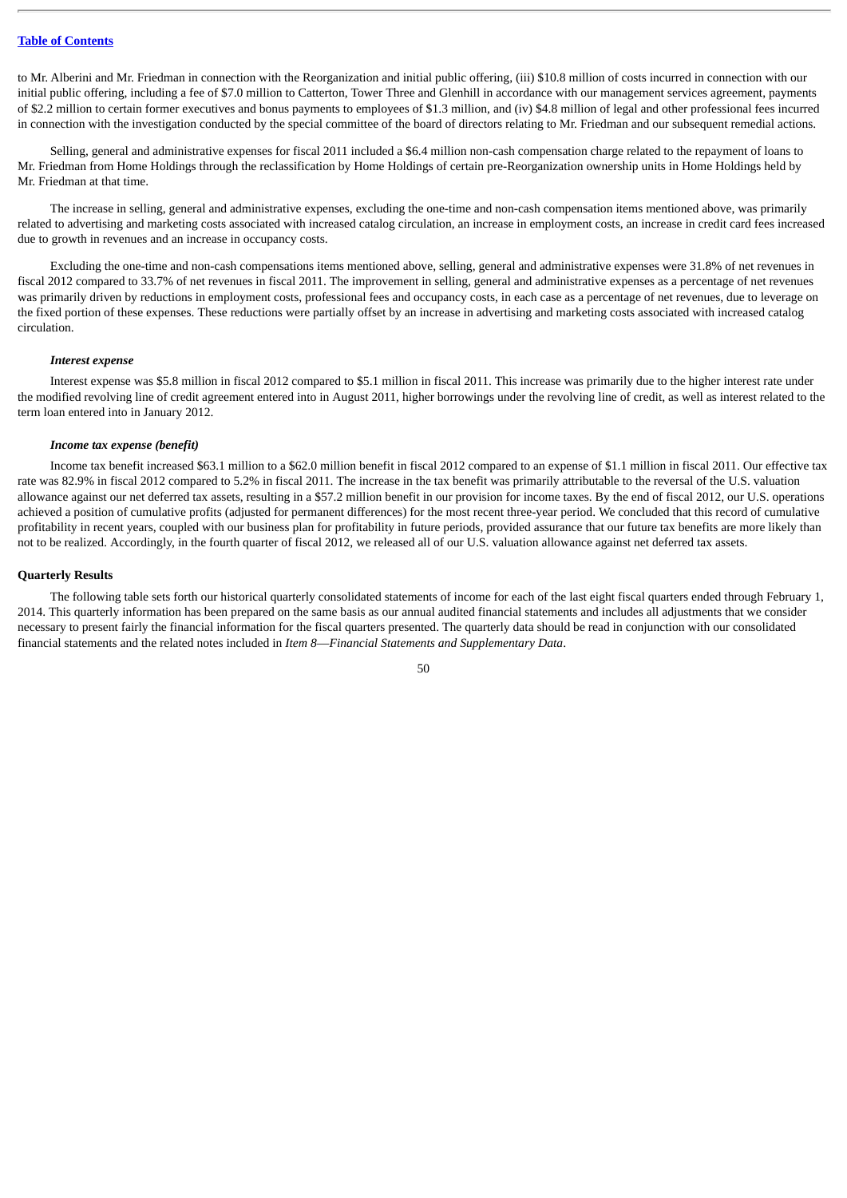to Mr. Alberini and Mr. Friedman in connection with the Reorganization and initial public offering, (iii) \$10.8 million of costs incurred in connection with our initial public offering, including a fee of \$7.0 million to Catterton, Tower Three and Glenhill in accordance with our management services agreement, payments of \$2.2 million to certain former executives and bonus payments to employees of \$1.3 million, and (iv) \$4.8 million of legal and other professional fees incurred in connection with the investigation conducted by the special committee of the board of directors relating to Mr. Friedman and our subsequent remedial actions.

Selling, general and administrative expenses for fiscal 2011 included a \$6.4 million non-cash compensation charge related to the repayment of loans to Mr. Friedman from Home Holdings through the reclassification by Home Holdings of certain pre-Reorganization ownership units in Home Holdings held by Mr. Friedman at that time.

The increase in selling, general and administrative expenses, excluding the one-time and non-cash compensation items mentioned above, was primarily related to advertising and marketing costs associated with increased catalog circulation, an increase in employment costs, an increase in credit card fees increased due to growth in revenues and an increase in occupancy costs.

Excluding the one-time and non-cash compensations items mentioned above, selling, general and administrative expenses were 31.8% of net revenues in fiscal 2012 compared to 33.7% of net revenues in fiscal 2011. The improvement in selling, general and administrative expenses as a percentage of net revenues was primarily driven by reductions in employment costs, professional fees and occupancy costs, in each case as a percentage of net revenues, due to leverage on the fixed portion of these expenses. These reductions were partially offset by an increase in advertising and marketing costs associated with increased catalog circulation.

#### *Interest expense*

Interest expense was \$5.8 million in fiscal 2012 compared to \$5.1 million in fiscal 2011. This increase was primarily due to the higher interest rate under the modified revolving line of credit agreement entered into in August 2011, higher borrowings under the revolving line of credit, as well as interest related to the term loan entered into in January 2012.

### *Income tax expense (benefit)*

Income tax benefit increased \$63.1 million to a \$62.0 million benefit in fiscal 2012 compared to an expense of \$1.1 million in fiscal 2011. Our effective tax rate was 82.9% in fiscal 2012 compared to 5.2% in fiscal 2011. The increase in the tax benefit was primarily attributable to the reversal of the U.S. valuation allowance against our net deferred tax assets, resulting in a \$57.2 million benefit in our provision for income taxes. By the end of fiscal 2012, our U.S. operations achieved a position of cumulative profits (adjusted for permanent differences) for the most recent three-year period. We concluded that this record of cumulative profitability in recent years, coupled with our business plan for profitability in future periods, provided assurance that our future tax benefits are more likely than not to be realized. Accordingly, in the fourth quarter of fiscal 2012, we released all of our U.S. valuation allowance against net deferred tax assets.

#### **Quarterly Results**

The following table sets forth our historical quarterly consolidated statements of income for each of the last eight fiscal quarters ended through February 1, 2014. This quarterly information has been prepared on the same basis as our annual audited financial statements and includes all adjustments that we consider necessary to present fairly the financial information for the fiscal quarters presented. The quarterly data should be read in conjunction with our consolidated financial statements and the related notes included in *Item 8*—*Financial Statements and Supplementary Data*.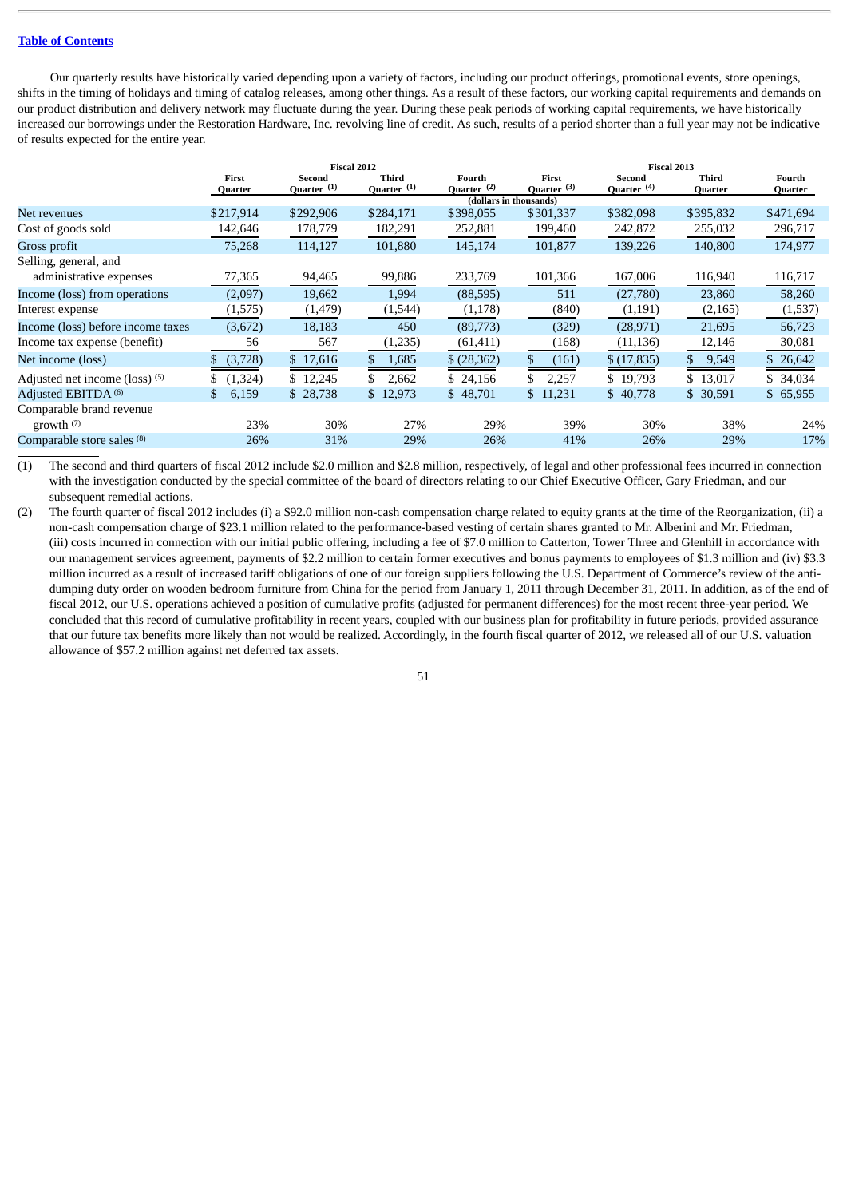Our quarterly results have historically varied depending upon a variety of factors, including our product offerings, promotional events, store openings, shifts in the timing of holidays and timing of catalog releases, among other things. As a result of these factors, our working capital requirements and demands on our product distribution and delivery network may fluctuate during the year. During these peak periods of working capital requirements, we have historically increased our borrowings under the Restoration Hardware, Inc. revolving line of credit. As such, results of a period shorter than a full year may not be indicative of results expected for the entire year.

|                                   |           | Fiscal 2012                      |                                        |                                  |                                 | Fiscal 2013                      |                       |               |  |  |
|-----------------------------------|-----------|----------------------------------|----------------------------------------|----------------------------------|---------------------------------|----------------------------------|-----------------------|---------------|--|--|
|                                   | First     | Second<br>Quarter <sup>(1)</sup> | <b>Third</b><br>Quarter <sup>(1)</sup> | Fourth<br>Quarter <sup>(2)</sup> | First<br>Quarter <sup>(3)</sup> | Second<br>Quarter <sup>(4)</sup> | <b>Third</b>          | Fourth        |  |  |
|                                   | Quarter   |                                  |                                        | (dollars in thousands)           |                                 |                                  | Quarter               | Quarter       |  |  |
| Net revenues                      | \$217,914 | \$292,906                        | \$284,171                              | \$398,055                        | \$301,337                       | \$382,098                        | \$395,832             | \$471,694     |  |  |
| Cost of goods sold                | 142,646   | 178,779                          | 182,291                                | 252,881                          | 199,460                         | 242,872                          | 255,032               | 296,717       |  |  |
| Gross profit                      | 75,268    | 114,127                          | 101,880                                | 145,174                          | 101,877                         | 139,226                          | 140,800               | 174,977       |  |  |
| Selling, general, and             |           |                                  |                                        |                                  |                                 |                                  |                       |               |  |  |
| administrative expenses           | 77,365    | 94,465                           | 99,886                                 | 233,769                          | 101,366                         | 167,006                          | 116,940               | 116,717       |  |  |
| Income (loss) from operations     | (2,097)   | 19,662                           | 1,994                                  | (88, 595)                        | 511                             | (27,780)                         | 23,860                | 58,260        |  |  |
| Interest expense                  | (1, 575)  | (1, 479)                         | (1,544)                                | (1,178)                          | (840)                           | (1,191)                          | (2, 165)              | (1,537)       |  |  |
| Income (loss) before income taxes | (3,672)   | 18,183                           | 450                                    | (89,773)                         | (329)                           | (28,971)                         | 21,695                | 56,723        |  |  |
| Income tax expense (benefit)      | 56        | 567                              | (1,235)                                | (61, 411)                        | (168)                           | (11, 136)                        | 12,146                | 30,081        |  |  |
| Net income (loss)                 | (3,728)   | \$17,616                         | 1,685<br>\$                            | \$(28, 362)                      | (161)<br>\$                     | \$(17,835)                       | 9,549<br>$\mathbb{S}$ | 26,642<br>\$  |  |  |
| Adjusted net income (loss) (5)    | (1,324)   | \$12,245                         | 2,662<br>\$.                           | \$24,156                         | 2,257                           | \$19,793                         | \$13,017              | \$.<br>34,034 |  |  |
| Adjusted EBITDA (6)               | 6,159     | \$28,738                         | \$12,973                               | \$48,701                         | 11,231<br>S.                    | \$40,778                         | \$ 30,591             | \$65,955      |  |  |
| Comparable brand revenue          |           |                                  |                                        |                                  |                                 |                                  |                       |               |  |  |
| growth $(7)$                      | 23%       | 30%                              | 27%                                    | 29%                              | 39%                             | 30%                              | 38%                   | 24%           |  |  |
| Comparable store sales (8)        | 26%       | 31%                              | 29%                                    | 26%                              | 41%                             | 26%                              | 29%                   | 17%           |  |  |

(1) The second and third quarters of fiscal 2012 include \$2.0 million and \$2.8 million, respectively, of legal and other professional fees incurred in connection with the investigation conducted by the special committee of the board of directors relating to our Chief Executive Officer, Gary Friedman, and our subsequent remedial actions.

(2) The fourth quarter of fiscal 2012 includes (i) a \$92.0 million non-cash compensation charge related to equity grants at the time of the Reorganization, (ii) a non-cash compensation charge of \$23.1 million related to the performance-based vesting of certain shares granted to Mr. Alberini and Mr. Friedman, (iii) costs incurred in connection with our initial public offering, including a fee of \$7.0 million to Catterton, Tower Three and Glenhill in accordance with our management services agreement, payments of \$2.2 million to certain former executives and bonus payments to employees of \$1.3 million and (iv) \$3.3 million incurred as a result of increased tariff obligations of one of our foreign suppliers following the U.S. Department of Commerce's review of the antidumping duty order on wooden bedroom furniture from China for the period from January 1, 2011 through December 31, 2011. In addition, as of the end of fiscal 2012, our U.S. operations achieved a position of cumulative profits (adjusted for permanent differences) for the most recent three-year period. We concluded that this record of cumulative profitability in recent years, coupled with our business plan for profitability in future periods, provided assurance that our future tax benefits more likely than not would be realized. Accordingly, in the fourth fiscal quarter of 2012, we released all of our U.S. valuation allowance of \$57.2 million against net deferred tax assets.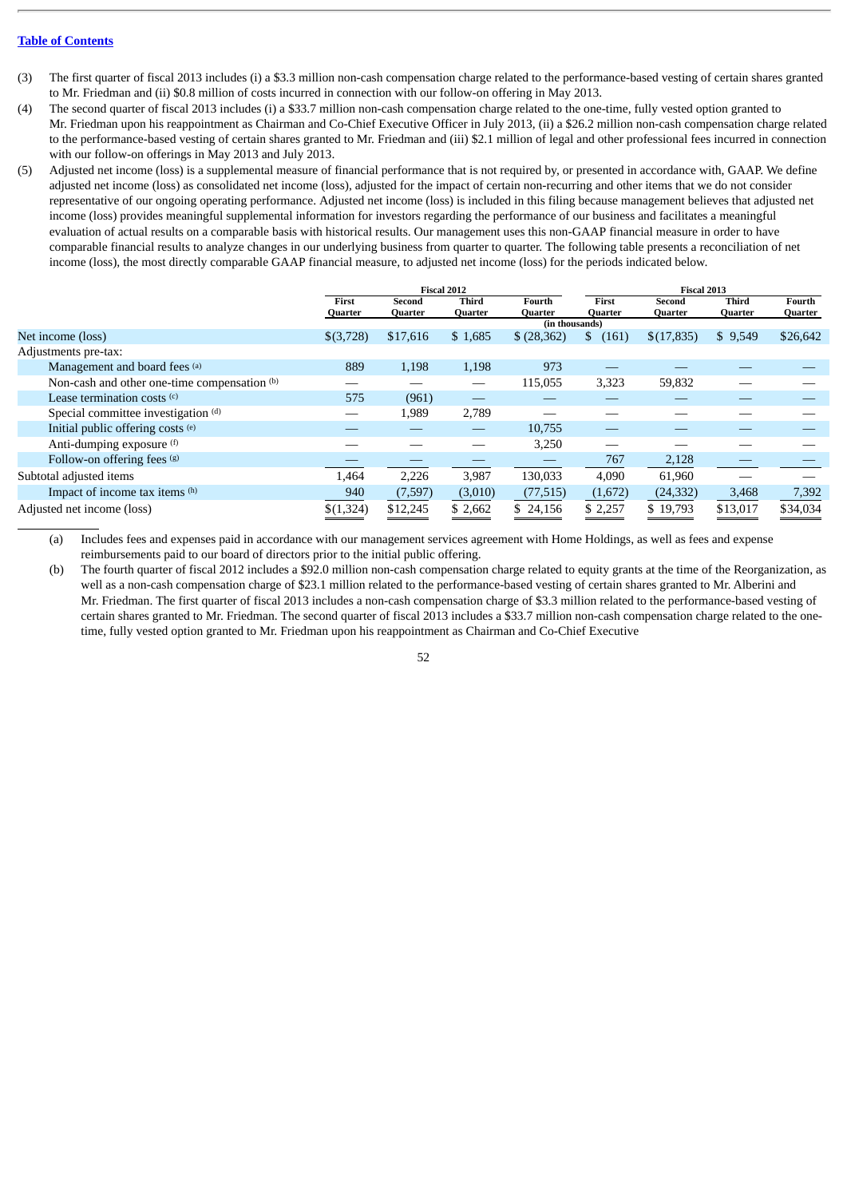- (3) The first quarter of fiscal 2013 includes (i) a \$3.3 million non-cash compensation charge related to the performance-based vesting of certain shares granted to Mr. Friedman and (ii) \$0.8 million of costs incurred in connection with our follow-on offering in May 2013.
- (4) The second quarter of fiscal 2013 includes (i) a \$33.7 million non-cash compensation charge related to the one-time, fully vested option granted to Mr. Friedman upon his reappointment as Chairman and Co-Chief Executive Officer in July 2013, (ii) a \$26.2 million non-cash compensation charge related to the performance-based vesting of certain shares granted to Mr. Friedman and (iii) \$2.1 million of legal and other professional fees incurred in connection with our follow-on offerings in May 2013 and July 2013.
- (5) Adjusted net income (loss) is a supplemental measure of financial performance that is not required by, or presented in accordance with, GAAP. We define adjusted net income (loss) as consolidated net income (loss), adjusted for the impact of certain non-recurring and other items that we do not consider representative of our ongoing operating performance. Adjusted net income (loss) is included in this filing because management believes that adjusted net income (loss) provides meaningful supplemental information for investors regarding the performance of our business and facilitates a meaningful evaluation of actual results on a comparable basis with historical results. Our management uses this non-GAAP financial measure in order to have comparable financial results to analyze changes in our underlying business from quarter to quarter. The following table presents a reconciliation of net income (loss), the most directly comparable GAAP financial measure, to adjusted net income (loss) for the periods indicated below.

|                                              | Fiscal 2012      |                   |                  |                   |                  | Fiscal 2013       |                  |                   |
|----------------------------------------------|------------------|-------------------|------------------|-------------------|------------------|-------------------|------------------|-------------------|
|                                              | First<br>Quarter | Second<br>Quarter | Third<br>Quarter | Fourth<br>Quarter | First<br>Quarter | Second<br>Quarter | Third<br>Quarter | Fourth<br>Quarter |
|                                              |                  |                   |                  | (in thousands)    |                  |                   |                  |                   |
| Net income (loss)                            | \$(3,728)        | \$17,616          | \$1,685          | \$(28,362)        | \$<br>(161)      | \$(17, 835)       | \$9,549          | \$26,642          |
| Adjustments pre-tax:                         |                  |                   |                  |                   |                  |                   |                  |                   |
| Management and board fees (a)                | 889              | 1,198             | 1,198            | 973               |                  |                   |                  |                   |
| Non-cash and other one-time compensation (b) |                  |                   |                  | 115,055           | 3,323            | 59,832            |                  |                   |
| Lease termination costs $(c)$                | 575              | (961)             |                  |                   |                  |                   |                  |                   |
| Special committee investigation (d)          |                  | 1,989             | 2,789            |                   |                  |                   |                  |                   |
| Initial public offering costs (e)            |                  |                   |                  | 10,755            |                  |                   |                  |                   |
| Anti-dumping exposure (f)                    |                  |                   |                  | 3,250             |                  |                   |                  |                   |
| Follow-on offering fees (g)                  |                  |                   |                  |                   | 767              | 2,128             |                  |                   |
| Subtotal adjusted items                      | 1,464            | 2,226             | 3,987            | 130,033           | 4,090            | 61,960            |                  |                   |
| Impact of income tax items (h)               | 940              | (7,597)           | (3,010)          | (77, 515)         | (1,672)          | (24, 332)         | 3,468            | 7,392             |
| Adjusted net income (loss)                   | \$(1,324)        | \$12,245          | \$2,662          | \$24,156          | \$2,257          | \$19,793          | \$13,017         | \$34,034          |

(a) Includes fees and expenses paid in accordance with our management services agreement with Home Holdings, as well as fees and expense reimbursements paid to our board of directors prior to the initial public offering.

(b) The fourth quarter of fiscal 2012 includes a \$92.0 million non-cash compensation charge related to equity grants at the time of the Reorganization, as well as a non-cash compensation charge of \$23.1 million related to the performance-based vesting of certain shares granted to Mr. Alberini and Mr. Friedman. The first quarter of fiscal 2013 includes a non-cash compensation charge of \$3.3 million related to the performance-based vesting of certain shares granted to Mr. Friedman. The second quarter of fiscal 2013 includes a \$33.7 million non-cash compensation charge related to the onetime, fully vested option granted to Mr. Friedman upon his reappointment as Chairman and Co-Chief Executive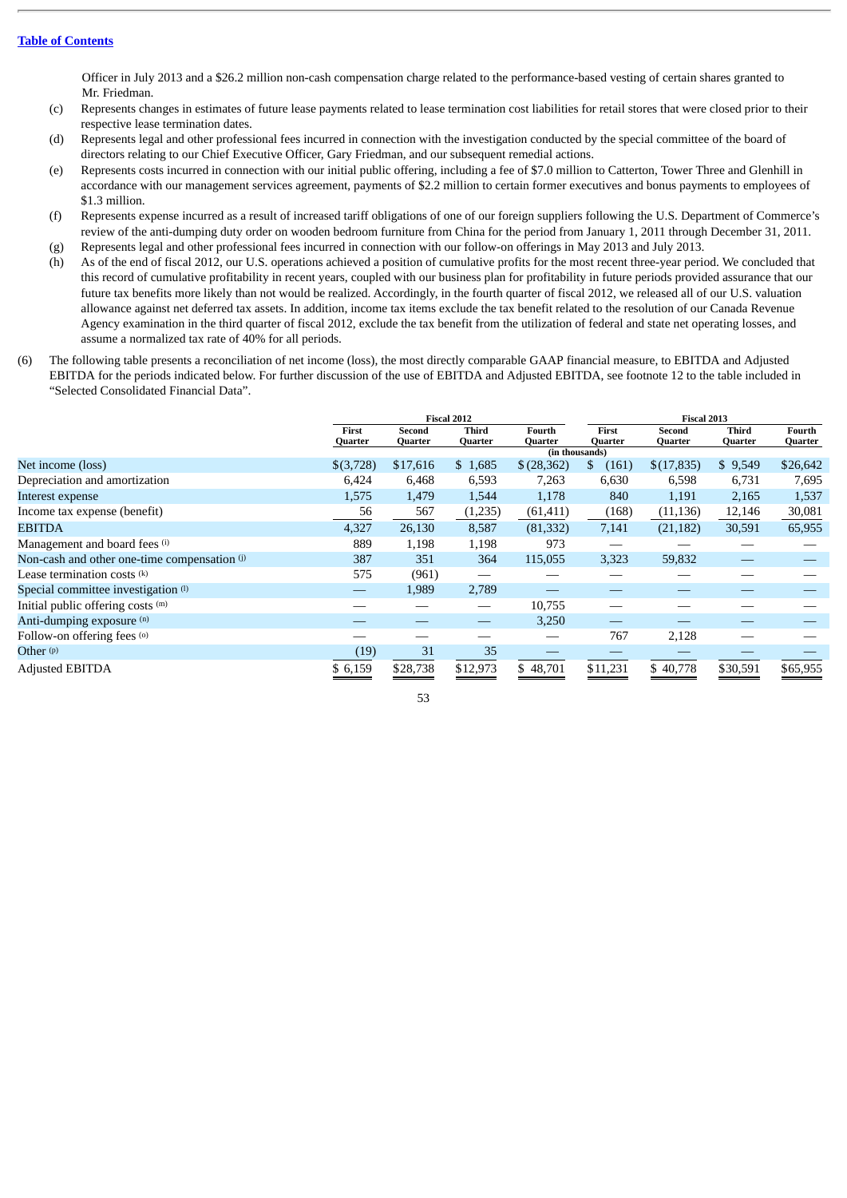Officer in July 2013 and a \$26.2 million non-cash compensation charge related to the performance-based vesting of certain shares granted to Mr. Friedman.

- (c) Represents changes in estimates of future lease payments related to lease termination cost liabilities for retail stores that were closed prior to their respective lease termination dates.
- (d) Represents legal and other professional fees incurred in connection with the investigation conducted by the special committee of the board of directors relating to our Chief Executive Officer, Gary Friedman, and our subsequent remedial actions.
- (e) Represents costs incurred in connection with our initial public offering, including a fee of \$7.0 million to Catterton, Tower Three and Glenhill in accordance with our management services agreement, payments of \$2.2 million to certain former executives and bonus payments to employees of \$1.3 million.
- (f) Represents expense incurred as a result of increased tariff obligations of one of our foreign suppliers following the U.S. Department of Commerce's review of the anti-dumping duty order on wooden bedroom furniture from China for the period from January 1, 2011 through December 31, 2011.
- (g) Represents legal and other professional fees incurred in connection with our follow-on offerings in May 2013 and July 2013.
- (h) As of the end of fiscal 2012, our U.S. operations achieved a position of cumulative profits for the most recent three-year period. We concluded that this record of cumulative profitability in recent years, coupled with our business plan for profitability in future periods provided assurance that our future tax benefits more likely than not would be realized. Accordingly, in the fourth quarter of fiscal 2012, we released all of our U.S. valuation allowance against net deferred tax assets. In addition, income tax items exclude the tax benefit related to the resolution of our Canada Revenue Agency examination in the third quarter of fiscal 2012, exclude the tax benefit from the utilization of federal and state net operating losses, and assume a normalized tax rate of 40% for all periods.
- (6) The following table presents a reconciliation of net income (loss), the most directly comparable GAAP financial measure, to EBITDA and Adjusted EBITDA for the periods indicated below. For further discussion of the use of EBITDA and Adjusted EBITDA, see footnote 12 to the table included in "Selected Consolidated Financial Data".

|                                              | Fiscal 2012 |          |          |            | <b>Fiscal 2013</b> |             |          |          |
|----------------------------------------------|-------------|----------|----------|------------|--------------------|-------------|----------|----------|
|                                              | First       | Second   | Third    | Fourth     | First              | Second      | Third    | Fourth   |
|                                              | Quarter     | Quarter  | Quarter  | Quarter    | Quarter            | Quarter     | Quarter  | Quarter  |
|                                              |             |          |          |            | (in thousands)     |             |          |          |
| Net income (loss)                            | \$(3,728)   | \$17,616 | \$1,685  | \$(28,362) | (161)              | \$(17, 835) | \$9,549  | \$26,642 |
| Depreciation and amortization                | 6,424       | 6,468    | 6,593    | 7,263      | 6,630              | 6,598       | 6,731    | 7,695    |
| Interest expense                             | 1,575       | 1,479    | 1,544    | 1,178      | 840                | 1,191       | 2,165    | 1,537    |
| Income tax expense (benefit)                 | 56          | 567      | (1,235)  | (61, 411)  | (168)              | (11, 136)   | 12,146   | 30,081   |
| <b>EBITDA</b>                                | 4,327       | 26,130   | 8,587    | (81, 332)  | 7,141              | (21, 182)   | 30,591   | 65,955   |
| Management and board fees (i)                | 889         | 1,198    | 1,198    | 973        | __                 |             |          |          |
| Non-cash and other one-time compensation (i) | 387         | 351      | 364      | 115,055    | 3,323              | 59,832      |          |          |
| Lease termination costs (k)                  | 575         | (961)    |          |            |                    |             |          |          |
| Special committee investigation (l)          |             | 1,989    | 2,789    |            |                    |             |          |          |
| Initial public offering costs $(m)$          |             |          |          | 10,755     |                    |             |          |          |
| Anti-dumping exposure (n)                    |             |          |          | 3,250      |                    |             |          |          |
| Follow-on offering fees (o)                  |             |          |          |            | 767                | 2,128       |          |          |
| Other $(p)$                                  | (19)        | 31       | 35       |            |                    |             |          |          |
| Adjusted EBITDA                              | \$6,159     | \$28,738 | \$12,973 | \$48,701   | \$11,231           | \$40,778    | \$30,591 | \$65,955 |

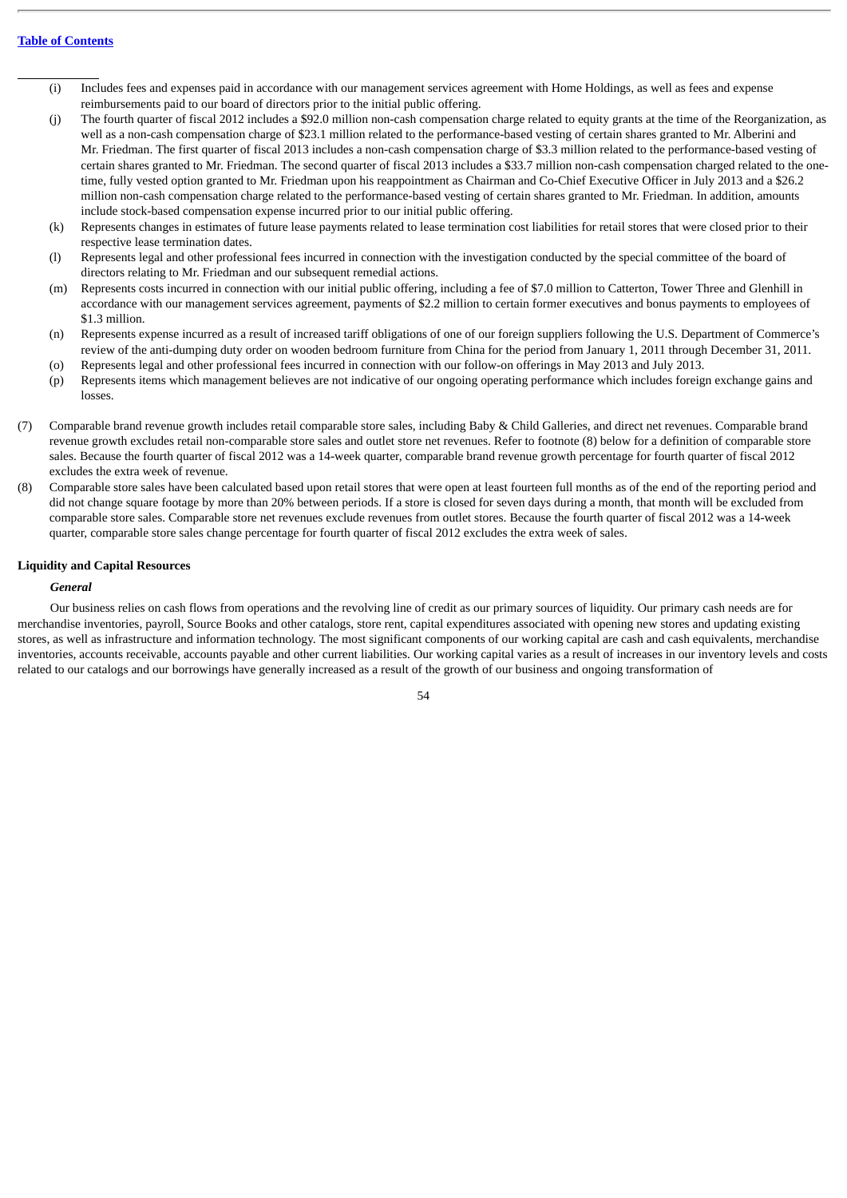- (i) Includes fees and expenses paid in accordance with our management services agreement with Home Holdings, as well as fees and expense reimbursements paid to our board of directors prior to the initial public offering.
- (j) The fourth quarter of fiscal 2012 includes a \$92.0 million non-cash compensation charge related to equity grants at the time of the Reorganization, as well as a non-cash compensation charge of \$23.1 million related to the performance-based vesting of certain shares granted to Mr. Alberini and Mr. Friedman. The first quarter of fiscal 2013 includes a non-cash compensation charge of \$3.3 million related to the performance-based vesting of certain shares granted to Mr. Friedman. The second quarter of fiscal 2013 includes a \$33.7 million non-cash compensation charged related to the onetime, fully vested option granted to Mr. Friedman upon his reappointment as Chairman and Co-Chief Executive Officer in July 2013 and a \$26.2 million non-cash compensation charge related to the performance-based vesting of certain shares granted to Mr. Friedman. In addition, amounts include stock-based compensation expense incurred prior to our initial public offering.
- (k) Represents changes in estimates of future lease payments related to lease termination cost liabilities for retail stores that were closed prior to their respective lease termination dates.
- (l) Represents legal and other professional fees incurred in connection with the investigation conducted by the special committee of the board of directors relating to Mr. Friedman and our subsequent remedial actions.
- (m) Represents costs incurred in connection with our initial public offering, including a fee of \$7.0 million to Catterton, Tower Three and Glenhill in accordance with our management services agreement, payments of \$2.2 million to certain former executives and bonus payments to employees of \$1.3 million.
- (n) Represents expense incurred as a result of increased tariff obligations of one of our foreign suppliers following the U.S. Department of Commerce's review of the anti-dumping duty order on wooden bedroom furniture from China for the period from January 1, 2011 through December 31, 2011.
- (o) Represents legal and other professional fees incurred in connection with our follow-on offerings in May 2013 and July 2013.
- (p) Represents items which management believes are not indicative of our ongoing operating performance which includes foreign exchange gains and losses.
- (7) Comparable brand revenue growth includes retail comparable store sales, including Baby & Child Galleries, and direct net revenues. Comparable brand revenue growth excludes retail non-comparable store sales and outlet store net revenues. Refer to footnote (8) below for a definition of comparable store sales. Because the fourth quarter of fiscal 2012 was a 14-week quarter, comparable brand revenue growth percentage for fourth quarter of fiscal 2012 excludes the extra week of revenue.
- (8) Comparable store sales have been calculated based upon retail stores that were open at least fourteen full months as of the end of the reporting period and did not change square footage by more than 20% between periods. If a store is closed for seven days during a month, that month will be excluded from comparable store sales. Comparable store net revenues exclude revenues from outlet stores. Because the fourth quarter of fiscal 2012 was a 14-week quarter, comparable store sales change percentage for fourth quarter of fiscal 2012 excludes the extra week of sales.

## **Liquidity and Capital Resources**

## *General*

Our business relies on cash flows from operations and the revolving line of credit as our primary sources of liquidity. Our primary cash needs are for merchandise inventories, payroll, Source Books and other catalogs, store rent, capital expenditures associated with opening new stores and updating existing stores, as well as infrastructure and information technology. The most significant components of our working capital are cash and cash equivalents, merchandise inventories, accounts receivable, accounts payable and other current liabilities. Our working capital varies as a result of increases in our inventory levels and costs related to our catalogs and our borrowings have generally increased as a result of the growth of our business and ongoing transformation of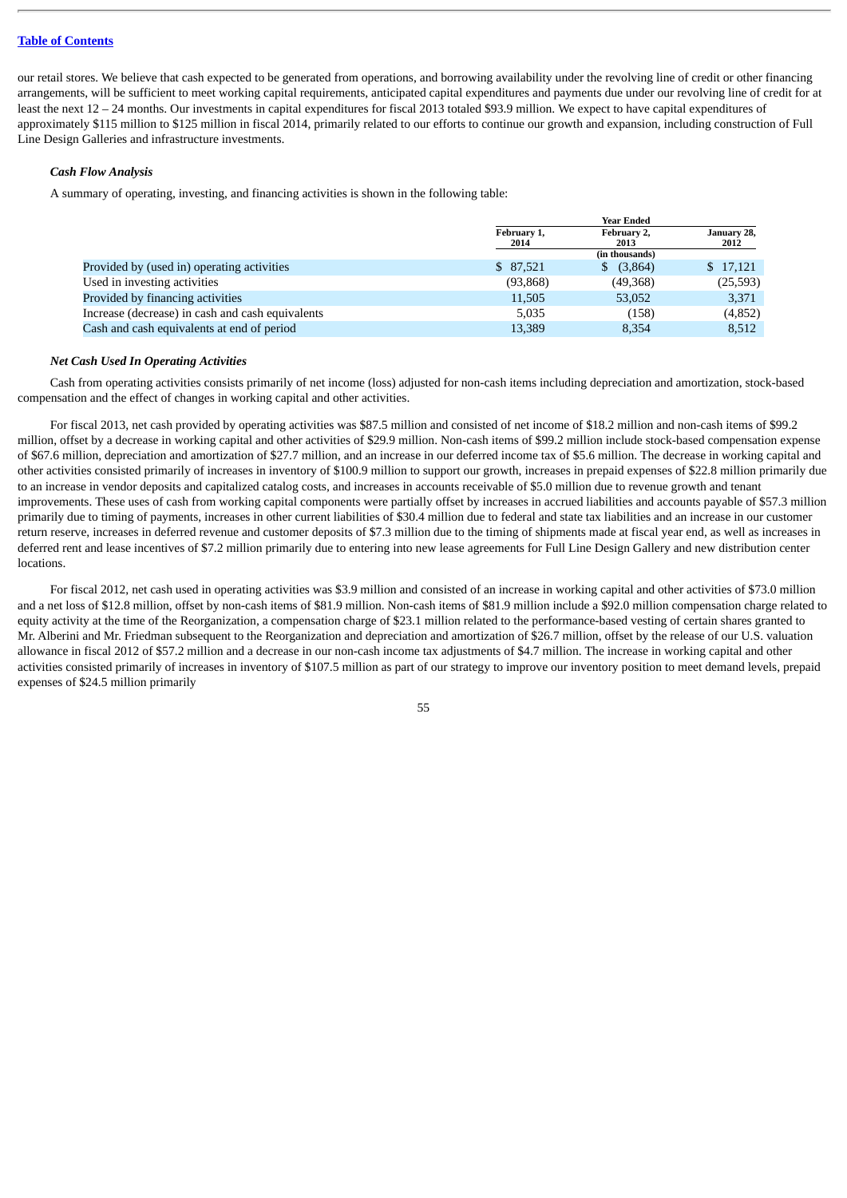our retail stores. We believe that cash expected to be generated from operations, and borrowing availability under the revolving line of credit or other financing arrangements, will be sufficient to meet working capital requirements, anticipated capital expenditures and payments due under our revolving line of credit for at least the next 12 – 24 months. Our investments in capital expenditures for fiscal 2013 totaled \$93.9 million. We expect to have capital expenditures of approximately \$115 million to \$125 million in fiscal 2014, primarily related to our efforts to continue our growth and expansion, including construction of Full Line Design Galleries and infrastructure investments.

## *Cash Flow Analysis*

A summary of operating, investing, and financing activities is shown in the following table:

|                                                  |                     | <b>Year Ended</b>   |                     |  |
|--------------------------------------------------|---------------------|---------------------|---------------------|--|
|                                                  | February 1,<br>2014 | February 2,<br>2013 | January 28,<br>2012 |  |
|                                                  |                     | (in thousands)      |                     |  |
| Provided by (used in) operating activities       | \$ 87,521           | (3,864)<br>S.       | \$17,121            |  |
| Used in investing activities                     | (93, 868)           | (49,368)            | (25,593)            |  |
| Provided by financing activities                 | 11,505              | 53,052              | 3,371               |  |
| Increase (decrease) in cash and cash equivalents | 5,035               | (158)               | (4,852)             |  |
| Cash and cash equivalents at end of period       | 13,389              | 8,354               | 8,512               |  |

## *Net Cash Used In Operating Activities*

Cash from operating activities consists primarily of net income (loss) adjusted for non-cash items including depreciation and amortization, stock-based compensation and the effect of changes in working capital and other activities.

For fiscal 2013, net cash provided by operating activities was \$87.5 million and consisted of net income of \$18.2 million and non-cash items of \$99.2 million, offset by a decrease in working capital and other activities of \$29.9 million. Non-cash items of \$99.2 million include stock-based compensation expense of \$67.6 million, depreciation and amortization of \$27.7 million, and an increase in our deferred income tax of \$5.6 million. The decrease in working capital and other activities consisted primarily of increases in inventory of \$100.9 million to support our growth, increases in prepaid expenses of \$22.8 million primarily due to an increase in vendor deposits and capitalized catalog costs, and increases in accounts receivable of \$5.0 million due to revenue growth and tenant improvements. These uses of cash from working capital components were partially offset by increases in accrued liabilities and accounts payable of \$57.3 million primarily due to timing of payments, increases in other current liabilities of \$30.4 million due to federal and state tax liabilities and an increase in our customer return reserve, increases in deferred revenue and customer deposits of \$7.3 million due to the timing of shipments made at fiscal year end, as well as increases in deferred rent and lease incentives of \$7.2 million primarily due to entering into new lease agreements for Full Line Design Gallery and new distribution center locations.

For fiscal 2012, net cash used in operating activities was \$3.9 million and consisted of an increase in working capital and other activities of \$73.0 million and a net loss of \$12.8 million, offset by non-cash items of \$81.9 million. Non-cash items of \$81.9 million include a \$92.0 million compensation charge related to equity activity at the time of the Reorganization, a compensation charge of \$23.1 million related to the performance-based vesting of certain shares granted to Mr. Alberini and Mr. Friedman subsequent to the Reorganization and depreciation and amortization of \$26.7 million, offset by the release of our U.S. valuation allowance in fiscal 2012 of \$57.2 million and a decrease in our non-cash income tax adjustments of \$4.7 million. The increase in working capital and other activities consisted primarily of increases in inventory of \$107.5 million as part of our strategy to improve our inventory position to meet demand levels, prepaid expenses of \$24.5 million primarily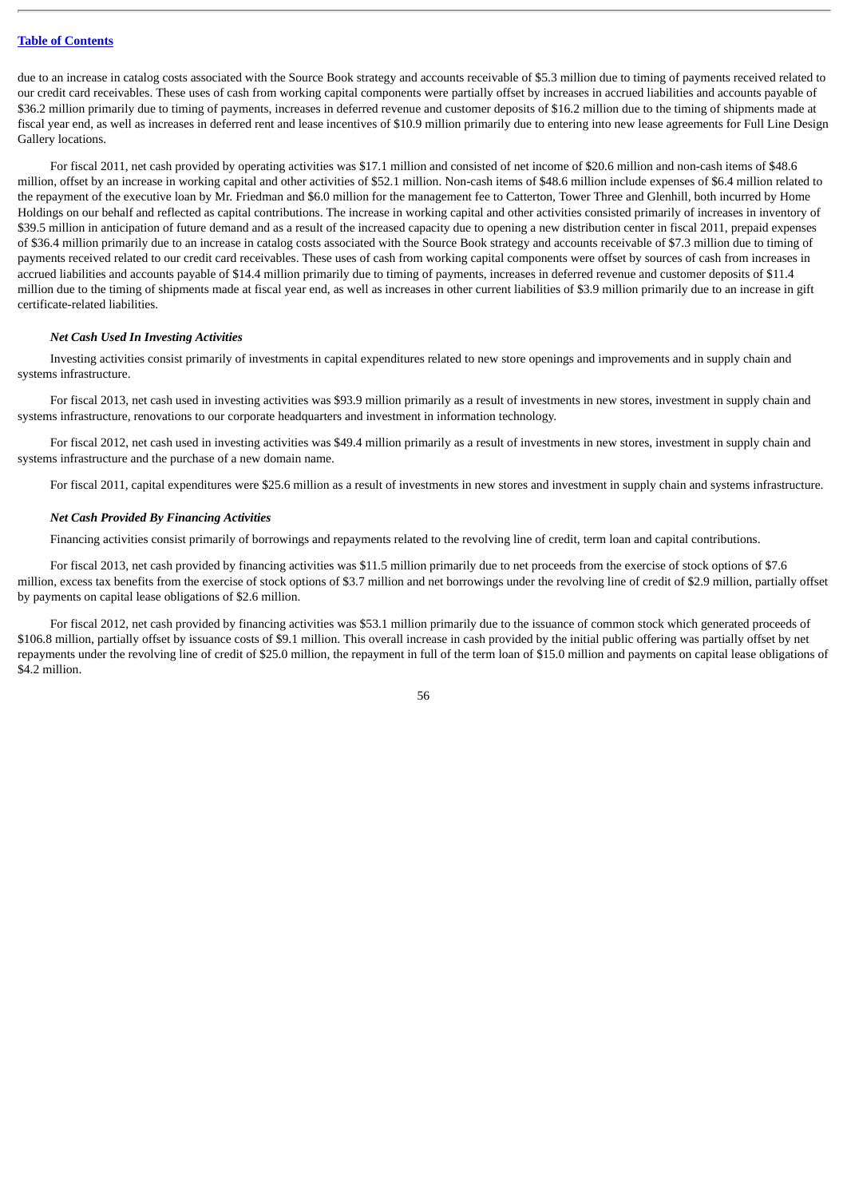due to an increase in catalog costs associated with the Source Book strategy and accounts receivable of \$5.3 million due to timing of payments received related to our credit card receivables. These uses of cash from working capital components were partially offset by increases in accrued liabilities and accounts payable of \$36.2 million primarily due to timing of payments, increases in deferred revenue and customer deposits of \$16.2 million due to the timing of shipments made at fiscal year end, as well as increases in deferred rent and lease incentives of \$10.9 million primarily due to entering into new lease agreements for Full Line Design Gallery locations.

For fiscal 2011, net cash provided by operating activities was \$17.1 million and consisted of net income of \$20.6 million and non-cash items of \$48.6 million, offset by an increase in working capital and other activities of \$52.1 million. Non-cash items of \$48.6 million include expenses of \$6.4 million related to the repayment of the executive loan by Mr. Friedman and \$6.0 million for the management fee to Catterton, Tower Three and Glenhill, both incurred by Home Holdings on our behalf and reflected as capital contributions. The increase in working capital and other activities consisted primarily of increases in inventory of \$39.5 million in anticipation of future demand and as a result of the increased capacity due to opening a new distribution center in fiscal 2011, prepaid expenses of \$36.4 million primarily due to an increase in catalog costs associated with the Source Book strategy and accounts receivable of \$7.3 million due to timing of payments received related to our credit card receivables. These uses of cash from working capital components were offset by sources of cash from increases in accrued liabilities and accounts payable of \$14.4 million primarily due to timing of payments, increases in deferred revenue and customer deposits of \$11.4 million due to the timing of shipments made at fiscal year end, as well as increases in other current liabilities of \$3.9 million primarily due to an increase in gift certificate-related liabilities.

### *Net Cash Used In Investing Activities*

Investing activities consist primarily of investments in capital expenditures related to new store openings and improvements and in supply chain and systems infrastructure.

For fiscal 2013, net cash used in investing activities was \$93.9 million primarily as a result of investments in new stores, investment in supply chain and systems infrastructure, renovations to our corporate headquarters and investment in information technology.

For fiscal 2012, net cash used in investing activities was \$49.4 million primarily as a result of investments in new stores, investment in supply chain and systems infrastructure and the purchase of a new domain name.

For fiscal 2011, capital expenditures were \$25.6 million as a result of investments in new stores and investment in supply chain and systems infrastructure.

#### *Net Cash Provided By Financing Activities*

Financing activities consist primarily of borrowings and repayments related to the revolving line of credit, term loan and capital contributions.

For fiscal 2013, net cash provided by financing activities was \$11.5 million primarily due to net proceeds from the exercise of stock options of \$7.6 million, excess tax benefits from the exercise of stock options of \$3.7 million and net borrowings under the revolving line of credit of \$2.9 million, partially offset by payments on capital lease obligations of \$2.6 million.

For fiscal 2012, net cash provided by financing activities was \$53.1 million primarily due to the issuance of common stock which generated proceeds of \$106.8 million, partially offset by issuance costs of \$9.1 million. This overall increase in cash provided by the initial public offering was partially offset by net repayments under the revolving line of credit of \$25.0 million, the repayment in full of the term loan of \$15.0 million and payments on capital lease obligations of \$4.2 million.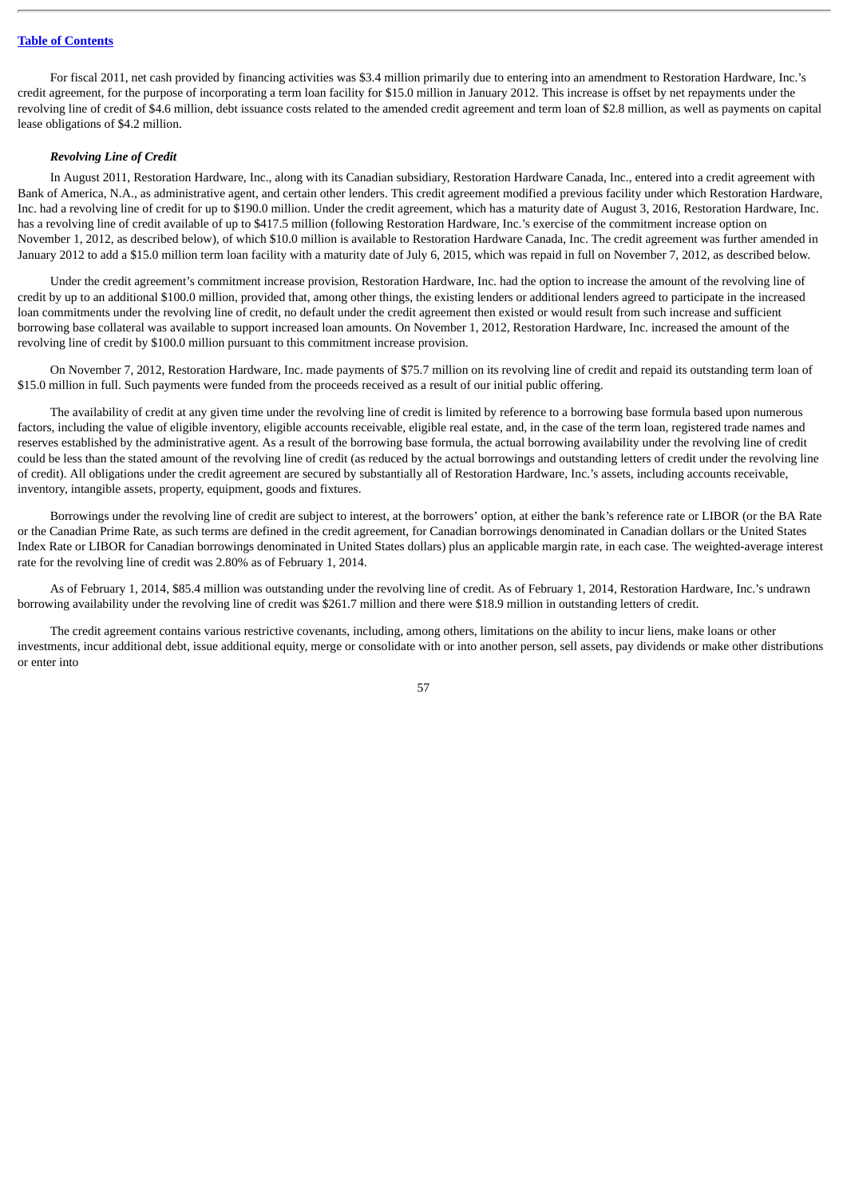For fiscal 2011, net cash provided by financing activities was \$3.4 million primarily due to entering into an amendment to Restoration Hardware, Inc.'s credit agreement, for the purpose of incorporating a term loan facility for \$15.0 million in January 2012. This increase is offset by net repayments under the revolving line of credit of \$4.6 million, debt issuance costs related to the amended credit agreement and term loan of \$2.8 million, as well as payments on capital lease obligations of \$4.2 million.

#### *Revolving Line of Credit*

In August 2011, Restoration Hardware, Inc., along with its Canadian subsidiary, Restoration Hardware Canada, Inc., entered into a credit agreement with Bank of America, N.A., as administrative agent, and certain other lenders. This credit agreement modified a previous facility under which Restoration Hardware, Inc. had a revolving line of credit for up to \$190.0 million. Under the credit agreement, which has a maturity date of August 3, 2016, Restoration Hardware, Inc. has a revolving line of credit available of up to \$417.5 million (following Restoration Hardware, Inc.'s exercise of the commitment increase option on November 1, 2012, as described below), of which \$10.0 million is available to Restoration Hardware Canada, Inc. The credit agreement was further amended in January 2012 to add a \$15.0 million term loan facility with a maturity date of July 6, 2015, which was repaid in full on November 7, 2012, as described below.

Under the credit agreement's commitment increase provision, Restoration Hardware, Inc. had the option to increase the amount of the revolving line of credit by up to an additional \$100.0 million, provided that, among other things, the existing lenders or additional lenders agreed to participate in the increased loan commitments under the revolving line of credit, no default under the credit agreement then existed or would result from such increase and sufficient borrowing base collateral was available to support increased loan amounts. On November 1, 2012, Restoration Hardware, Inc. increased the amount of the revolving line of credit by \$100.0 million pursuant to this commitment increase provision.

On November 7, 2012, Restoration Hardware, Inc. made payments of \$75.7 million on its revolving line of credit and repaid its outstanding term loan of \$15.0 million in full. Such payments were funded from the proceeds received as a result of our initial public offering.

The availability of credit at any given time under the revolving line of credit is limited by reference to a borrowing base formula based upon numerous factors, including the value of eligible inventory, eligible accounts receivable, eligible real estate, and, in the case of the term loan, registered trade names and reserves established by the administrative agent. As a result of the borrowing base formula, the actual borrowing availability under the revolving line of credit could be less than the stated amount of the revolving line of credit (as reduced by the actual borrowings and outstanding letters of credit under the revolving line of credit). All obligations under the credit agreement are secured by substantially all of Restoration Hardware, Inc.'s assets, including accounts receivable, inventory, intangible assets, property, equipment, goods and fixtures.

Borrowings under the revolving line of credit are subject to interest, at the borrowers' option, at either the bank's reference rate or LIBOR (or the BA Rate or the Canadian Prime Rate, as such terms are defined in the credit agreement, for Canadian borrowings denominated in Canadian dollars or the United States Index Rate or LIBOR for Canadian borrowings denominated in United States dollars) plus an applicable margin rate, in each case. The weighted-average interest rate for the revolving line of credit was 2.80% as of February 1, 2014.

As of February 1, 2014, \$85.4 million was outstanding under the revolving line of credit. As of February 1, 2014, Restoration Hardware, Inc.'s undrawn borrowing availability under the revolving line of credit was \$261.7 million and there were \$18.9 million in outstanding letters of credit.

The credit agreement contains various restrictive covenants, including, among others, limitations on the ability to incur liens, make loans or other investments, incur additional debt, issue additional equity, merge or consolidate with or into another person, sell assets, pay dividends or make other distributions or enter into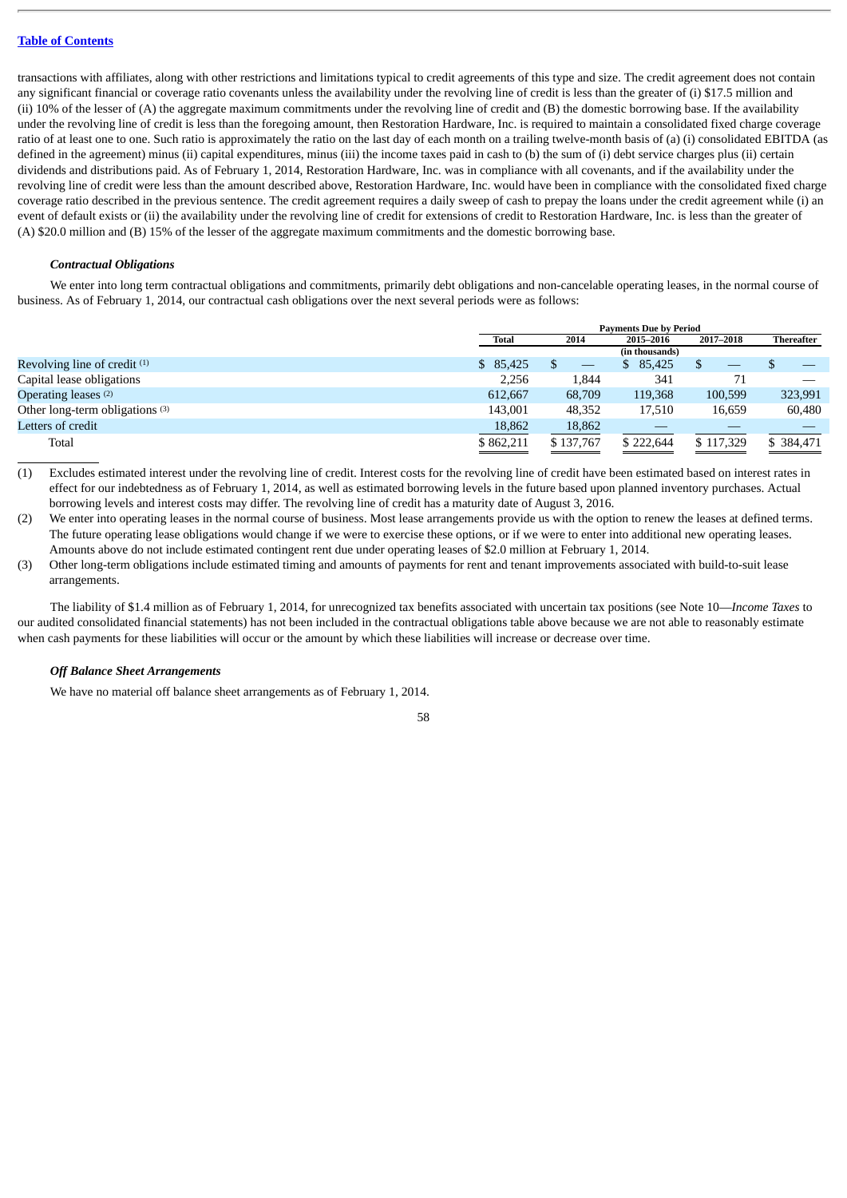transactions with affiliates, along with other restrictions and limitations typical to credit agreements of this type and size. The credit agreement does not contain any significant financial or coverage ratio covenants unless the availability under the revolving line of credit is less than the greater of (i) \$17.5 million and (ii) 10% of the lesser of (A) the aggregate maximum commitments under the revolving line of credit and (B) the domestic borrowing base. If the availability under the revolving line of credit is less than the foregoing amount, then Restoration Hardware, Inc. is required to maintain a consolidated fixed charge coverage ratio of at least one to one. Such ratio is approximately the ratio on the last day of each month on a trailing twelve-month basis of (a) (i) consolidated EBITDA (as defined in the agreement) minus (ii) capital expenditures, minus (iii) the income taxes paid in cash to (b) the sum of (i) debt service charges plus (ii) certain dividends and distributions paid. As of February 1, 2014, Restoration Hardware, Inc. was in compliance with all covenants, and if the availability under the revolving line of credit were less than the amount described above, Restoration Hardware, Inc. would have been in compliance with the consolidated fixed charge coverage ratio described in the previous sentence. The credit agreement requires a daily sweep of cash to prepay the loans under the credit agreement while (i) an event of default exists or (ii) the availability under the revolving line of credit for extensions of credit to Restoration Hardware, Inc. is less than the greater of (A) \$20.0 million and (B) 15% of the lesser of the aggregate maximum commitments and the domestic borrowing base.

## *Contractual Obligations*

We enter into long term contractual obligations and commitments, primarily debt obligations and non-cancelable operating leases, in the normal course of business. As of February 1, 2014, our contractual cash obligations over the next several periods were as follows:

|                                 | <b>Payments Due by Period</b> |           |                        |           |                   |  |
|---------------------------------|-------------------------------|-----------|------------------------|-----------|-------------------|--|
|                                 | <b>Total</b><br>2014          |           | 2017-2018<br>2015-2016 |           | <b>Thereafter</b> |  |
|                                 |                               |           | (in thousands)         |           |                   |  |
| Revolving line of credit (1)    | \$85,425                      |           | 85,425<br>S.           |           |                   |  |
| Capital lease obligations       | 2,256                         | 1,844     | 341                    |           |                   |  |
| Operating leases (2)            | 612,667                       | 68,709    | 119,368                | 100,599   | 323,991           |  |
| Other long-term obligations (3) | 143,001                       | 48,352    | 17,510                 | 16,659    | 60,480            |  |
| Letters of credit               | 18,862                        | 18,862    |                        |           |                   |  |
| Total                           | \$862,211                     | \$137,767 | \$222,644              | \$117,329 | \$384,471         |  |

(1) Excludes estimated interest under the revolving line of credit. Interest costs for the revolving line of credit have been estimated based on interest rates in effect for our indebtedness as of February 1, 2014, as well as estimated borrowing levels in the future based upon planned inventory purchases. Actual borrowing levels and interest costs may differ. The revolving line of credit has a maturity date of August 3, 2016.

- We enter into operating leases in the normal course of business. Most lease arrangements provide us with the option to renew the leases at defined terms. The future operating lease obligations would change if we were to exercise these options, or if we were to enter into additional new operating leases. Amounts above do not include estimated contingent rent due under operating leases of \$2.0 million at February 1, 2014.
- (3) Other long-term obligations include estimated timing and amounts of payments for rent and tenant improvements associated with build-to-suit lease arrangements.

The liability of \$1.4 million as of February 1, 2014, for unrecognized tax benefits associated with uncertain tax positions (see Note 10—*Income Taxes* to our audited consolidated financial statements) has not been included in the contractual obligations table above because we are not able to reasonably estimate when cash payments for these liabilities will occur or the amount by which these liabilities will increase or decrease over time.

## *Off Balance Sheet Arrangements*

We have no material off balance sheet arrangements as of February 1, 2014.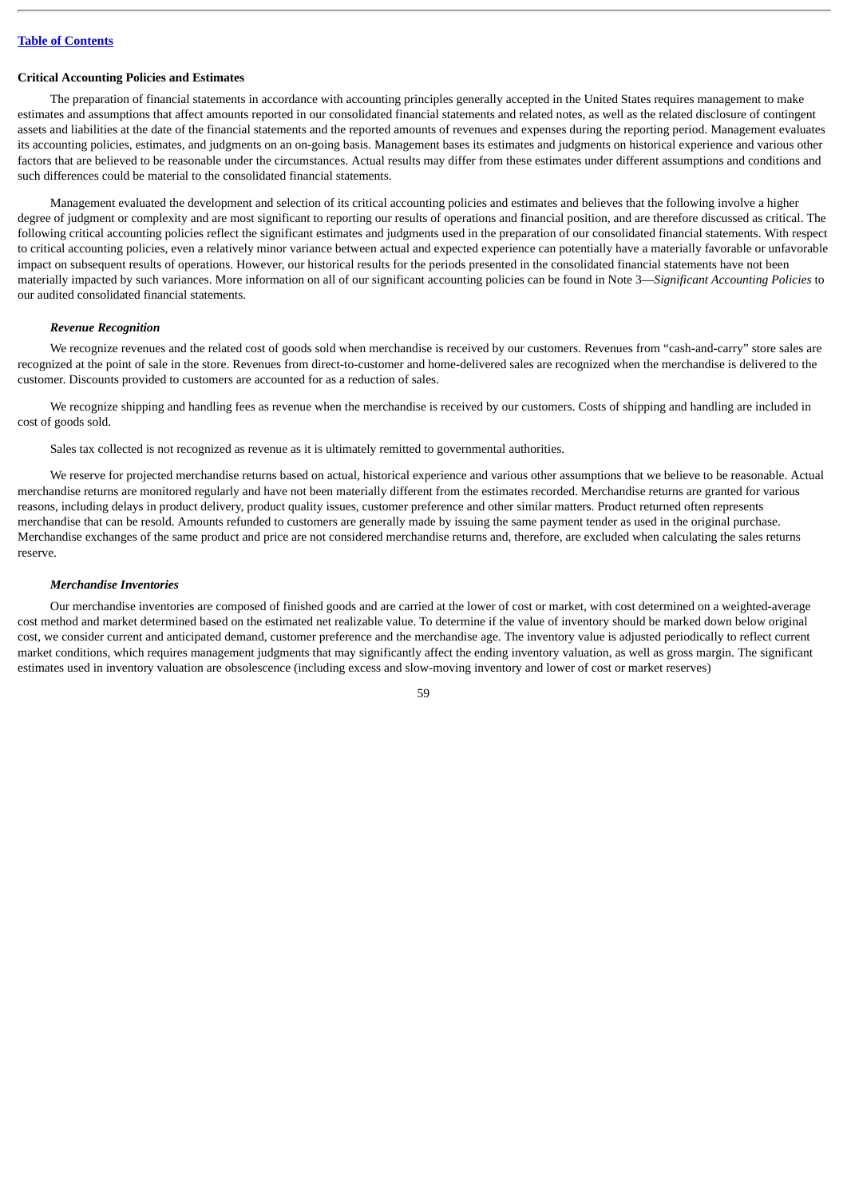#### **Critical Accounting Policies and Estimates**

The preparation of financial statements in accordance with accounting principles generally accepted in the United States requires management to make estimates and assumptions that affect amounts reported in our consolidated financial statements and related notes, as well as the related disclosure of contingent assets and liabilities at the date of the financial statements and the reported amounts of revenues and expenses during the reporting period. Management evaluates its accounting policies, estimates, and judgments on an on-going basis. Management bases its estimates and judgments on historical experience and various other factors that are believed to be reasonable under the circumstances. Actual results may differ from these estimates under different assumptions and conditions and such differences could be material to the consolidated financial statements.

Management evaluated the development and selection of its critical accounting policies and estimates and believes that the following involve a higher degree of judgment or complexity and are most significant to reporting our results of operations and financial position, and are therefore discussed as critical. The following critical accounting policies reflect the significant estimates and judgments used in the preparation of our consolidated financial statements. With respect to critical accounting policies, even a relatively minor variance between actual and expected experience can potentially have a materially favorable or unfavorable impact on subsequent results of operations. However, our historical results for the periods presented in the consolidated financial statements have not been materially impacted by such variances. More information on all of our significant accounting policies can be found in Note 3—*Significant Accounting Policies* to our audited consolidated financial statements.

#### *Revenue Recognition*

We recognize revenues and the related cost of goods sold when merchandise is received by our customers. Revenues from "cash-and-carry" store sales are recognized at the point of sale in the store. Revenues from direct-to-customer and home-delivered sales are recognized when the merchandise is delivered to the customer. Discounts provided to customers are accounted for as a reduction of sales.

We recognize shipping and handling fees as revenue when the merchandise is received by our customers. Costs of shipping and handling are included in cost of goods sold.

Sales tax collected is not recognized as revenue as it is ultimately remitted to governmental authorities.

We reserve for projected merchandise returns based on actual, historical experience and various other assumptions that we believe to be reasonable. Actual merchandise returns are monitored regularly and have not been materially different from the estimates recorded. Merchandise returns are granted for various reasons, including delays in product delivery, product quality issues, customer preference and other similar matters. Product returned often represents merchandise that can be resold. Amounts refunded to customers are generally made by issuing the same payment tender as used in the original purchase. Merchandise exchanges of the same product and price are not considered merchandise returns and, therefore, are excluded when calculating the sales returns reserve.

### *Merchandise Inventories*

Our merchandise inventories are composed of finished goods and are carried at the lower of cost or market, with cost determined on a weighted-average cost method and market determined based on the estimated net realizable value. To determine if the value of inventory should be marked down below original cost, we consider current and anticipated demand, customer preference and the merchandise age. The inventory value is adjusted periodically to reflect current market conditions, which requires management judgments that may significantly affect the ending inventory valuation, as well as gross margin. The significant estimates used in inventory valuation are obsolescence (including excess and slow-moving inventory and lower of cost or market reserves)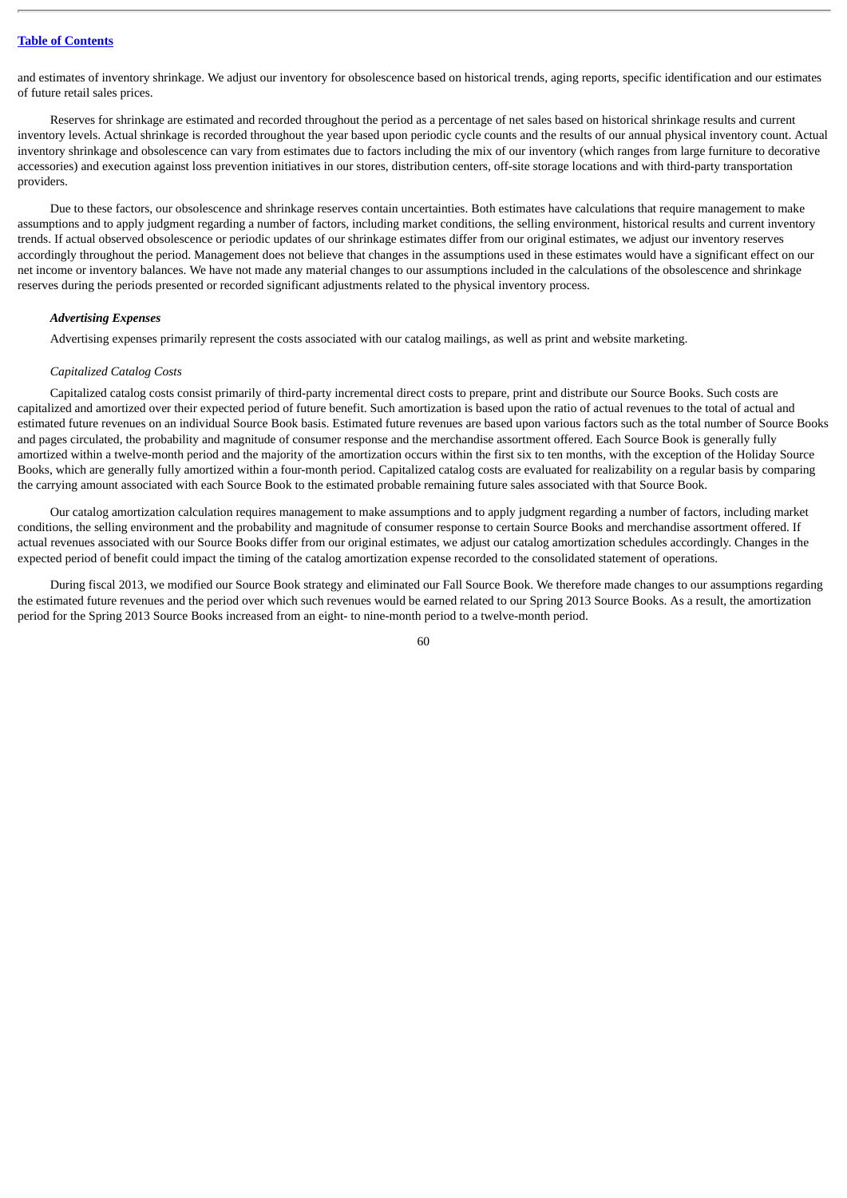and estimates of inventory shrinkage. We adjust our inventory for obsolescence based on historical trends, aging reports, specific identification and our estimates of future retail sales prices.

Reserves for shrinkage are estimated and recorded throughout the period as a percentage of net sales based on historical shrinkage results and current inventory levels. Actual shrinkage is recorded throughout the year based upon periodic cycle counts and the results of our annual physical inventory count. Actual inventory shrinkage and obsolescence can vary from estimates due to factors including the mix of our inventory (which ranges from large furniture to decorative accessories) and execution against loss prevention initiatives in our stores, distribution centers, off-site storage locations and with third-party transportation providers.

Due to these factors, our obsolescence and shrinkage reserves contain uncertainties. Both estimates have calculations that require management to make assumptions and to apply judgment regarding a number of factors, including market conditions, the selling environment, historical results and current inventory trends. If actual observed obsolescence or periodic updates of our shrinkage estimates differ from our original estimates, we adjust our inventory reserves accordingly throughout the period. Management does not believe that changes in the assumptions used in these estimates would have a significant effect on our net income or inventory balances. We have not made any material changes to our assumptions included in the calculations of the obsolescence and shrinkage reserves during the periods presented or recorded significant adjustments related to the physical inventory process.

### *Advertising Expenses*

Advertising expenses primarily represent the costs associated with our catalog mailings, as well as print and website marketing.

#### *Capitalized Catalog Costs*

Capitalized catalog costs consist primarily of third-party incremental direct costs to prepare, print and distribute our Source Books. Such costs are capitalized and amortized over their expected period of future benefit. Such amortization is based upon the ratio of actual revenues to the total of actual and estimated future revenues on an individual Source Book basis. Estimated future revenues are based upon various factors such as the total number of Source Books and pages circulated, the probability and magnitude of consumer response and the merchandise assortment offered. Each Source Book is generally fully amortized within a twelve-month period and the majority of the amortization occurs within the first six to ten months, with the exception of the Holiday Source Books, which are generally fully amortized within a four-month period. Capitalized catalog costs are evaluated for realizability on a regular basis by comparing the carrying amount associated with each Source Book to the estimated probable remaining future sales associated with that Source Book.

Our catalog amortization calculation requires management to make assumptions and to apply judgment regarding a number of factors, including market conditions, the selling environment and the probability and magnitude of consumer response to certain Source Books and merchandise assortment offered. If actual revenues associated with our Source Books differ from our original estimates, we adjust our catalog amortization schedules accordingly. Changes in the expected period of benefit could impact the timing of the catalog amortization expense recorded to the consolidated statement of operations.

During fiscal 2013, we modified our Source Book strategy and eliminated our Fall Source Book. We therefore made changes to our assumptions regarding the estimated future revenues and the period over which such revenues would be earned related to our Spring 2013 Source Books. As a result, the amortization period for the Spring 2013 Source Books increased from an eight- to nine-month period to a twelve-month period.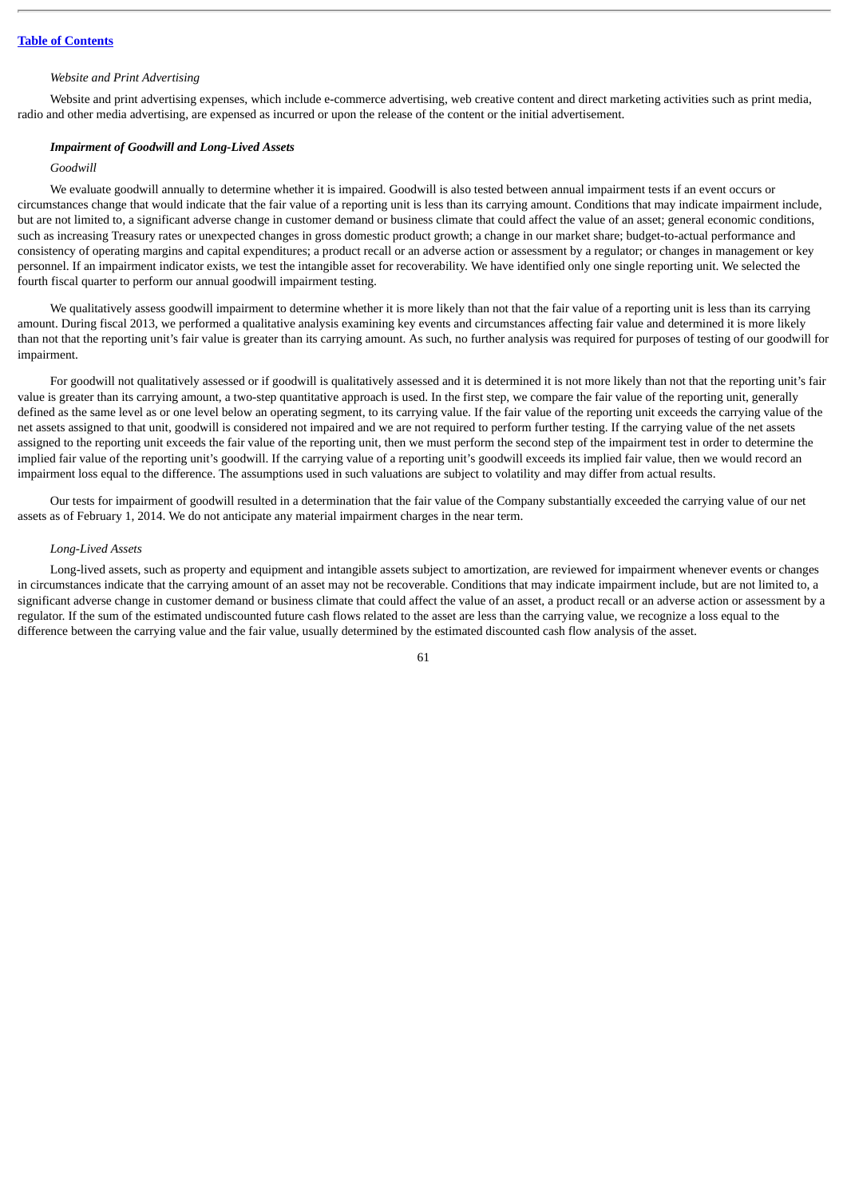### *Website and Print Advertising*

Website and print advertising expenses, which include e-commerce advertising, web creative content and direct marketing activities such as print media, radio and other media advertising, are expensed as incurred or upon the release of the content or the initial advertisement.

## *Impairment of Goodwill and Long-Lived Assets*

## *Goodwill*

We evaluate goodwill annually to determine whether it is impaired. Goodwill is also tested between annual impairment tests if an event occurs or circumstances change that would indicate that the fair value of a reporting unit is less than its carrying amount. Conditions that may indicate impairment include, but are not limited to, a significant adverse change in customer demand or business climate that could affect the value of an asset; general economic conditions, such as increasing Treasury rates or unexpected changes in gross domestic product growth; a change in our market share; budget-to-actual performance and consistency of operating margins and capital expenditures; a product recall or an adverse action or assessment by a regulator; or changes in management or key personnel. If an impairment indicator exists, we test the intangible asset for recoverability. We have identified only one single reporting unit. We selected the fourth fiscal quarter to perform our annual goodwill impairment testing.

We qualitatively assess goodwill impairment to determine whether it is more likely than not that the fair value of a reporting unit is less than its carrying amount. During fiscal 2013, we performed a qualitative analysis examining key events and circumstances affecting fair value and determined it is more likely than not that the reporting unit's fair value is greater than its carrying amount. As such, no further analysis was required for purposes of testing of our goodwill for impairment.

For goodwill not qualitatively assessed or if goodwill is qualitatively assessed and it is determined it is not more likely than not that the reporting unit's fair value is greater than its carrying amount, a two-step quantitative approach is used. In the first step, we compare the fair value of the reporting unit, generally defined as the same level as or one level below an operating segment, to its carrying value. If the fair value of the reporting unit exceeds the carrying value of the net assets assigned to that unit, goodwill is considered not impaired and we are not required to perform further testing. If the carrying value of the net assets assigned to the reporting unit exceeds the fair value of the reporting unit, then we must perform the second step of the impairment test in order to determine the implied fair value of the reporting unit's goodwill. If the carrying value of a reporting unit's goodwill exceeds its implied fair value, then we would record an impairment loss equal to the difference. The assumptions used in such valuations are subject to volatility and may differ from actual results.

Our tests for impairment of goodwill resulted in a determination that the fair value of the Company substantially exceeded the carrying value of our net assets as of February 1, 2014. We do not anticipate any material impairment charges in the near term.

#### *Long-Lived Assets*

Long-lived assets, such as property and equipment and intangible assets subject to amortization, are reviewed for impairment whenever events or changes in circumstances indicate that the carrying amount of an asset may not be recoverable. Conditions that may indicate impairment include, but are not limited to, a significant adverse change in customer demand or business climate that could affect the value of an asset, a product recall or an adverse action or assessment by a regulator. If the sum of the estimated undiscounted future cash flows related to the asset are less than the carrying value, we recognize a loss equal to the difference between the carrying value and the fair value, usually determined by the estimated discounted cash flow analysis of the asset.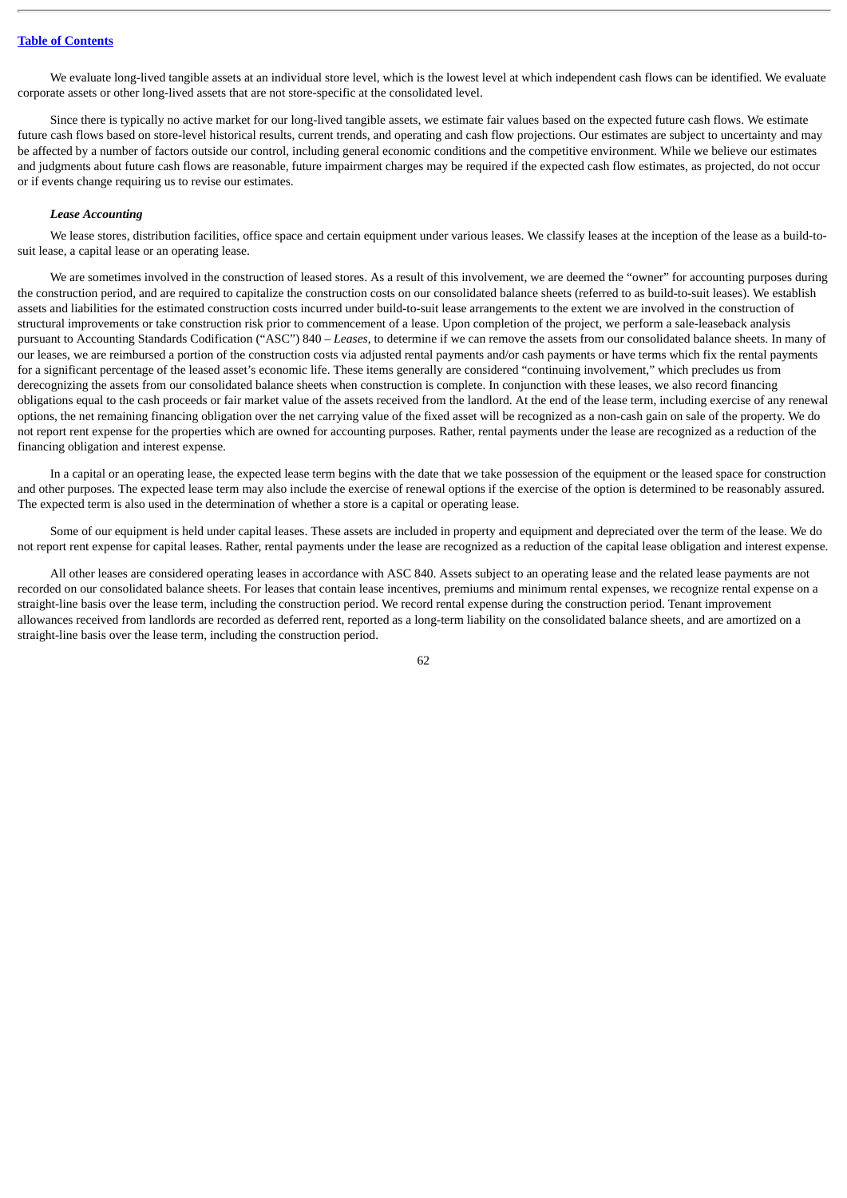We evaluate long-lived tangible assets at an individual store level, which is the lowest level at which independent cash flows can be identified. We evaluate corporate assets or other long-lived assets that are not store-specific at the consolidated level.

Since there is typically no active market for our long-lived tangible assets, we estimate fair values based on the expected future cash flows. We estimate future cash flows based on store-level historical results, current trends, and operating and cash flow projections. Our estimates are subject to uncertainty and may be affected by a number of factors outside our control, including general economic conditions and the competitive environment. While we believe our estimates and judgments about future cash flows are reasonable, future impairment charges may be required if the expected cash flow estimates, as projected, do not occur or if events change requiring us to revise our estimates.

### *Lease Accounting*

We lease stores, distribution facilities, office space and certain equipment under various leases. We classify leases at the inception of the lease as a build-tosuit lease, a capital lease or an operating lease.

We are sometimes involved in the construction of leased stores. As a result of this involvement, we are deemed the "owner" for accounting purposes during the construction period, and are required to capitalize the construction costs on our consolidated balance sheets (referred to as build-to-suit leases). We establish assets and liabilities for the estimated construction costs incurred under build-to-suit lease arrangements to the extent we are involved in the construction of structural improvements or take construction risk prior to commencement of a lease. Upon completion of the project, we perform a sale-leaseback analysis pursuant to Accounting Standards Codification ("ASC") 840 – *Leases*, to determine if we can remove the assets from our consolidated balance sheets. In many of our leases, we are reimbursed a portion of the construction costs via adjusted rental payments and/or cash payments or have terms which fix the rental payments for a significant percentage of the leased asset's economic life. These items generally are considered "continuing involvement," which precludes us from derecognizing the assets from our consolidated balance sheets when construction is complete. In conjunction with these leases, we also record financing obligations equal to the cash proceeds or fair market value of the assets received from the landlord. At the end of the lease term, including exercise of any renewal options, the net remaining financing obligation over the net carrying value of the fixed asset will be recognized as a non-cash gain on sale of the property. We do not report rent expense for the properties which are owned for accounting purposes. Rather, rental payments under the lease are recognized as a reduction of the financing obligation and interest expense.

In a capital or an operating lease, the expected lease term begins with the date that we take possession of the equipment or the leased space for construction and other purposes. The expected lease term may also include the exercise of renewal options if the exercise of the option is determined to be reasonably assured. The expected term is also used in the determination of whether a store is a capital or operating lease.

Some of our equipment is held under capital leases. These assets are included in property and equipment and depreciated over the term of the lease. We do not report rent expense for capital leases. Rather, rental payments under the lease are recognized as a reduction of the capital lease obligation and interest expense.

All other leases are considered operating leases in accordance with ASC 840. Assets subject to an operating lease and the related lease payments are not recorded on our consolidated balance sheets. For leases that contain lease incentives, premiums and minimum rental expenses, we recognize rental expense on a straight-line basis over the lease term, including the construction period. We record rental expense during the construction period. Tenant improvement allowances received from landlords are recorded as deferred rent, reported as a long-term liability on the consolidated balance sheets, and are amortized on a straight-line basis over the lease term, including the construction period.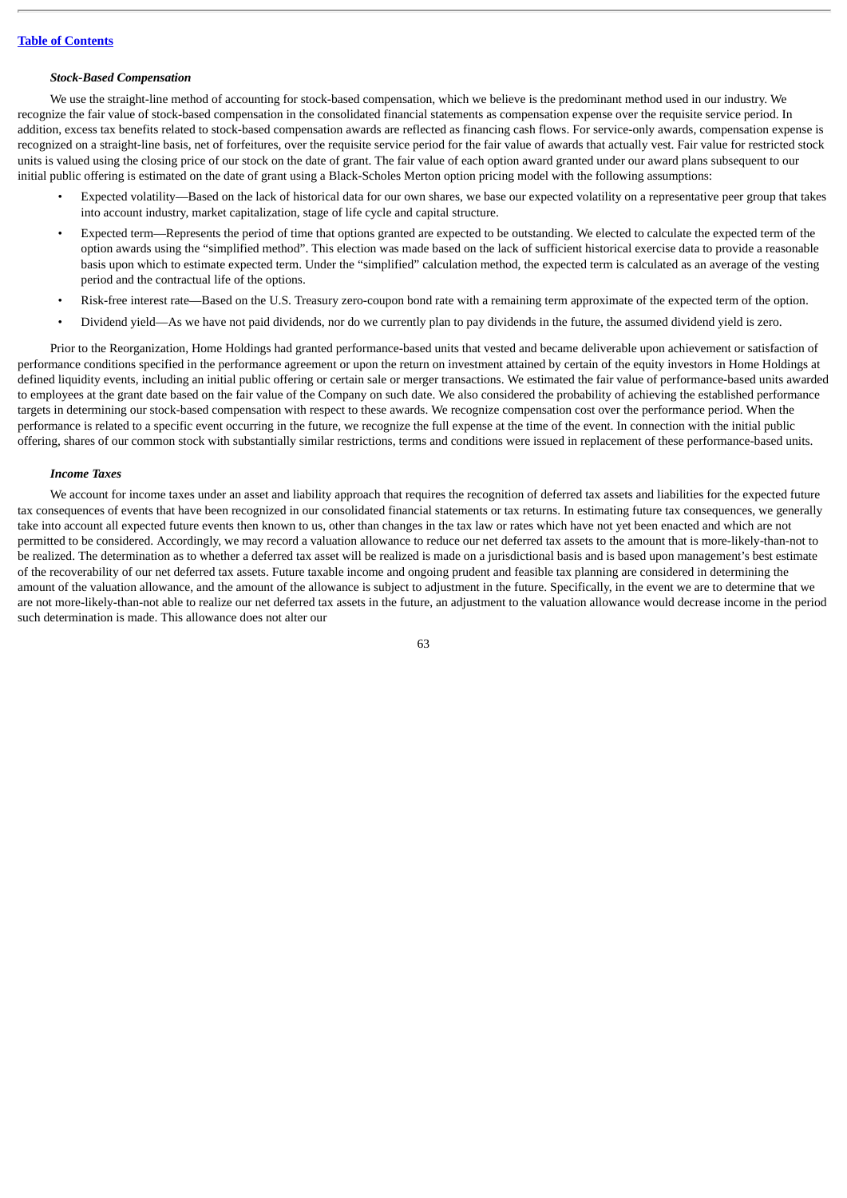#### *Stock-Based Compensation*

We use the straight-line method of accounting for stock-based compensation, which we believe is the predominant method used in our industry. We recognize the fair value of stock-based compensation in the consolidated financial statements as compensation expense over the requisite service period. In addition, excess tax benefits related to stock-based compensation awards are reflected as financing cash flows. For service-only awards, compensation expense is recognized on a straight-line basis, net of forfeitures, over the requisite service period for the fair value of awards that actually vest. Fair value for restricted stock units is valued using the closing price of our stock on the date of grant. The fair value of each option award granted under our award plans subsequent to our initial public offering is estimated on the date of grant using a Black-Scholes Merton option pricing model with the following assumptions:

- Expected volatility—Based on the lack of historical data for our own shares, we base our expected volatility on a representative peer group that takes into account industry, market capitalization, stage of life cycle and capital structure.
- Expected term—Represents the period of time that options granted are expected to be outstanding. We elected to calculate the expected term of the option awards using the "simplified method". This election was made based on the lack of sufficient historical exercise data to provide a reasonable basis upon which to estimate expected term. Under the "simplified" calculation method, the expected term is calculated as an average of the vesting period and the contractual life of the options.
- Risk-free interest rate—Based on the U.S. Treasury zero-coupon bond rate with a remaining term approximate of the expected term of the option.
- Dividend yield—As we have not paid dividends, nor do we currently plan to pay dividends in the future, the assumed dividend yield is zero.

Prior to the Reorganization, Home Holdings had granted performance-based units that vested and became deliverable upon achievement or satisfaction of performance conditions specified in the performance agreement or upon the return on investment attained by certain of the equity investors in Home Holdings at defined liquidity events, including an initial public offering or certain sale or merger transactions. We estimated the fair value of performance-based units awarded to employees at the grant date based on the fair value of the Company on such date. We also considered the probability of achieving the established performance targets in determining our stock-based compensation with respect to these awards. We recognize compensation cost over the performance period. When the performance is related to a specific event occurring in the future, we recognize the full expense at the time of the event. In connection with the initial public offering, shares of our common stock with substantially similar restrictions, terms and conditions were issued in replacement of these performance-based units.

### *Income Taxes*

We account for income taxes under an asset and liability approach that requires the recognition of deferred tax assets and liabilities for the expected future tax consequences of events that have been recognized in our consolidated financial statements or tax returns. In estimating future tax consequences, we generally take into account all expected future events then known to us, other than changes in the tax law or rates which have not yet been enacted and which are not permitted to be considered. Accordingly, we may record a valuation allowance to reduce our net deferred tax assets to the amount that is more-likely-than-not to be realized. The determination as to whether a deferred tax asset will be realized is made on a jurisdictional basis and is based upon management's best estimate of the recoverability of our net deferred tax assets. Future taxable income and ongoing prudent and feasible tax planning are considered in determining the amount of the valuation allowance, and the amount of the allowance is subject to adjustment in the future. Specifically, in the event we are to determine that we are not more-likely-than-not able to realize our net deferred tax assets in the future, an adjustment to the valuation allowance would decrease income in the period such determination is made. This allowance does not alter our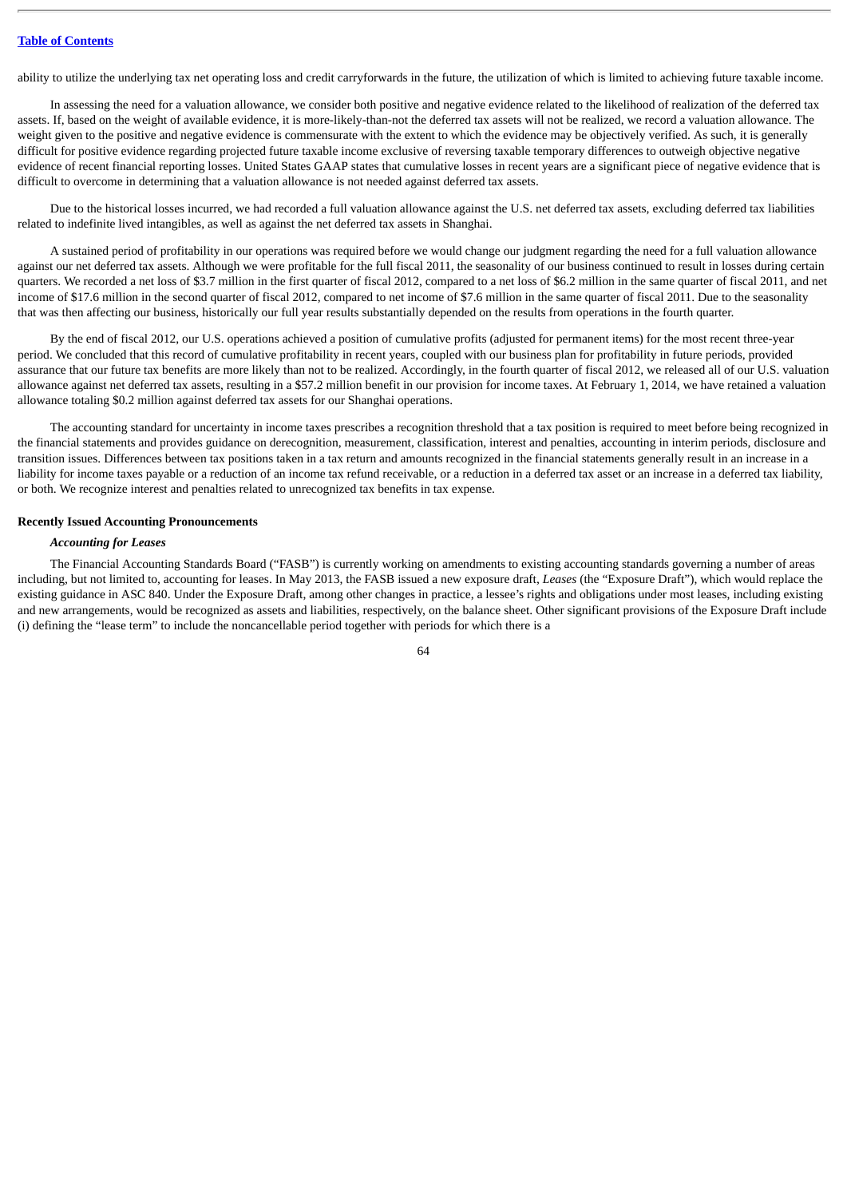ability to utilize the underlying tax net operating loss and credit carryforwards in the future, the utilization of which is limited to achieving future taxable income.

In assessing the need for a valuation allowance, we consider both positive and negative evidence related to the likelihood of realization of the deferred tax assets. If, based on the weight of available evidence, it is more-likely-than-not the deferred tax assets will not be realized, we record a valuation allowance. The weight given to the positive and negative evidence is commensurate with the extent to which the evidence may be objectively verified. As such, it is generally difficult for positive evidence regarding projected future taxable income exclusive of reversing taxable temporary differences to outweigh objective negative evidence of recent financial reporting losses. United States GAAP states that cumulative losses in recent years are a significant piece of negative evidence that is difficult to overcome in determining that a valuation allowance is not needed against deferred tax assets.

Due to the historical losses incurred, we had recorded a full valuation allowance against the U.S. net deferred tax assets, excluding deferred tax liabilities related to indefinite lived intangibles, as well as against the net deferred tax assets in Shanghai.

A sustained period of profitability in our operations was required before we would change our judgment regarding the need for a full valuation allowance against our net deferred tax assets. Although we were profitable for the full fiscal 2011, the seasonality of our business continued to result in losses during certain quarters. We recorded a net loss of \$3.7 million in the first quarter of fiscal 2012, compared to a net loss of \$6.2 million in the same quarter of fiscal 2011, and net income of \$17.6 million in the second quarter of fiscal 2012, compared to net income of \$7.6 million in the same quarter of fiscal 2011. Due to the seasonality that was then affecting our business, historically our full year results substantially depended on the results from operations in the fourth quarter.

By the end of fiscal 2012, our U.S. operations achieved a position of cumulative profits (adjusted for permanent items) for the most recent three-year period. We concluded that this record of cumulative profitability in recent years, coupled with our business plan for profitability in future periods, provided assurance that our future tax benefits are more likely than not to be realized. Accordingly, in the fourth quarter of fiscal 2012, we released all of our U.S. valuation allowance against net deferred tax assets, resulting in a \$57.2 million benefit in our provision for income taxes. At February 1, 2014, we have retained a valuation allowance totaling \$0.2 million against deferred tax assets for our Shanghai operations.

The accounting standard for uncertainty in income taxes prescribes a recognition threshold that a tax position is required to meet before being recognized in the financial statements and provides guidance on derecognition, measurement, classification, interest and penalties, accounting in interim periods, disclosure and transition issues. Differences between tax positions taken in a tax return and amounts recognized in the financial statements generally result in an increase in a liability for income taxes payable or a reduction of an income tax refund receivable, or a reduction in a deferred tax asset or an increase in a deferred tax liability, or both. We recognize interest and penalties related to unrecognized tax benefits in tax expense.

#### **Recently Issued Accounting Pronouncements**

### *Accounting for Leases*

The Financial Accounting Standards Board ("FASB") is currently working on amendments to existing accounting standards governing a number of areas including, but not limited to, accounting for leases. In May 2013, the FASB issued a new exposure draft, *Leases* (the "Exposure Draft"), which would replace the existing guidance in ASC 840. Under the Exposure Draft, among other changes in practice, a lessee's rights and obligations under most leases, including existing and new arrangements, would be recognized as assets and liabilities, respectively, on the balance sheet. Other significant provisions of the Exposure Draft include (i) defining the "lease term" to include the noncancellable period together with periods for which there is a

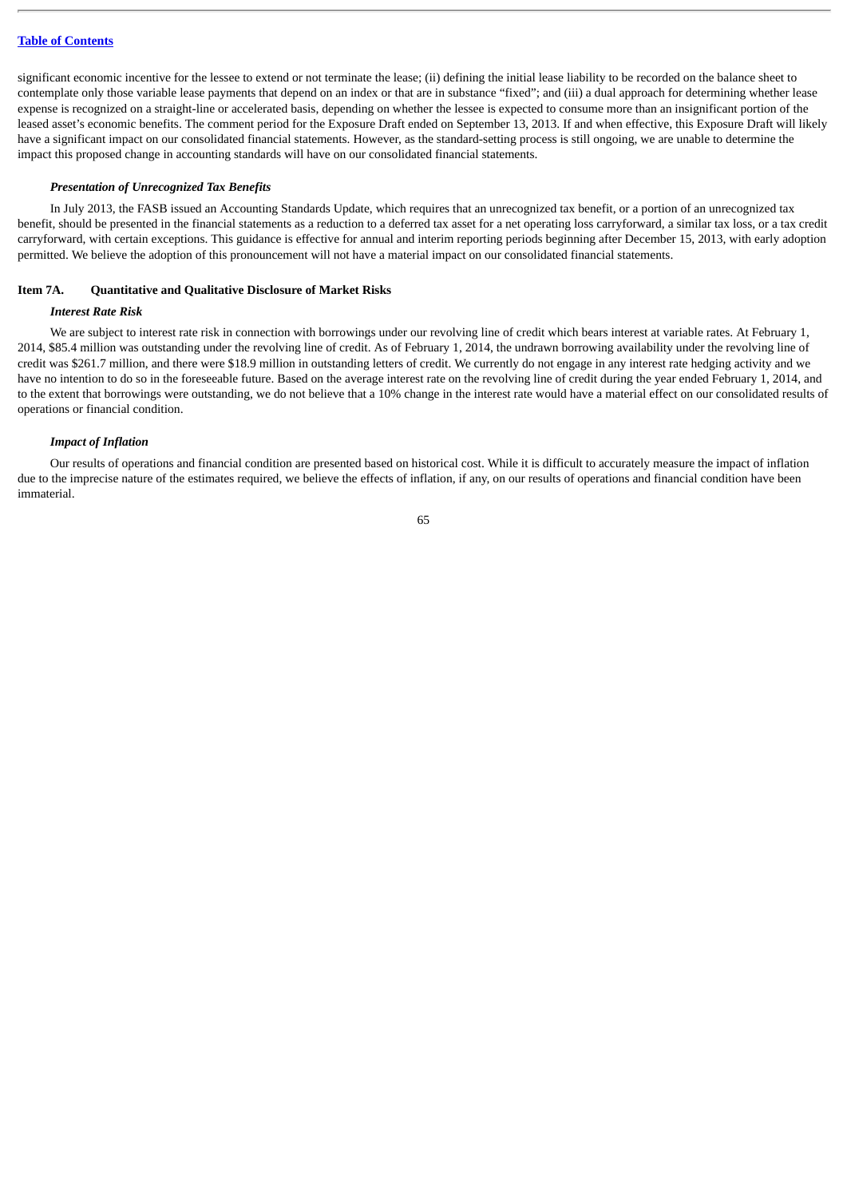significant economic incentive for the lessee to extend or not terminate the lease; (ii) defining the initial lease liability to be recorded on the balance sheet to contemplate only those variable lease payments that depend on an index or that are in substance "fixed"; and (iii) a dual approach for determining whether lease expense is recognized on a straight-line or accelerated basis, depending on whether the lessee is expected to consume more than an insignificant portion of the leased asset's economic benefits. The comment period for the Exposure Draft ended on September 13, 2013. If and when effective, this Exposure Draft will likely have a significant impact on our consolidated financial statements. However, as the standard-setting process is still ongoing, we are unable to determine the impact this proposed change in accounting standards will have on our consolidated financial statements.

#### *Presentation of Unrecognized Tax Benefits*

In July 2013, the FASB issued an Accounting Standards Update, which requires that an unrecognized tax benefit, or a portion of an unrecognized tax benefit, should be presented in the financial statements as a reduction to a deferred tax asset for a net operating loss carryforward, a similar tax loss, or a tax credit carryforward, with certain exceptions. This guidance is effective for annual and interim reporting periods beginning after December 15, 2013, with early adoption permitted. We believe the adoption of this pronouncement will not have a material impact on our consolidated financial statements.

#### **Item 7A. Quantitative and Qualitative Disclosure of Market Risks**

### *Interest Rate Risk*

We are subject to interest rate risk in connection with borrowings under our revolving line of credit which bears interest at variable rates. At February 1, 2014, \$85.4 million was outstanding under the revolving line of credit. As of February 1, 2014, the undrawn borrowing availability under the revolving line of credit was \$261.7 million, and there were \$18.9 million in outstanding letters of credit. We currently do not engage in any interest rate hedging activity and we have no intention to do so in the foreseeable future. Based on the average interest rate on the revolving line of credit during the year ended February 1, 2014, and to the extent that borrowings were outstanding, we do not believe that a 10% change in the interest rate would have a material effect on our consolidated results of operations or financial condition.

#### *Impact of Inflation*

Our results of operations and financial condition are presented based on historical cost. While it is difficult to accurately measure the impact of inflation due to the imprecise nature of the estimates required, we believe the effects of inflation, if any, on our results of operations and financial condition have been immaterial.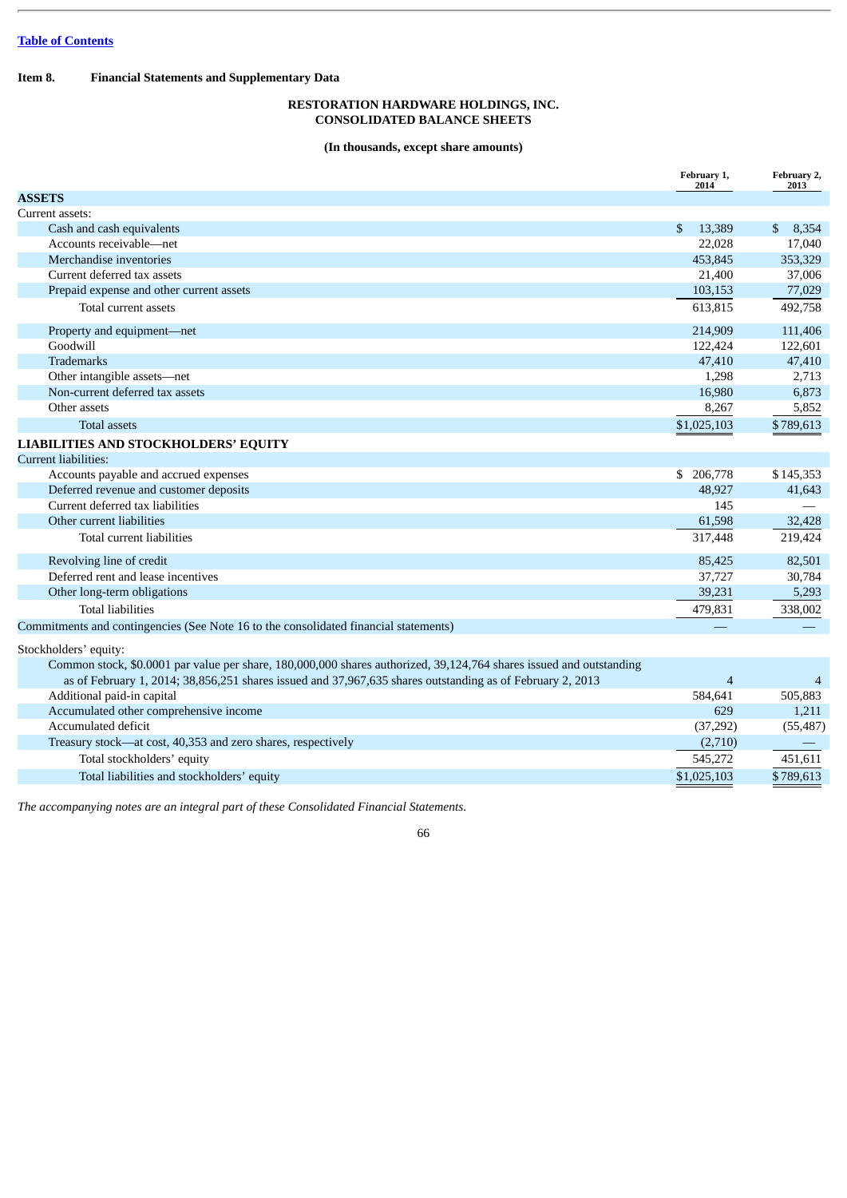# **Item 8. Financial Statements and Supplementary Data**

# **RESTORATION HARDWARE HOLDINGS, INC. CONSOLIDATED BALANCE SHEETS**

## **(In thousands, except share amounts)**

|                                                                                                                     | February 1,<br>2014      | February 2,<br>2013 |
|---------------------------------------------------------------------------------------------------------------------|--------------------------|---------------------|
| <b>ASSETS</b>                                                                                                       |                          |                     |
| Current assets:                                                                                                     |                          |                     |
| Cash and cash equivalents                                                                                           | $\mathbb{S}^-$<br>13,389 | \$8,354             |
| Accounts receivable-net                                                                                             | 22,028                   | 17,040              |
| Merchandise inventories                                                                                             | 453,845                  | 353,329             |
| Current deferred tax assets                                                                                         | 21,400                   | 37,006              |
| Prepaid expense and other current assets                                                                            | 103,153                  | 77,029              |
| Total current assets                                                                                                | 613,815                  | 492,758             |
| Property and equipment-net                                                                                          | 214,909                  | 111,406             |
| Goodwill                                                                                                            | 122,424                  | 122,601             |
| <b>Trademarks</b>                                                                                                   | 47,410                   | 47,410              |
| Other intangible assets-net                                                                                         | 1,298                    | 2,713               |
| Non-current deferred tax assets                                                                                     | 16,980                   | 6,873               |
| Other assets                                                                                                        | 8,267                    | 5,852               |
| <b>Total assets</b>                                                                                                 | \$1,025,103              | \$789,613           |
| <b>LIABILITIES AND STOCKHOLDERS' EQUITY</b>                                                                         |                          |                     |
| <b>Current liabilities:</b>                                                                                         |                          |                     |
| Accounts payable and accrued expenses                                                                               | \$ 206,778               | \$145,353           |
| Deferred revenue and customer deposits                                                                              | 48.927                   | 41.643              |
| Current deferred tax liabilities                                                                                    | 145                      |                     |
| Other current liabilities                                                                                           | 61,598                   | 32,428              |
| Total current liabilities                                                                                           | 317,448                  | 219,424             |
| Revolving line of credit                                                                                            | 85,425                   | 82,501              |
| Deferred rent and lease incentives                                                                                  | 37,727                   | 30,784              |
| Other long-term obligations                                                                                         | 39,231                   | 5,293               |
| <b>Total liabilities</b>                                                                                            | 479,831                  | 338,002             |
| Commitments and contingencies (See Note 16 to the consolidated financial statements)                                |                          |                     |
| Stockholders' equity:                                                                                               |                          |                     |
| Common stock, \$0.0001 par value per share, 180,000,000 shares authorized, 39,124,764 shares issued and outstanding |                          |                     |
| as of February 1, 2014; 38,856,251 shares issued and 37,967,635 shares outstanding as of February 2, 2013           | $\overline{4}$           | $\overline{4}$      |
| Additional paid-in capital                                                                                          | 584,641                  | 505,883             |
| Accumulated other comprehensive income                                                                              | 629                      | 1,211               |
| Accumulated deficit                                                                                                 | (37,292)                 | (55, 487)           |
| Treasury stock-at cost, 40,353 and zero shares, respectively                                                        | (2,710)                  |                     |
| Total stockholders' equity                                                                                          | 545,272                  | 451.611             |
| Total liabilities and stockholders' equity                                                                          | \$1,025,103              | \$789,613           |

*The accompanying notes are an integral part of these Consolidated Financial Statements.*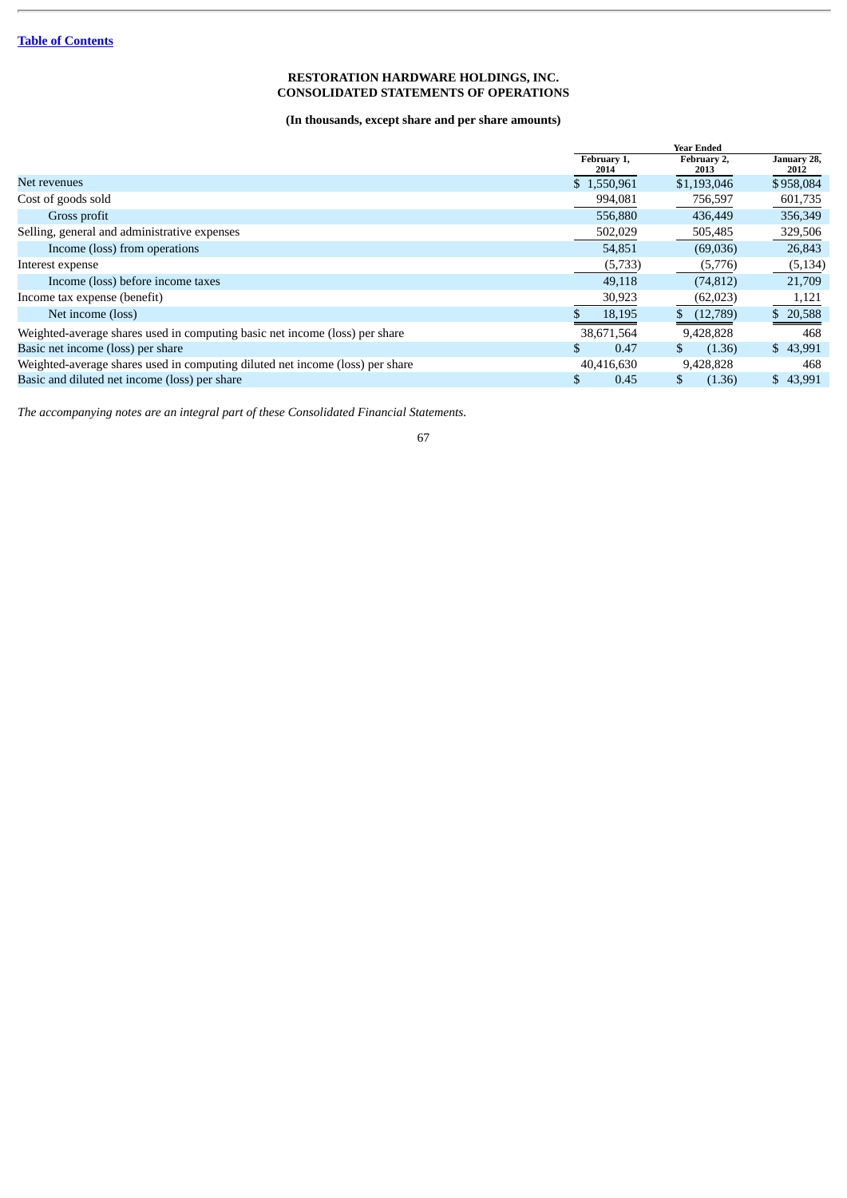# **RESTORATION HARDWARE HOLDINGS, INC. CONSOLIDATED STATEMENTS OF OPERATIONS**

**(In thousands, except share and per share amounts)**

|                                                                               |                     | <b>Year Ended</b>   |                     |  |  |
|-------------------------------------------------------------------------------|---------------------|---------------------|---------------------|--|--|
|                                                                               | February 1,<br>2014 | February 2,<br>2013 | January 28,<br>2012 |  |  |
| Net revenues                                                                  | \$1,550,961         | \$1,193,046         | \$958,084           |  |  |
| Cost of goods sold                                                            | 994,081             | 756,597             | 601,735             |  |  |
| Gross profit                                                                  | 556,880             | 436,449             | 356,349             |  |  |
| Selling, general and administrative expenses                                  | 502,029             | 505,485             | 329,506             |  |  |
| Income (loss) from operations                                                 | 54,851              | (69,036)            | 26,843              |  |  |
| Interest expense                                                              | (5,733)             | (5,776)             | (5, 134)            |  |  |
| Income (loss) before income taxes                                             | 49,118              | (74, 812)           | 21,709              |  |  |
| Income tax expense (benefit)                                                  | 30,923              | (62, 023)           | 1,121               |  |  |
| Net income (loss)                                                             | 18,195              | (12,789)<br>S.      | 20,588              |  |  |
| Weighted-average shares used in computing basic net income (loss) per share   | 38,671,564          | 9,428,828           | 468                 |  |  |
| Basic net income (loss) per share                                             | \$<br>0.47          | (1.36)              | \$43,991            |  |  |
| Weighted-average shares used in computing diluted net income (loss) per share | 40,416,630          | 9,428,828           | 468                 |  |  |
| Basic and diluted net income (loss) per share                                 | 0.45<br>\$          | (1.36)<br>S.        | \$43,991            |  |  |

*The accompanying notes are an integral part of these Consolidated Financial Statements.*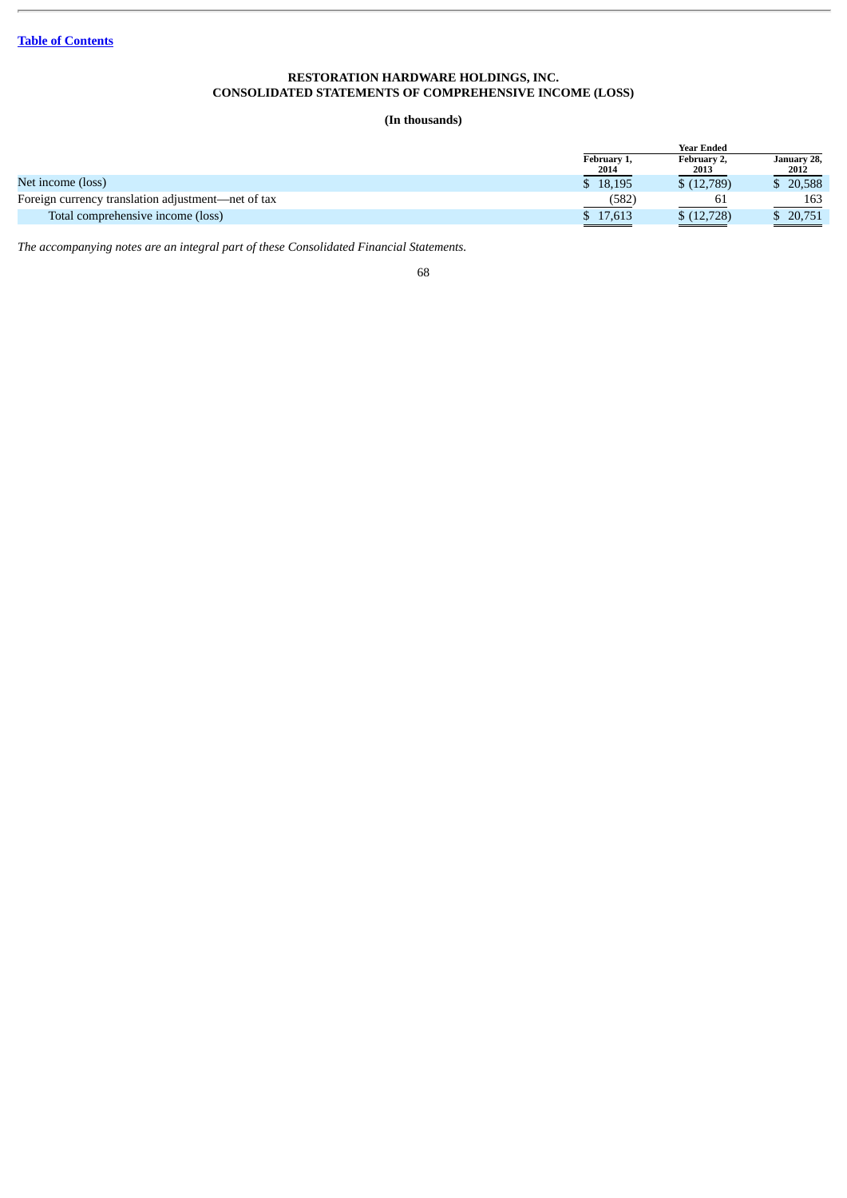## **RESTORATION HARDWARE HOLDINGS, INC. CONSOLIDATED STATEMENTS OF COMPREHENSIVE INCOME (LOSS)**

# **(In thousands)**

|                                                    |                     | <b>Year Ended</b>   |                            |  |  |
|----------------------------------------------------|---------------------|---------------------|----------------------------|--|--|
|                                                    | February 1,<br>2014 | February 2,<br>2013 | January 28,<br><b>2012</b> |  |  |
| Net income (loss)                                  | \$18,195            | \$(12,789)          | \$20,588                   |  |  |
| Foreign currency translation adjustment—net of tax | (582)               |                     | 163                        |  |  |
| Total comprehensive income (loss)                  | \$17,613            | \$(12,728)          | \$20,751                   |  |  |

*The accompanying notes are an integral part of these Consolidated Financial Statements.*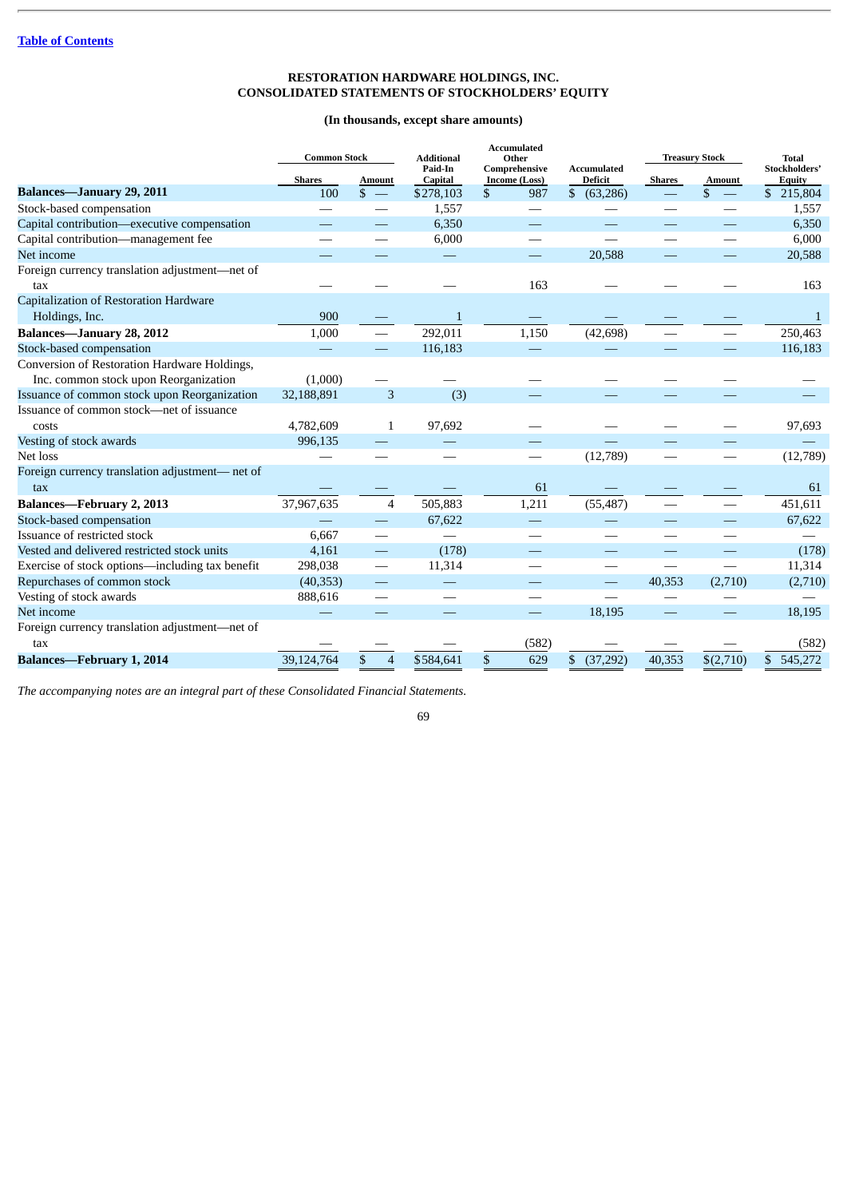## **RESTORATION HARDWARE HOLDINGS, INC. CONSOLIDATED STATEMENTS OF STOCKHOLDERS' EQUITY**

## **(In thousands, except share amounts)**

|                                                                                       | <b>Common Stock</b>      |                                | <b>Accumulated</b><br>Other<br>Additional |                                | <b>Treasury Stock</b>     |                          | <b>Total</b>             |                                |
|---------------------------------------------------------------------------------------|--------------------------|--------------------------------|-------------------------------------------|--------------------------------|---------------------------|--------------------------|--------------------------|--------------------------------|
|                                                                                       | Shares                   | <b>Amount</b>                  | Paid-In<br>Capital                        | Comprehensive<br>Income (Loss) | Accumulated<br>Deficit    | <b>Shares</b>            | <b>Amount</b>            | Stockholders'<br><b>Equity</b> |
| <b>Balances-January 29, 2011</b>                                                      | 100                      | \$<br>$\overline{\phantom{m}}$ | \$278,103                                 | \$<br>987                      | $\mathbb{S}$<br>(63, 286) |                          | \$                       | \$215,804                      |
| Stock-based compensation                                                              |                          |                                | 1,557                                     |                                |                           |                          |                          | 1,557                          |
| Capital contribution-executive compensation                                           | $\overline{\phantom{0}}$ |                                | 6,350                                     |                                |                           | $\overline{\phantom{0}}$ |                          | 6,350                          |
| Capital contribution-management fee                                                   |                          |                                | 6,000                                     |                                |                           |                          |                          | 6,000                          |
| Net income                                                                            |                          |                                |                                           |                                | 20,588                    |                          |                          | 20,588                         |
| Foreign currency translation adjustment-net of                                        |                          |                                |                                           |                                |                           |                          |                          |                                |
| tax                                                                                   |                          |                                |                                           | 163                            |                           |                          |                          | 163                            |
| Capitalization of Restoration Hardware                                                |                          |                                |                                           |                                |                           |                          |                          |                                |
| Holdings, Inc.                                                                        | 900                      |                                | 1                                         |                                |                           |                          |                          | -1                             |
| <b>Balances-January 28, 2012</b>                                                      | 1,000                    |                                | 292,011                                   | 1,150                          | (42, 698)                 |                          |                          | 250,463                        |
| Stock-based compensation                                                              |                          |                                | 116,183                                   |                                |                           |                          |                          | 116,183                        |
| Conversion of Restoration Hardware Holdings,<br>Inc. common stock upon Reorganization | (1,000)                  |                                |                                           |                                |                           |                          |                          |                                |
| Issuance of common stock upon Reorganization                                          | 32,188,891               | 3                              | (3)                                       |                                |                           |                          |                          |                                |
| Issuance of common stock-net of issuance                                              |                          |                                |                                           |                                |                           |                          |                          |                                |
| costs                                                                                 | 4,782,609                | 1                              | 97,692                                    |                                |                           |                          |                          | 97,693                         |
| Vesting of stock awards                                                               | 996,135                  |                                |                                           |                                |                           |                          |                          |                                |
| Net loss                                                                              |                          |                                |                                           |                                | (12,789)                  |                          |                          | (12,789)                       |
| Foreign currency translation adjustment- net of                                       |                          |                                |                                           |                                |                           |                          |                          |                                |
| tax                                                                                   |                          |                                |                                           | 61                             |                           |                          |                          | 61                             |
| Balances-February 2, 2013                                                             | 37,967,635               | $\overline{4}$                 | 505,883                                   | 1,211                          | (55, 487)                 |                          | $\overline{\phantom{0}}$ | 451,611                        |
| Stock-based compensation                                                              |                          | $\overline{\phantom{0}}$       | 67,622                                    |                                |                           |                          |                          | 67,622                         |
| Issuance of restricted stock                                                          | 6,667                    |                                |                                           |                                |                           |                          |                          |                                |
| Vested and delivered restricted stock units                                           | 4,161                    | $\overline{\phantom{0}}$       | (178)                                     |                                |                           |                          |                          | (178)                          |
| Exercise of stock options-including tax benefit                                       | 298,038                  |                                | 11,314                                    |                                |                           |                          |                          | 11,314                         |
| Repurchases of common stock                                                           | (40, 353)                |                                |                                           |                                |                           | 40,353                   | (2,710)                  | (2,710)                        |
| Vesting of stock awards                                                               | 888,616                  |                                |                                           |                                |                           |                          |                          |                                |
| Net income                                                                            |                          |                                |                                           |                                | 18,195                    |                          |                          | 18,195                         |
| Foreign currency translation adjustment-net of                                        |                          |                                |                                           |                                |                           |                          |                          |                                |
| tax                                                                                   |                          |                                |                                           | (582)                          |                           |                          |                          | (582)                          |
| <b>Balances-February 1, 2014</b>                                                      | 39,124,764               | \$<br>$\overline{4}$           | \$584,641                                 | \$<br>629                      | \$<br>(37, 292)           | 40,353                   | \$(2,710)                | \$545,272                      |

*The accompanying notes are an integral part of these Consolidated Financial Statements.*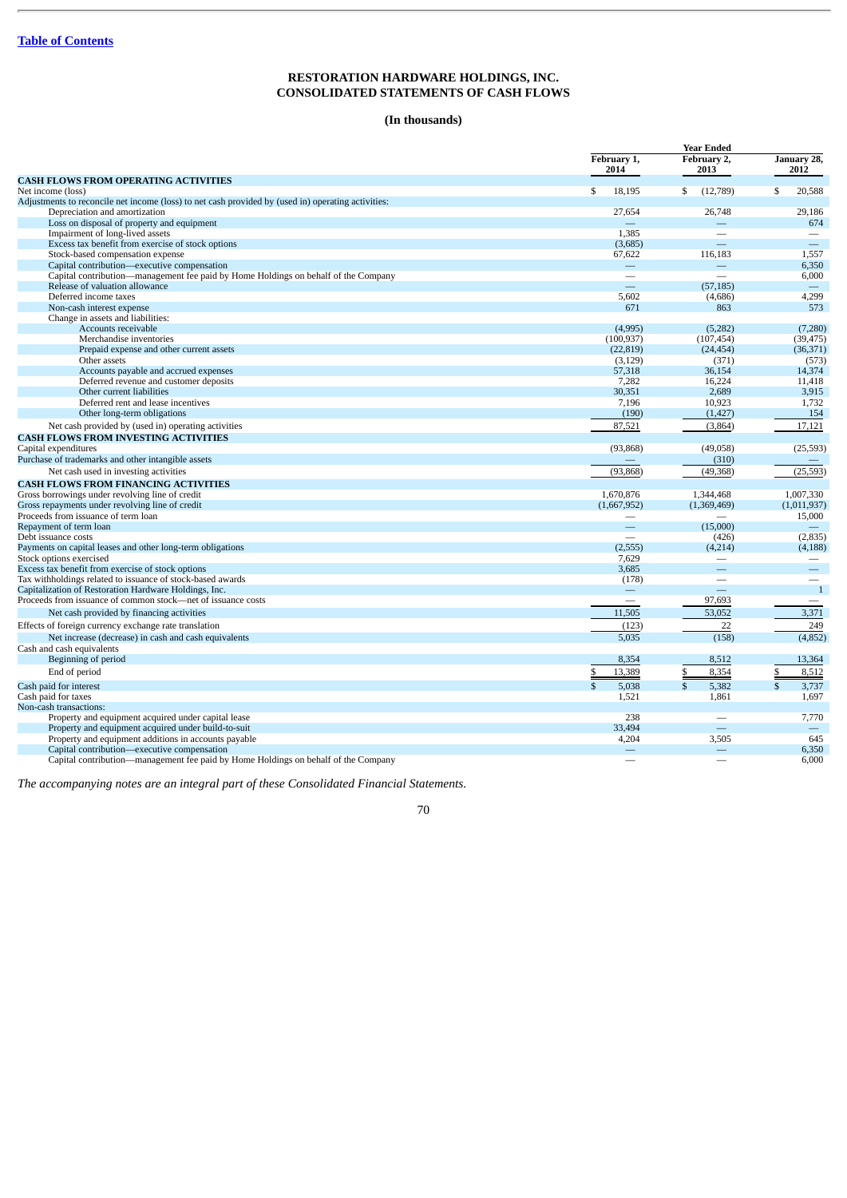# **RESTORATION HARDWARE HOLDINGS, INC. CONSOLIDATED STATEMENTS OF CASH FLOWS**

**(In thousands)**

|                                                                                                    |                                 | <b>Year Ended</b>        |                                      |
|----------------------------------------------------------------------------------------------------|---------------------------------|--------------------------|--------------------------------------|
|                                                                                                    | February 1,<br>2014             | February 2,<br>2013      | January 28,<br>2012                  |
| <b>CASH FLOWS FROM OPERATING ACTIVITIES</b>                                                        |                                 |                          |                                      |
| Net income (loss)                                                                                  | 18,195<br>\$                    | (12,789)<br>\$           | \$<br>20,588                         |
| Adjustments to reconcile net income (loss) to net cash provided by (used in) operating activities: |                                 |                          |                                      |
| Depreciation and amortization                                                                      | 27,654                          | 26,748                   | 29,186                               |
| Loss on disposal of property and equipment                                                         |                                 |                          | 674                                  |
| Impairment of long-lived assets                                                                    | 1,385<br>(3,685)                |                          | $\overline{\phantom{a}}$<br>$\equiv$ |
| Excess tax benefit from exercise of stock options<br>Stock-based compensation expense              | 67,622                          | 116,183                  | 1,557                                |
| Capital contribution-executive compensation                                                        |                                 |                          | 6,350                                |
| Capital contribution—management fee paid by Home Holdings on behalf of the Company                 | $\overline{\phantom{a}}$        |                          | 6,000                                |
| Release of valuation allowance                                                                     |                                 | (57, 185)                |                                      |
| Deferred income taxes                                                                              | 5,602                           | (4,686)                  | 4,299                                |
| Non-cash interest expense                                                                          | 671                             | 863                      | 573                                  |
| Change in assets and liabilities:                                                                  |                                 |                          |                                      |
| Accounts receivable                                                                                | (4,995)                         | (5,282)                  | (7,280)                              |
| Merchandise inventories                                                                            | (100, 937)                      | (107, 454)               | (39, 475)                            |
| Prepaid expense and other current assets                                                           | (22, 819)                       | (24, 454)                | (36, 371)                            |
| Other assets                                                                                       | (3, 129)                        | (371)                    | (573)                                |
| Accounts payable and accrued expenses                                                              | 57,318                          | 36,154                   | 14,374                               |
| Deferred revenue and customer deposits                                                             | 7.282                           | 16,224                   | 11.418                               |
| Other current liabilities                                                                          | 30,351                          | 2,689                    | 3,915                                |
| Deferred rent and lease incentives                                                                 | 7,196                           | 10,923                   | 1,732                                |
| Other long-term obligations                                                                        | (190)                           | (1, 427)                 | 154                                  |
| Net cash provided by (used in) operating activities                                                | 87,521                          | (3, 864)                 | 17,121                               |
| <b>CASH FLOWS FROM INVESTING ACTIVITIES</b>                                                        |                                 |                          |                                      |
| Capital expenditures                                                                               | (93, 868)                       | (49,058)                 | (25, 593)                            |
| Purchase of trademarks and other intangible assets                                                 | $\overline{\phantom{0}}$        | (310)                    |                                      |
| Net cash used in investing activities                                                              | (93, 868)                       | (49,368)                 | (25, 593)                            |
| <b>CASH FLOWS FROM FINANCING ACTIVITIES</b>                                                        |                                 |                          |                                      |
| Gross borrowings under revolving line of credit                                                    | 1,670,876                       | 1,344,468                | 1,007,330                            |
| Gross repayments under revolving line of credit                                                    | (1,667,952)                     | (1,369,469)              | (1,011,937)                          |
| Proceeds from issuance of term loan                                                                |                                 |                          | 15,000                               |
| Repayment of term loan                                                                             |                                 | (15,000)                 |                                      |
| Debt issuance costs                                                                                |                                 | (426)                    | (2, 835)                             |
| Payments on capital leases and other long-term obligations                                         | (2, 555)                        | (4,214)                  | (4, 188)                             |
| Stock options exercised                                                                            | 7,629                           | $\qquad \qquad$          |                                      |
| Excess tax benefit from exercise of stock options                                                  | 3,685                           |                          | ÷.                                   |
| Tax withholdings related to issuance of stock-based awards                                         | (178)                           | $\overline{\phantom{a}}$ | $\overline{\phantom{m}}$             |
| Capitalization of Restoration Hardware Holdings, Inc.                                              |                                 |                          | <sup>1</sup>                         |
| Proceeds from issuance of common stock—net of issuance costs                                       | $\hspace{0.1mm}-\hspace{0.1mm}$ | 97,693                   | $\overline{\phantom{m}}$             |
| Net cash provided by financing activities                                                          | 11,505                          | 53,052                   | 3,371                                |
| Effects of foreign currency exchange rate translation                                              | (123)                           | 22                       | 249                                  |
| Net increase (decrease) in cash and cash equivalents                                               | 5,035                           | (158)                    | (4,852)                              |
| Cash and cash equivalents                                                                          |                                 |                          |                                      |
| Beginning of period                                                                                | 8,354                           | 8,512                    | 13,364                               |
|                                                                                                    | \$                              | \$                       | \$                                   |
| End of period                                                                                      | 13,389                          | 8,354                    | 8,512                                |
| Cash paid for interest                                                                             | $\mathbb{S}$<br>5,038           | 5,382<br>$\mathbf{s}$    | $\mathbf{s}$<br>3,737                |
| Cash paid for taxes                                                                                | 1,521                           | 1,861                    | 1,697                                |
| Non-cash transactions:                                                                             |                                 |                          |                                      |
| Property and equipment acquired under capital lease                                                | 238                             | $\frac{1}{2}$            | 7,770                                |
| Property and equipment acquired under build-to-suit                                                | 33,494                          |                          |                                      |
| Property and equipment additions in accounts payable                                               | 4,204                           | 3,505                    | 645                                  |
| Capital contribution-executive compensation                                                        | $\equiv$                        | $\sim$                   | 6,350                                |
| Capital contribution—management fee paid by Home Holdings on behalf of the Company                 |                                 | $\overline{\phantom{a}}$ | 6,000                                |

*The accompanying notes are an integral part of these Consolidated Financial Statements.*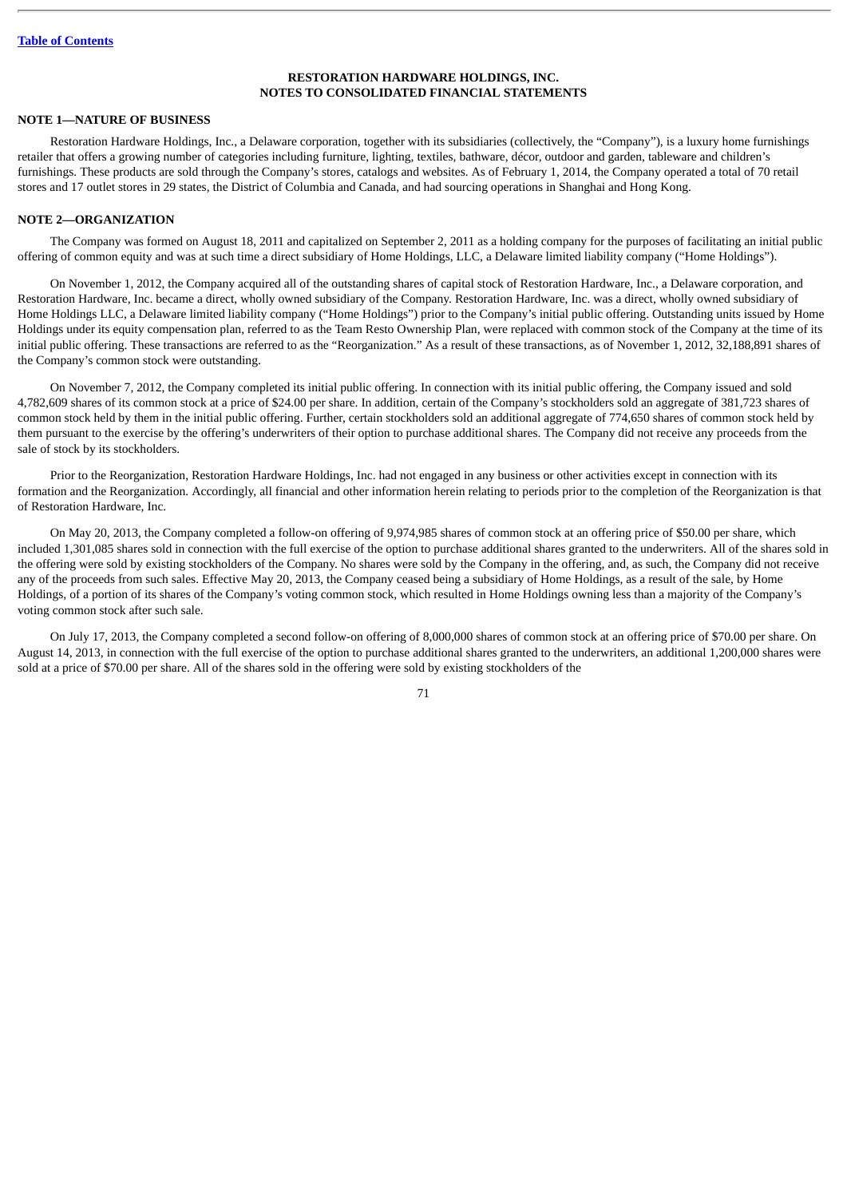# **RESTORATION HARDWARE HOLDINGS, INC. NOTES TO CONSOLIDATED FINANCIAL STATEMENTS**

#### **NOTE 1—NATURE OF BUSINESS**

Restoration Hardware Holdings, Inc., a Delaware corporation, together with its subsidiaries (collectively, the "Company"), is a luxury home furnishings retailer that offers a growing number of categories including furniture, lighting, textiles, bathware, décor, outdoor and garden, tableware and children's furnishings. These products are sold through the Company's stores, catalogs and websites. As of February 1, 2014, the Company operated a total of 70 retail stores and 17 outlet stores in 29 states, the District of Columbia and Canada, and had sourcing operations in Shanghai and Hong Kong.

## **NOTE 2—ORGANIZATION**

The Company was formed on August 18, 2011 and capitalized on September 2, 2011 as a holding company for the purposes of facilitating an initial public offering of common equity and was at such time a direct subsidiary of Home Holdings, LLC, a Delaware limited liability company ("Home Holdings").

On November 1, 2012, the Company acquired all of the outstanding shares of capital stock of Restoration Hardware, Inc., a Delaware corporation, and Restoration Hardware, Inc. became a direct, wholly owned subsidiary of the Company. Restoration Hardware, Inc. was a direct, wholly owned subsidiary of Home Holdings LLC, a Delaware limited liability company ("Home Holdings") prior to the Company's initial public offering. Outstanding units issued by Home Holdings under its equity compensation plan, referred to as the Team Resto Ownership Plan, were replaced with common stock of the Company at the time of its initial public offering. These transactions are referred to as the "Reorganization." As a result of these transactions, as of November 1, 2012, 32,188,891 shares of the Company's common stock were outstanding.

On November 7, 2012, the Company completed its initial public offering. In connection with its initial public offering, the Company issued and sold 4,782,609 shares of its common stock at a price of \$24.00 per share. In addition, certain of the Company's stockholders sold an aggregate of 381,723 shares of common stock held by them in the initial public offering. Further, certain stockholders sold an additional aggregate of 774,650 shares of common stock held by them pursuant to the exercise by the offering's underwriters of their option to purchase additional shares. The Company did not receive any proceeds from the sale of stock by its stockholders.

Prior to the Reorganization, Restoration Hardware Holdings, Inc. had not engaged in any business or other activities except in connection with its formation and the Reorganization. Accordingly, all financial and other information herein relating to periods prior to the completion of the Reorganization is that of Restoration Hardware, Inc.

On May 20, 2013, the Company completed a follow-on offering of 9,974,985 shares of common stock at an offering price of \$50.00 per share, which included 1,301,085 shares sold in connection with the full exercise of the option to purchase additional shares granted to the underwriters. All of the shares sold in the offering were sold by existing stockholders of the Company. No shares were sold by the Company in the offering, and, as such, the Company did not receive any of the proceeds from such sales. Effective May 20, 2013, the Company ceased being a subsidiary of Home Holdings, as a result of the sale, by Home Holdings, of a portion of its shares of the Company's voting common stock, which resulted in Home Holdings owning less than a majority of the Company's voting common stock after such sale.

On July 17, 2013, the Company completed a second follow-on offering of 8,000,000 shares of common stock at an offering price of \$70.00 per share. On August 14, 2013, in connection with the full exercise of the option to purchase additional shares granted to the underwriters, an additional 1,200,000 shares were sold at a price of \$70.00 per share. All of the shares sold in the offering were sold by existing stockholders of the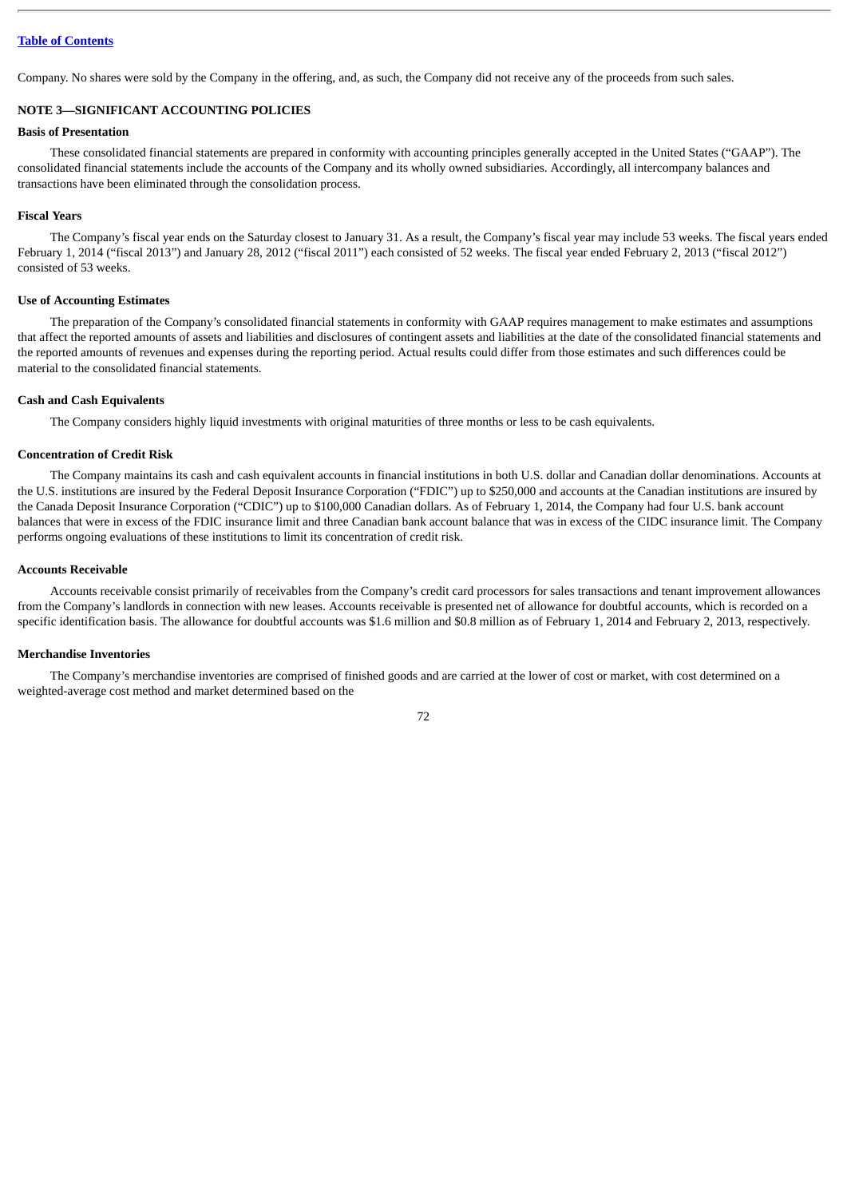Company. No shares were sold by the Company in the offering, and, as such, the Company did not receive any of the proceeds from such sales.

#### **NOTE 3—SIGNIFICANT ACCOUNTING POLICIES**

# **Basis of Presentation**

These consolidated financial statements are prepared in conformity with accounting principles generally accepted in the United States ("GAAP"). The consolidated financial statements include the accounts of the Company and its wholly owned subsidiaries. Accordingly, all intercompany balances and transactions have been eliminated through the consolidation process.

#### **Fiscal Years**

The Company's fiscal year ends on the Saturday closest to January 31. As a result, the Company's fiscal year may include 53 weeks. The fiscal years ended February 1, 2014 ("fiscal 2013") and January 28, 2012 ("fiscal 2011") each consisted of 52 weeks. The fiscal year ended February 2, 2013 ("fiscal 2012") consisted of 53 weeks.

#### **Use of Accounting Estimates**

The preparation of the Company's consolidated financial statements in conformity with GAAP requires management to make estimates and assumptions that affect the reported amounts of assets and liabilities and disclosures of contingent assets and liabilities at the date of the consolidated financial statements and the reported amounts of revenues and expenses during the reporting period. Actual results could differ from those estimates and such differences could be material to the consolidated financial statements.

#### **Cash and Cash Equivalents**

The Company considers highly liquid investments with original maturities of three months or less to be cash equivalents.

#### **Concentration of Credit Risk**

The Company maintains its cash and cash equivalent accounts in financial institutions in both U.S. dollar and Canadian dollar denominations. Accounts at the U.S. institutions are insured by the Federal Deposit Insurance Corporation ("FDIC") up to \$250,000 and accounts at the Canadian institutions are insured by the Canada Deposit Insurance Corporation ("CDIC") up to \$100,000 Canadian dollars. As of February 1, 2014, the Company had four U.S. bank account balances that were in excess of the FDIC insurance limit and three Canadian bank account balance that was in excess of the CIDC insurance limit. The Company performs ongoing evaluations of these institutions to limit its concentration of credit risk.

#### **Accounts Receivable**

Accounts receivable consist primarily of receivables from the Company's credit card processors for sales transactions and tenant improvement allowances from the Company's landlords in connection with new leases. Accounts receivable is presented net of allowance for doubtful accounts, which is recorded on a specific identification basis. The allowance for doubtful accounts was \$1.6 million and \$0.8 million as of February 1, 2014 and February 2, 2013, respectively.

#### **Merchandise Inventories**

The Company's merchandise inventories are comprised of finished goods and are carried at the lower of cost or market, with cost determined on a weighted-average cost method and market determined based on the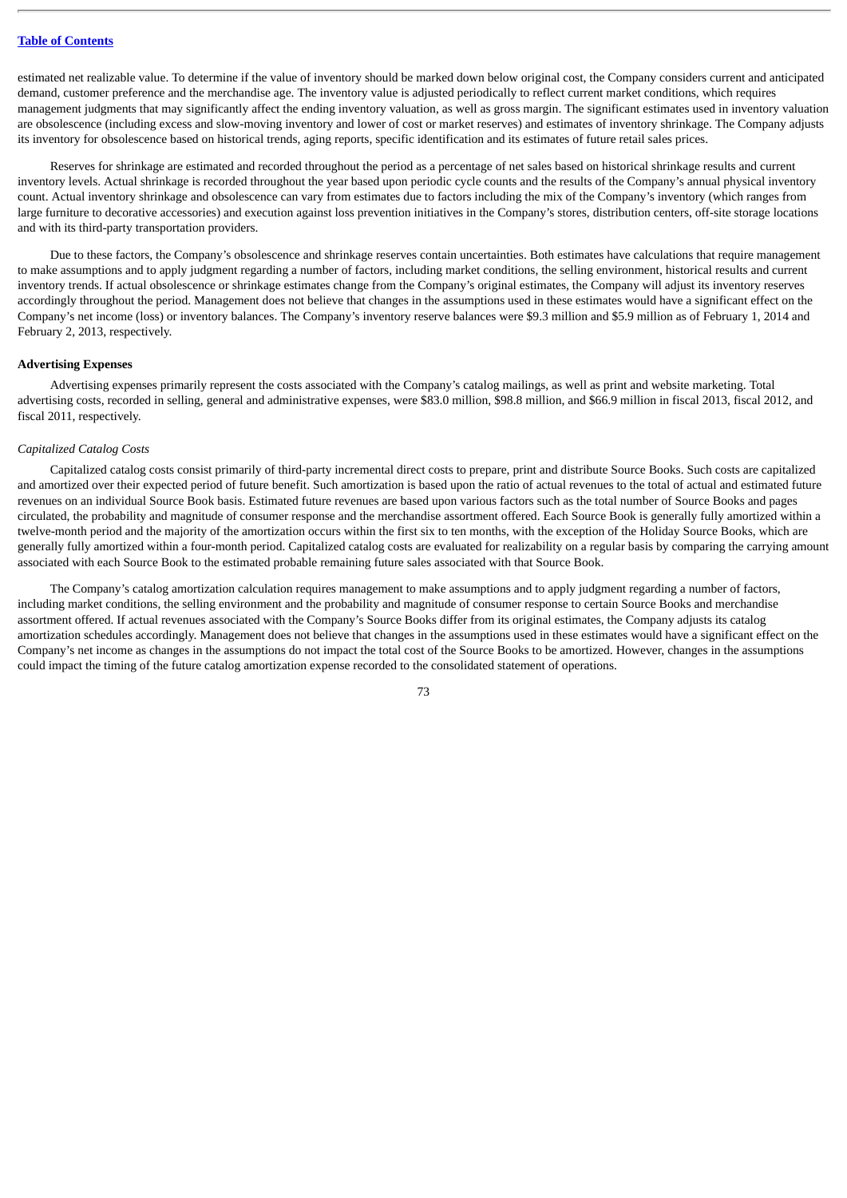estimated net realizable value. To determine if the value of inventory should be marked down below original cost, the Company considers current and anticipated demand, customer preference and the merchandise age. The inventory value is adjusted periodically to reflect current market conditions, which requires management judgments that may significantly affect the ending inventory valuation, as well as gross margin. The significant estimates used in inventory valuation are obsolescence (including excess and slow-moving inventory and lower of cost or market reserves) and estimates of inventory shrinkage. The Company adjusts its inventory for obsolescence based on historical trends, aging reports, specific identification and its estimates of future retail sales prices.

Reserves for shrinkage are estimated and recorded throughout the period as a percentage of net sales based on historical shrinkage results and current inventory levels. Actual shrinkage is recorded throughout the year based upon periodic cycle counts and the results of the Company's annual physical inventory count. Actual inventory shrinkage and obsolescence can vary from estimates due to factors including the mix of the Company's inventory (which ranges from large furniture to decorative accessories) and execution against loss prevention initiatives in the Company's stores, distribution centers, off-site storage locations and with its third-party transportation providers.

Due to these factors, the Company's obsolescence and shrinkage reserves contain uncertainties. Both estimates have calculations that require management to make assumptions and to apply judgment regarding a number of factors, including market conditions, the selling environment, historical results and current inventory trends. If actual obsolescence or shrinkage estimates change from the Company's original estimates, the Company will adjust its inventory reserves accordingly throughout the period. Management does not believe that changes in the assumptions used in these estimates would have a significant effect on the Company's net income (loss) or inventory balances. The Company's inventory reserve balances were \$9.3 million and \$5.9 million as of February 1, 2014 and February 2, 2013, respectively.

## **Advertising Expenses**

Advertising expenses primarily represent the costs associated with the Company's catalog mailings, as well as print and website marketing. Total advertising costs, recorded in selling, general and administrative expenses, were \$83.0 million, \$98.8 million, and \$66.9 million in fiscal 2013, fiscal 2012, and fiscal 2011, respectively.

#### *Capitalized Catalog Costs*

Capitalized catalog costs consist primarily of third-party incremental direct costs to prepare, print and distribute Source Books. Such costs are capitalized and amortized over their expected period of future benefit. Such amortization is based upon the ratio of actual revenues to the total of actual and estimated future revenues on an individual Source Book basis. Estimated future revenues are based upon various factors such as the total number of Source Books and pages circulated, the probability and magnitude of consumer response and the merchandise assortment offered. Each Source Book is generally fully amortized within a twelve-month period and the majority of the amortization occurs within the first six to ten months, with the exception of the Holiday Source Books, which are generally fully amortized within a four-month period. Capitalized catalog costs are evaluated for realizability on a regular basis by comparing the carrying amount associated with each Source Book to the estimated probable remaining future sales associated with that Source Book.

The Company's catalog amortization calculation requires management to make assumptions and to apply judgment regarding a number of factors, including market conditions, the selling environment and the probability and magnitude of consumer response to certain Source Books and merchandise assortment offered. If actual revenues associated with the Company's Source Books differ from its original estimates, the Company adjusts its catalog amortization schedules accordingly. Management does not believe that changes in the assumptions used in these estimates would have a significant effect on the Company's net income as changes in the assumptions do not impact the total cost of the Source Books to be amortized. However, changes in the assumptions could impact the timing of the future catalog amortization expense recorded to the consolidated statement of operations.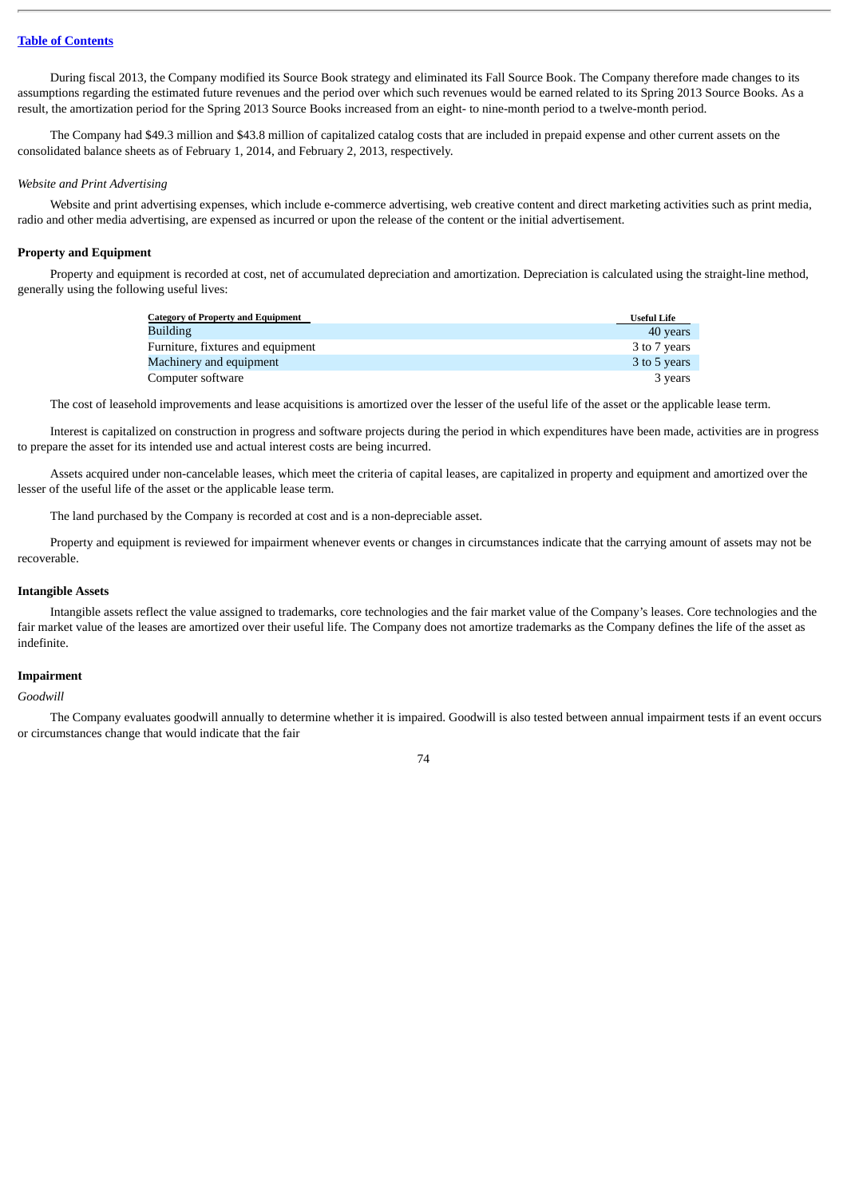During fiscal 2013, the Company modified its Source Book strategy and eliminated its Fall Source Book. The Company therefore made changes to its assumptions regarding the estimated future revenues and the period over which such revenues would be earned related to its Spring 2013 Source Books. As a result, the amortization period for the Spring 2013 Source Books increased from an eight- to nine-month period to a twelve-month period.

The Company had \$49.3 million and \$43.8 million of capitalized catalog costs that are included in prepaid expense and other current assets on the consolidated balance sheets as of February 1, 2014, and February 2, 2013, respectively.

#### *Website and Print Advertising*

Website and print advertising expenses, which include e-commerce advertising, web creative content and direct marketing activities such as print media, radio and other media advertising, are expensed as incurred or upon the release of the content or the initial advertisement.

#### **Property and Equipment**

Property and equipment is recorded at cost, net of accumulated depreciation and amortization. Depreciation is calculated using the straight-line method, generally using the following useful lives:

| <b>Category of Property and Equipment</b> | <b>Useful Life</b> |
|-------------------------------------------|--------------------|
| <b>Building</b>                           | 40 years           |
| Furniture, fixtures and equipment         | 3 to 7 years       |
| Machinery and equipment                   | 3 to 5 years       |
| Computer software                         | 3 years            |

The cost of leasehold improvements and lease acquisitions is amortized over the lesser of the useful life of the asset or the applicable lease term.

Interest is capitalized on construction in progress and software projects during the period in which expenditures have been made, activities are in progress to prepare the asset for its intended use and actual interest costs are being incurred.

Assets acquired under non-cancelable leases, which meet the criteria of capital leases, are capitalized in property and equipment and amortized over the lesser of the useful life of the asset or the applicable lease term.

The land purchased by the Company is recorded at cost and is a non-depreciable asset.

Property and equipment is reviewed for impairment whenever events or changes in circumstances indicate that the carrying amount of assets may not be recoverable.

#### **Intangible Assets**

Intangible assets reflect the value assigned to trademarks, core technologies and the fair market value of the Company's leases. Core technologies and the fair market value of the leases are amortized over their useful life. The Company does not amortize trademarks as the Company defines the life of the asset as indefinite.

# **Impairment**

#### *Goodwill*

The Company evaluates goodwill annually to determine whether it is impaired. Goodwill is also tested between annual impairment tests if an event occurs or circumstances change that would indicate that the fair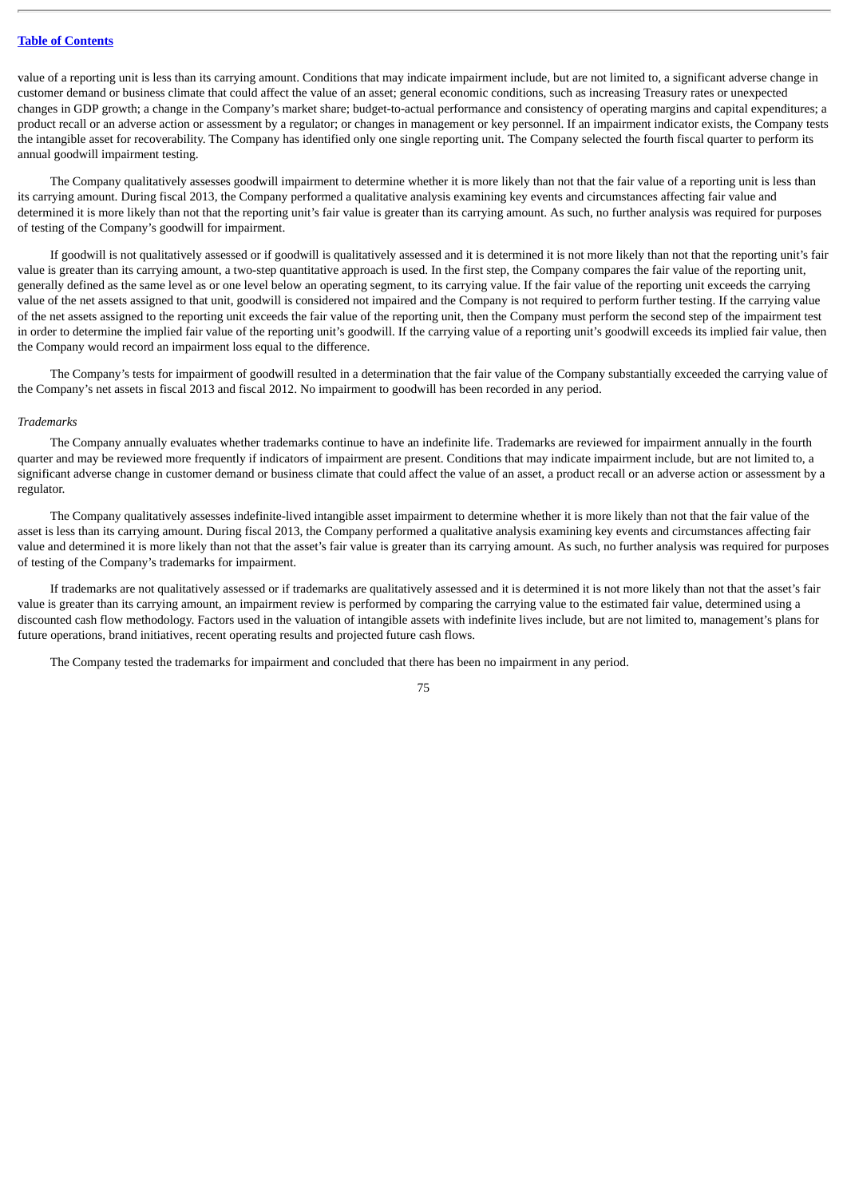value of a reporting unit is less than its carrying amount. Conditions that may indicate impairment include, but are not limited to, a significant adverse change in customer demand or business climate that could affect the value of an asset; general economic conditions, such as increasing Treasury rates or unexpected changes in GDP growth; a change in the Company's market share; budget-to-actual performance and consistency of operating margins and capital expenditures; a product recall or an adverse action or assessment by a regulator; or changes in management or key personnel. If an impairment indicator exists, the Company tests the intangible asset for recoverability. The Company has identified only one single reporting unit. The Company selected the fourth fiscal quarter to perform its annual goodwill impairment testing.

The Company qualitatively assesses goodwill impairment to determine whether it is more likely than not that the fair value of a reporting unit is less than its carrying amount. During fiscal 2013, the Company performed a qualitative analysis examining key events and circumstances affecting fair value and determined it is more likely than not that the reporting unit's fair value is greater than its carrying amount. As such, no further analysis was required for purposes of testing of the Company's goodwill for impairment.

If goodwill is not qualitatively assessed or if goodwill is qualitatively assessed and it is determined it is not more likely than not that the reporting unit's fair value is greater than its carrying amount, a two-step quantitative approach is used. In the first step, the Company compares the fair value of the reporting unit, generally defined as the same level as or one level below an operating segment, to its carrying value. If the fair value of the reporting unit exceeds the carrying value of the net assets assigned to that unit, goodwill is considered not impaired and the Company is not required to perform further testing. If the carrying value of the net assets assigned to the reporting unit exceeds the fair value of the reporting unit, then the Company must perform the second step of the impairment test in order to determine the implied fair value of the reporting unit's goodwill. If the carrying value of a reporting unit's goodwill exceeds its implied fair value, then the Company would record an impairment loss equal to the difference.

The Company's tests for impairment of goodwill resulted in a determination that the fair value of the Company substantially exceeded the carrying value of the Company's net assets in fiscal 2013 and fiscal 2012. No impairment to goodwill has been recorded in any period.

#### *Trademarks*

The Company annually evaluates whether trademarks continue to have an indefinite life. Trademarks are reviewed for impairment annually in the fourth quarter and may be reviewed more frequently if indicators of impairment are present. Conditions that may indicate impairment include, but are not limited to, a significant adverse change in customer demand or business climate that could affect the value of an asset, a product recall or an adverse action or assessment by a regulator.

The Company qualitatively assesses indefinite-lived intangible asset impairment to determine whether it is more likely than not that the fair value of the asset is less than its carrying amount. During fiscal 2013, the Company performed a qualitative analysis examining key events and circumstances affecting fair value and determined it is more likely than not that the asset's fair value is greater than its carrying amount. As such, no further analysis was required for purposes of testing of the Company's trademarks for impairment.

If trademarks are not qualitatively assessed or if trademarks are qualitatively assessed and it is determined it is not more likely than not that the asset's fair value is greater than its carrying amount, an impairment review is performed by comparing the carrying value to the estimated fair value, determined using a discounted cash flow methodology. Factors used in the valuation of intangible assets with indefinite lives include, but are not limited to, management's plans for future operations, brand initiatives, recent operating results and projected future cash flows.

The Company tested the trademarks for impairment and concluded that there has been no impairment in any period.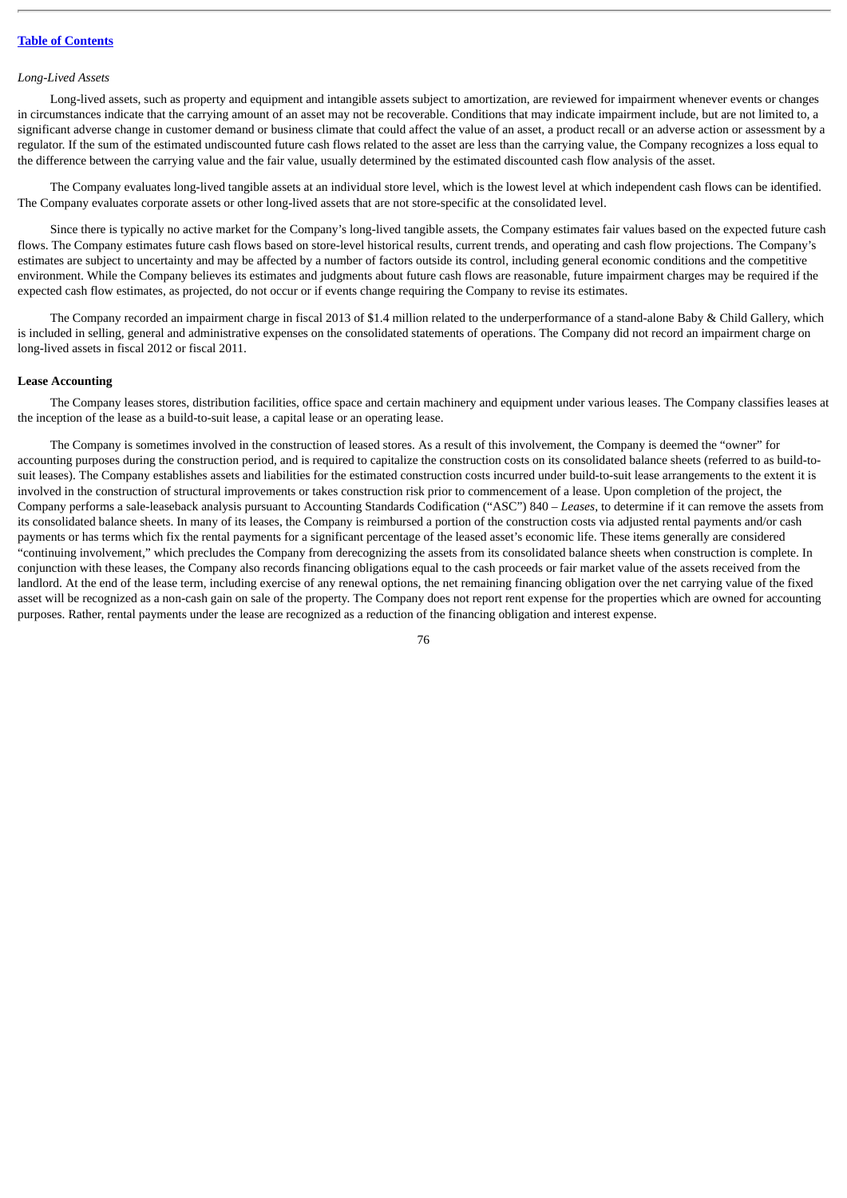#### *Long-Lived Assets*

Long-lived assets, such as property and equipment and intangible assets subject to amortization, are reviewed for impairment whenever events or changes in circumstances indicate that the carrying amount of an asset may not be recoverable. Conditions that may indicate impairment include, but are not limited to, a significant adverse change in customer demand or business climate that could affect the value of an asset, a product recall or an adverse action or assessment by a regulator. If the sum of the estimated undiscounted future cash flows related to the asset are less than the carrying value, the Company recognizes a loss equal to the difference between the carrying value and the fair value, usually determined by the estimated discounted cash flow analysis of the asset.

The Company evaluates long-lived tangible assets at an individual store level, which is the lowest level at which independent cash flows can be identified. The Company evaluates corporate assets or other long-lived assets that are not store-specific at the consolidated level.

Since there is typically no active market for the Company's long-lived tangible assets, the Company estimates fair values based on the expected future cash flows. The Company estimates future cash flows based on store-level historical results, current trends, and operating and cash flow projections. The Company's estimates are subject to uncertainty and may be affected by a number of factors outside its control, including general economic conditions and the competitive environment. While the Company believes its estimates and judgments about future cash flows are reasonable, future impairment charges may be required if the expected cash flow estimates, as projected, do not occur or if events change requiring the Company to revise its estimates.

The Company recorded an impairment charge in fiscal 2013 of \$1.4 million related to the underperformance of a stand-alone Baby & Child Gallery, which is included in selling, general and administrative expenses on the consolidated statements of operations. The Company did not record an impairment charge on long-lived assets in fiscal 2012 or fiscal 2011.

#### **Lease Accounting**

The Company leases stores, distribution facilities, office space and certain machinery and equipment under various leases. The Company classifies leases at the inception of the lease as a build-to-suit lease, a capital lease or an operating lease.

The Company is sometimes involved in the construction of leased stores. As a result of this involvement, the Company is deemed the "owner" for accounting purposes during the construction period, and is required to capitalize the construction costs on its consolidated balance sheets (referred to as build-tosuit leases). The Company establishes assets and liabilities for the estimated construction costs incurred under build-to-suit lease arrangements to the extent it is involved in the construction of structural improvements or takes construction risk prior to commencement of a lease. Upon completion of the project, the Company performs a sale-leaseback analysis pursuant to Accounting Standards Codification ("ASC") 840 – *Leases*, to determine if it can remove the assets from its consolidated balance sheets. In many of its leases, the Company is reimbursed a portion of the construction costs via adjusted rental payments and/or cash payments or has terms which fix the rental payments for a significant percentage of the leased asset's economic life. These items generally are considered "continuing involvement," which precludes the Company from derecognizing the assets from its consolidated balance sheets when construction is complete. In conjunction with these leases, the Company also records financing obligations equal to the cash proceeds or fair market value of the assets received from the landlord. At the end of the lease term, including exercise of any renewal options, the net remaining financing obligation over the net carrying value of the fixed asset will be recognized as a non-cash gain on sale of the property. The Company does not report rent expense for the properties which are owned for accounting purposes. Rather, rental payments under the lease are recognized as a reduction of the financing obligation and interest expense.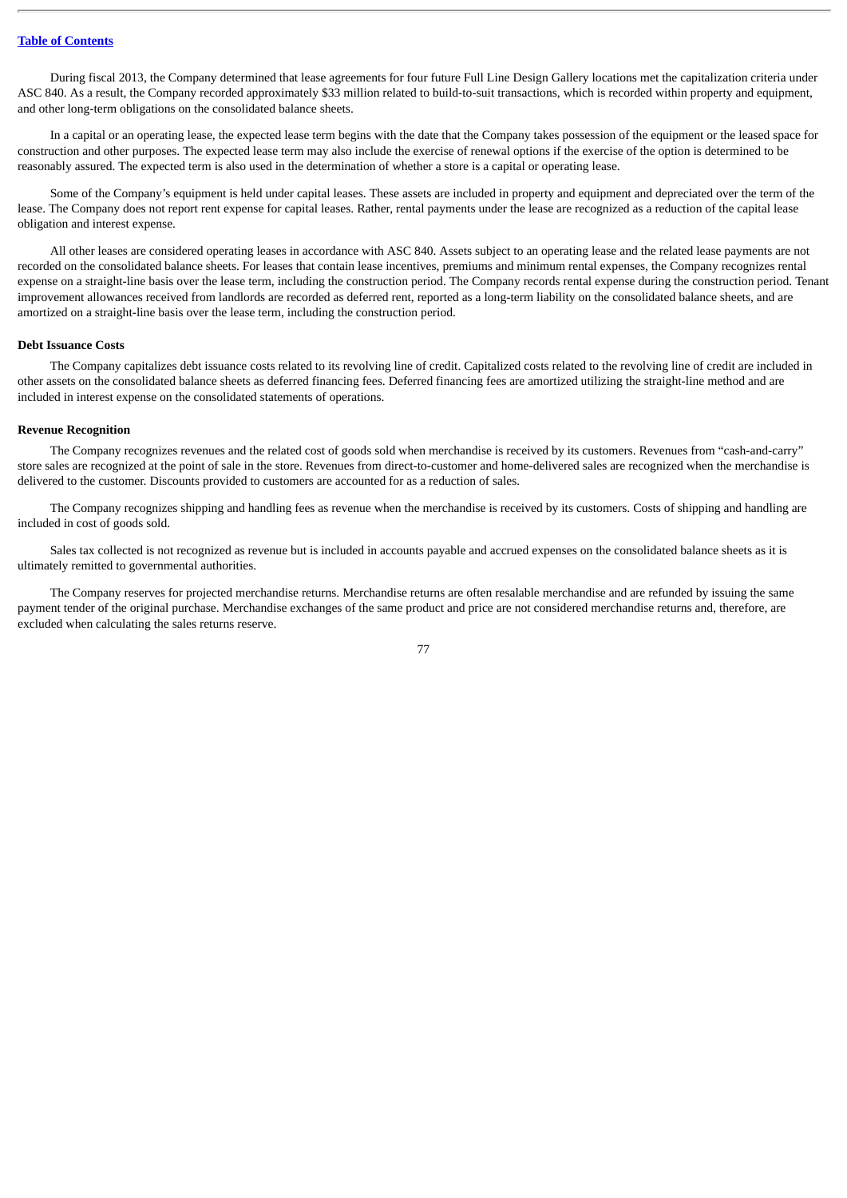During fiscal 2013, the Company determined that lease agreements for four future Full Line Design Gallery locations met the capitalization criteria under ASC 840. As a result, the Company recorded approximately \$33 million related to build-to-suit transactions, which is recorded within property and equipment, and other long-term obligations on the consolidated balance sheets.

In a capital or an operating lease, the expected lease term begins with the date that the Company takes possession of the equipment or the leased space for construction and other purposes. The expected lease term may also include the exercise of renewal options if the exercise of the option is determined to be reasonably assured. The expected term is also used in the determination of whether a store is a capital or operating lease.

Some of the Company's equipment is held under capital leases. These assets are included in property and equipment and depreciated over the term of the lease. The Company does not report rent expense for capital leases. Rather, rental payments under the lease are recognized as a reduction of the capital lease obligation and interest expense.

All other leases are considered operating leases in accordance with ASC 840. Assets subject to an operating lease and the related lease payments are not recorded on the consolidated balance sheets. For leases that contain lease incentives, premiums and minimum rental expenses, the Company recognizes rental expense on a straight-line basis over the lease term, including the construction period. The Company records rental expense during the construction period. Tenant improvement allowances received from landlords are recorded as deferred rent, reported as a long-term liability on the consolidated balance sheets, and are amortized on a straight-line basis over the lease term, including the construction period.

#### **Debt Issuance Costs**

The Company capitalizes debt issuance costs related to its revolving line of credit. Capitalized costs related to the revolving line of credit are included in other assets on the consolidated balance sheets as deferred financing fees. Deferred financing fees are amortized utilizing the straight-line method and are included in interest expense on the consolidated statements of operations.

## **Revenue Recognition**

The Company recognizes revenues and the related cost of goods sold when merchandise is received by its customers. Revenues from "cash-and-carry" store sales are recognized at the point of sale in the store. Revenues from direct-to-customer and home-delivered sales are recognized when the merchandise is delivered to the customer. Discounts provided to customers are accounted for as a reduction of sales.

The Company recognizes shipping and handling fees as revenue when the merchandise is received by its customers. Costs of shipping and handling are included in cost of goods sold.

Sales tax collected is not recognized as revenue but is included in accounts payable and accrued expenses on the consolidated balance sheets as it is ultimately remitted to governmental authorities.

The Company reserves for projected merchandise returns. Merchandise returns are often resalable merchandise and are refunded by issuing the same payment tender of the original purchase. Merchandise exchanges of the same product and price are not considered merchandise returns and, therefore, are excluded when calculating the sales returns reserve.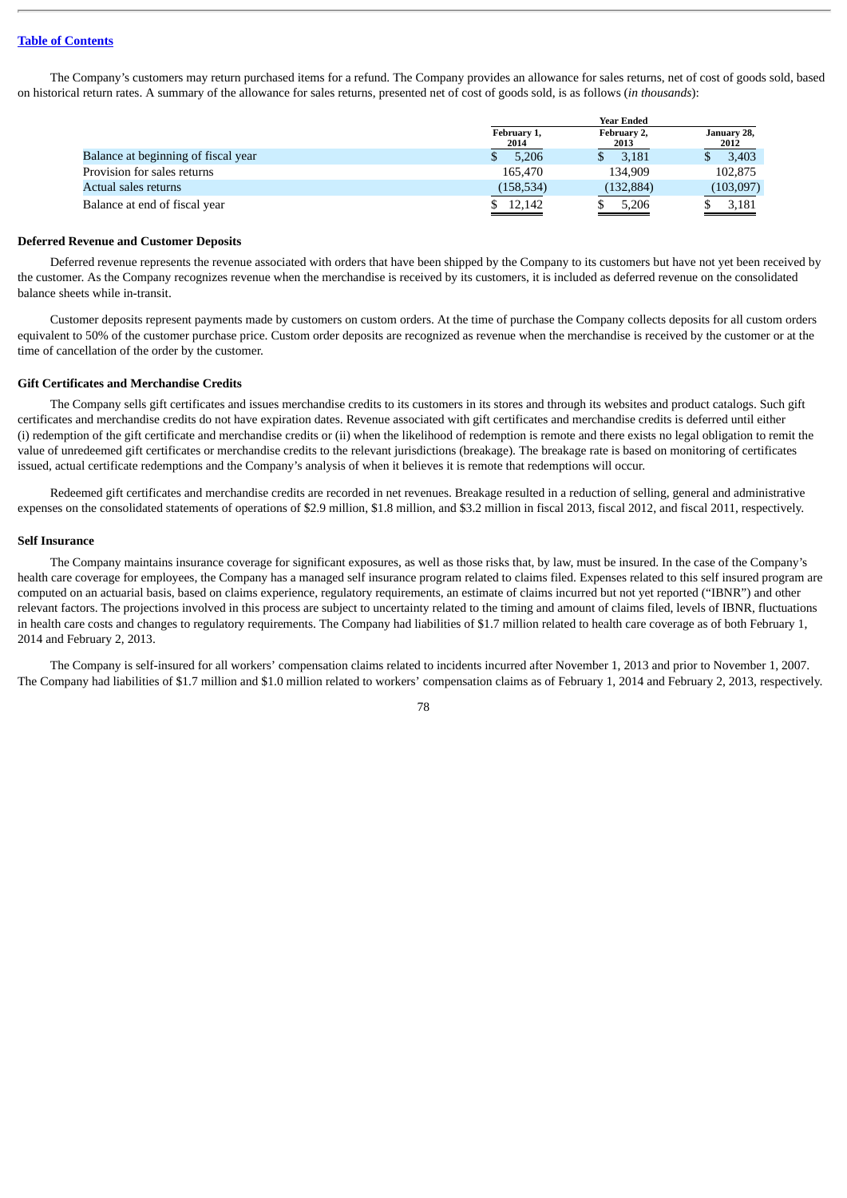The Company's customers may return purchased items for a refund. The Company provides an allowance for sales returns, net of cost of goods sold, based on historical return rates. A summary of the allowance for sales returns, presented net of cost of goods sold, is as follows (*in thousands*):

|                                     |                     | <b>Year Ended</b>   |                     |  |
|-------------------------------------|---------------------|---------------------|---------------------|--|
|                                     | February 1,<br>2014 | February 2,<br>2013 | January 28,<br>2012 |  |
| Balance at beginning of fiscal year | 5,206               | 3,181               | 3,403               |  |
| Provision for sales returns         | 165,470             | 134.909             | 102,875             |  |
| Actual sales returns                | (158, 534)          | (132, 884)          | (103,097)           |  |
| Balance at end of fiscal year       | 12,142              | 5,206               | 3,181               |  |

#### **Deferred Revenue and Customer Deposits**

Deferred revenue represents the revenue associated with orders that have been shipped by the Company to its customers but have not yet been received by the customer. As the Company recognizes revenue when the merchandise is received by its customers, it is included as deferred revenue on the consolidated balance sheets while in-transit.

Customer deposits represent payments made by customers on custom orders. At the time of purchase the Company collects deposits for all custom orders equivalent to 50% of the customer purchase price. Custom order deposits are recognized as revenue when the merchandise is received by the customer or at the time of cancellation of the order by the customer.

#### **Gift Certificates and Merchandise Credits**

The Company sells gift certificates and issues merchandise credits to its customers in its stores and through its websites and product catalogs. Such gift certificates and merchandise credits do not have expiration dates. Revenue associated with gift certificates and merchandise credits is deferred until either (i) redemption of the gift certificate and merchandise credits or (ii) when the likelihood of redemption is remote and there exists no legal obligation to remit the value of unredeemed gift certificates or merchandise credits to the relevant jurisdictions (breakage). The breakage rate is based on monitoring of certificates issued, actual certificate redemptions and the Company's analysis of when it believes it is remote that redemptions will occur.

Redeemed gift certificates and merchandise credits are recorded in net revenues. Breakage resulted in a reduction of selling, general and administrative expenses on the consolidated statements of operations of \$2.9 million, \$1.8 million, and \$3.2 million in fiscal 2013, fiscal 2012, and fiscal 2011, respectively.

#### **Self Insurance**

The Company maintains insurance coverage for significant exposures, as well as those risks that, by law, must be insured. In the case of the Company's health care coverage for employees, the Company has a managed self insurance program related to claims filed. Expenses related to this self insured program are computed on an actuarial basis, based on claims experience, regulatory requirements, an estimate of claims incurred but not yet reported ("IBNR") and other relevant factors. The projections involved in this process are subject to uncertainty related to the timing and amount of claims filed, levels of IBNR, fluctuations in health care costs and changes to regulatory requirements. The Company had liabilities of \$1.7 million related to health care coverage as of both February 1, 2014 and February 2, 2013.

The Company is self-insured for all workers' compensation claims related to incidents incurred after November 1, 2013 and prior to November 1, 2007. The Company had liabilities of \$1.7 million and \$1.0 million related to workers' compensation claims as of February 1, 2014 and February 2, 2013, respectively.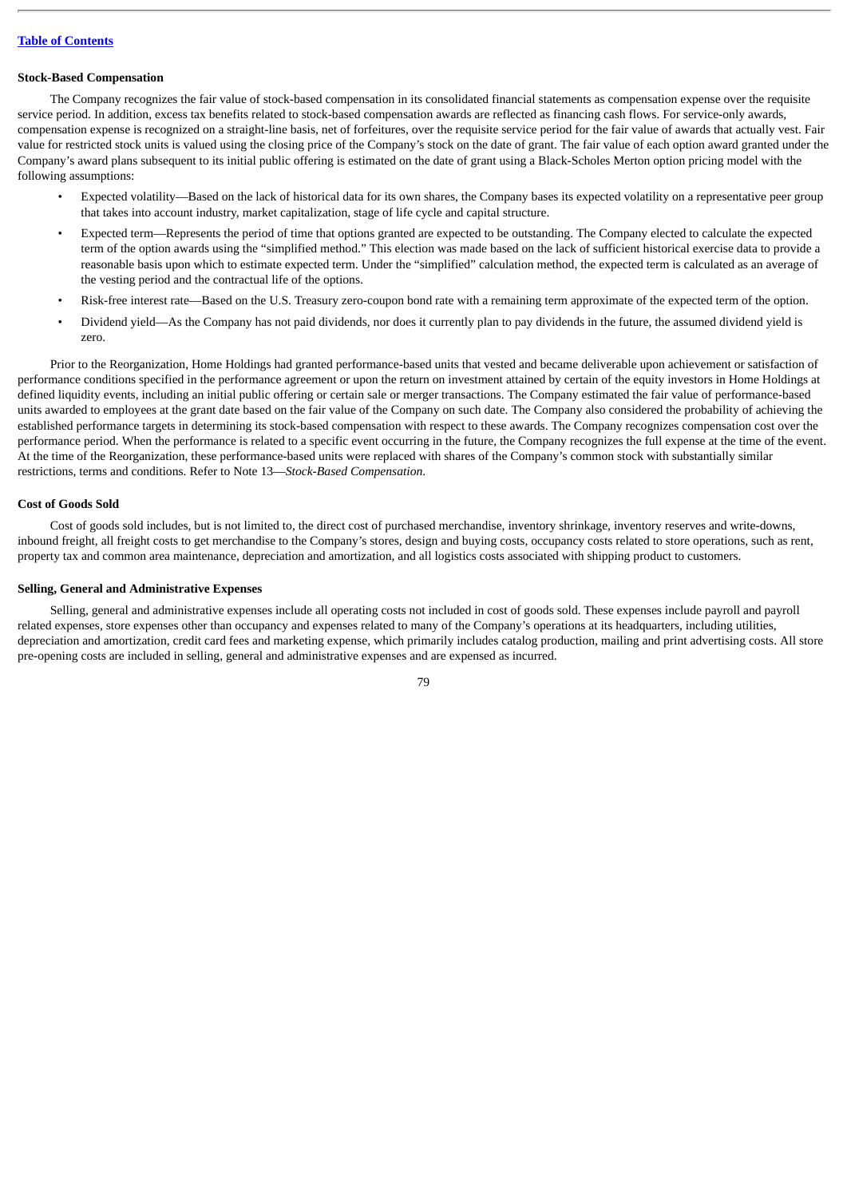#### **Stock-Based Compensation**

The Company recognizes the fair value of stock-based compensation in its consolidated financial statements as compensation expense over the requisite service period. In addition, excess tax benefits related to stock-based compensation awards are reflected as financing cash flows. For service-only awards, compensation expense is recognized on a straight-line basis, net of forfeitures, over the requisite service period for the fair value of awards that actually vest. Fair value for restricted stock units is valued using the closing price of the Company's stock on the date of grant. The fair value of each option award granted under the Company's award plans subsequent to its initial public offering is estimated on the date of grant using a Black-Scholes Merton option pricing model with the following assumptions:

- Expected volatility—Based on the lack of historical data for its own shares, the Company bases its expected volatility on a representative peer group that takes into account industry, market capitalization, stage of life cycle and capital structure.
- Expected term—Represents the period of time that options granted are expected to be outstanding. The Company elected to calculate the expected term of the option awards using the "simplified method." This election was made based on the lack of sufficient historical exercise data to provide a reasonable basis upon which to estimate expected term. Under the "simplified" calculation method, the expected term is calculated as an average of the vesting period and the contractual life of the options.
- Risk-free interest rate—Based on the U.S. Treasury zero-coupon bond rate with a remaining term approximate of the expected term of the option.
- Dividend yield—As the Company has not paid dividends, nor does it currently plan to pay dividends in the future, the assumed dividend yield is zero.

Prior to the Reorganization, Home Holdings had granted performance-based units that vested and became deliverable upon achievement or satisfaction of performance conditions specified in the performance agreement or upon the return on investment attained by certain of the equity investors in Home Holdings at defined liquidity events, including an initial public offering or certain sale or merger transactions. The Company estimated the fair value of performance-based units awarded to employees at the grant date based on the fair value of the Company on such date. The Company also considered the probability of achieving the established performance targets in determining its stock-based compensation with respect to these awards. The Company recognizes compensation cost over the performance period. When the performance is related to a specific event occurring in the future, the Company recognizes the full expense at the time of the event. At the time of the Reorganization, these performance-based units were replaced with shares of the Company's common stock with substantially similar restrictions, terms and conditions. Refer to Note 13—*Stock-Based Compensation*.

## **Cost of Goods Sold**

Cost of goods sold includes, but is not limited to, the direct cost of purchased merchandise, inventory shrinkage, inventory reserves and write-downs, inbound freight, all freight costs to get merchandise to the Company's stores, design and buying costs, occupancy costs related to store operations, such as rent, property tax and common area maintenance, depreciation and amortization, and all logistics costs associated with shipping product to customers.

#### **Selling, General and Administrative Expenses**

Selling, general and administrative expenses include all operating costs not included in cost of goods sold. These expenses include payroll and payroll related expenses, store expenses other than occupancy and expenses related to many of the Company's operations at its headquarters, including utilities, depreciation and amortization, credit card fees and marketing expense, which primarily includes catalog production, mailing and print advertising costs. All store pre-opening costs are included in selling, general and administrative expenses and are expensed as incurred.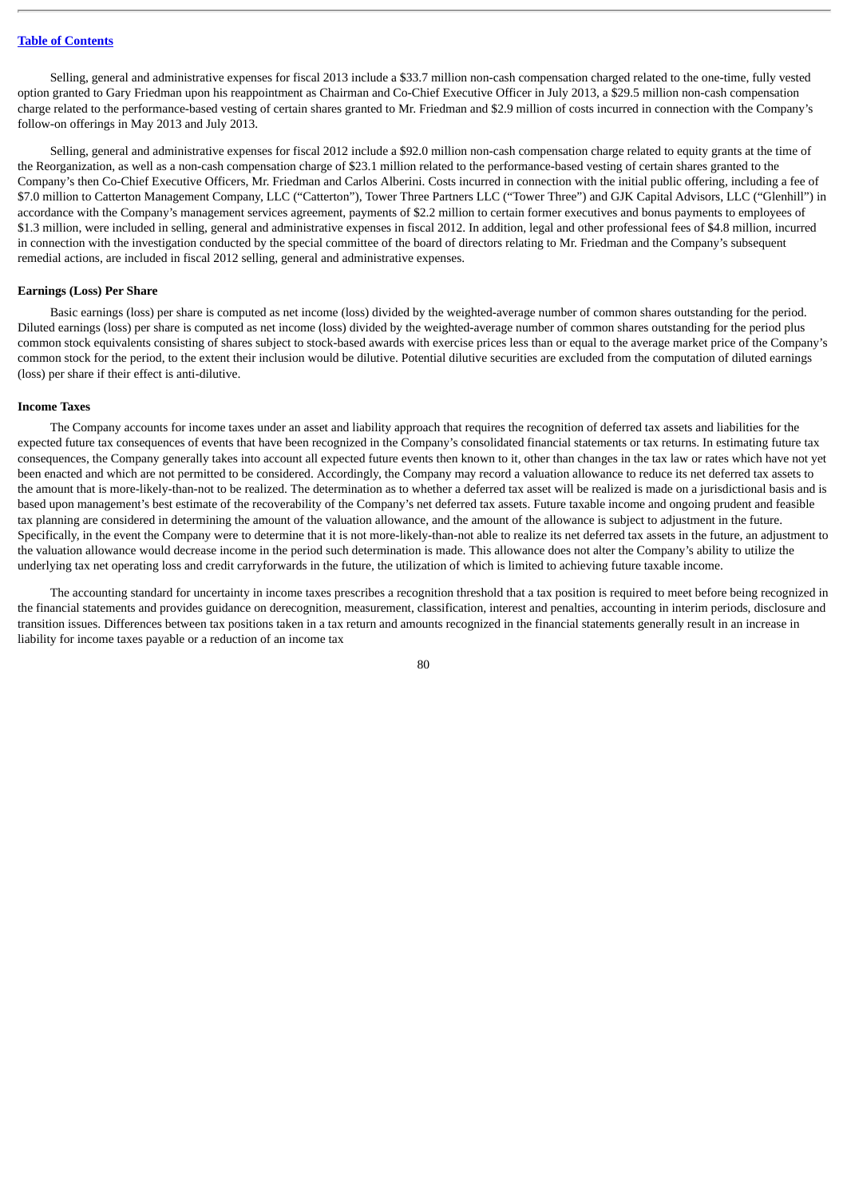Selling, general and administrative expenses for fiscal 2013 include a \$33.7 million non-cash compensation charged related to the one-time, fully vested option granted to Gary Friedman upon his reappointment as Chairman and Co-Chief Executive Officer in July 2013, a \$29.5 million non-cash compensation charge related to the performance-based vesting of certain shares granted to Mr. Friedman and \$2.9 million of costs incurred in connection with the Company's follow-on offerings in May 2013 and July 2013.

Selling, general and administrative expenses for fiscal 2012 include a \$92.0 million non-cash compensation charge related to equity grants at the time of the Reorganization, as well as a non-cash compensation charge of \$23.1 million related to the performance-based vesting of certain shares granted to the Company's then Co-Chief Executive Officers, Mr. Friedman and Carlos Alberini. Costs incurred in connection with the initial public offering, including a fee of \$7.0 million to Catterton Management Company, LLC ("Catterton"), Tower Three Partners LLC ("Tower Three") and GJK Capital Advisors, LLC ("Glenhill") in accordance with the Company's management services agreement, payments of \$2.2 million to certain former executives and bonus payments to employees of \$1.3 million, were included in selling, general and administrative expenses in fiscal 2012. In addition, legal and other professional fees of \$4.8 million, incurred in connection with the investigation conducted by the special committee of the board of directors relating to Mr. Friedman and the Company's subsequent remedial actions, are included in fiscal 2012 selling, general and administrative expenses.

#### **Earnings (Loss) Per Share**

Basic earnings (loss) per share is computed as net income (loss) divided by the weighted-average number of common shares outstanding for the period. Diluted earnings (loss) per share is computed as net income (loss) divided by the weighted-average number of common shares outstanding for the period plus common stock equivalents consisting of shares subject to stock-based awards with exercise prices less than or equal to the average market price of the Company's common stock for the period, to the extent their inclusion would be dilutive. Potential dilutive securities are excluded from the computation of diluted earnings (loss) per share if their effect is anti-dilutive.

#### **Income Taxes**

The Company accounts for income taxes under an asset and liability approach that requires the recognition of deferred tax assets and liabilities for the expected future tax consequences of events that have been recognized in the Company's consolidated financial statements or tax returns. In estimating future tax consequences, the Company generally takes into account all expected future events then known to it, other than changes in the tax law or rates which have not yet been enacted and which are not permitted to be considered. Accordingly, the Company may record a valuation allowance to reduce its net deferred tax assets to the amount that is more-likely-than-not to be realized. The determination as to whether a deferred tax asset will be realized is made on a jurisdictional basis and is based upon management's best estimate of the recoverability of the Company's net deferred tax assets. Future taxable income and ongoing prudent and feasible tax planning are considered in determining the amount of the valuation allowance, and the amount of the allowance is subject to adjustment in the future. Specifically, in the event the Company were to determine that it is not more-likely-than-not able to realize its net deferred tax assets in the future, an adjustment to the valuation allowance would decrease income in the period such determination is made. This allowance does not alter the Company's ability to utilize the underlying tax net operating loss and credit carryforwards in the future, the utilization of which is limited to achieving future taxable income.

The accounting standard for uncertainty in income taxes prescribes a recognition threshold that a tax position is required to meet before being recognized in the financial statements and provides guidance on derecognition, measurement, classification, interest and penalties, accounting in interim periods, disclosure and transition issues. Differences between tax positions taken in a tax return and amounts recognized in the financial statements generally result in an increase in liability for income taxes payable or a reduction of an income tax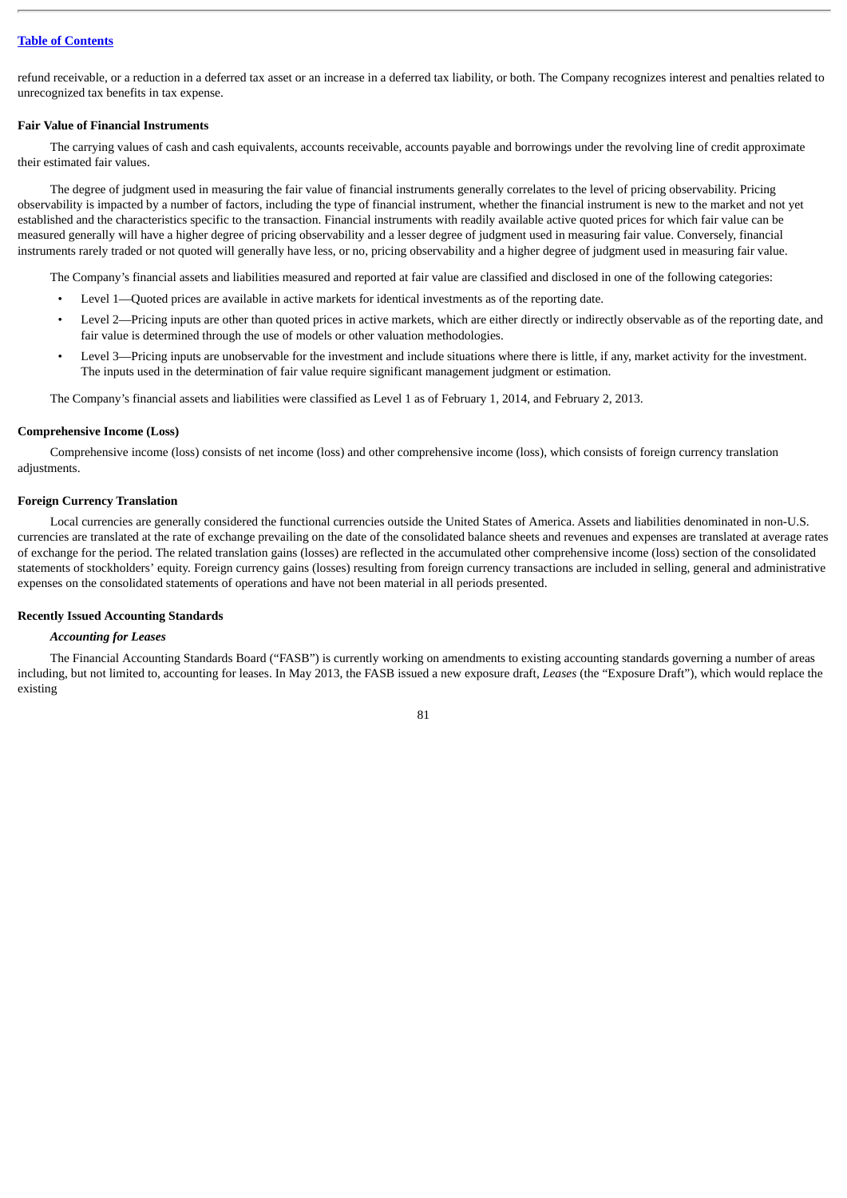refund receivable, or a reduction in a deferred tax asset or an increase in a deferred tax liability, or both. The Company recognizes interest and penalties related to unrecognized tax benefits in tax expense.

#### **Fair Value of Financial Instruments**

The carrying values of cash and cash equivalents, accounts receivable, accounts payable and borrowings under the revolving line of credit approximate their estimated fair values.

The degree of judgment used in measuring the fair value of financial instruments generally correlates to the level of pricing observability. Pricing observability is impacted by a number of factors, including the type of financial instrument, whether the financial instrument is new to the market and not yet established and the characteristics specific to the transaction. Financial instruments with readily available active quoted prices for which fair value can be measured generally will have a higher degree of pricing observability and a lesser degree of judgment used in measuring fair value. Conversely, financial instruments rarely traded or not quoted will generally have less, or no, pricing observability and a higher degree of judgment used in measuring fair value.

The Company's financial assets and liabilities measured and reported at fair value are classified and disclosed in one of the following categories:

- Level 1—Quoted prices are available in active markets for identical investments as of the reporting date.
- Level 2—Pricing inputs are other than quoted prices in active markets, which are either directly or indirectly observable as of the reporting date, and fair value is determined through the use of models or other valuation methodologies.
- Level 3—Pricing inputs are unobservable for the investment and include situations where there is little, if any, market activity for the investment. The inputs used in the determination of fair value require significant management judgment or estimation.

The Company's financial assets and liabilities were classified as Level 1 as of February 1, 2014, and February 2, 2013.

# **Comprehensive Income (Loss)**

Comprehensive income (loss) consists of net income (loss) and other comprehensive income (loss), which consists of foreign currency translation adjustments.

#### **Foreign Currency Translation**

Local currencies are generally considered the functional currencies outside the United States of America. Assets and liabilities denominated in non-U.S. currencies are translated at the rate of exchange prevailing on the date of the consolidated balance sheets and revenues and expenses are translated at average rates of exchange for the period. The related translation gains (losses) are reflected in the accumulated other comprehensive income (loss) section of the consolidated statements of stockholders' equity. Foreign currency gains (losses) resulting from foreign currency transactions are included in selling, general and administrative expenses on the consolidated statements of operations and have not been material in all periods presented.

## **Recently Issued Accounting Standards**

#### *Accounting for Leases*

The Financial Accounting Standards Board ("FASB") is currently working on amendments to existing accounting standards governing a number of areas including, but not limited to, accounting for leases. In May 2013, the FASB issued a new exposure draft, *Leases* (the "Exposure Draft"), which would replace the existing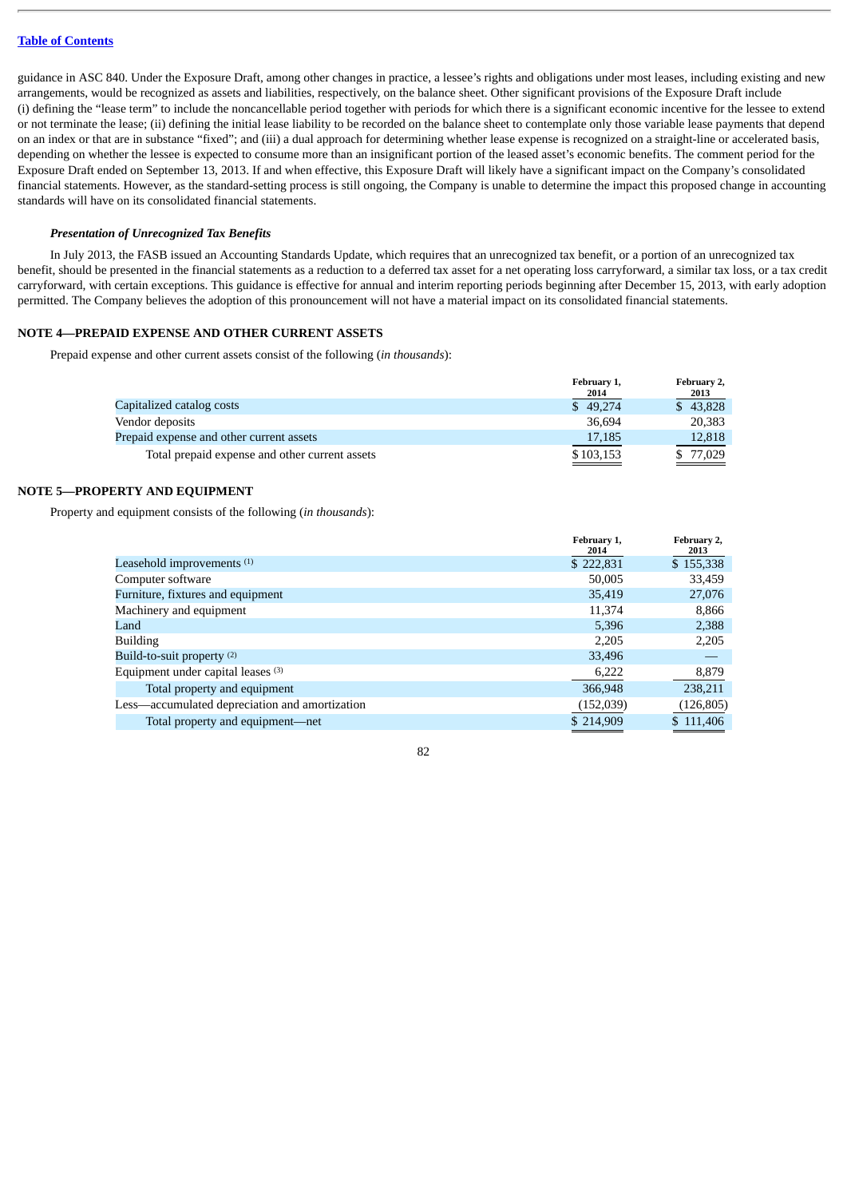guidance in ASC 840. Under the Exposure Draft, among other changes in practice, a lessee's rights and obligations under most leases, including existing and new arrangements, would be recognized as assets and liabilities, respectively, on the balance sheet. Other significant provisions of the Exposure Draft include (i) defining the "lease term" to include the noncancellable period together with periods for which there is a significant economic incentive for the lessee to extend or not terminate the lease; (ii) defining the initial lease liability to be recorded on the balance sheet to contemplate only those variable lease payments that depend on an index or that are in substance "fixed"; and (iii) a dual approach for determining whether lease expense is recognized on a straight-line or accelerated basis, depending on whether the lessee is expected to consume more than an insignificant portion of the leased asset's economic benefits. The comment period for the Exposure Draft ended on September 13, 2013. If and when effective, this Exposure Draft will likely have a significant impact on the Company's consolidated financial statements. However, as the standard-setting process is still ongoing, the Company is unable to determine the impact this proposed change in accounting standards will have on its consolidated financial statements.

## *Presentation of Unrecognized Tax Benefits*

In July 2013, the FASB issued an Accounting Standards Update, which requires that an unrecognized tax benefit, or a portion of an unrecognized tax benefit, should be presented in the financial statements as a reduction to a deferred tax asset for a net operating loss carryforward, a similar tax loss, or a tax credit carryforward, with certain exceptions. This guidance is effective for annual and interim reporting periods beginning after December 15, 2013, with early adoption permitted. The Company believes the adoption of this pronouncement will not have a material impact on its consolidated financial statements.

## **NOTE 4—PREPAID EXPENSE AND OTHER CURRENT ASSETS**

Prepaid expense and other current assets consist of the following (*in thousands*):

|                                                | February 1,<br>2014                                                                                                                | February 2,<br>2013                                                                                                                |
|------------------------------------------------|------------------------------------------------------------------------------------------------------------------------------------|------------------------------------------------------------------------------------------------------------------------------------|
| Capitalized catalog costs                      | \$49.274                                                                                                                           | \$43,828                                                                                                                           |
| Vendor deposits                                | 36,694                                                                                                                             | 20,383                                                                                                                             |
| Prepaid expense and other current assets       | 17,185                                                                                                                             | 12,818                                                                                                                             |
| Total prepaid expense and other current assets | \$103,153<br><u> Tanzania de la contenentación de la contenentación de la contenentación de la contenentación de la contenenta</u> | \$ 77,029<br><u> Tanzania de la contenentación de la contenentación de la contenentación de la contenentación de la contenenta</u> |

## **NOTE 5—PROPERTY AND EQUIPMENT**

Property and equipment consists of the following (*in thousands*):

|                                                | February 1,<br>2014 | February 2,<br>2013 |
|------------------------------------------------|---------------------|---------------------|
| Leasehold improvements (1)                     | \$222,831           | \$155,338           |
| Computer software                              | 50,005              | 33,459              |
| Furniture, fixtures and equipment              | 35,419              | 27,076              |
| Machinery and equipment                        | 11,374              | 8,866               |
| Land                                           | 5,396               | 2,388               |
| <b>Building</b>                                | 2,205               | 2,205               |
| Build-to-suit property (2)                     | 33,496              |                     |
| Equipment under capital leases (3)             | 6,222               | 8,879               |
| Total property and equipment                   | 366,948             | 238,211             |
| Less-accumulated depreciation and amortization | (152,039)           | (126, 805)          |
| Total property and equipment—net               | \$214,909           | \$111,406           |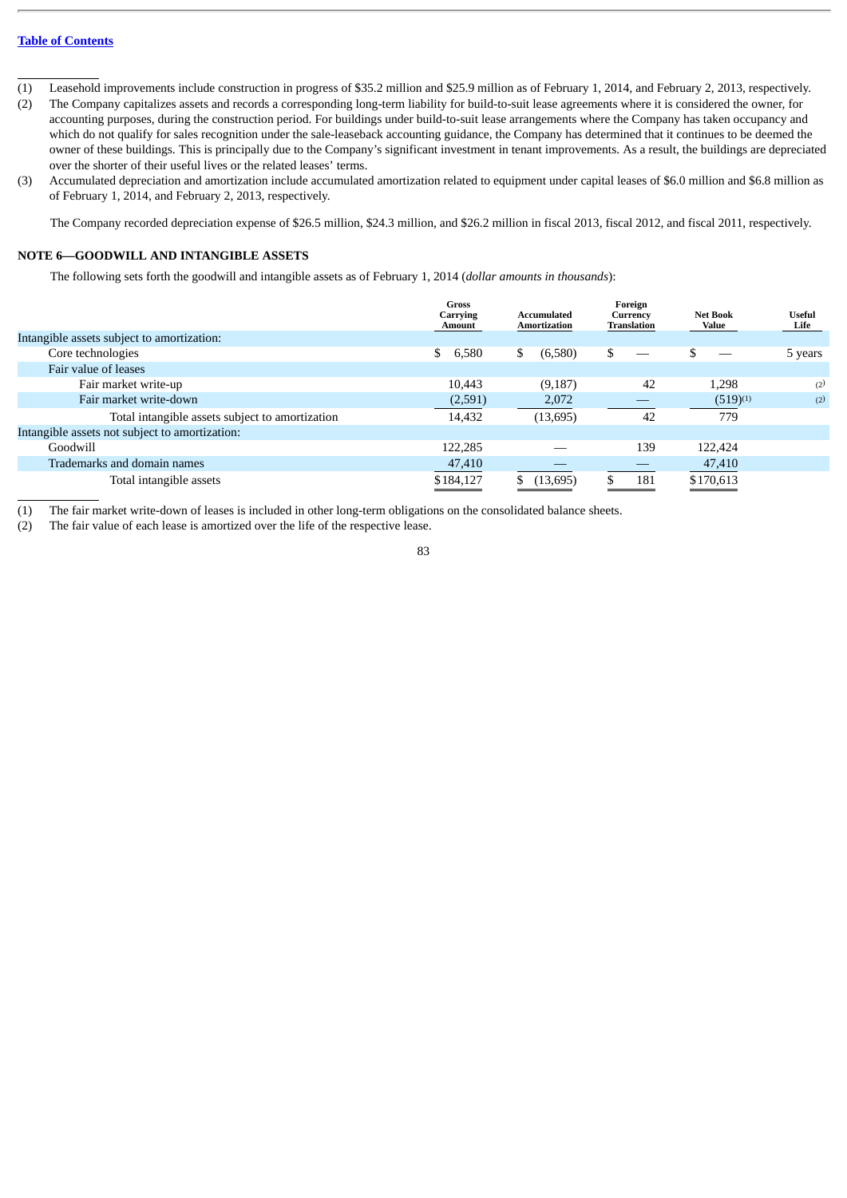- (1) Leasehold improvements include construction in progress of \$35.2 million and \$25.9 million as of February 1, 2014, and February 2, 2013, respectively.
- (2) The Company capitalizes assets and records a corresponding long-term liability for build-to-suit lease agreements where it is considered the owner, for accounting purposes, during the construction period. For buildings under build-to-suit lease arrangements where the Company has taken occupancy and which do not qualify for sales recognition under the sale-leaseback accounting guidance, the Company has determined that it continues to be deemed the owner of these buildings. This is principally due to the Company's significant investment in tenant improvements. As a result, the buildings are depreciated over the shorter of their useful lives or the related leases' terms.
- (3) Accumulated depreciation and amortization include accumulated amortization related to equipment under capital leases of \$6.0 million and \$6.8 million as of February 1, 2014, and February 2, 2013, respectively.

The Company recorded depreciation expense of \$26.5 million, \$24.3 million, and \$26.2 million in fiscal 2013, fiscal 2012, and fiscal 2011, respectively.

# **NOTE 6—GOODWILL AND INTANGIBLE ASSETS**

The following sets forth the goodwill and intangible assets as of February 1, 2014 (*dollar amounts in thousands*):

|                                                 | Gross<br>Carrying<br>Amount | Accumulated<br><b>Amortization</b> | Foreign<br>Currency<br><b>Translation</b> | <b>Net Book</b><br>Value | <b>Useful</b><br>Life |
|-------------------------------------------------|-----------------------------|------------------------------------|-------------------------------------------|--------------------------|-----------------------|
| Intangible assets subject to amortization:      |                             |                                    |                                           |                          |                       |
| Core technologies                               | 6,580<br>\$                 | \$<br>(6,580)                      | \$                                        | ¢                        | 5 years               |
| Fair value of leases                            |                             |                                    |                                           |                          |                       |
| Fair market write-up                            | 10,443                      | (9,187)                            | 42                                        | 1,298                    | (2)                   |
| Fair market write-down                          | (2,591)                     | 2,072                              |                                           | $(519)^{(1)}$            | (2)                   |
| Total intangible assets subject to amortization | 14,432                      | (13, 695)                          | 42                                        | 779                      |                       |
| Intangible assets not subject to amortization:  |                             |                                    |                                           |                          |                       |
| Goodwill                                        | 122.285                     |                                    | 139                                       | 122.424                  |                       |
| Trademarks and domain names                     | 47,410                      |                                    |                                           | 47,410                   |                       |
| Total intangible assets                         | \$184,127                   | (13, 695)                          | 181                                       | \$170,613                |                       |

(1) The fair market write-down of leases is included in other long-term obligations on the consolidated balance sheets.

(2) The fair value of each lease is amortized over the life of the respective lease.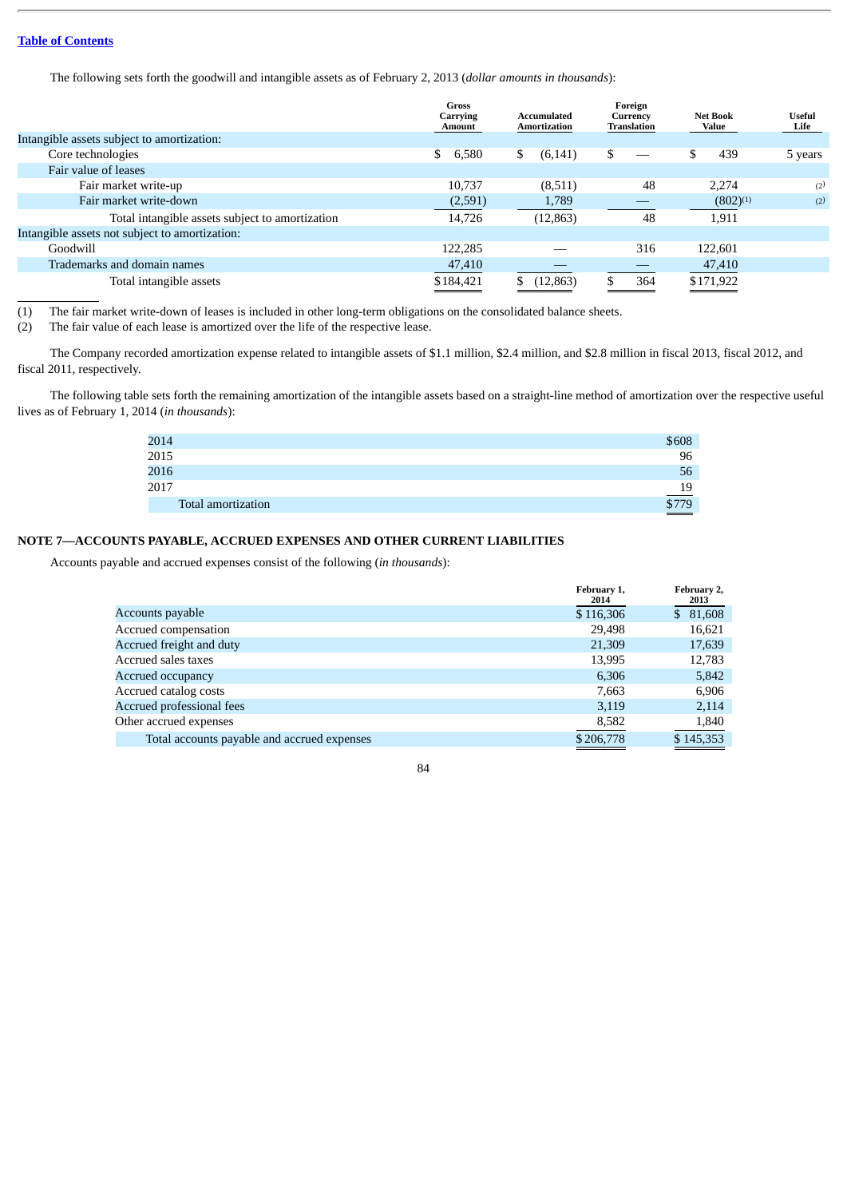The following sets forth the goodwill and intangible assets as of February 2, 2013 (*dollar amounts in thousands*):

|                                                 | <b>Gross</b><br>Carrying<br>Amount | <b>Accumulated</b><br><b>Amortization</b> | Foreign<br>Currency<br><b>Translation</b> | <b>Net Book</b><br>Value | <b>Useful</b><br>Life |
|-------------------------------------------------|------------------------------------|-------------------------------------------|-------------------------------------------|--------------------------|-----------------------|
| Intangible assets subject to amortization:      |                                    |                                           |                                           |                          |                       |
| Core technologies                               | \$<br>6,580                        | \$<br>(6, 141)                            | \$                                        | 439                      | 5 years               |
| Fair value of leases                            |                                    |                                           |                                           |                          |                       |
| Fair market write-up                            | 10,737                             | (8,511)                                   | 48                                        | 2.274                    | (2)                   |
| Fair market write-down                          | (2,591)                            | 1,789                                     |                                           | $(802)^{(1)}$            | (2)                   |
| Total intangible assets subject to amortization | 14,726                             | (12, 863)                                 | 48                                        | 1,911                    |                       |
| Intangible assets not subject to amortization:  |                                    |                                           |                                           |                          |                       |
| Goodwill                                        | 122.285                            |                                           | 316                                       | 122.601                  |                       |
| Trademarks and domain names                     | 47,410                             |                                           |                                           | 47,410                   |                       |
| Total intangible assets                         | \$184,421                          | (12, 863)                                 | 364                                       | \$171,922                |                       |

(1) The fair market write-down of leases is included in other long-term obligations on the consolidated balance sheets.

(2) The fair value of each lease is amortized over the life of the respective lease.

The Company recorded amortization expense related to intangible assets of \$1.1 million, \$2.4 million, and \$2.8 million in fiscal 2013, fiscal 2012, and fiscal 2011, respectively.

The following table sets forth the remaining amortization of the intangible assets based on a straight-line method of amortization over the respective useful lives as of February 1, 2014 (*in thousands*):

| 2014               | \$608 |
|--------------------|-------|
| 2015               | 96    |
| 2016               | 56    |
| 2017               | 19    |
| Total amortization | \$779 |

# **NOTE 7—ACCOUNTS PAYABLE, ACCRUED EXPENSES AND OTHER CURRENT LIABILITIES**

Accounts payable and accrued expenses consist of the following (*in thousands*):

|                                             | February 1,<br>2014 | February 2,<br>2013 |
|---------------------------------------------|---------------------|---------------------|
| Accounts payable                            | \$116,306           | \$81,608            |
| Accrued compensation                        | 29,498              | 16,621              |
| Accrued freight and duty                    | 21,309              | 17,639              |
| Accrued sales taxes                         | 13,995              | 12,783              |
| Accrued occupancy                           | 6.306               | 5,842               |
| Accrued catalog costs                       | 7,663               | 6,906               |
| Accrued professional fees                   | 3,119               | 2,114               |
| Other accrued expenses                      | 8,582               | 1,840               |
| Total accounts payable and accrued expenses | \$206,778           | \$145,353           |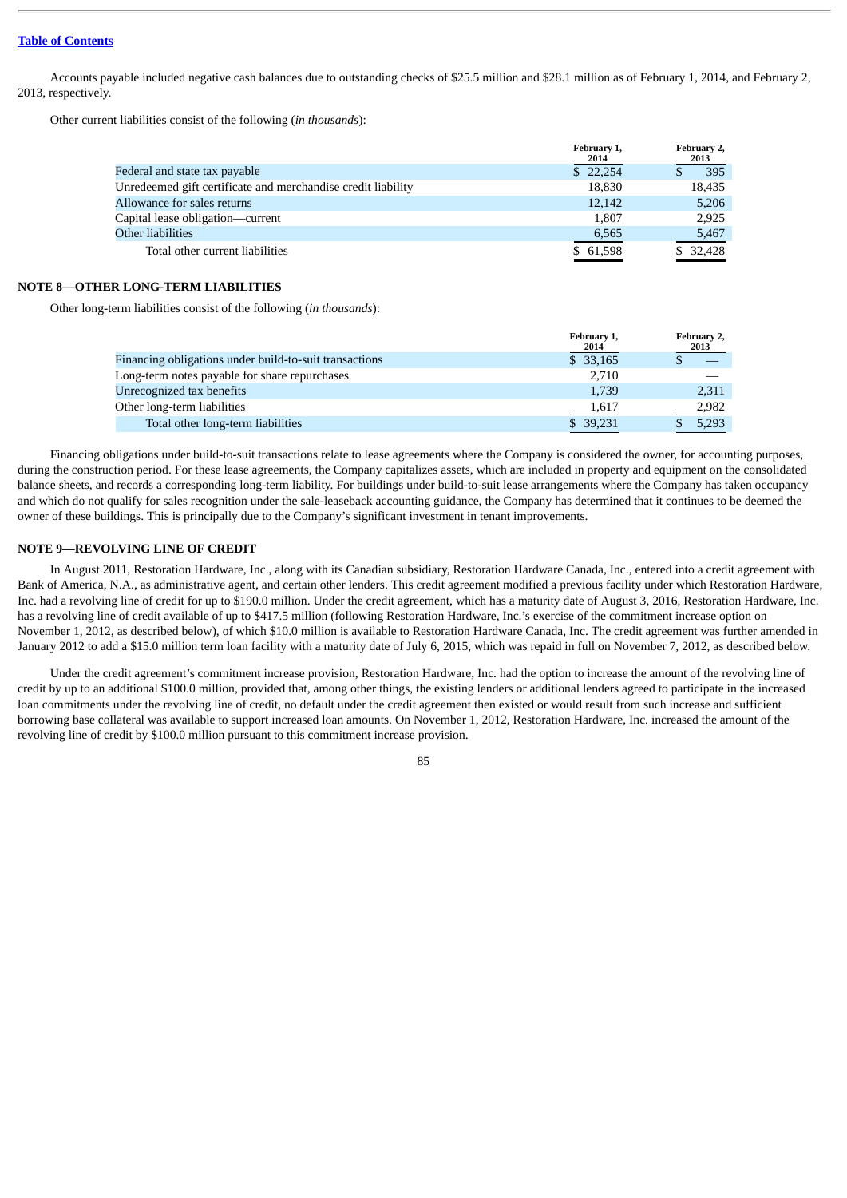Accounts payable included negative cash balances due to outstanding checks of \$25.5 million and \$28.1 million as of February 1, 2014, and February 2, 2013, respectively.

Other current liabilities consist of the following (*in thousands*):

|                                                              | February 1,<br>2014 | February 2,<br>2013 |
|--------------------------------------------------------------|---------------------|---------------------|
| Federal and state tax payable                                | \$22,254            | 395                 |
| Unredeemed gift certificate and merchandise credit liability | 18,830              | 18,435              |
| Allowance for sales returns                                  | 12,142              | 5,206               |
| Capital lease obligation—current                             | 1.807               | 2.925               |
| Other liabilities                                            | 6,565               | 5,467               |
| Total other current liabilities                              | \$61,598            | \$32,428            |

# **NOTE 8—OTHER LONG-TERM LIABILITIES**

Other long-term liabilities consist of the following (*in thousands*):

|                                                        | February 1,<br>2014 | February 2,<br>2013 |
|--------------------------------------------------------|---------------------|---------------------|
| Financing obligations under build-to-suit transactions | \$33,165            |                     |
| Long-term notes payable for share repurchases          | 2.710               |                     |
| Unrecognized tax benefits                              | 1,739               | 2,311               |
| Other long-term liabilities                            | 1,617               | 2,982               |
| Total other long-term liabilities                      | \$39,231            | 5,293               |

Financing obligations under build-to-suit transactions relate to lease agreements where the Company is considered the owner, for accounting purposes, during the construction period. For these lease agreements, the Company capitalizes assets, which are included in property and equipment on the consolidated balance sheets, and records a corresponding long-term liability. For buildings under build-to-suit lease arrangements where the Company has taken occupancy and which do not qualify for sales recognition under the sale-leaseback accounting guidance, the Company has determined that it continues to be deemed the owner of these buildings. This is principally due to the Company's significant investment in tenant improvements.

# **NOTE 9—REVOLVING LINE OF CREDIT**

In August 2011, Restoration Hardware, Inc., along with its Canadian subsidiary, Restoration Hardware Canada, Inc., entered into a credit agreement with Bank of America, N.A., as administrative agent, and certain other lenders. This credit agreement modified a previous facility under which Restoration Hardware, Inc. had a revolving line of credit for up to \$190.0 million. Under the credit agreement, which has a maturity date of August 3, 2016, Restoration Hardware, Inc. has a revolving line of credit available of up to \$417.5 million (following Restoration Hardware, Inc.'s exercise of the commitment increase option on November 1, 2012, as described below), of which \$10.0 million is available to Restoration Hardware Canada, Inc. The credit agreement was further amended in January 2012 to add a \$15.0 million term loan facility with a maturity date of July 6, 2015, which was repaid in full on November 7, 2012, as described below.

Under the credit agreement's commitment increase provision, Restoration Hardware, Inc. had the option to increase the amount of the revolving line of credit by up to an additional \$100.0 million, provided that, among other things, the existing lenders or additional lenders agreed to participate in the increased loan commitments under the revolving line of credit, no default under the credit agreement then existed or would result from such increase and sufficient borrowing base collateral was available to support increased loan amounts. On November 1, 2012, Restoration Hardware, Inc. increased the amount of the revolving line of credit by \$100.0 million pursuant to this commitment increase provision.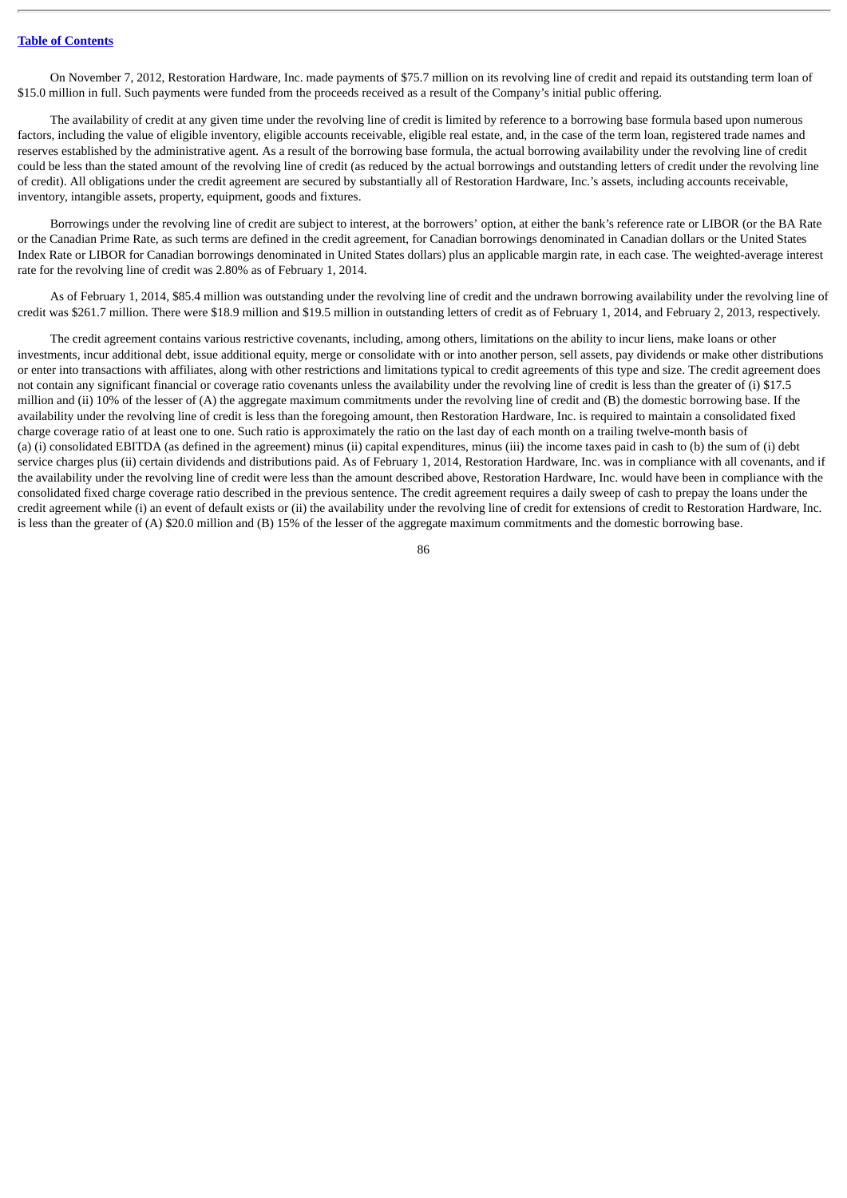On November 7, 2012, Restoration Hardware, Inc. made payments of \$75.7 million on its revolving line of credit and repaid its outstanding term loan of \$15.0 million in full. Such payments were funded from the proceeds received as a result of the Company's initial public offering.

The availability of credit at any given time under the revolving line of credit is limited by reference to a borrowing base formula based upon numerous factors, including the value of eligible inventory, eligible accounts receivable, eligible real estate, and, in the case of the term loan, registered trade names and reserves established by the administrative agent. As a result of the borrowing base formula, the actual borrowing availability under the revolving line of credit could be less than the stated amount of the revolving line of credit (as reduced by the actual borrowings and outstanding letters of credit under the revolving line of credit). All obligations under the credit agreement are secured by substantially all of Restoration Hardware, Inc.'s assets, including accounts receivable, inventory, intangible assets, property, equipment, goods and fixtures.

Borrowings under the revolving line of credit are subject to interest, at the borrowers' option, at either the bank's reference rate or LIBOR (or the BA Rate or the Canadian Prime Rate, as such terms are defined in the credit agreement, for Canadian borrowings denominated in Canadian dollars or the United States Index Rate or LIBOR for Canadian borrowings denominated in United States dollars) plus an applicable margin rate, in each case. The weighted-average interest rate for the revolving line of credit was 2.80% as of February 1, 2014.

As of February 1, 2014, \$85.4 million was outstanding under the revolving line of credit and the undrawn borrowing availability under the revolving line of credit was \$261.7 million. There were \$18.9 million and \$19.5 million in outstanding letters of credit as of February 1, 2014, and February 2, 2013, respectively.

The credit agreement contains various restrictive covenants, including, among others, limitations on the ability to incur liens, make loans or other investments, incur additional debt, issue additional equity, merge or consolidate with or into another person, sell assets, pay dividends or make other distributions or enter into transactions with affiliates, along with other restrictions and limitations typical to credit agreements of this type and size. The credit agreement does not contain any significant financial or coverage ratio covenants unless the availability under the revolving line of credit is less than the greater of (i) \$17.5 million and (ii) 10% of the lesser of (A) the aggregate maximum commitments under the revolving line of credit and (B) the domestic borrowing base. If the availability under the revolving line of credit is less than the foregoing amount, then Restoration Hardware, Inc. is required to maintain a consolidated fixed charge coverage ratio of at least one to one. Such ratio is approximately the ratio on the last day of each month on a trailing twelve-month basis of (a) (i) consolidated EBITDA (as defined in the agreement) minus (ii) capital expenditures, minus (iii) the income taxes paid in cash to (b) the sum of (i) debt service charges plus (ii) certain dividends and distributions paid. As of February 1, 2014, Restoration Hardware, Inc. was in compliance with all covenants, and if the availability under the revolving line of credit were less than the amount described above, Restoration Hardware, Inc. would have been in compliance with the consolidated fixed charge coverage ratio described in the previous sentence. The credit agreement requires a daily sweep of cash to prepay the loans under the credit agreement while (i) an event of default exists or (ii) the availability under the revolving line of credit for extensions of credit to Restoration Hardware, Inc. is less than the greater of (A) \$20.0 million and (B) 15% of the lesser of the aggregate maximum commitments and the domestic borrowing base.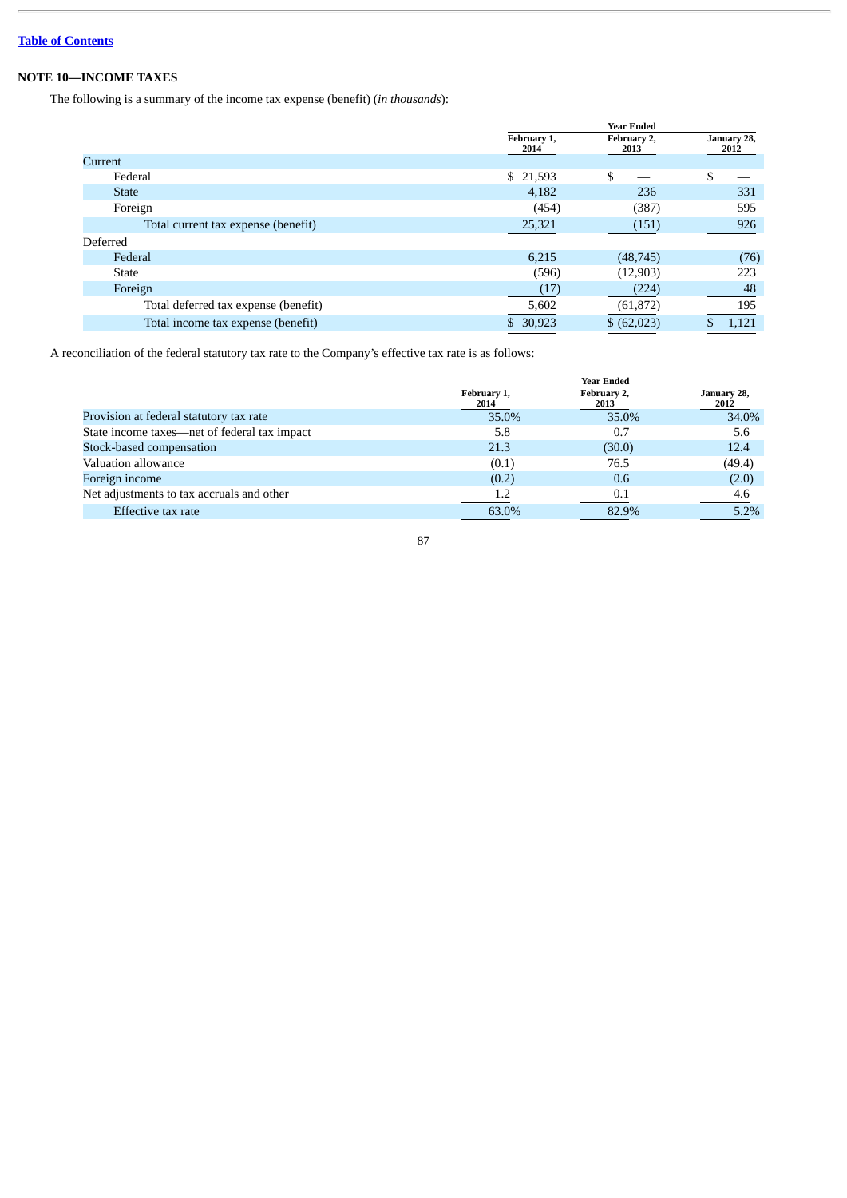# **NOTE 10—INCOME TAXES**

The following is a summary of the income tax expense (benefit) (*in thousands*):

|                                      |                     | <b>Year Ended</b>   |                     |
|--------------------------------------|---------------------|---------------------|---------------------|
|                                      | February 1,<br>2014 | February 2,<br>2013 | January 28,<br>2012 |
| Current                              |                     |                     |                     |
| Federal                              | \$21,593            | \$                  | \$.                 |
| <b>State</b>                         | 4,182               | 236                 | 331                 |
| Foreign                              | (454)               | (387)               | 595                 |
| Total current tax expense (benefit)  | 25,321              | (151)               | 926                 |
| Deferred                             |                     |                     |                     |
| Federal                              | 6,215               | (48, 745)           | (76)                |
| <b>State</b>                         | (596)               | (12,903)            | 223                 |
| Foreign                              | (17)                | (224)               | 48                  |
| Total deferred tax expense (benefit) | 5,602               | (61, 872)           | 195                 |
| Total income tax expense (benefit)   | 30,923              | \$ (62,023)         | 1,121               |

A reconciliation of the federal statutory tax rate to the Company's effective tax rate is as follows:

|                                              | <b>Year Ended</b>   |                     |                     |  |
|----------------------------------------------|---------------------|---------------------|---------------------|--|
|                                              | February 1,<br>2014 | February 2,<br>2013 | January 28,<br>2012 |  |
| Provision at federal statutory tax rate      | 35.0%               | 35.0%               | 34.0%               |  |
| State income taxes—net of federal tax impact | 5.8                 | 0.7                 | 5.6                 |  |
| Stock-based compensation                     | 21.3                | (30.0)              | 12.4                |  |
| Valuation allowance                          | (0.1)               | 76.5                | (49.4)              |  |
| Foreign income                               | (0.2)               | 0.6                 | (2.0)               |  |
| Net adjustments to tax accruals and other    | 1.2                 | 0.1                 | 4.6                 |  |
| Effective tax rate                           | 63.0%               | 82.9%               | $5.2\%$             |  |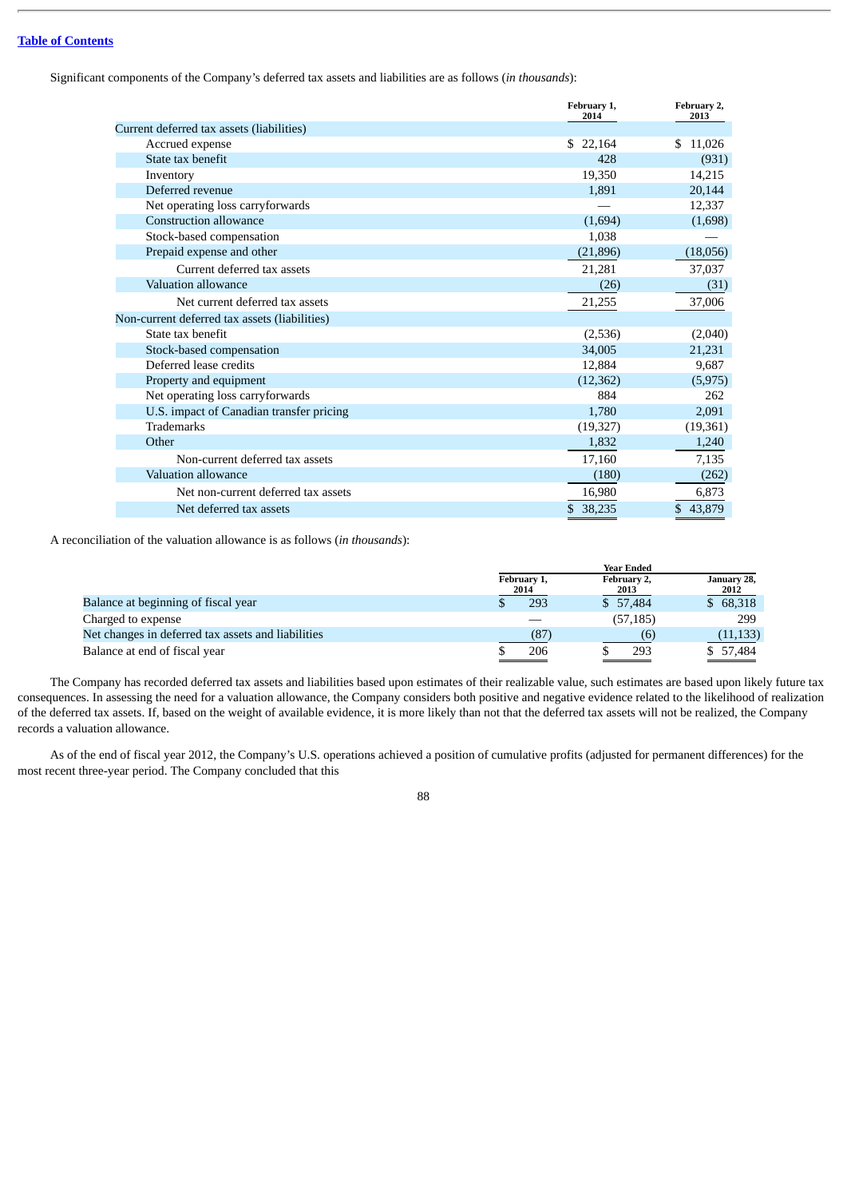Significant components of the Company's deferred tax assets and liabilities are as follows (*in thousands*):

|                                               | February 1,<br>2014 | February 2,<br>2013 |
|-----------------------------------------------|---------------------|---------------------|
| Current deferred tax assets (liabilities)     |                     |                     |
| Accrued expense                               | \$22,164            | \$11,026            |
| State tax benefit                             | 428                 | (931)               |
| Inventory                                     | 19,350              | 14,215              |
| Deferred revenue                              | 1,891               | 20,144              |
| Net operating loss carryforwards              |                     | 12,337              |
| <b>Construction allowance</b>                 | (1,694)             | (1,698)             |
| Stock-based compensation                      | 1,038               |                     |
| Prepaid expense and other                     | (21, 896)           | (18,056)            |
| Current deferred tax assets                   | 21,281              | 37,037              |
| Valuation allowance                           | (26)                | (31)                |
| Net current deferred tax assets               | 21,255              | 37,006              |
| Non-current deferred tax assets (liabilities) |                     |                     |
| State tax benefit                             | (2,536)             | (2,040)             |
| Stock-based compensation                      | 34.005              | 21,231              |
| Deferred lease credits                        | 12,884              | 9,687               |
| Property and equipment                        | (12, 362)           | (5, 975)            |
| Net operating loss carryforwards              | 884                 | 262                 |
| U.S. impact of Canadian transfer pricing      | 1,780               | 2,091               |
| <b>Trademarks</b>                             | (19,327)            | (19,361)            |
| Other                                         | 1.832               | 1,240               |
| Non-current deferred tax assets               | 17,160              | 7,135               |
| Valuation allowance                           | (180)               | (262)               |
| Net non-current deferred tax assets           | 16,980              | 6,873               |
| Net deferred tax assets                       | \$38,235            | \$43,879            |

A reconciliation of the valuation allowance is as follows (*in thousands*):

|                                                    |                     | <b>Year Ended</b>   |                     |  |  |
|----------------------------------------------------|---------------------|---------------------|---------------------|--|--|
|                                                    | February 1,<br>2014 | February 2,<br>2013 | January 28,<br>2012 |  |  |
| Balance at beginning of fiscal year                | 293                 | \$57,484            | \$68,318            |  |  |
| Charged to expense                                 |                     | (57.185)            | 299                 |  |  |
| Net changes in deferred tax assets and liabilities | (87)                | (6)                 | (11, 133)           |  |  |
| Balance at end of fiscal vear                      | 206                 | 293                 | \$ 57.484           |  |  |

The Company has recorded deferred tax assets and liabilities based upon estimates of their realizable value, such estimates are based upon likely future tax consequences. In assessing the need for a valuation allowance, the Company considers both positive and negative evidence related to the likelihood of realization of the deferred tax assets. If, based on the weight of available evidence, it is more likely than not that the deferred tax assets will not be realized, the Company records a valuation allowance.

As of the end of fiscal year 2012, the Company's U.S. operations achieved a position of cumulative profits (adjusted for permanent differences) for the most recent three-year period. The Company concluded that this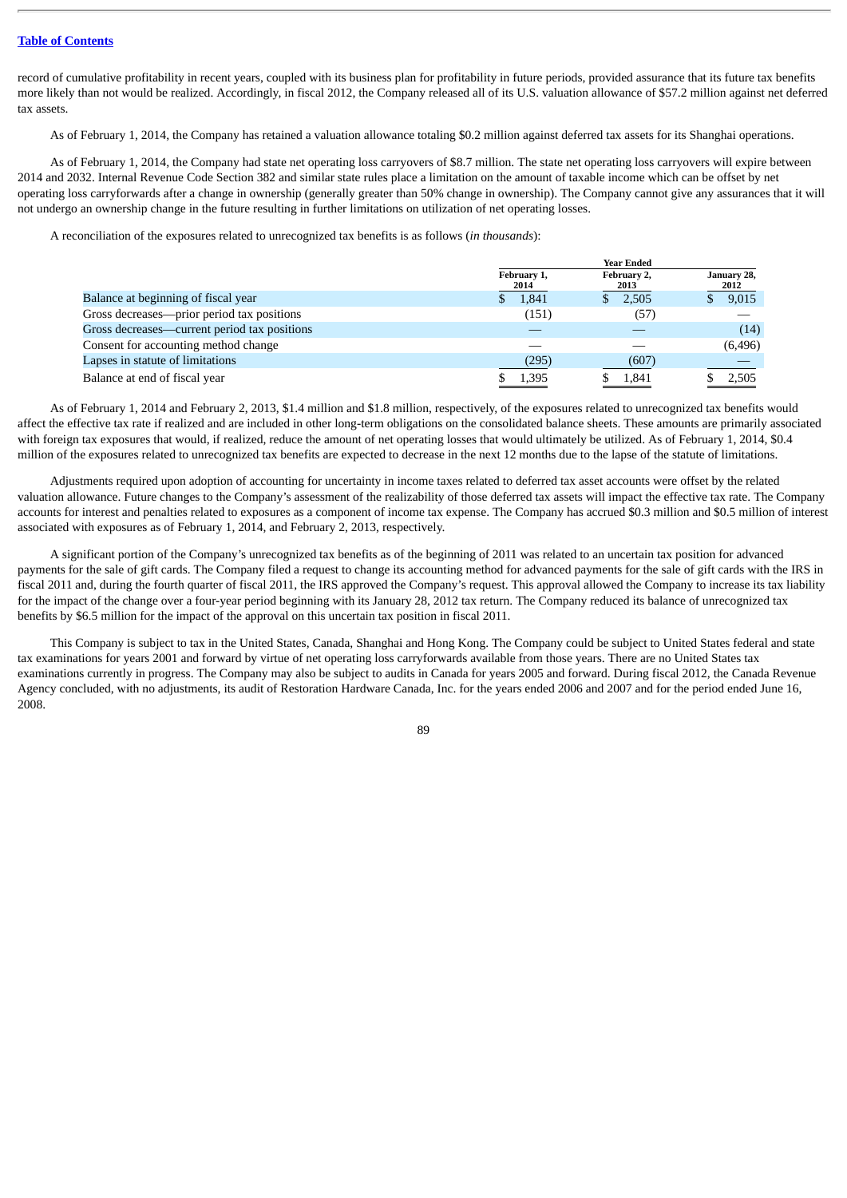record of cumulative profitability in recent years, coupled with its business plan for profitability in future periods, provided assurance that its future tax benefits more likely than not would be realized. Accordingly, in fiscal 2012, the Company released all of its U.S. valuation allowance of \$57.2 million against net deferred tax assets.

As of February 1, 2014, the Company has retained a valuation allowance totaling \$0.2 million against deferred tax assets for its Shanghai operations.

As of February 1, 2014, the Company had state net operating loss carryovers of \$8.7 million. The state net operating loss carryovers will expire between 2014 and 2032. Internal Revenue Code Section 382 and similar state rules place a limitation on the amount of taxable income which can be offset by net operating loss carryforwards after a change in ownership (generally greater than 50% change in ownership). The Company cannot give any assurances that it will not undergo an ownership change in the future resulting in further limitations on utilization of net operating losses.

A reconciliation of the exposures related to unrecognized tax benefits is as follows (*in thousands*):

|                                              | <b>Year Ended</b>   |                     |                     |
|----------------------------------------------|---------------------|---------------------|---------------------|
|                                              | February 1,<br>2014 | February 2,<br>2013 | January 28,<br>2012 |
| Balance at beginning of fiscal year          | 1.841               | 2.505               | 9,015               |
| Gross decreases—prior period tax positions   | (151)               | (57)                |                     |
| Gross decreases—current period tax positions |                     |                     | (14)                |
| Consent for accounting method change         |                     |                     | (6, 496)            |
| Lapses in statute of limitations             | (295)               | (607)               |                     |
| Balance at end of fiscal year                | 1,395               | 1,841               | 2,505               |

As of February 1, 2014 and February 2, 2013, \$1.4 million and \$1.8 million, respectively, of the exposures related to unrecognized tax benefits would affect the effective tax rate if realized and are included in other long-term obligations on the consolidated balance sheets. These amounts are primarily associated with foreign tax exposures that would, if realized, reduce the amount of net operating losses that would ultimately be utilized. As of February 1, 2014, \$0.4 million of the exposures related to unrecognized tax benefits are expected to decrease in the next 12 months due to the lapse of the statute of limitations.

Adjustments required upon adoption of accounting for uncertainty in income taxes related to deferred tax asset accounts were offset by the related valuation allowance. Future changes to the Company's assessment of the realizability of those deferred tax assets will impact the effective tax rate. The Company accounts for interest and penalties related to exposures as a component of income tax expense. The Company has accrued \$0.3 million and \$0.5 million of interest associated with exposures as of February 1, 2014, and February 2, 2013, respectively.

A significant portion of the Company's unrecognized tax benefits as of the beginning of 2011 was related to an uncertain tax position for advanced payments for the sale of gift cards. The Company filed a request to change its accounting method for advanced payments for the sale of gift cards with the IRS in fiscal 2011 and, during the fourth quarter of fiscal 2011, the IRS approved the Company's request. This approval allowed the Company to increase its tax liability for the impact of the change over a four-year period beginning with its January 28, 2012 tax return. The Company reduced its balance of unrecognized tax benefits by \$6.5 million for the impact of the approval on this uncertain tax position in fiscal 2011.

This Company is subject to tax in the United States, Canada, Shanghai and Hong Kong. The Company could be subject to United States federal and state tax examinations for years 2001 and forward by virtue of net operating loss carryforwards available from those years. There are no United States tax examinations currently in progress. The Company may also be subject to audits in Canada for years 2005 and forward. During fiscal 2012, the Canada Revenue Agency concluded, with no adjustments, its audit of Restoration Hardware Canada, Inc. for the years ended 2006 and 2007 and for the period ended June 16, 2008.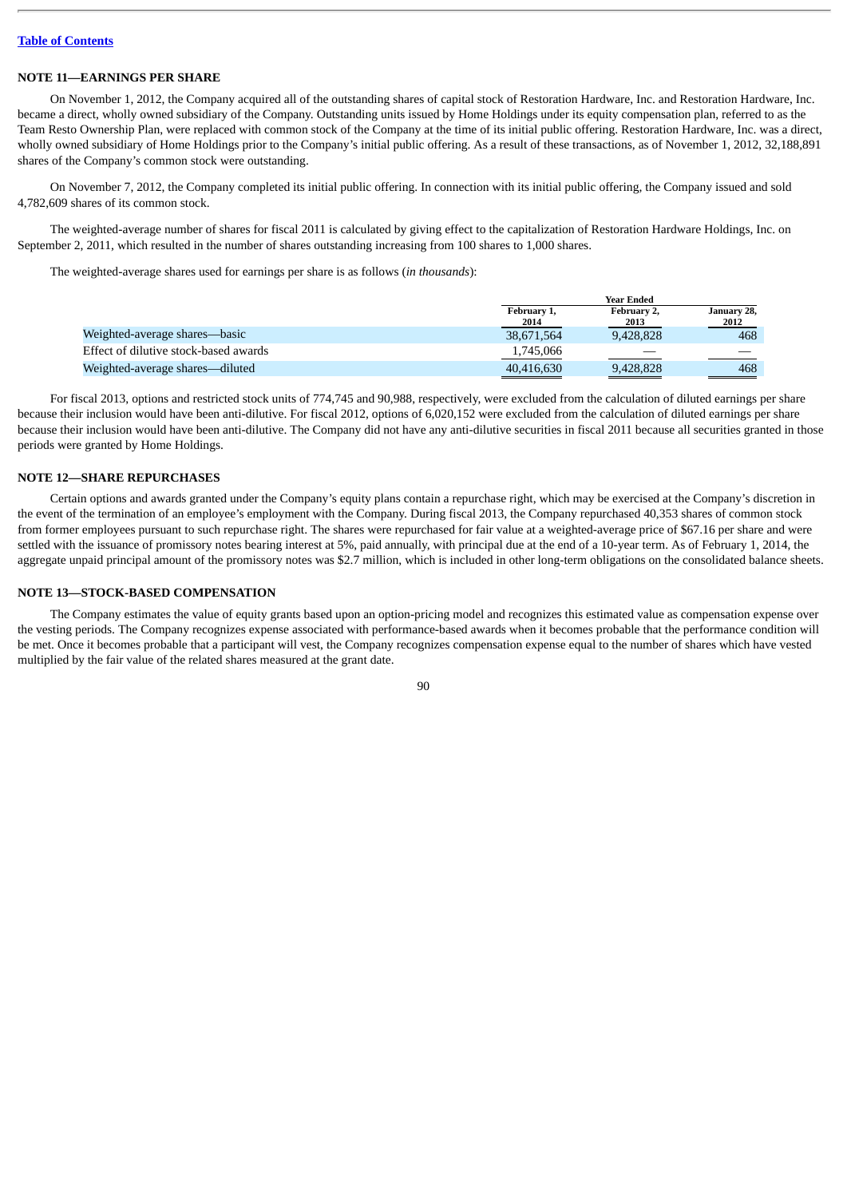## **NOTE 11—EARNINGS PER SHARE**

On November 1, 2012, the Company acquired all of the outstanding shares of capital stock of Restoration Hardware, Inc. and Restoration Hardware, Inc. became a direct, wholly owned subsidiary of the Company. Outstanding units issued by Home Holdings under its equity compensation plan, referred to as the Team Resto Ownership Plan, were replaced with common stock of the Company at the time of its initial public offering. Restoration Hardware, Inc. was a direct, wholly owned subsidiary of Home Holdings prior to the Company's initial public offering. As a result of these transactions, as of November 1, 2012, 32,188,891 shares of the Company's common stock were outstanding.

On November 7, 2012, the Company completed its initial public offering. In connection with its initial public offering, the Company issued and sold 4,782,609 shares of its common stock.

The weighted-average number of shares for fiscal 2011 is calculated by giving effect to the capitalization of Restoration Hardware Holdings, Inc. on September 2, 2011, which resulted in the number of shares outstanding increasing from 100 shares to 1,000 shares.

The weighted-average shares used for earnings per share is as follows (*in thousands*):

|                                       |                     | <b>Year Ended</b>   |                     |  |
|---------------------------------------|---------------------|---------------------|---------------------|--|
|                                       | February 1,<br>2014 | February 2,<br>2013 | January 28,<br>2012 |  |
| Weighted-average shares—basic         | 38.671.564          | 9.428.828           | 468                 |  |
| Effect of dilutive stock-based awards | 1,745,066           |                     |                     |  |
| Weighted-average shares—diluted       | 40,416,630          | 9,428,828           | 468                 |  |

For fiscal 2013, options and restricted stock units of 774,745 and 90,988, respectively, were excluded from the calculation of diluted earnings per share because their inclusion would have been anti-dilutive. For fiscal 2012, options of 6,020,152 were excluded from the calculation of diluted earnings per share because their inclusion would have been anti-dilutive. The Company did not have any anti-dilutive securities in fiscal 2011 because all securities granted in those periods were granted by Home Holdings.

## **NOTE 12—SHARE REPURCHASES**

Certain options and awards granted under the Company's equity plans contain a repurchase right, which may be exercised at the Company's discretion in the event of the termination of an employee's employment with the Company. During fiscal 2013, the Company repurchased 40,353 shares of common stock from former employees pursuant to such repurchase right. The shares were repurchased for fair value at a weighted-average price of \$67.16 per share and were settled with the issuance of promissory notes bearing interest at 5%, paid annually, with principal due at the end of a 10-year term. As of February 1, 2014, the aggregate unpaid principal amount of the promissory notes was \$2.7 million, which is included in other long-term obligations on the consolidated balance sheets.

#### **NOTE 13—STOCK-BASED COMPENSATION**

The Company estimates the value of equity grants based upon an option-pricing model and recognizes this estimated value as compensation expense over the vesting periods. The Company recognizes expense associated with performance-based awards when it becomes probable that the performance condition will be met. Once it becomes probable that a participant will vest, the Company recognizes compensation expense equal to the number of shares which have vested multiplied by the fair value of the related shares measured at the grant date.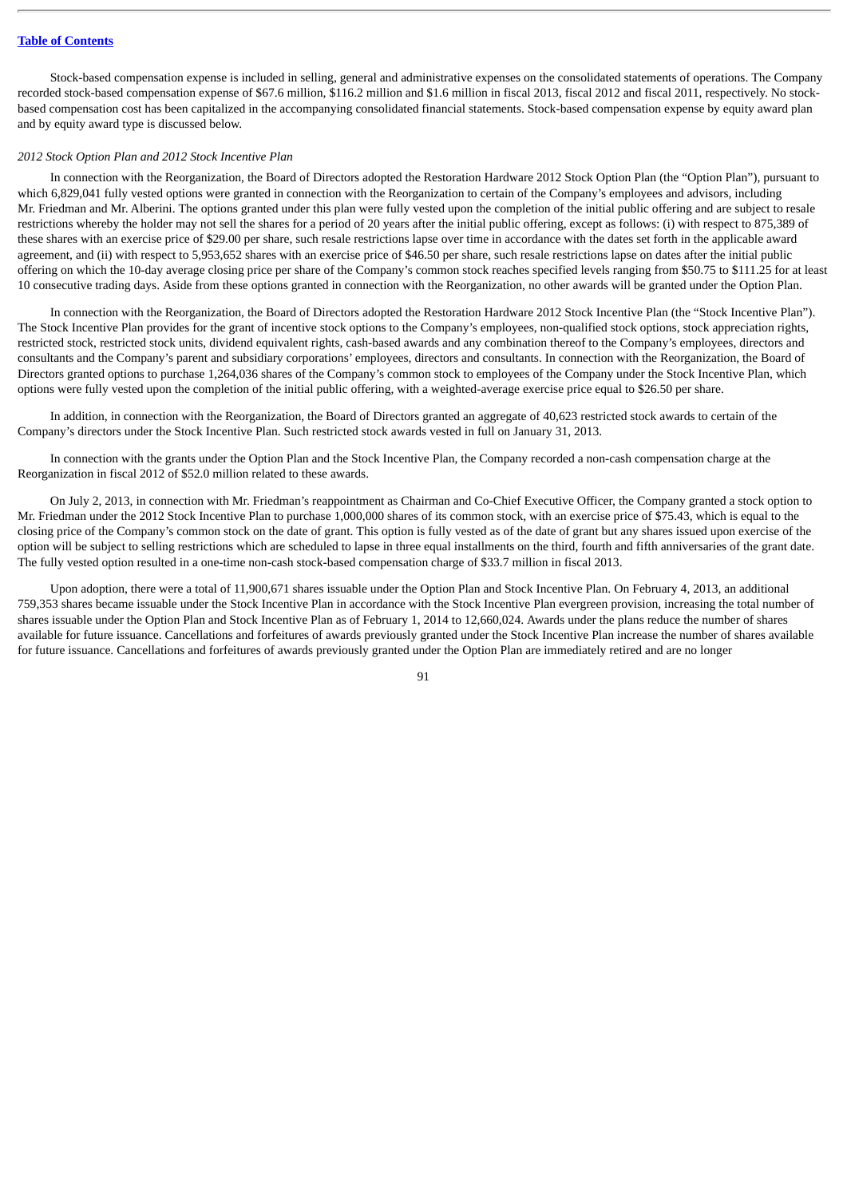Stock-based compensation expense is included in selling, general and administrative expenses on the consolidated statements of operations. The Company recorded stock-based compensation expense of \$67.6 million, \$116.2 million and \$1.6 million in fiscal 2013, fiscal 2012 and fiscal 2011, respectively. No stockbased compensation cost has been capitalized in the accompanying consolidated financial statements. Stock-based compensation expense by equity award plan and by equity award type is discussed below.

#### *2012 Stock Option Plan and 2012 Stock Incentive Plan*

In connection with the Reorganization, the Board of Directors adopted the Restoration Hardware 2012 Stock Option Plan (the "Option Plan"), pursuant to which 6,829,041 fully vested options were granted in connection with the Reorganization to certain of the Company's employees and advisors, including Mr. Friedman and Mr. Alberini. The options granted under this plan were fully vested upon the completion of the initial public offering and are subject to resale restrictions whereby the holder may not sell the shares for a period of 20 years after the initial public offering, except as follows: (i) with respect to 875,389 of these shares with an exercise price of \$29.00 per share, such resale restrictions lapse over time in accordance with the dates set forth in the applicable award agreement, and (ii) with respect to 5,953,652 shares with an exercise price of \$46.50 per share, such resale restrictions lapse on dates after the initial public offering on which the 10-day average closing price per share of the Company's common stock reaches specified levels ranging from \$50.75 to \$111.25 for at least 10 consecutive trading days. Aside from these options granted in connection with the Reorganization, no other awards will be granted under the Option Plan.

In connection with the Reorganization, the Board of Directors adopted the Restoration Hardware 2012 Stock Incentive Plan (the "Stock Incentive Plan"). The Stock Incentive Plan provides for the grant of incentive stock options to the Company's employees, non-qualified stock options, stock appreciation rights, restricted stock, restricted stock units, dividend equivalent rights, cash-based awards and any combination thereof to the Company's employees, directors and consultants and the Company's parent and subsidiary corporations' employees, directors and consultants. In connection with the Reorganization, the Board of Directors granted options to purchase 1,264,036 shares of the Company's common stock to employees of the Company under the Stock Incentive Plan, which options were fully vested upon the completion of the initial public offering, with a weighted-average exercise price equal to \$26.50 per share.

In addition, in connection with the Reorganization, the Board of Directors granted an aggregate of 40,623 restricted stock awards to certain of the Company's directors under the Stock Incentive Plan. Such restricted stock awards vested in full on January 31, 2013.

In connection with the grants under the Option Plan and the Stock Incentive Plan, the Company recorded a non-cash compensation charge at the Reorganization in fiscal 2012 of \$52.0 million related to these awards.

On July 2, 2013, in connection with Mr. Friedman's reappointment as Chairman and Co-Chief Executive Officer, the Company granted a stock option to Mr. Friedman under the 2012 Stock Incentive Plan to purchase 1,000,000 shares of its common stock, with an exercise price of \$75.43, which is equal to the closing price of the Company's common stock on the date of grant. This option is fully vested as of the date of grant but any shares issued upon exercise of the option will be subject to selling restrictions which are scheduled to lapse in three equal installments on the third, fourth and fifth anniversaries of the grant date. The fully vested option resulted in a one-time non-cash stock-based compensation charge of \$33.7 million in fiscal 2013.

Upon adoption, there were a total of 11,900,671 shares issuable under the Option Plan and Stock Incentive Plan. On February 4, 2013, an additional 759,353 shares became issuable under the Stock Incentive Plan in accordance with the Stock Incentive Plan evergreen provision, increasing the total number of shares issuable under the Option Plan and Stock Incentive Plan as of February 1, 2014 to 12,660,024. Awards under the plans reduce the number of shares available for future issuance. Cancellations and forfeitures of awards previously granted under the Stock Incentive Plan increase the number of shares available for future issuance. Cancellations and forfeitures of awards previously granted under the Option Plan are immediately retired and are no longer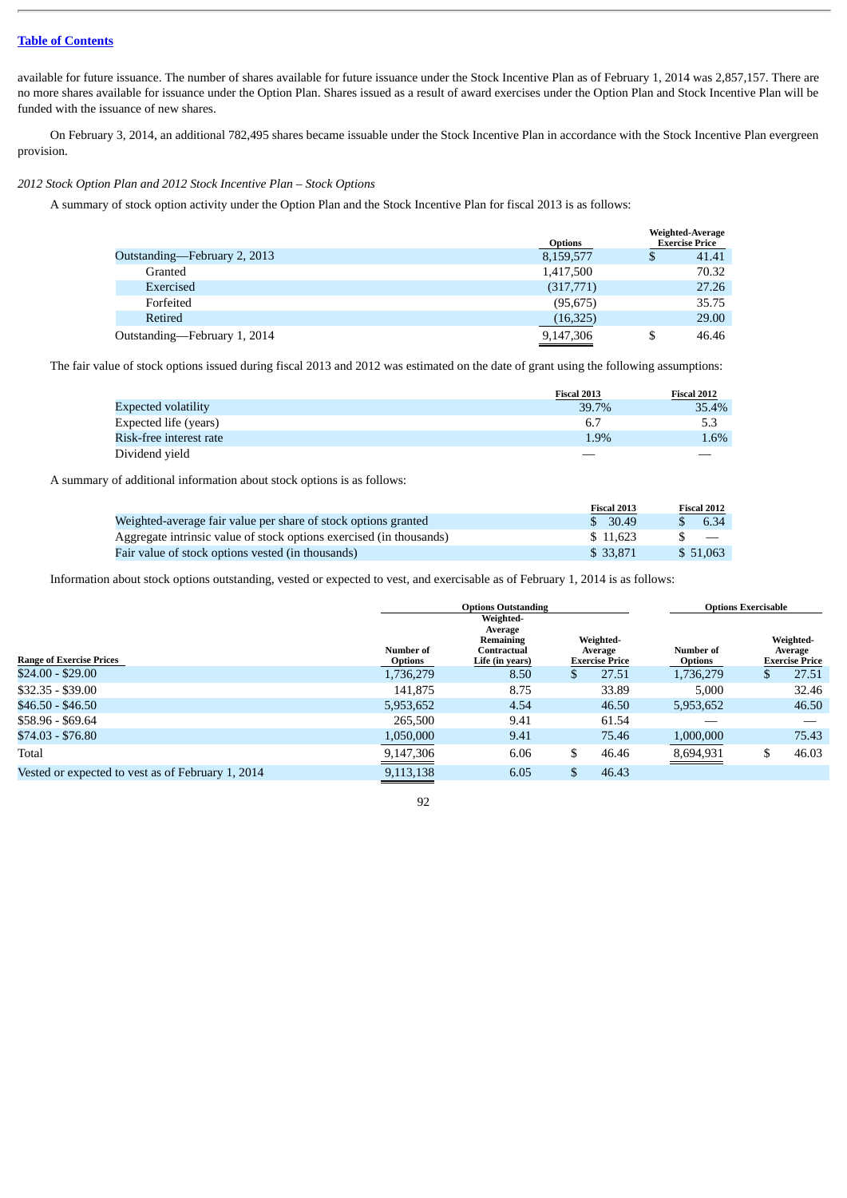available for future issuance. The number of shares available for future issuance under the Stock Incentive Plan as of February 1, 2014 was 2,857,157. There are no more shares available for issuance under the Option Plan. Shares issued as a result of award exercises under the Option Plan and Stock Incentive Plan will be funded with the issuance of new shares.

On February 3, 2014, an additional 782,495 shares became issuable under the Stock Incentive Plan in accordance with the Stock Incentive Plan evergreen provision.

# *2012 Stock Option Plan and 2012 Stock Incentive Plan – Stock Options*

A summary of stock option activity under the Option Plan and the Stock Incentive Plan for fiscal 2013 is as follows:

|                              | Options   | Weighted-Average<br><b>Exercise Price</b> |
|------------------------------|-----------|-------------------------------------------|
| Outstanding—February 2, 2013 | 8,159,577 | \$<br>41.41                               |
| Granted                      | 1,417,500 | 70.32                                     |
| Exercised                    | (317,771) | 27.26                                     |
| Forfeited                    | (95, 675) | 35.75                                     |
| Retired                      | (16, 325) | 29.00                                     |
| Outstanding—February 1, 2014 | 9,147,306 | 46.46                                     |

The fair value of stock options issued during fiscal 2013 and 2012 was estimated on the date of grant using the following assumptions:

|                         | Fiscal 2013 | Fiscal 2012 |
|-------------------------|-------------|-------------|
| Expected volatility     | 39.7%       | 35.4%       |
| Expected life (years)   | -6.7        | 5.3         |
| Risk-free interest rate | 1.9%        | 1.6%        |
| Dividend vield          |             |             |

A summary of additional information about stock options is as follows:

|                                                                     | Fiscal 2013 | Fiscal 2012 |
|---------------------------------------------------------------------|-------------|-------------|
| Weighted-average fair value per share of stock options granted      | \$ 30.49    | \$6.34      |
| Aggregate intrinsic value of stock options exercised (in thousands) | \$11,623    | $\sim$      |
| Fair value of stock options vested (in thousands)                   | \$ 33,871   | \$ 51,063   |

Information about stock options outstanding, vested or expected to vest, and exercisable as of February 1, 2014 is as follows:

|                                                   |                             | <b>Options Outstanding</b><br>Weighted-                |    |                                               |                             | <b>Options Exercisable</b> |                                               |  |  |
|---------------------------------------------------|-----------------------------|--------------------------------------------------------|----|-----------------------------------------------|-----------------------------|----------------------------|-----------------------------------------------|--|--|
| <b>Range of Exercise Prices</b>                   | Number of<br><b>Options</b> | Average<br>Remaining<br>Contractual<br>Life (in years) |    | Weighted-<br>Average<br><b>Exercise Price</b> | Number of<br><b>Options</b> |                            | Weighted-<br>Average<br><b>Exercise Price</b> |  |  |
| \$24.00 - \$29.00                                 | 1,736,279                   | 8.50                                                   |    | 27.51                                         | 1,736,279                   |                            | 27.51                                         |  |  |
| \$32.35 - \$39.00                                 | 141,875                     | 8.75                                                   |    | 33.89                                         | 5.000                       |                            | 32.46                                         |  |  |
| \$46.50 - \$46.50                                 | 5,953,652                   | 4.54                                                   |    | 46.50                                         | 5,953,652                   |                            | 46.50                                         |  |  |
| \$58.96 - \$69.64                                 | 265,500                     | 9.41                                                   |    | 61.54                                         |                             |                            |                                               |  |  |
| \$74.03 - \$76.80                                 | 1,050,000                   | 9.41                                                   |    | 75.46                                         | 1,000,000                   |                            | 75.43                                         |  |  |
| Total                                             | 9,147,306                   | 6.06                                                   | \$ | 46.46                                         | 8,694,931                   | ¢<br>D                     | 46.03                                         |  |  |
| Vested or expected to vest as of February 1, 2014 | 9,113,138                   | 6.05                                                   |    | 46.43                                         |                             |                            |                                               |  |  |
|                                                   |                             |                                                        |    |                                               |                             |                            |                                               |  |  |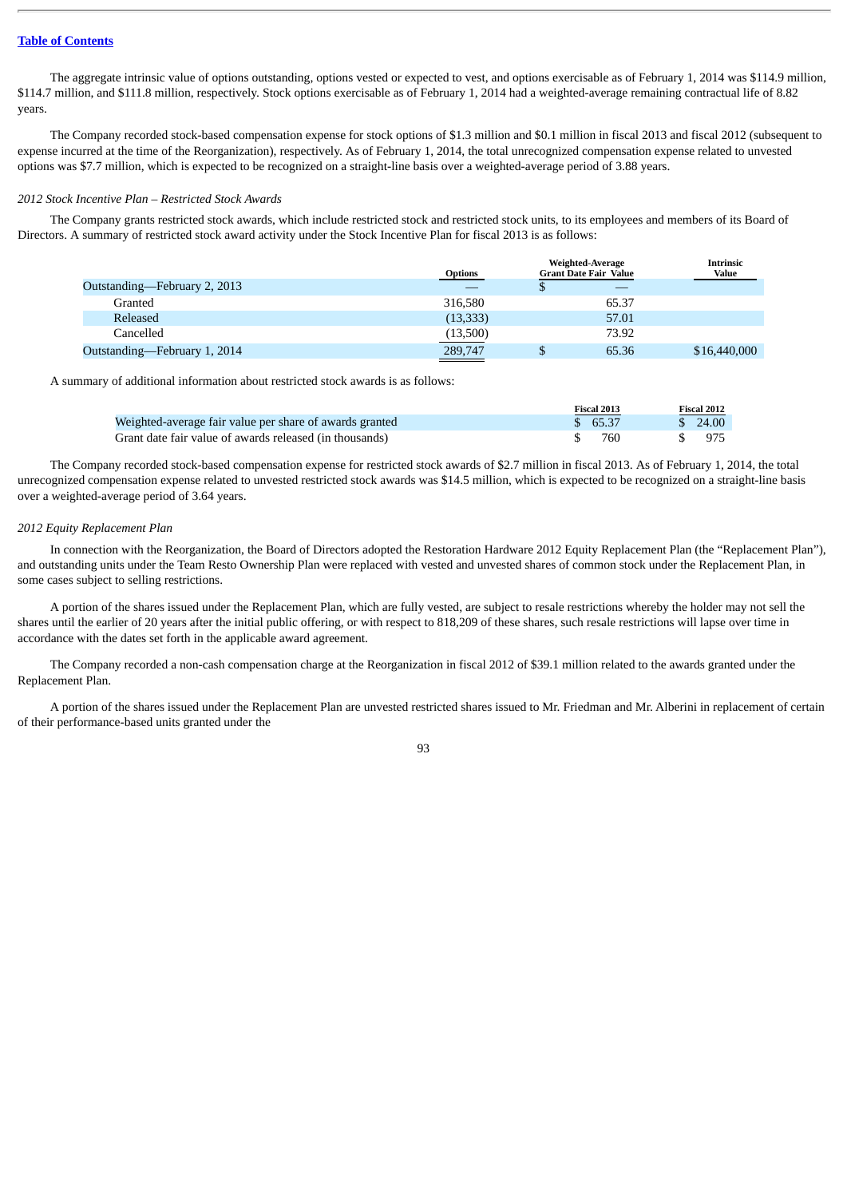The aggregate intrinsic value of options outstanding, options vested or expected to vest, and options exercisable as of February 1, 2014 was \$114.9 million, \$114.7 million, and \$111.8 million, respectively. Stock options exercisable as of February 1, 2014 had a weighted-average remaining contractual life of 8.82 years.

The Company recorded stock-based compensation expense for stock options of \$1.3 million and \$0.1 million in fiscal 2013 and fiscal 2012 (subsequent to expense incurred at the time of the Reorganization), respectively. As of February 1, 2014, the total unrecognized compensation expense related to unvested options was \$7.7 million, which is expected to be recognized on a straight-line basis over a weighted-average period of 3.88 years.

#### *2012 Stock Incentive Plan – Restricted Stock Awards*

The Company grants restricted stock awards, which include restricted stock and restricted stock units, to its employees and members of its Board of Directors. A summary of restricted stock award activity under the Stock Incentive Plan for fiscal 2013 is as follows:

|                              | <b>Options</b> |   | Weighted-Average<br><b>Grant Date Fair Value</b> | <b>Intrinsic</b><br>Value |
|------------------------------|----------------|---|--------------------------------------------------|---------------------------|
| Outstanding-February 2, 2013 |                | Φ |                                                  |                           |
| Granted                      | 316,580        |   | 65.37                                            |                           |
| Released                     | (13, 333)      |   | 57.01                                            |                           |
| Cancelled                    | (13,500)       |   | 73.92                                            |                           |
| Outstanding-February 1, 2014 | 289,747        |   | 65.36                                            | \$16,440,000              |

A summary of additional information about restricted stock awards is as follows:

|                                                         | Fiscal 2013 | Fiscal 2012 |
|---------------------------------------------------------|-------------|-------------|
| Weighted-average fair value per share of awards granted | \$ 65.37    | \$ 24.00    |
| Grant date fair value of awards released (in thousands) | - 760       | \$975       |

The Company recorded stock-based compensation expense for restricted stock awards of \$2.7 million in fiscal 2013. As of February 1, 2014, the total unrecognized compensation expense related to unvested restricted stock awards was \$14.5 million, which is expected to be recognized on a straight-line basis over a weighted-average period of 3.64 years.

## *2012 Equity Replacement Plan*

In connection with the Reorganization, the Board of Directors adopted the Restoration Hardware 2012 Equity Replacement Plan (the "Replacement Plan"), and outstanding units under the Team Resto Ownership Plan were replaced with vested and unvested shares of common stock under the Replacement Plan, in some cases subject to selling restrictions.

A portion of the shares issued under the Replacement Plan, which are fully vested, are subject to resale restrictions whereby the holder may not sell the shares until the earlier of 20 years after the initial public offering, or with respect to 818,209 of these shares, such resale restrictions will lapse over time in accordance with the dates set forth in the applicable award agreement.

The Company recorded a non-cash compensation charge at the Reorganization in fiscal 2012 of \$39.1 million related to the awards granted under the Replacement Plan.

A portion of the shares issued under the Replacement Plan are unvested restricted shares issued to Mr. Friedman and Mr. Alberini in replacement of certain of their performance-based units granted under the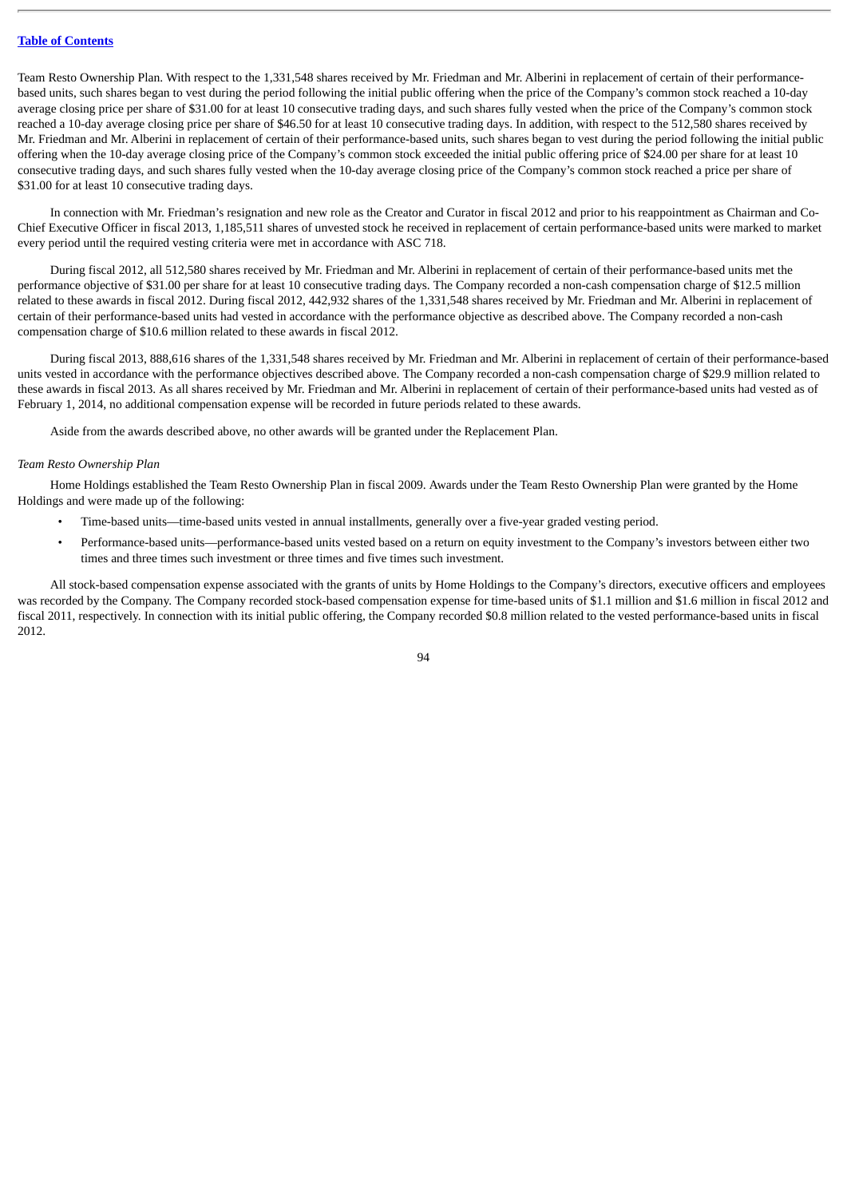Team Resto Ownership Plan. With respect to the 1,331,548 shares received by Mr. Friedman and Mr. Alberini in replacement of certain of their performancebased units, such shares began to vest during the period following the initial public offering when the price of the Company's common stock reached a 10-day average closing price per share of \$31.00 for at least 10 consecutive trading days, and such shares fully vested when the price of the Company's common stock reached a 10-day average closing price per share of \$46.50 for at least 10 consecutive trading days. In addition, with respect to the 512,580 shares received by Mr. Friedman and Mr. Alberini in replacement of certain of their performance-based units, such shares began to vest during the period following the initial public offering when the 10-day average closing price of the Company's common stock exceeded the initial public offering price of \$24.00 per share for at least 10 consecutive trading days, and such shares fully vested when the 10-day average closing price of the Company's common stock reached a price per share of \$31.00 for at least 10 consecutive trading days.

In connection with Mr. Friedman's resignation and new role as the Creator and Curator in fiscal 2012 and prior to his reappointment as Chairman and Co-Chief Executive Officer in fiscal 2013, 1,185,511 shares of unvested stock he received in replacement of certain performance-based units were marked to market every period until the required vesting criteria were met in accordance with ASC 718.

During fiscal 2012, all 512,580 shares received by Mr. Friedman and Mr. Alberini in replacement of certain of their performance-based units met the performance objective of \$31.00 per share for at least 10 consecutive trading days. The Company recorded a non-cash compensation charge of \$12.5 million related to these awards in fiscal 2012. During fiscal 2012, 442,932 shares of the 1,331,548 shares received by Mr. Friedman and Mr. Alberini in replacement of certain of their performance-based units had vested in accordance with the performance objective as described above. The Company recorded a non-cash compensation charge of \$10.6 million related to these awards in fiscal 2012.

During fiscal 2013, 888,616 shares of the 1,331,548 shares received by Mr. Friedman and Mr. Alberini in replacement of certain of their performance-based units vested in accordance with the performance objectives described above. The Company recorded a non-cash compensation charge of \$29.9 million related to these awards in fiscal 2013. As all shares received by Mr. Friedman and Mr. Alberini in replacement of certain of their performance-based units had vested as of February 1, 2014, no additional compensation expense will be recorded in future periods related to these awards.

Aside from the awards described above, no other awards will be granted under the Replacement Plan.

#### *Team Resto Ownership Plan*

Home Holdings established the Team Resto Ownership Plan in fiscal 2009. Awards under the Team Resto Ownership Plan were granted by the Home Holdings and were made up of the following:

- Time-based units—time-based units vested in annual installments, generally over a five-year graded vesting period.
- Performance-based units—performance-based units vested based on a return on equity investment to the Company's investors between either two times and three times such investment or three times and five times such investment.

All stock-based compensation expense associated with the grants of units by Home Holdings to the Company's directors, executive officers and employees was recorded by the Company. The Company recorded stock-based compensation expense for time-based units of \$1.1 million and \$1.6 million in fiscal 2012 and fiscal 2011, respectively. In connection with its initial public offering, the Company recorded \$0.8 million related to the vested performance-based units in fiscal 2012.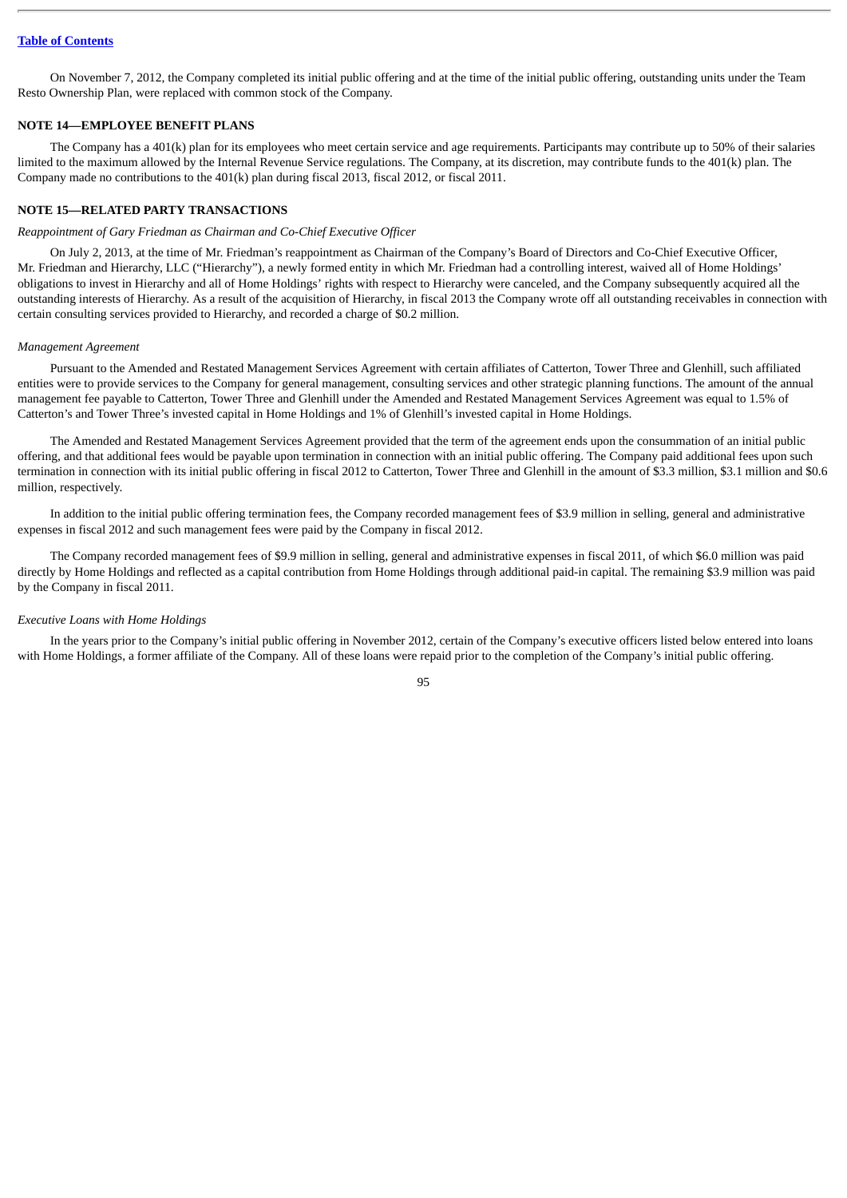On November 7, 2012, the Company completed its initial public offering and at the time of the initial public offering, outstanding units under the Team Resto Ownership Plan, were replaced with common stock of the Company.

#### **NOTE 14—EMPLOYEE BENEFIT PLANS**

The Company has a 401(k) plan for its employees who meet certain service and age requirements. Participants may contribute up to 50% of their salaries limited to the maximum allowed by the Internal Revenue Service regulations. The Company, at its discretion, may contribute funds to the 401(k) plan. The Company made no contributions to the 401(k) plan during fiscal 2013, fiscal 2012, or fiscal 2011.

# **NOTE 15—RELATED PARTY TRANSACTIONS**

## *Reappointment of Gary Friedman as Chairman and Co-Chief Executive Officer*

On July 2, 2013, at the time of Mr. Friedman's reappointment as Chairman of the Company's Board of Directors and Co-Chief Executive Officer, Mr. Friedman and Hierarchy, LLC ("Hierarchy"), a newly formed entity in which Mr. Friedman had a controlling interest, waived all of Home Holdings' obligations to invest in Hierarchy and all of Home Holdings' rights with respect to Hierarchy were canceled, and the Company subsequently acquired all the outstanding interests of Hierarchy. As a result of the acquisition of Hierarchy, in fiscal 2013 the Company wrote off all outstanding receivables in connection with certain consulting services provided to Hierarchy, and recorded a charge of \$0.2 million.

#### *Management Agreement*

Pursuant to the Amended and Restated Management Services Agreement with certain affiliates of Catterton, Tower Three and Glenhill, such affiliated entities were to provide services to the Company for general management, consulting services and other strategic planning functions. The amount of the annual management fee payable to Catterton, Tower Three and Glenhill under the Amended and Restated Management Services Agreement was equal to 1.5% of Catterton's and Tower Three's invested capital in Home Holdings and 1% of Glenhill's invested capital in Home Holdings.

The Amended and Restated Management Services Agreement provided that the term of the agreement ends upon the consummation of an initial public offering, and that additional fees would be payable upon termination in connection with an initial public offering. The Company paid additional fees upon such termination in connection with its initial public offering in fiscal 2012 to Catterton, Tower Three and Glenhill in the amount of \$3.3 million, \$3.1 million and \$0.6 million, respectively.

In addition to the initial public offering termination fees, the Company recorded management fees of \$3.9 million in selling, general and administrative expenses in fiscal 2012 and such management fees were paid by the Company in fiscal 2012.

The Company recorded management fees of \$9.9 million in selling, general and administrative expenses in fiscal 2011, of which \$6.0 million was paid directly by Home Holdings and reflected as a capital contribution from Home Holdings through additional paid-in capital. The remaining \$3.9 million was paid by the Company in fiscal 2011.

#### *Executive Loans with Home Holdings*

In the years prior to the Company's initial public offering in November 2012, certain of the Company's executive officers listed below entered into loans with Home Holdings, a former affiliate of the Company. All of these loans were repaid prior to the completion of the Company's initial public offering.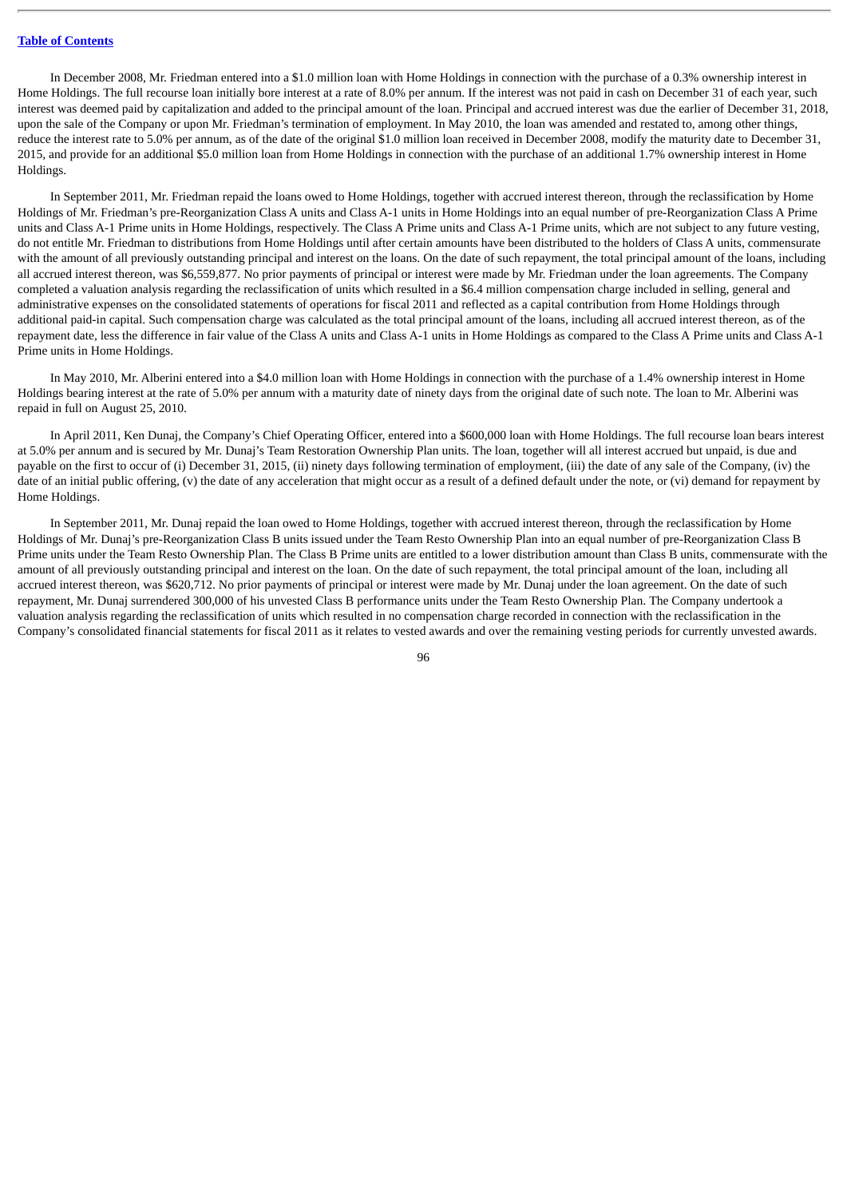In December 2008, Mr. Friedman entered into a \$1.0 million loan with Home Holdings in connection with the purchase of a 0.3% ownership interest in Home Holdings. The full recourse loan initially bore interest at a rate of 8.0% per annum. If the interest was not paid in cash on December 31 of each year, such interest was deemed paid by capitalization and added to the principal amount of the loan. Principal and accrued interest was due the earlier of December 31, 2018, upon the sale of the Company or upon Mr. Friedman's termination of employment. In May 2010, the loan was amended and restated to, among other things, reduce the interest rate to 5.0% per annum, as of the date of the original \$1.0 million loan received in December 2008, modify the maturity date to December 31, 2015, and provide for an additional \$5.0 million loan from Home Holdings in connection with the purchase of an additional 1.7% ownership interest in Home Holdings.

In September 2011, Mr. Friedman repaid the loans owed to Home Holdings, together with accrued interest thereon, through the reclassification by Home Holdings of Mr. Friedman's pre-Reorganization Class A units and Class A-1 units in Home Holdings into an equal number of pre-Reorganization Class A Prime units and Class A-1 Prime units in Home Holdings, respectively. The Class A Prime units and Class A-1 Prime units, which are not subject to any future vesting, do not entitle Mr. Friedman to distributions from Home Holdings until after certain amounts have been distributed to the holders of Class A units, commensurate with the amount of all previously outstanding principal and interest on the loans. On the date of such repayment, the total principal amount of the loans, including all accrued interest thereon, was \$6,559,877. No prior payments of principal or interest were made by Mr. Friedman under the loan agreements. The Company completed a valuation analysis regarding the reclassification of units which resulted in a \$6.4 million compensation charge included in selling, general and administrative expenses on the consolidated statements of operations for fiscal 2011 and reflected as a capital contribution from Home Holdings through additional paid-in capital. Such compensation charge was calculated as the total principal amount of the loans, including all accrued interest thereon, as of the repayment date, less the difference in fair value of the Class A units and Class A-1 units in Home Holdings as compared to the Class A Prime units and Class A-1 Prime units in Home Holdings.

In May 2010, Mr. Alberini entered into a \$4.0 million loan with Home Holdings in connection with the purchase of a 1.4% ownership interest in Home Holdings bearing interest at the rate of 5.0% per annum with a maturity date of ninety days from the original date of such note. The loan to Mr. Alberini was repaid in full on August 25, 2010.

In April 2011, Ken Dunaj, the Company's Chief Operating Officer, entered into a \$600,000 loan with Home Holdings. The full recourse loan bears interest at 5.0% per annum and is secured by Mr. Dunaj's Team Restoration Ownership Plan units. The loan, together will all interest accrued but unpaid, is due and payable on the first to occur of (i) December 31, 2015, (ii) ninety days following termination of employment, (iii) the date of any sale of the Company, (iv) the date of an initial public offering, (v) the date of any acceleration that might occur as a result of a defined default under the note, or (vi) demand for repayment by Home Holdings.

In September 2011, Mr. Dunaj repaid the loan owed to Home Holdings, together with accrued interest thereon, through the reclassification by Home Holdings of Mr. Dunaj's pre-Reorganization Class B units issued under the Team Resto Ownership Plan into an equal number of pre-Reorganization Class B Prime units under the Team Resto Ownership Plan. The Class B Prime units are entitled to a lower distribution amount than Class B units, commensurate with the amount of all previously outstanding principal and interest on the loan. On the date of such repayment, the total principal amount of the loan, including all accrued interest thereon, was \$620,712. No prior payments of principal or interest were made by Mr. Dunaj under the loan agreement. On the date of such repayment, Mr. Dunaj surrendered 300,000 of his unvested Class B performance units under the Team Resto Ownership Plan. The Company undertook a valuation analysis regarding the reclassification of units which resulted in no compensation charge recorded in connection with the reclassification in the Company's consolidated financial statements for fiscal 2011 as it relates to vested awards and over the remaining vesting periods for currently unvested awards.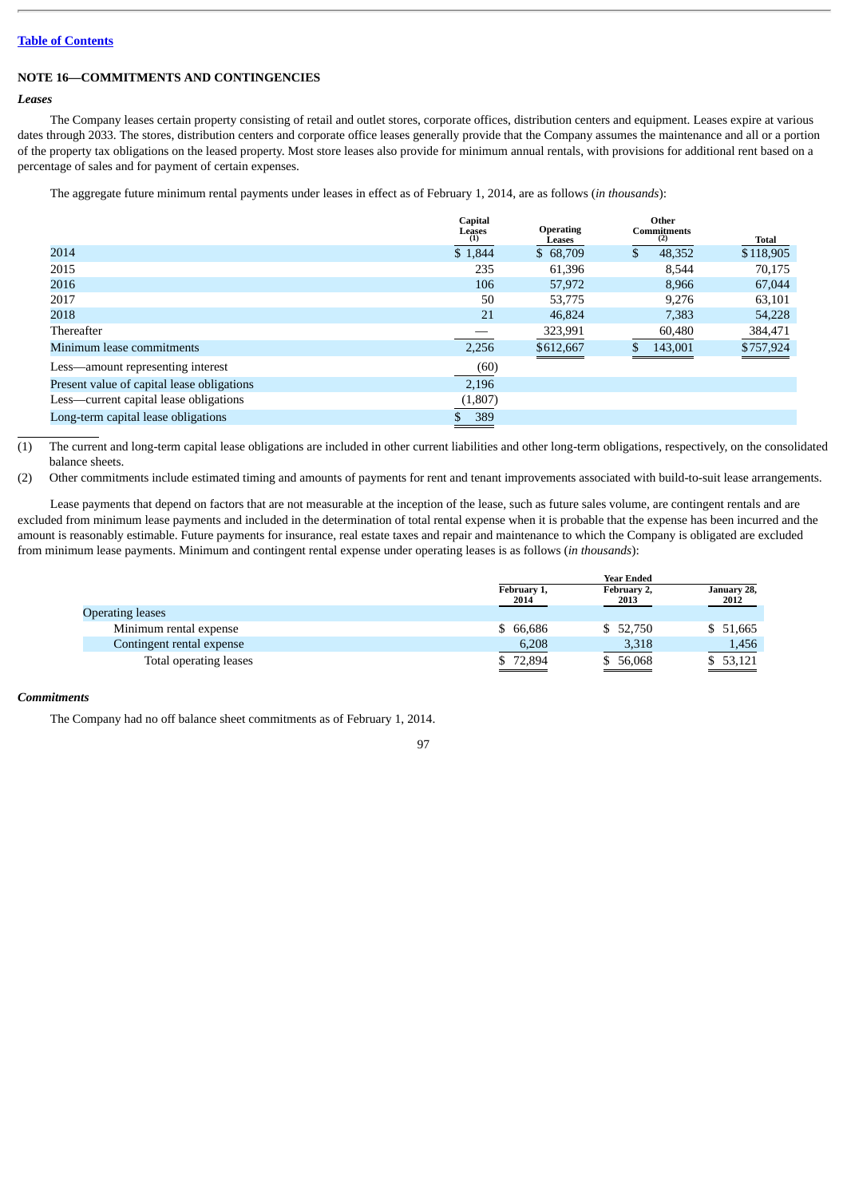# **NOTE 16—COMMITMENTS AND CONTINGENCIES**

# *Leases*

The Company leases certain property consisting of retail and outlet stores, corporate offices, distribution centers and equipment. Leases expire at various dates through 2033. The stores, distribution centers and corporate office leases generally provide that the Company assumes the maintenance and all or a portion of the property tax obligations on the leased property. Most store leases also provide for minimum annual rentals, with provisions for additional rent based on a percentage of sales and for payment of certain expenses.

The aggregate future minimum rental payments under leases in effect as of February 1, 2014, are as follows (*in thousands*):

|                                            | Capital                               | <b>Operating</b> | Other<br>Commitments |           |
|--------------------------------------------|---------------------------------------|------------------|----------------------|-----------|
|                                            | $\operatorname*{Leases}\limits_{(1)}$ | Leases           | (2)                  | Total     |
| 2014                                       | \$1,844                               | \$68,709         | \$<br>48,352         | \$118,905 |
| 2015                                       | 235                                   | 61,396           | 8,544                | 70,175    |
| 2016                                       | 106                                   | 57,972           | 8,966                | 67,044    |
| 2017                                       | 50                                    | 53,775           | 9.276                | 63,101    |
| 2018                                       | 21                                    | 46,824           | 7,383                | 54,228    |
| Thereafter                                 |                                       | 323,991          | 60,480               | 384,471   |
| Minimum lease commitments                  | 2,256                                 | \$612,667        | 143,001              | \$757,924 |
| Less—amount representing interest          | (60)                                  |                  |                      |           |
| Present value of capital lease obligations | 2,196                                 |                  |                      |           |
| Less—current capital lease obligations     | (1,807)                               |                  |                      |           |
| Long-term capital lease obligations        | 389                                   |                  |                      |           |

(1) The current and long-term capital lease obligations are included in other current liabilities and other long-term obligations, respectively, on the consolidated balance sheets.

(2) Other commitments include estimated timing and amounts of payments for rent and tenant improvements associated with build-to-suit lease arrangements.

Lease payments that depend on factors that are not measurable at the inception of the lease, such as future sales volume, are contingent rentals and are excluded from minimum lease payments and included in the determination of total rental expense when it is probable that the expense has been incurred and the amount is reasonably estimable. Future payments for insurance, real estate taxes and repair and maintenance to which the Company is obligated are excluded from minimum lease payments. Minimum and contingent rental expense under operating leases is as follows (*in thousands*):

|                           |                     | <b>Year Ended</b>   |                     |  |
|---------------------------|---------------------|---------------------|---------------------|--|
|                           | February 1,<br>2014 | February 2,<br>2013 | January 28,<br>2012 |  |
| <b>Operating leases</b>   |                     |                     |                     |  |
| Minimum rental expense    | \$ 66,686           | \$52,750            | \$ 51,665           |  |
| Contingent rental expense | 6,208               | 3,318               | 1,456               |  |
| Total operating leases    | 72,894              | \$ 56,068           | \$53,121            |  |

#### *Commitments*

The Company had no off balance sheet commitments as of February 1, 2014.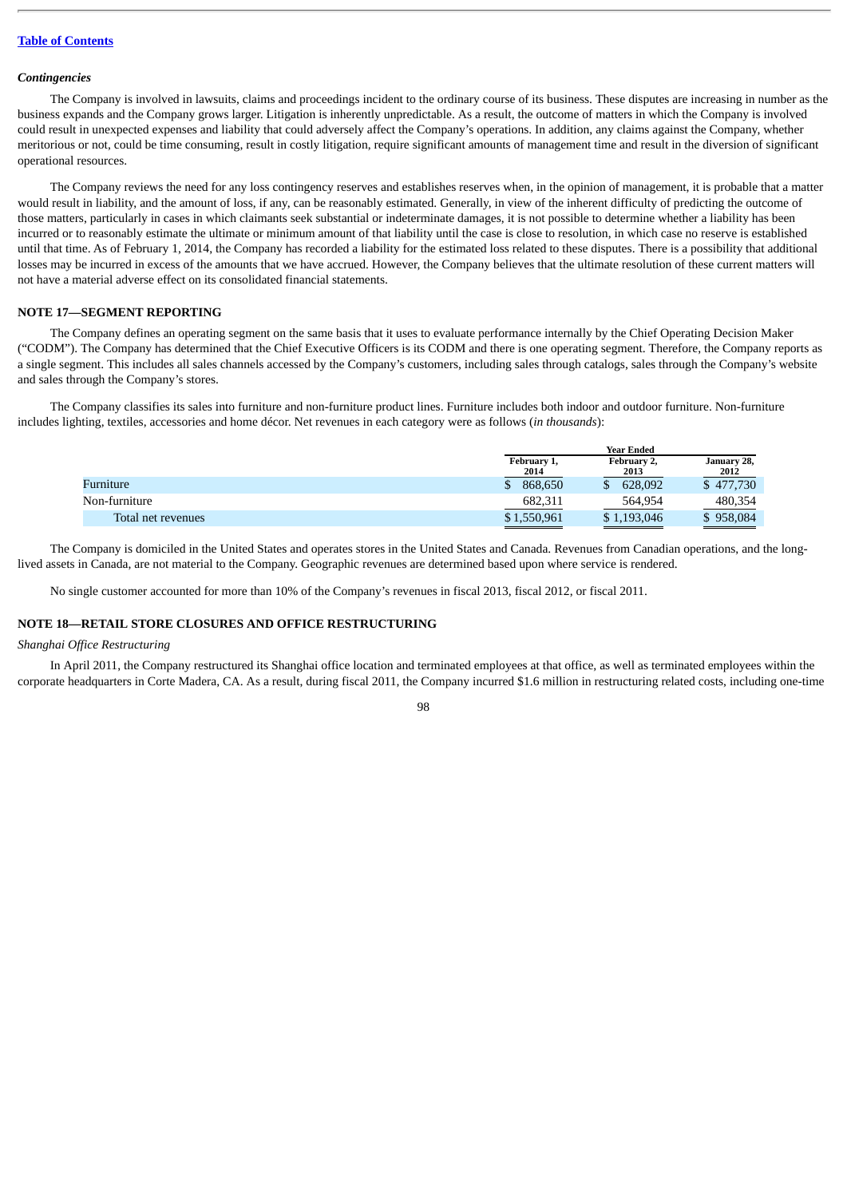#### *Contingencies*

The Company is involved in lawsuits, claims and proceedings incident to the ordinary course of its business. These disputes are increasing in number as the business expands and the Company grows larger. Litigation is inherently unpredictable. As a result, the outcome of matters in which the Company is involved could result in unexpected expenses and liability that could adversely affect the Company's operations. In addition, any claims against the Company, whether meritorious or not, could be time consuming, result in costly litigation, require significant amounts of management time and result in the diversion of significant operational resources.

The Company reviews the need for any loss contingency reserves and establishes reserves when, in the opinion of management, it is probable that a matter would result in liability, and the amount of loss, if any, can be reasonably estimated. Generally, in view of the inherent difficulty of predicting the outcome of those matters, particularly in cases in which claimants seek substantial or indeterminate damages, it is not possible to determine whether a liability has been incurred or to reasonably estimate the ultimate or minimum amount of that liability until the case is close to resolution, in which case no reserve is established until that time. As of February 1, 2014, the Company has recorded a liability for the estimated loss related to these disputes. There is a possibility that additional losses may be incurred in excess of the amounts that we have accrued. However, the Company believes that the ultimate resolution of these current matters will not have a material adverse effect on its consolidated financial statements.

#### **NOTE 17—SEGMENT REPORTING**

The Company defines an operating segment on the same basis that it uses to evaluate performance internally by the Chief Operating Decision Maker ("CODM"). The Company has determined that the Chief Executive Officers is its CODM and there is one operating segment. Therefore, the Company reports as a single segment. This includes all sales channels accessed by the Company's customers, including sales through catalogs, sales through the Company's website and sales through the Company's stores.

The Company classifies its sales into furniture and non-furniture product lines. Furniture includes both indoor and outdoor furniture. Non-furniture includes lighting, textiles, accessories and home décor. Net revenues in each category were as follows (*in thousands*):

|                    |                     | <b>Year Ended</b>   |                     |  |
|--------------------|---------------------|---------------------|---------------------|--|
|                    | February 1,<br>2014 | February 2,<br>2013 | January 28,<br>2012 |  |
| Furniture          | 868,650             | 628,092             | \$477,730           |  |
| Non-furniture      | 682.311             | 564,954             | 480,354             |  |
| Total net revenues | \$1,550,961         | \$1,193,046         | \$958,084           |  |

The Company is domiciled in the United States and operates stores in the United States and Canada. Revenues from Canadian operations, and the longlived assets in Canada, are not material to the Company. Geographic revenues are determined based upon where service is rendered.

No single customer accounted for more than 10% of the Company's revenues in fiscal 2013, fiscal 2012, or fiscal 2011.

## **NOTE 18—RETAIL STORE CLOSURES AND OFFICE RESTRUCTURING**

# *Shanghai Office Restructuring*

In April 2011, the Company restructured its Shanghai office location and terminated employees at that office, as well as terminated employees within the corporate headquarters in Corte Madera, CA. As a result, during fiscal 2011, the Company incurred \$1.6 million in restructuring related costs, including one-time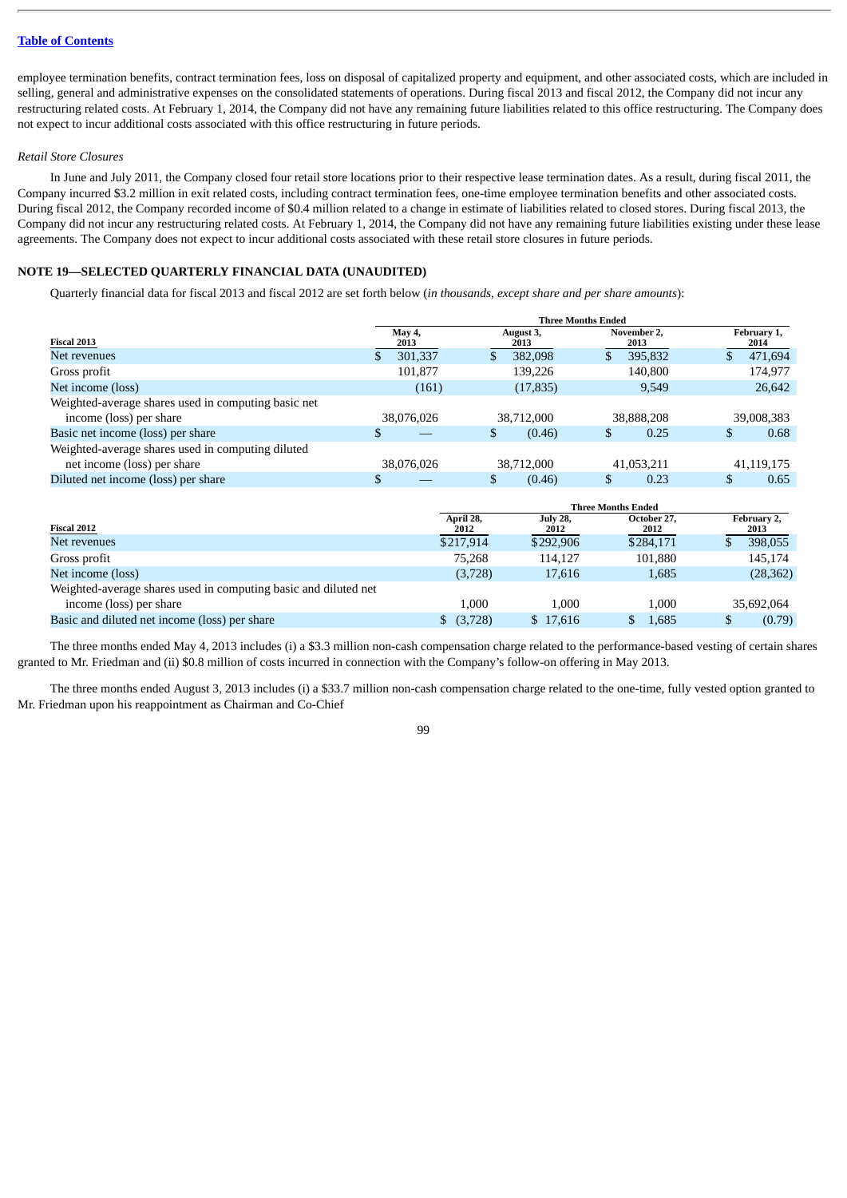employee termination benefits, contract termination fees, loss on disposal of capitalized property and equipment, and other associated costs, which are included in selling, general and administrative expenses on the consolidated statements of operations. During fiscal 2013 and fiscal 2012, the Company did not incur any restructuring related costs. At February 1, 2014, the Company did not have any remaining future liabilities related to this office restructuring. The Company does not expect to incur additional costs associated with this office restructuring in future periods.

#### *Retail Store Closures*

In June and July 2011, the Company closed four retail store locations prior to their respective lease termination dates. As a result, during fiscal 2011, the Company incurred \$3.2 million in exit related costs, including contract termination fees, one-time employee termination benefits and other associated costs. During fiscal 2012, the Company recorded income of \$0.4 million related to a change in estimate of liabilities related to closed stores. During fiscal 2013, the Company did not incur any restructuring related costs. At February 1, 2014, the Company did not have any remaining future liabilities existing under these lease agreements. The Company does not expect to incur additional costs associated with these retail store closures in future periods.

# **NOTE 19—SELECTED QUARTERLY FINANCIAL DATA (UNAUDITED)**

Quarterly financial data for fiscal 2013 and fiscal 2012 are set forth below (*in thousands, except share and per share amounts*):

|                                                     | <b>Three Months Ended</b> |                |    |                   |    |                     |    |                     |
|-----------------------------------------------------|---------------------------|----------------|----|-------------------|----|---------------------|----|---------------------|
| Fiscal 2013                                         |                           | May 4,<br>2013 |    | August 3,<br>2013 |    | November 2,<br>2013 |    | February 1,<br>2014 |
| Net revenues                                        | Ж.                        | 301,337        | S. | 382,098           | S  | 395,832             | S. | 471,694             |
| Gross profit                                        |                           | 101,877        |    | 139.226           |    | 140,800             |    | 174,977             |
| Net income (loss)                                   |                           | (161)          |    | (17, 835)         |    | 9,549               |    | 26,642              |
| Weighted-average shares used in computing basic net |                           |                |    |                   |    |                     |    |                     |
| income (loss) per share                             |                           | 38,076,026     |    | 38,712,000        |    | 38,888,208          |    | 39,008,383          |
| Basic net income (loss) per share                   | S                         |                | \$ | (0.46)            | \$ | 0.25                | \$ | 0.68                |
| Weighted-average shares used in computing diluted   |                           |                |    |                   |    |                     |    |                     |
| net income (loss) per share                         |                           | 38,076,026     |    | 38,712,000        |    | 41,053,211          |    | 41, 119, 175        |
| Diluted net income (loss) per share                 | D                         |                | \$ | (0.46)            | \$ | 0.23                | \$ | 0.65                |

|                                                                 | <b>Three Months Ended</b> |                         |                     |                     |
|-----------------------------------------------------------------|---------------------------|-------------------------|---------------------|---------------------|
| <b>Fiscal 2012</b>                                              | April 28,<br>2012         | <b>July 28.</b><br>2012 | October 27,<br>2012 | February 2,<br>2013 |
| Net revenues                                                    | \$217,914                 | \$292,906               | \$284,171           | 398,055             |
| Gross profit                                                    | 75,268                    | 114.127                 | 101,880             | 145,174             |
| Net income (loss)                                               | (3,728)                   | 17,616                  | 1,685               | (28, 362)           |
| Weighted-average shares used in computing basic and diluted net |                           |                         |                     |                     |
| income (loss) per share                                         | 1.000                     | 1.000                   | 1.000               | 35.692.064          |
| Basic and diluted net income (loss) per share                   | (3,728)                   | \$17,616                | 1,685               | \$<br>(0.79)        |

The three months ended May 4, 2013 includes (i) a \$3.3 million non-cash compensation charge related to the performance-based vesting of certain shares granted to Mr. Friedman and (ii) \$0.8 million of costs incurred in connection with the Company's follow-on offering in May 2013.

The three months ended August 3, 2013 includes (i) a \$33.7 million non-cash compensation charge related to the one-time, fully vested option granted to Mr. Friedman upon his reappointment as Chairman and Co-Chief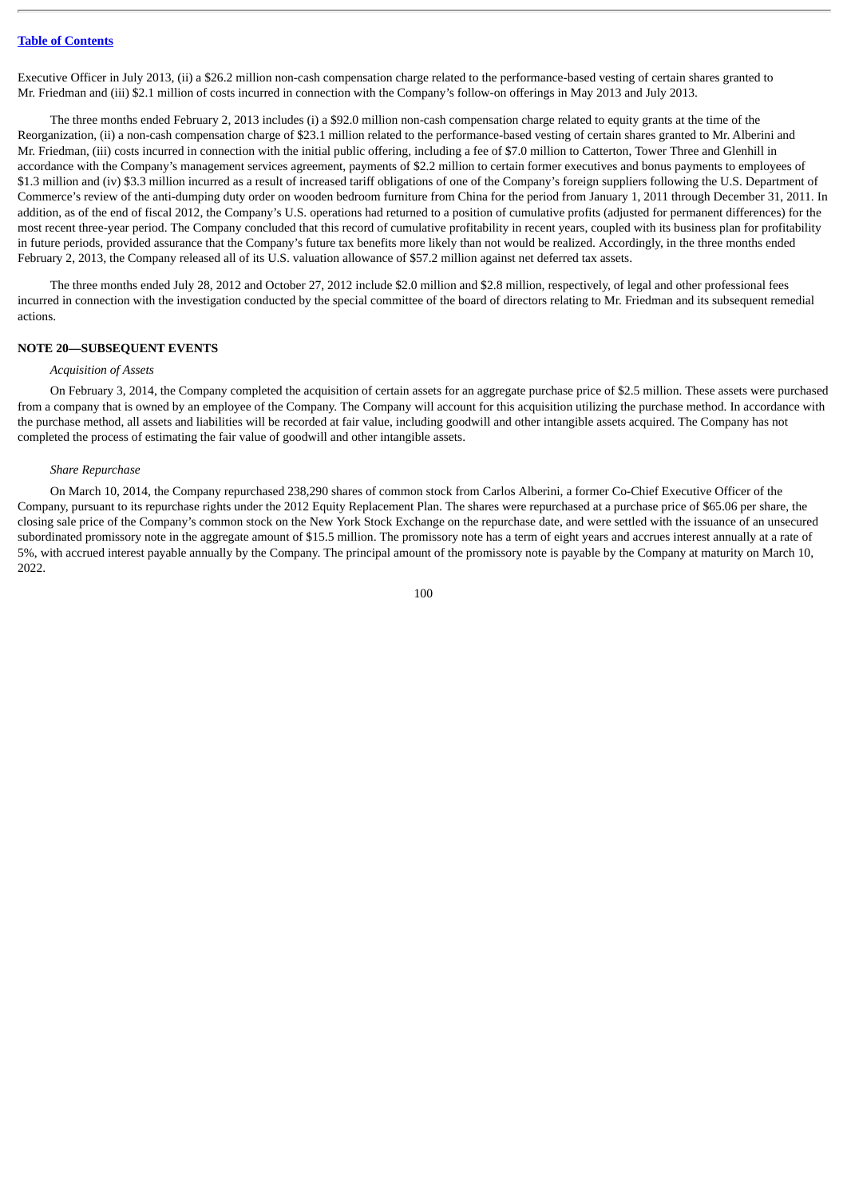Executive Officer in July 2013, (ii) a \$26.2 million non-cash compensation charge related to the performance-based vesting of certain shares granted to Mr. Friedman and (iii) \$2.1 million of costs incurred in connection with the Company's follow-on offerings in May 2013 and July 2013.

The three months ended February 2, 2013 includes (i) a \$92.0 million non-cash compensation charge related to equity grants at the time of the Reorganization, (ii) a non-cash compensation charge of \$23.1 million related to the performance-based vesting of certain shares granted to Mr. Alberini and Mr. Friedman, (iii) costs incurred in connection with the initial public offering, including a fee of \$7.0 million to Catterton, Tower Three and Glenhill in accordance with the Company's management services agreement, payments of \$2.2 million to certain former executives and bonus payments to employees of \$1.3 million and (iv) \$3.3 million incurred as a result of increased tariff obligations of one of the Company's foreign suppliers following the U.S. Department of Commerce's review of the anti-dumping duty order on wooden bedroom furniture from China for the period from January 1, 2011 through December 31, 2011. In addition, as of the end of fiscal 2012, the Company's U.S. operations had returned to a position of cumulative profits (adjusted for permanent differences) for the most recent three-year period. The Company concluded that this record of cumulative profitability in recent years, coupled with its business plan for profitability in future periods, provided assurance that the Company's future tax benefits more likely than not would be realized. Accordingly, in the three months ended February 2, 2013, the Company released all of its U.S. valuation allowance of \$57.2 million against net deferred tax assets.

The three months ended July 28, 2012 and October 27, 2012 include \$2.0 million and \$2.8 million, respectively, of legal and other professional fees incurred in connection with the investigation conducted by the special committee of the board of directors relating to Mr. Friedman and its subsequent remedial actions.

# **NOTE 20—SUBSEQUENT EVENTS**

#### *Acquisition of Assets*

On February 3, 2014, the Company completed the acquisition of certain assets for an aggregate purchase price of \$2.5 million. These assets were purchased from a company that is owned by an employee of the Company. The Company will account for this acquisition utilizing the purchase method. In accordance with the purchase method, all assets and liabilities will be recorded at fair value, including goodwill and other intangible assets acquired. The Company has not completed the process of estimating the fair value of goodwill and other intangible assets.

#### *Share Repurchase*

On March 10, 2014, the Company repurchased 238,290 shares of common stock from Carlos Alberini, a former Co-Chief Executive Officer of the Company, pursuant to its repurchase rights under the 2012 Equity Replacement Plan. The shares were repurchased at a purchase price of \$65.06 per share, the closing sale price of the Company's common stock on the New York Stock Exchange on the repurchase date, and were settled with the issuance of an unsecured subordinated promissory note in the aggregate amount of \$15.5 million. The promissory note has a term of eight years and accrues interest annually at a rate of 5%, with accrued interest payable annually by the Company. The principal amount of the promissory note is payable by the Company at maturity on March 10, 2022.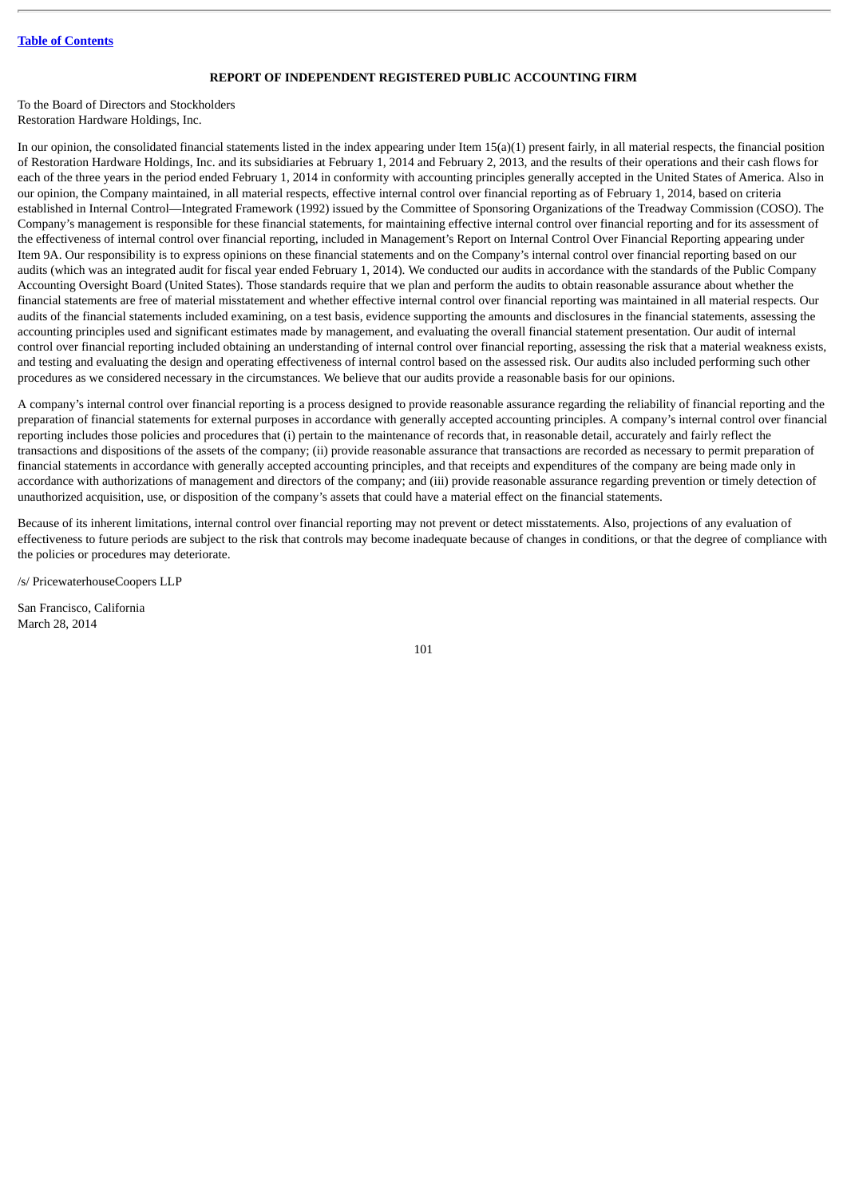## **REPORT OF INDEPENDENT REGISTERED PUBLIC ACCOUNTING FIRM**

To the Board of Directors and Stockholders Restoration Hardware Holdings, Inc.

In our opinion, the consolidated financial statements listed in the index appearing under Item 15(a)(1) present fairly, in all material respects, the financial position of Restoration Hardware Holdings, Inc. and its subsidiaries at February 1, 2014 and February 2, 2013, and the results of their operations and their cash flows for each of the three years in the period ended February 1, 2014 in conformity with accounting principles generally accepted in the United States of America. Also in our opinion, the Company maintained, in all material respects, effective internal control over financial reporting as of February 1, 2014, based on criteria established in Internal Control—Integrated Framework (1992) issued by the Committee of Sponsoring Organizations of the Treadway Commission (COSO). The Company's management is responsible for these financial statements, for maintaining effective internal control over financial reporting and for its assessment of the effectiveness of internal control over financial reporting, included in Management's Report on Internal Control Over Financial Reporting appearing under Item 9A. Our responsibility is to express opinions on these financial statements and on the Company's internal control over financial reporting based on our audits (which was an integrated audit for fiscal year ended February 1, 2014). We conducted our audits in accordance with the standards of the Public Company Accounting Oversight Board (United States). Those standards require that we plan and perform the audits to obtain reasonable assurance about whether the financial statements are free of material misstatement and whether effective internal control over financial reporting was maintained in all material respects. Our audits of the financial statements included examining, on a test basis, evidence supporting the amounts and disclosures in the financial statements, assessing the accounting principles used and significant estimates made by management, and evaluating the overall financial statement presentation. Our audit of internal control over financial reporting included obtaining an understanding of internal control over financial reporting, assessing the risk that a material weakness exists, and testing and evaluating the design and operating effectiveness of internal control based on the assessed risk. Our audits also included performing such other procedures as we considered necessary in the circumstances. We believe that our audits provide a reasonable basis for our opinions.

A company's internal control over financial reporting is a process designed to provide reasonable assurance regarding the reliability of financial reporting and the preparation of financial statements for external purposes in accordance with generally accepted accounting principles. A company's internal control over financial reporting includes those policies and procedures that (i) pertain to the maintenance of records that, in reasonable detail, accurately and fairly reflect the transactions and dispositions of the assets of the company; (ii) provide reasonable assurance that transactions are recorded as necessary to permit preparation of financial statements in accordance with generally accepted accounting principles, and that receipts and expenditures of the company are being made only in accordance with authorizations of management and directors of the company; and (iii) provide reasonable assurance regarding prevention or timely detection of unauthorized acquisition, use, or disposition of the company's assets that could have a material effect on the financial statements.

Because of its inherent limitations, internal control over financial reporting may not prevent or detect misstatements. Also, projections of any evaluation of effectiveness to future periods are subject to the risk that controls may become inadequate because of changes in conditions, or that the degree of compliance with the policies or procedures may deteriorate.

/s/ PricewaterhouseCoopers LLP

San Francisco, California March 28, 2014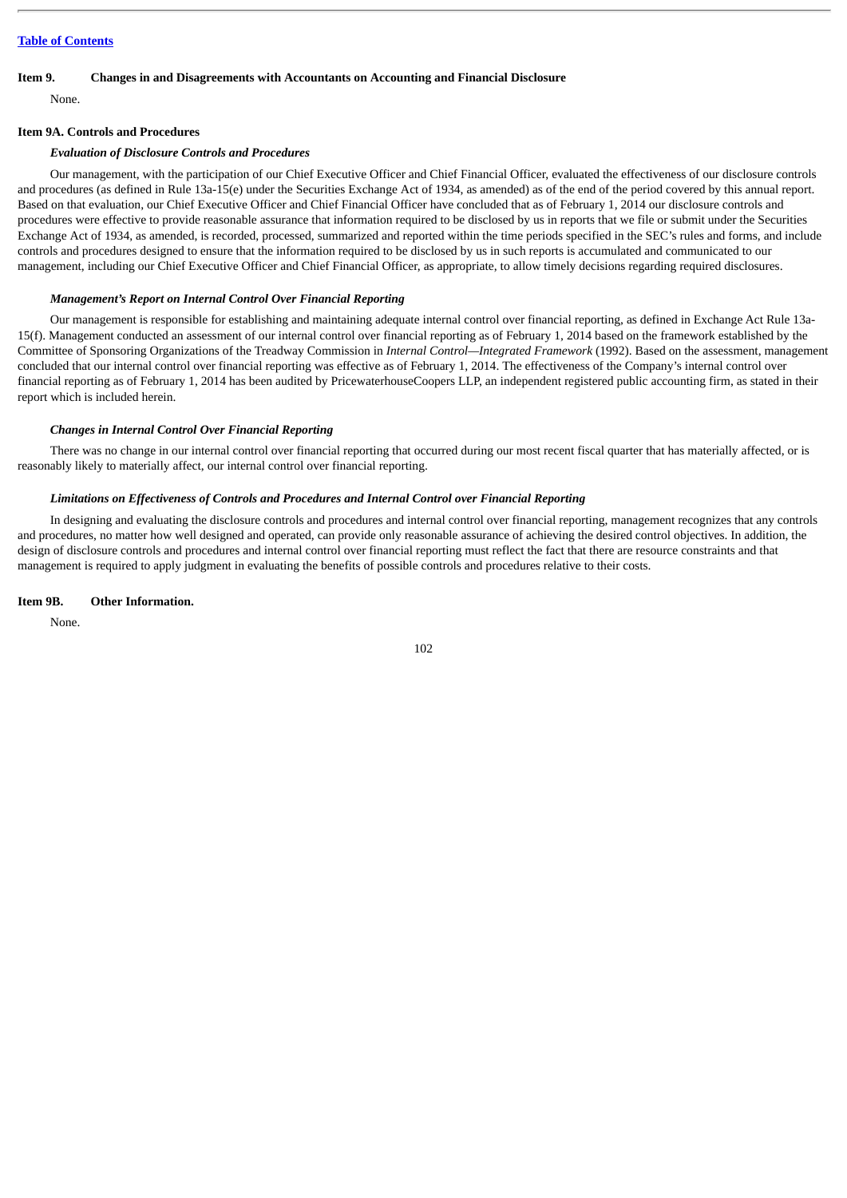#### **Item 9. Changes in and Disagreements with Accountants on Accounting and Financial Disclosure**

None.

## **Item 9A. Controls and Procedures**

# *Evaluation of Disclosure Controls and Procedures*

Our management, with the participation of our Chief Executive Officer and Chief Financial Officer, evaluated the effectiveness of our disclosure controls and procedures (as defined in Rule 13a-15(e) under the Securities Exchange Act of 1934, as amended) as of the end of the period covered by this annual report. Based on that evaluation, our Chief Executive Officer and Chief Financial Officer have concluded that as of February 1, 2014 our disclosure controls and procedures were effective to provide reasonable assurance that information required to be disclosed by us in reports that we file or submit under the Securities Exchange Act of 1934, as amended, is recorded, processed, summarized and reported within the time periods specified in the SEC's rules and forms, and include controls and procedures designed to ensure that the information required to be disclosed by us in such reports is accumulated and communicated to our management, including our Chief Executive Officer and Chief Financial Officer, as appropriate, to allow timely decisions regarding required disclosures.

#### *Management's Report on Internal Control Over Financial Reporting*

Our management is responsible for establishing and maintaining adequate internal control over financial reporting, as defined in Exchange Act Rule 13a-15(f). Management conducted an assessment of our internal control over financial reporting as of February 1, 2014 based on the framework established by the Committee of Sponsoring Organizations of the Treadway Commission in *Internal Control—Integrated Framework* (1992). Based on the assessment, management concluded that our internal control over financial reporting was effective as of February 1, 2014. The effectiveness of the Company's internal control over financial reporting as of February 1, 2014 has been audited by PricewaterhouseCoopers LLP, an independent registered public accounting firm, as stated in their report which is included herein.

#### *Changes in Internal Control Over Financial Reporting*

There was no change in our internal control over financial reporting that occurred during our most recent fiscal quarter that has materially affected, or is reasonably likely to materially affect, our internal control over financial reporting.

#### *Limitations on Effectiveness of Controls and Procedures and Internal Control over Financial Reporting*

In designing and evaluating the disclosure controls and procedures and internal control over financial reporting, management recognizes that any controls and procedures, no matter how well designed and operated, can provide only reasonable assurance of achieving the desired control objectives. In addition, the design of disclosure controls and procedures and internal control over financial reporting must reflect the fact that there are resource constraints and that management is required to apply judgment in evaluating the benefits of possible controls and procedures relative to their costs.

#### **Item 9B. Other Information.**

None.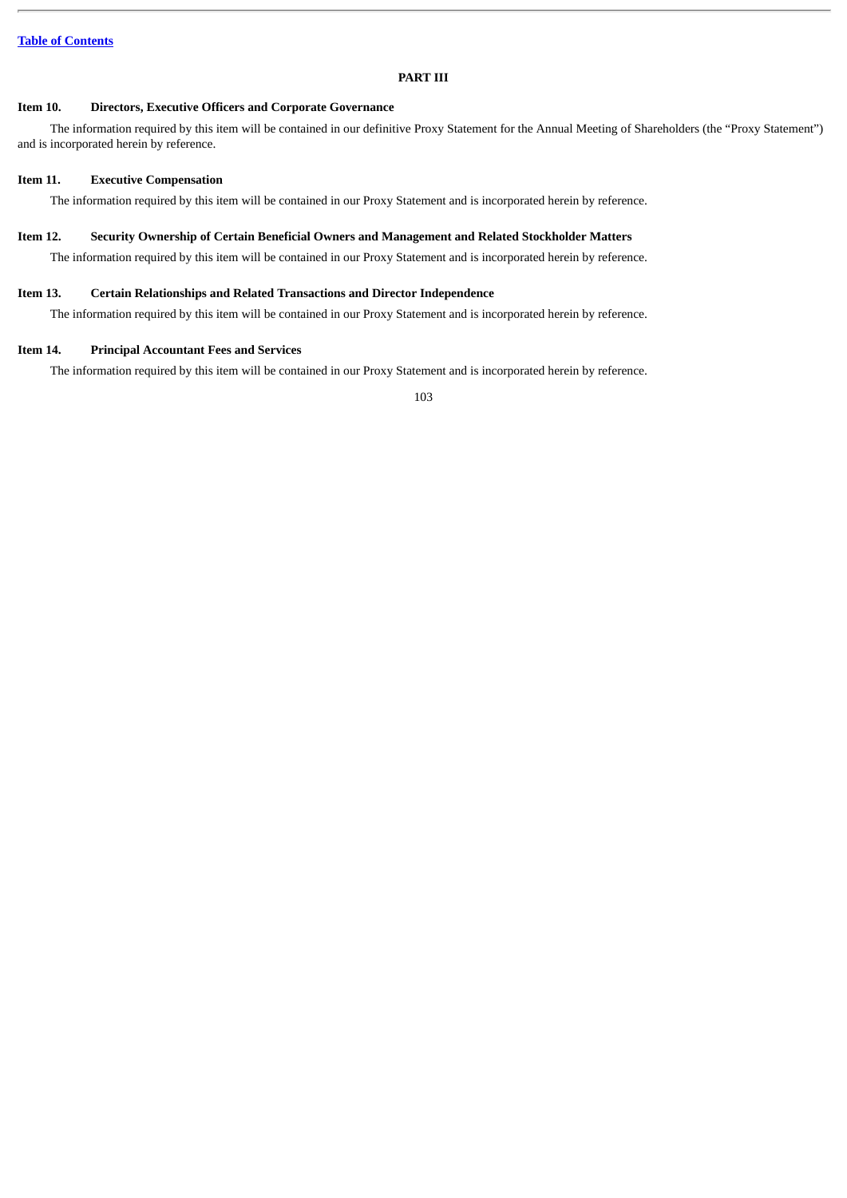# **PART III**

# **Item 10. Directors, Executive Officers and Corporate Governance**

The information required by this item will be contained in our definitive Proxy Statement for the Annual Meeting of Shareholders (the "Proxy Statement") and is incorporated herein by reference.

# **Item 11. Executive Compensation**

The information required by this item will be contained in our Proxy Statement and is incorporated herein by reference.

# **Item 12. Security Ownership of Certain Beneficial Owners and Management and Related Stockholder Matters**

The information required by this item will be contained in our Proxy Statement and is incorporated herein by reference.

## **Item 13. Certain Relationships and Related Transactions and Director Independence**

The information required by this item will be contained in our Proxy Statement and is incorporated herein by reference.

# **Item 14. Principal Accountant Fees and Services**

The information required by this item will be contained in our Proxy Statement and is incorporated herein by reference.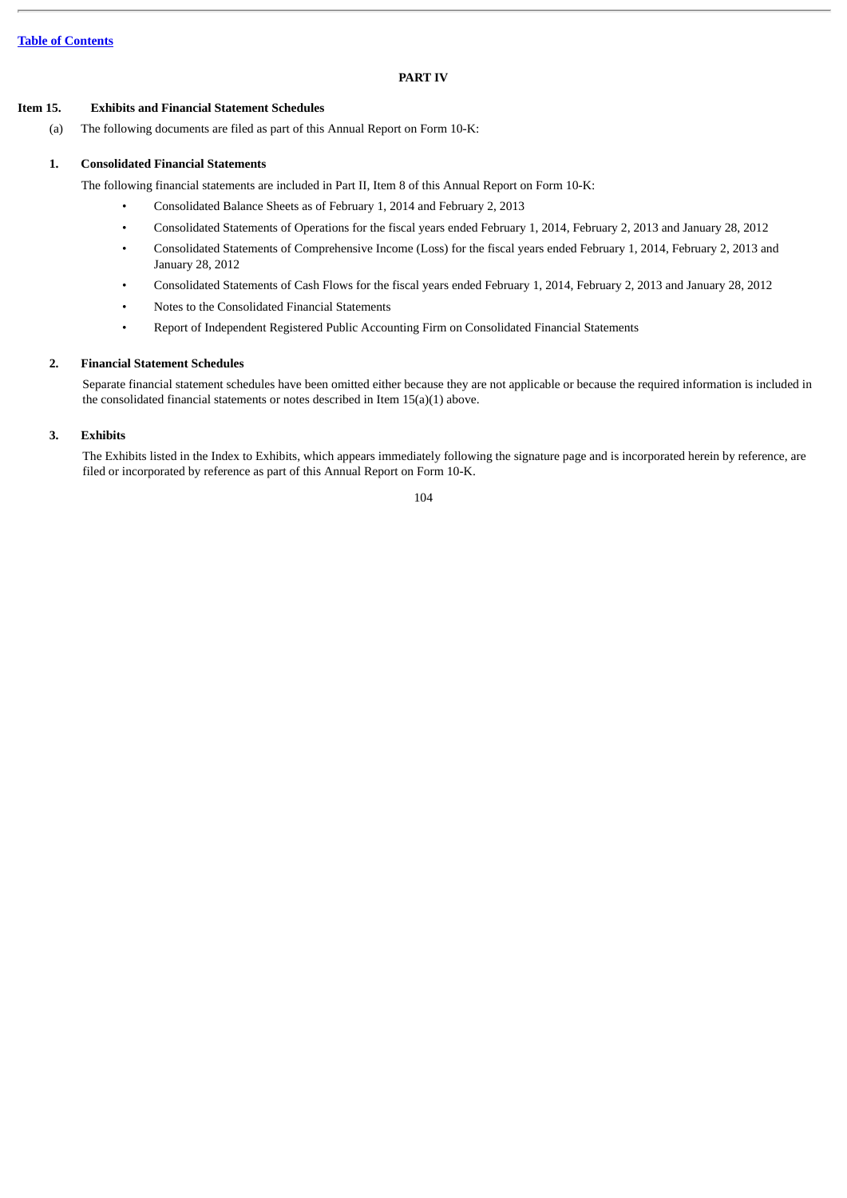# **PART IV**

# **Item 15. Exhibits and Financial Statement Schedules**

(a) The following documents are filed as part of this Annual Report on Form 10-K:

# **1. Consolidated Financial Statements**

The following financial statements are included in Part II, Item 8 of this Annual Report on Form 10-K:

- Consolidated Balance Sheets as of February 1, 2014 and February 2, 2013
- Consolidated Statements of Operations for the fiscal years ended February 1, 2014, February 2, 2013 and January 28, 2012
- Consolidated Statements of Comprehensive Income (Loss) for the fiscal years ended February 1, 2014, February 2, 2013 and January 28, 2012
- Consolidated Statements of Cash Flows for the fiscal years ended February 1, 2014, February 2, 2013 and January 28, 2012
- Notes to the Consolidated Financial Statements
- Report of Independent Registered Public Accounting Firm on Consolidated Financial Statements

# **2. Financial Statement Schedules**

Separate financial statement schedules have been omitted either because they are not applicable or because the required information is included in the consolidated financial statements or notes described in Item 15(a)(1) above.

# **3. Exhibits**

The Exhibits listed in the Index to Exhibits, which appears immediately following the signature page and is incorporated herein by reference, are filed or incorporated by reference as part of this Annual Report on Form 10-K.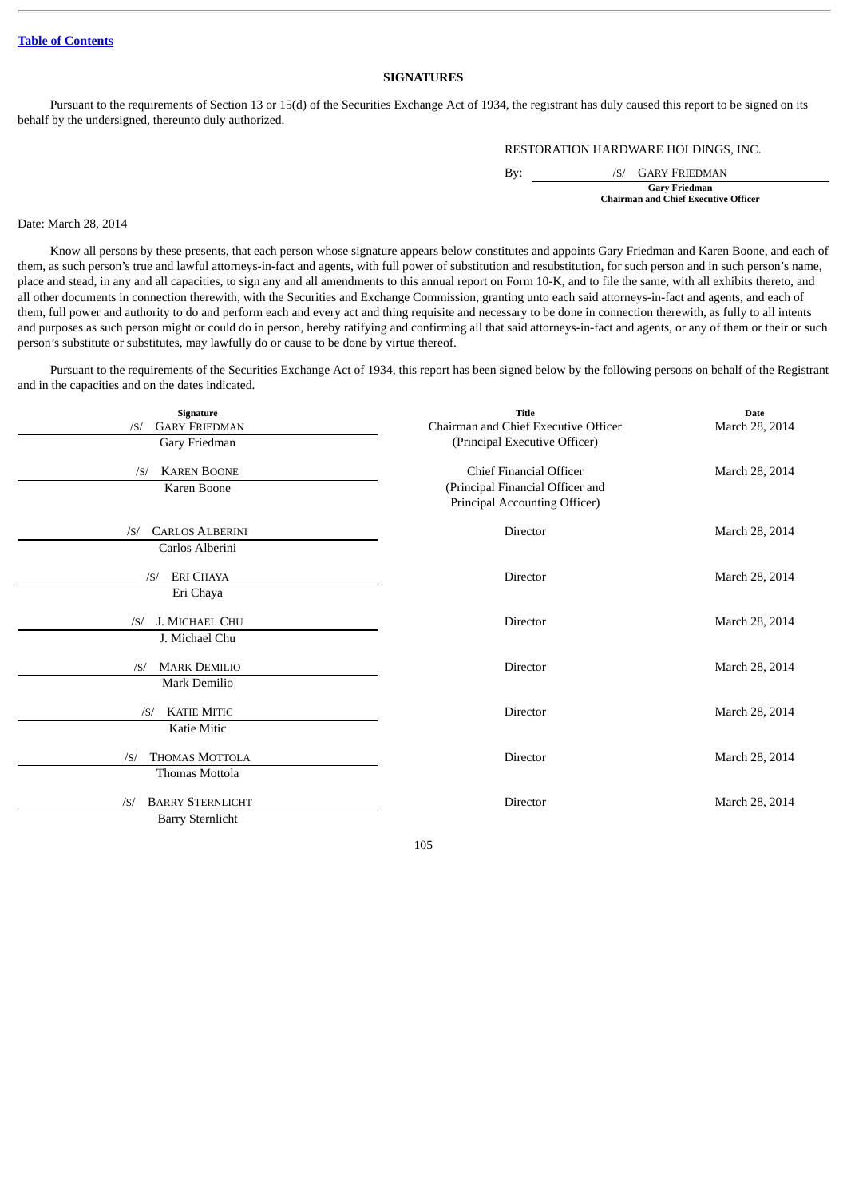# **SIGNATURES**

Pursuant to the requirements of Section 13 or 15(d) of the Securities Exchange Act of 1934, the registrant has duly caused this report to be signed on its behalf by the undersigned, thereunto duly authorized.

# RESTORATION HARDWARE HOLDINGS, INC.

| Bv: | <b>GARY FRIEDMAN</b>                                                |
|-----|---------------------------------------------------------------------|
|     | <b>Gary Friedman</b><br><b>Chairman and Chief Executive Officer</b> |

Date: March 28, 2014

Know all persons by these presents, that each person whose signature appears below constitutes and appoints Gary Friedman and Karen Boone, and each of them, as such person's true and lawful attorneys-in-fact and agents, with full power of substitution and resubstitution, for such person and in such person's name, place and stead, in any and all capacities, to sign any and all amendments to this annual report on Form 10-K, and to file the same, with all exhibits thereto, and all other documents in connection therewith, with the Securities and Exchange Commission, granting unto each said attorneys-in-fact and agents, and each of them, full power and authority to do and perform each and every act and thing requisite and necessary to be done in connection therewith, as fully to all intents and purposes as such person might or could do in person, hereby ratifying and confirming all that said attorneys-in-fact and agents, or any of them or their or such person's substitute or substitutes, may lawfully do or cause to be done by virtue thereof.

Pursuant to the requirements of the Securities Exchange Act of 1934, this report has been signed below by the following persons on behalf of the Registrant and in the capacities and on the dates indicated.

| Signature<br><b>GARY FRIEDMAN</b><br>/S/<br>Gary Friedman | <b>Title</b><br>Chairman and Chief Executive Officer<br>(Principal Executive Officer)        | Date<br>March 28, 2014 |
|-----------------------------------------------------------|----------------------------------------------------------------------------------------------|------------------------|
| <b>KAREN BOONE</b><br>/S/<br>Karen Boone                  | Chief Financial Officer<br>(Principal Financial Officer and<br>Principal Accounting Officer) | March 28, 2014         |
| <b>CARLOS ALBERINI</b><br>/S/<br>Carlos Alberini          | Director                                                                                     | March 28, 2014         |
| <b>ERI CHAYA</b><br>/S/<br>Eri Chaya                      | Director                                                                                     | March 28, 2014         |
| J. MICHAEL CHU<br>/S/<br>J. Michael Chu                   | Director                                                                                     | March 28, 2014         |
| <b>MARK DEMILIO</b><br>/S/<br>Mark Demilio                | Director                                                                                     | March 28, 2014         |
| <b>KATIE MITIC</b><br>/S/<br><b>Katie Mitic</b>           | Director                                                                                     | March 28, 2014         |
| <b>THOMAS MOTTOLA</b><br>/S/<br>Thomas Mottola            | <b>Director</b>                                                                              | March 28, 2014         |
| <b>BARRY STERNLICHT</b><br>/S/<br><b>Barry Sternlicht</b> | Director                                                                                     | March 28, 2014         |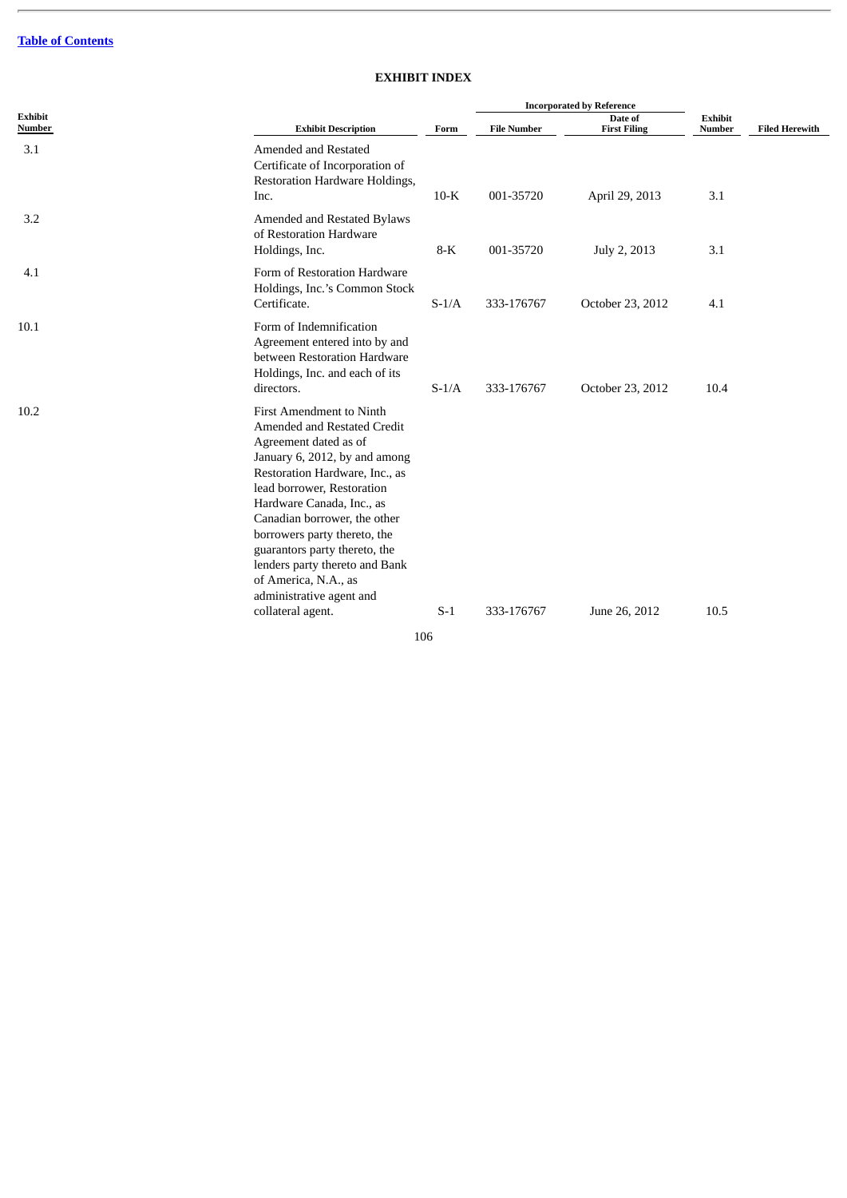Ē.

# **EXHIBIT INDEX**

|                   |                                                                                                                                                                                                                                                                                                                                                                                                                                          |         | <b>Incorporated by Reference</b> |                                |                          |                       |
|-------------------|------------------------------------------------------------------------------------------------------------------------------------------------------------------------------------------------------------------------------------------------------------------------------------------------------------------------------------------------------------------------------------------------------------------------------------------|---------|----------------------------------|--------------------------------|--------------------------|-----------------------|
| Exhibit<br>Number | <b>Exhibit Description</b>                                                                                                                                                                                                                                                                                                                                                                                                               | Form    | <b>File Number</b>               | Date of<br><b>First Filing</b> | <b>Exhibit</b><br>Number | <b>Filed Herewith</b> |
| 3.1               | Amended and Restated<br>Certificate of Incorporation of<br>Restoration Hardware Holdings,<br>Inc.                                                                                                                                                                                                                                                                                                                                        | $10-K$  | 001-35720                        | April 29, 2013                 | 3.1                      |                       |
| 3.2               | <b>Amended and Restated Bylaws</b><br>of Restoration Hardware<br>Holdings, Inc.                                                                                                                                                                                                                                                                                                                                                          | $8-K$   | 001-35720                        | July 2, 2013                   | 3.1                      |                       |
| 4.1               | Form of Restoration Hardware<br>Holdings, Inc.'s Common Stock<br>Certificate.                                                                                                                                                                                                                                                                                                                                                            | $S-1/A$ | 333-176767                       | October 23, 2012               | 4.1                      |                       |
| 10.1              | Form of Indemnification<br>Agreement entered into by and<br>between Restoration Hardware<br>Holdings, Inc. and each of its<br>directors.                                                                                                                                                                                                                                                                                                 | $S-1/A$ | 333-176767                       | October 23, 2012               | 10.4                     |                       |
| 10.2              | <b>First Amendment to Ninth</b><br><b>Amended and Restated Credit</b><br>Agreement dated as of<br>January 6, 2012, by and among<br>Restoration Hardware, Inc., as<br>lead borrower, Restoration<br>Hardware Canada, Inc., as<br>Canadian borrower, the other<br>borrowers party thereto, the<br>guarantors party thereto, the<br>lenders party thereto and Bank<br>of America, N.A., as<br>administrative agent and<br>collateral agent. | $S-1$   | 333-176767                       | June 26, 2012                  | 10.5                     |                       |
|                   |                                                                                                                                                                                                                                                                                                                                                                                                                                          | 106     |                                  |                                |                          |                       |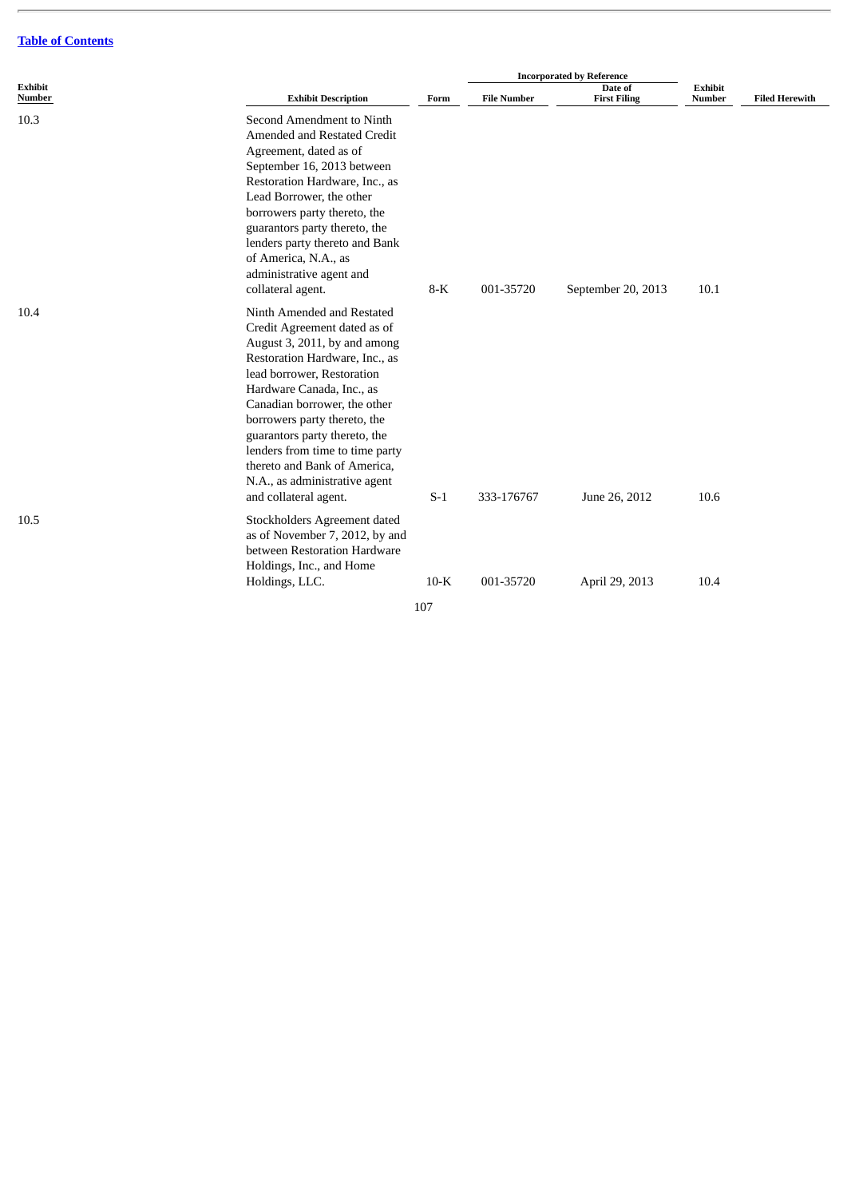j.

|                                 |                                                                                                                                                                                                                                                                                                                                                                                                                       |        | <b>Incorporated by Reference</b> |                                |                   |                       |
|---------------------------------|-----------------------------------------------------------------------------------------------------------------------------------------------------------------------------------------------------------------------------------------------------------------------------------------------------------------------------------------------------------------------------------------------------------------------|--------|----------------------------------|--------------------------------|-------------------|-----------------------|
| <b>Exhibit</b><br><b>Number</b> | <b>Exhibit Description</b>                                                                                                                                                                                                                                                                                                                                                                                            | Form   | <b>File Number</b>               | Date of<br><b>First Filing</b> | Exhibit<br>Number | <b>Filed Herewith</b> |
| 10.3                            | Second Amendment to Ninth<br><b>Amended and Restated Credit</b><br>Agreement, dated as of<br>September 16, 2013 between<br>Restoration Hardware, Inc., as<br>Lead Borrower, the other<br>borrowers party thereto, the<br>guarantors party thereto, the<br>lenders party thereto and Bank<br>of America, N.A., as<br>administrative agent and<br>collateral agent.                                                     | $8-K$  | 001-35720                        | September 20, 2013             | 10.1              |                       |
| 10.4                            | Ninth Amended and Restated<br>Credit Agreement dated as of<br>August 3, 2011, by and among<br>Restoration Hardware, Inc., as<br>lead borrower, Restoration<br>Hardware Canada, Inc., as<br>Canadian borrower, the other<br>borrowers party thereto, the<br>guarantors party thereto, the<br>lenders from time to time party<br>thereto and Bank of America.<br>N.A., as administrative agent<br>and collateral agent. | $S-1$  | 333-176767                       | June 26, 2012                  | 10.6              |                       |
| 10.5                            | Stockholders Agreement dated<br>as of November 7, 2012, by and<br>between Restoration Hardware<br>Holdings, Inc., and Home<br>Holdings, LLC.                                                                                                                                                                                                                                                                          | $10-K$ | 001-35720                        | April 29, 2013                 | 10.4              |                       |
|                                 |                                                                                                                                                                                                                                                                                                                                                                                                                       |        |                                  |                                |                   |                       |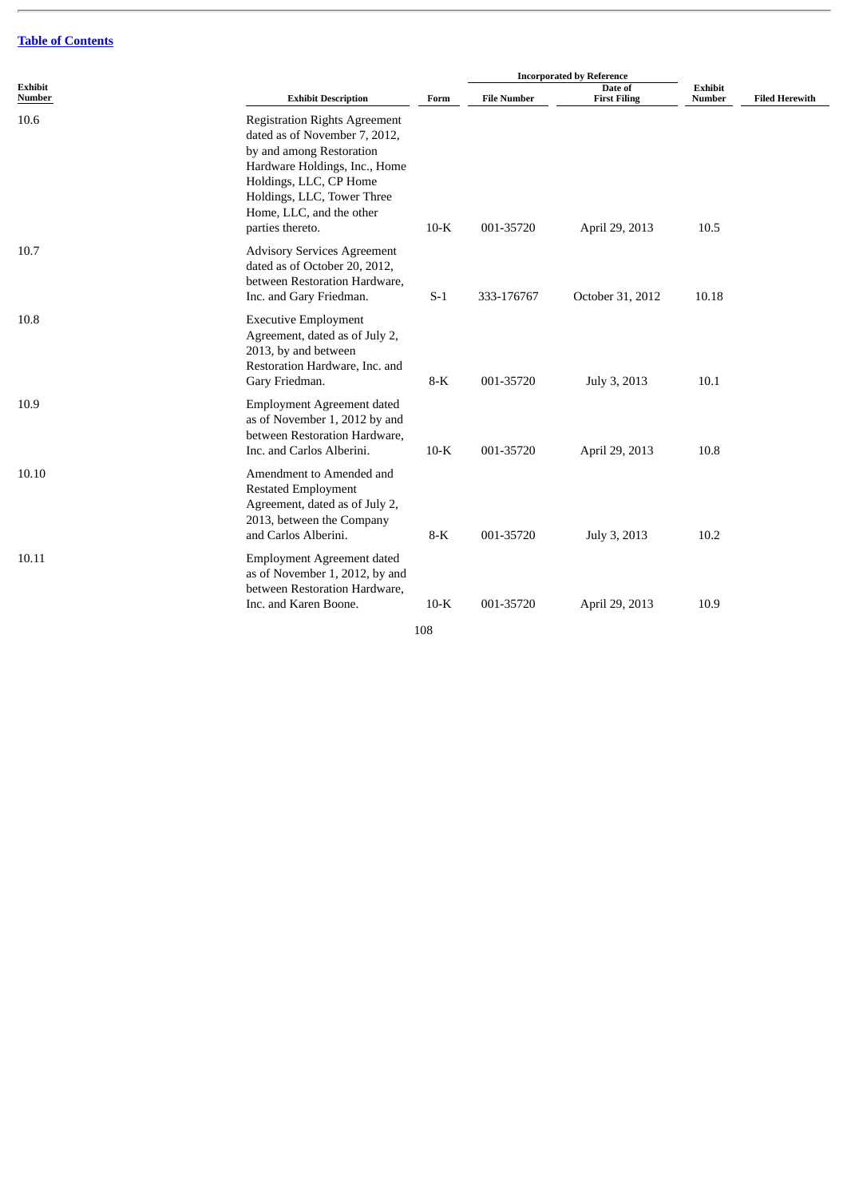j.

|                   |                                                                                                                                                                                                                                            |        | <b>Incorporated by Reference</b> |                                |                   |                       |
|-------------------|--------------------------------------------------------------------------------------------------------------------------------------------------------------------------------------------------------------------------------------------|--------|----------------------------------|--------------------------------|-------------------|-----------------------|
| Exhibit<br>Number | <b>Exhibit Description</b>                                                                                                                                                                                                                 | Form   | <b>File Number</b>               | Date of<br><b>First Filing</b> | Exhibit<br>Number | <b>Filed Herewith</b> |
| 10.6              | <b>Registration Rights Agreement</b><br>dated as of November 7, 2012,<br>by and among Restoration<br>Hardware Holdings, Inc., Home<br>Holdings, LLC, CP Home<br>Holdings, LLC, Tower Three<br>Home, LLC, and the other<br>parties thereto. | $10-K$ | 001-35720                        | April 29, 2013                 | 10.5              |                       |
| 10.7              | <b>Advisory Services Agreement</b><br>dated as of October 20, 2012,<br>between Restoration Hardware.<br>Inc. and Gary Friedman.                                                                                                            | $S-1$  | 333-176767                       | October 31, 2012               | 10.18             |                       |
| 10.8              | <b>Executive Employment</b><br>Agreement, dated as of July 2,<br>2013, by and between<br>Restoration Hardware, Inc. and<br>Gary Friedman.                                                                                                  | $8-K$  | 001-35720                        | July 3, 2013                   | 10.1              |                       |
| 10.9              | Employment Agreement dated<br>as of November 1, 2012 by and<br>between Restoration Hardware,<br>Inc. and Carlos Alberini.                                                                                                                  | $10-K$ | 001-35720                        | April 29, 2013                 | 10.8              |                       |
| 10.10             | Amendment to Amended and<br><b>Restated Employment</b><br>Agreement, dated as of July 2,<br>2013, between the Company<br>and Carlos Alberini.                                                                                              | $8-K$  | 001-35720                        | July 3, 2013                   | 10.2              |                       |
| 10.11             | Employment Agreement dated<br>as of November 1, 2012, by and<br>between Restoration Hardware,<br>Inc. and Karen Boone.                                                                                                                     | $10-K$ | 001-35720                        | April 29, 2013                 | 10.9              |                       |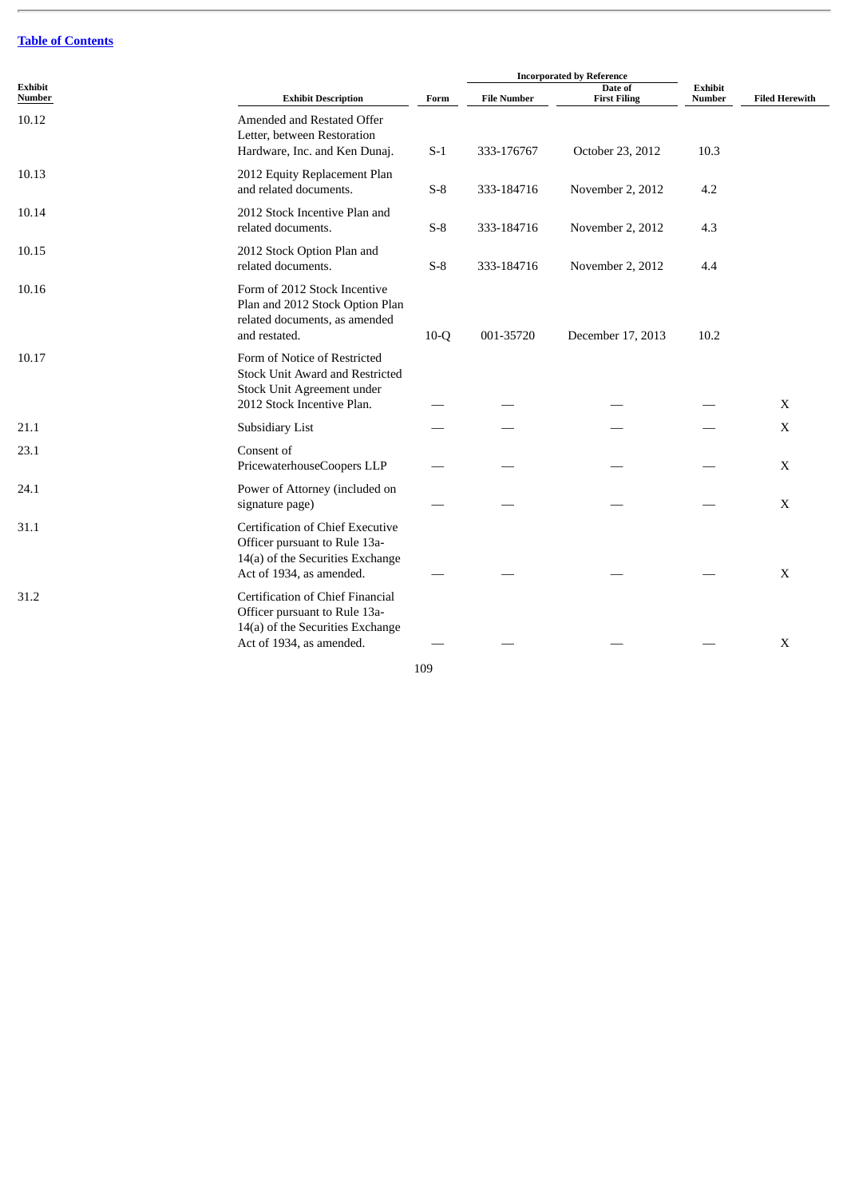Ē.

|                   |                                                                                                                                          |        | <b>Incorporated by Reference</b> |                                |                   |                       |
|-------------------|------------------------------------------------------------------------------------------------------------------------------------------|--------|----------------------------------|--------------------------------|-------------------|-----------------------|
| Exhibit<br>Number | <b>Exhibit Description</b>                                                                                                               | Form   | <b>File Number</b>               | Date of<br><b>First Filing</b> | Exhibit<br>Number | <b>Filed Herewith</b> |
| 10.12             | Amended and Restated Offer<br>Letter, between Restoration<br>Hardware, Inc. and Ken Dunaj.                                               | $S-1$  | 333-176767                       | October 23, 2012               | 10.3              |                       |
| 10.13             | 2012 Equity Replacement Plan<br>and related documents.                                                                                   | $S-8$  | 333-184716                       | November 2, 2012               | 4.2               |                       |
| 10.14             | 2012 Stock Incentive Plan and<br>related documents.                                                                                      | $S-8$  | 333-184716                       | November 2, 2012               | 4.3               |                       |
| 10.15             | 2012 Stock Option Plan and<br>related documents.                                                                                         | $S-8$  | 333-184716                       | November 2, 2012               | 4.4               |                       |
| 10.16             | Form of 2012 Stock Incentive<br>Plan and 2012 Stock Option Plan<br>related documents, as amended<br>and restated.                        | $10-Q$ | 001-35720                        | December 17, 2013              | 10.2              |                       |
| 10.17             | Form of Notice of Restricted<br><b>Stock Unit Award and Restricted</b><br>Stock Unit Agreement under<br>2012 Stock Incentive Plan.       |        |                                  |                                |                   | $\mathbf X$           |
| 21.1              | Subsidiary List                                                                                                                          |        |                                  |                                |                   | $\mathbf X$           |
| 23.1              | Consent of<br>PricewaterhouseCoopers LLP                                                                                                 |        |                                  |                                |                   | $\mathbf X$           |
| 24.1              | Power of Attorney (included on<br>signature page)                                                                                        |        |                                  |                                |                   | $\mathbf X$           |
| 31.1              | <b>Certification of Chief Executive</b><br>Officer pursuant to Rule 13a-<br>14(a) of the Securities Exchange<br>Act of 1934, as amended. |        |                                  |                                |                   | $\mathbf X$           |
| 31.2              | Certification of Chief Financial<br>Officer pursuant to Rule 13a-<br>14(a) of the Securities Exchange<br>Act of 1934, as amended.        |        |                                  |                                |                   | X                     |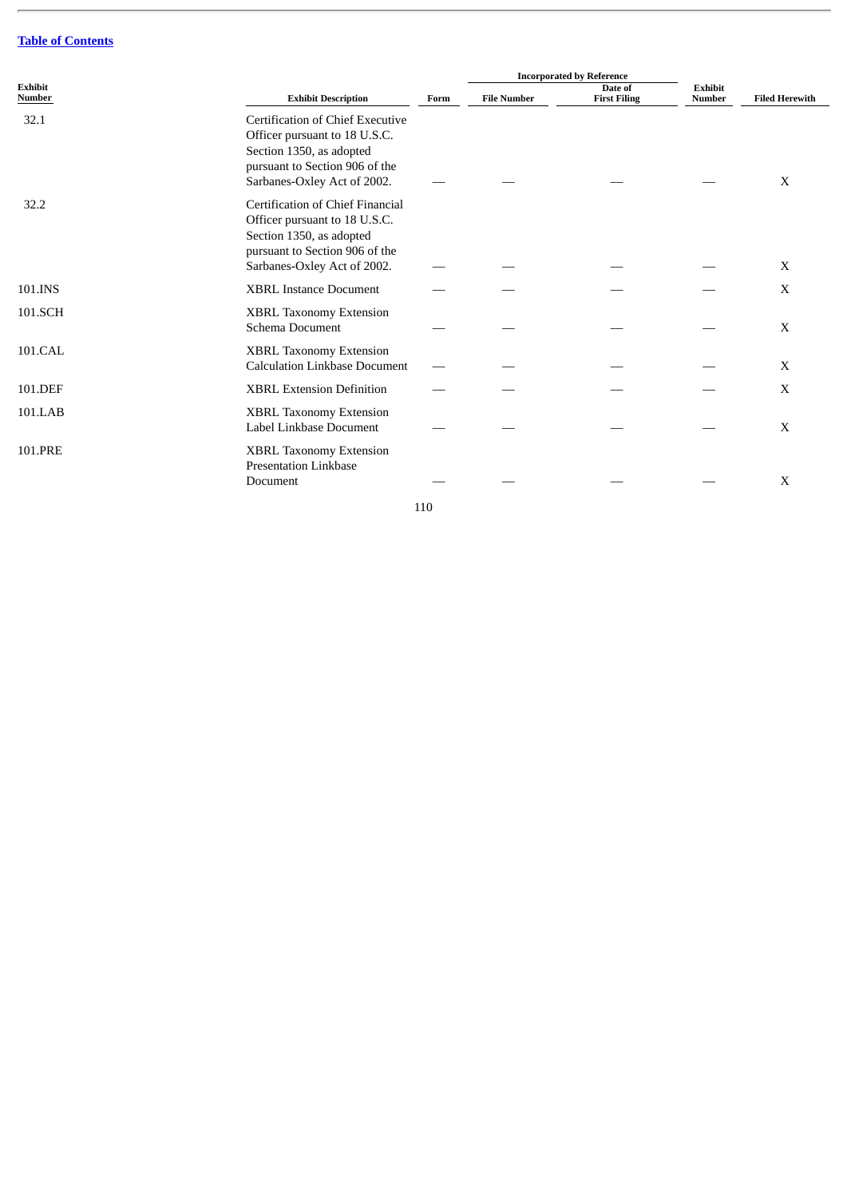Ĩ.

|                   |                                                                                                                                                                |      | <b>Incorporated by Reference</b> |                                |                   |                           |
|-------------------|----------------------------------------------------------------------------------------------------------------------------------------------------------------|------|----------------------------------|--------------------------------|-------------------|---------------------------|
| Exhibit<br>Number | <b>Exhibit Description</b>                                                                                                                                     | Form | <b>File Number</b>               | Date of<br><b>First Filing</b> | Exhibit<br>Number | <b>Filed Herewith</b>     |
| 32.1              | Certification of Chief Executive<br>Officer pursuant to 18 U.S.C.<br>Section 1350, as adopted<br>pursuant to Section 906 of the<br>Sarbanes-Oxley Act of 2002. |      |                                  |                                |                   | X                         |
| 32.2              | Certification of Chief Financial<br>Officer pursuant to 18 U.S.C.<br>Section 1350, as adopted<br>pursuant to Section 906 of the<br>Sarbanes-Oxley Act of 2002. |      |                                  |                                |                   | X                         |
| 101.INS           | <b>XBRL Instance Document</b>                                                                                                                                  |      |                                  |                                |                   | X                         |
| 101.SCH           | <b>XBRL Taxonomy Extension</b><br>Schema Document                                                                                                              |      |                                  |                                |                   | $\boldsymbol{\mathrm{X}}$ |
| 101.CAL           | <b>XBRL Taxonomy Extension</b><br><b>Calculation Linkbase Document</b>                                                                                         |      |                                  |                                |                   | X                         |
| 101.DEF           | <b>XBRL Extension Definition</b>                                                                                                                               |      |                                  |                                |                   | $\mathbf{X}$              |
| 101.LAB           | <b>XBRL Taxonomy Extension</b><br>Label Linkbase Document                                                                                                      |      |                                  |                                |                   | X                         |
| 101.PRE           | <b>XBRL Taxonomy Extension</b><br><b>Presentation Linkbase</b><br>Document                                                                                     |      |                                  |                                |                   | $\boldsymbol{\mathrm{X}}$ |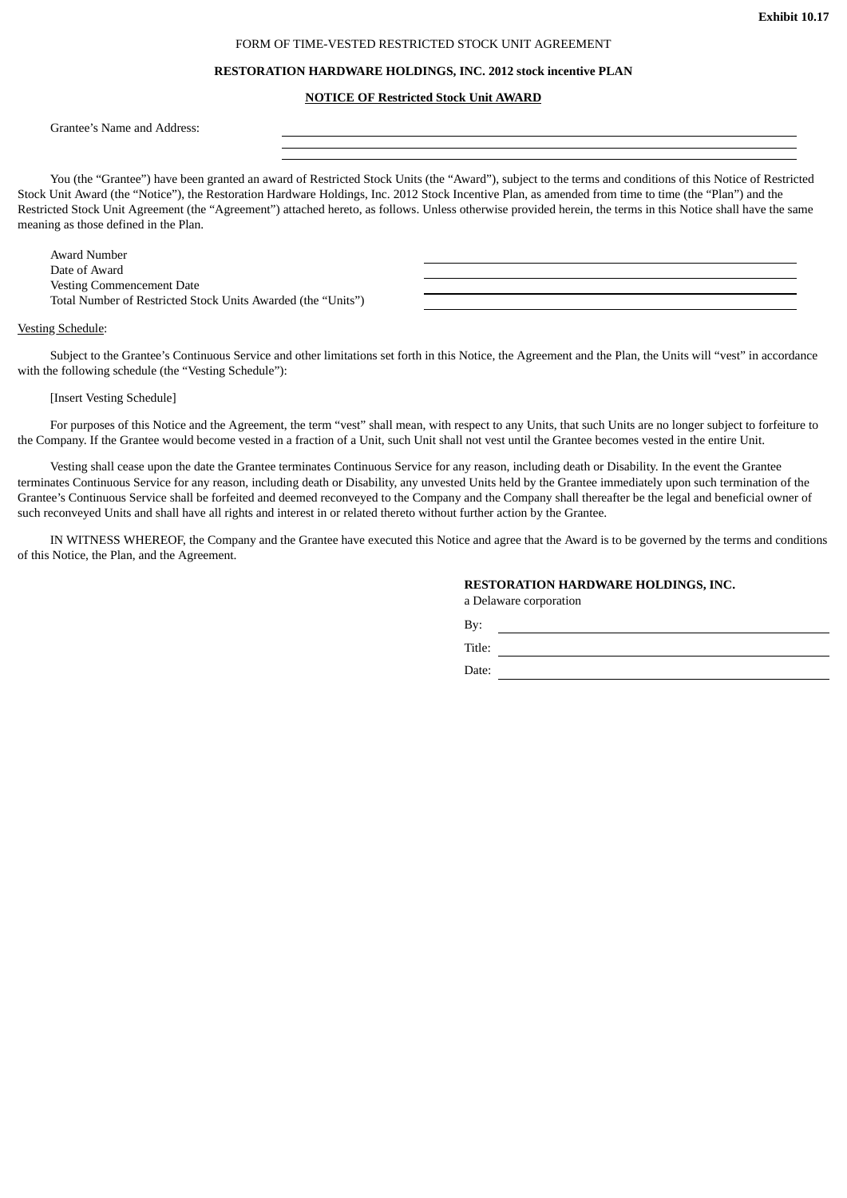### FORM OF TIME-VESTED RESTRICTED STOCK UNIT AGREEMENT

#### **RESTORATION HARDWARE HOLDINGS, INC. 2012 stock incentive PLAN**

#### **NOTICE OF Restricted Stock Unit AWARD**

Grantee's Name and Address:

You (the "Grantee") have been granted an award of Restricted Stock Units (the "Award"), subject to the terms and conditions of this Notice of Restricted Stock Unit Award (the "Notice"), the Restoration Hardware Holdings, Inc. 2012 Stock Incentive Plan, as amended from time to time (the "Plan") and the Restricted Stock Unit Agreement (the "Agreement") attached hereto, as follows. Unless otherwise provided herein, the terms in this Notice shall have the same meaning as those defined in the Plan.

Award Number Date of Award Vesting Commencement Date Total Number of Restricted Stock Units Awarded (the "Units")

#### Vesting Schedule:

Subject to the Grantee's Continuous Service and other limitations set forth in this Notice, the Agreement and the Plan, the Units will "vest" in accordance with the following schedule (the "Vesting Schedule"):

[Insert Vesting Schedule]

For purposes of this Notice and the Agreement, the term "vest" shall mean, with respect to any Units, that such Units are no longer subject to forfeiture to the Company. If the Grantee would become vested in a fraction of a Unit, such Unit shall not vest until the Grantee becomes vested in the entire Unit.

Vesting shall cease upon the date the Grantee terminates Continuous Service for any reason, including death or Disability. In the event the Grantee terminates Continuous Service for any reason, including death or Disability, any unvested Units held by the Grantee immediately upon such termination of the Grantee's Continuous Service shall be forfeited and deemed reconveyed to the Company and the Company shall thereafter be the legal and beneficial owner of such reconveyed Units and shall have all rights and interest in or related thereto without further action by the Grantee.

IN WITNESS WHEREOF, the Company and the Grantee have executed this Notice and agree that the Award is to be governed by the terms and conditions of this Notice, the Plan, and the Agreement.

## **RESTORATION HARDWARE HOLDINGS, INC.**

a Delaware corporation

| By:    |  |
|--------|--|
| Title: |  |
| Date:  |  |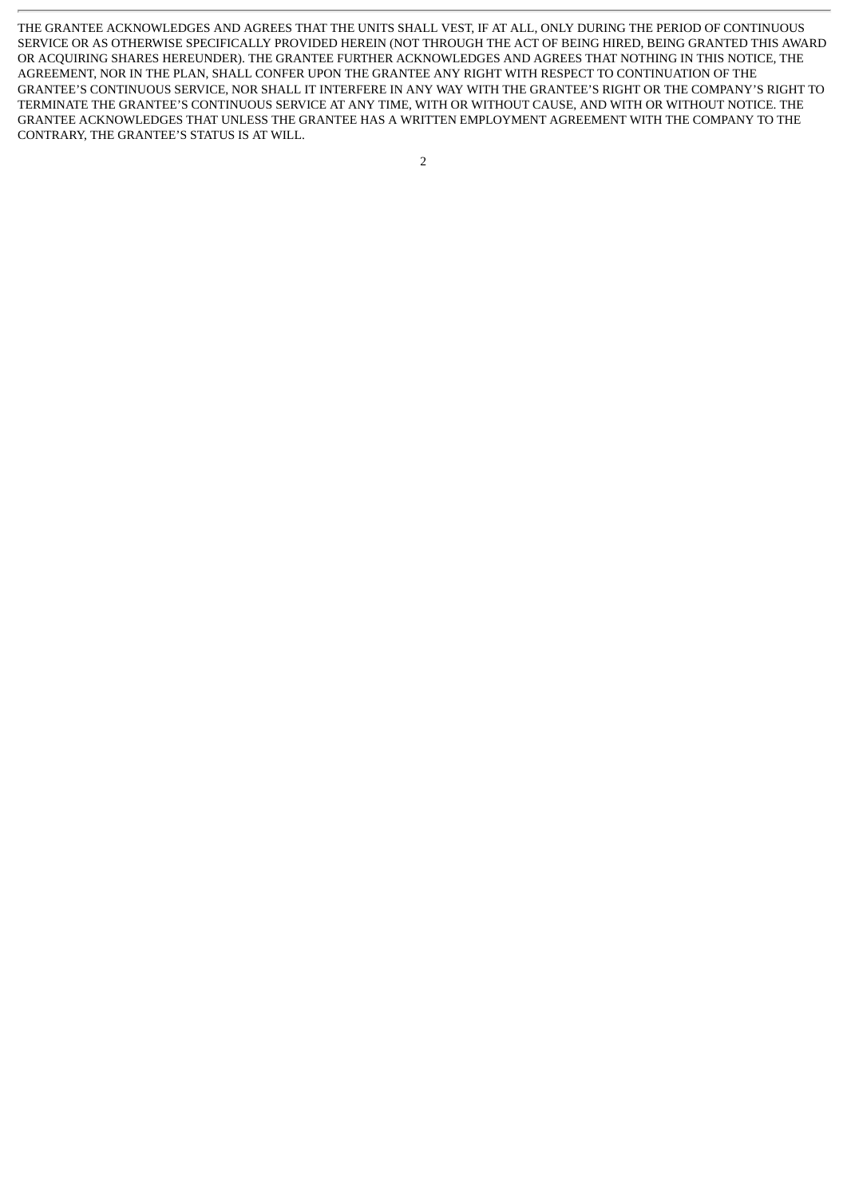THE GRANTEE ACKNOWLEDGES AND AGREES THAT THE UNITS SHALL VEST, IF AT ALL, ONLY DURING THE PERIOD OF CONTINUOUS SERVICE OR AS OTHERWISE SPECIFICALLY PROVIDED HEREIN (NOT THROUGH THE ACT OF BEING HIRED, BEING GRANTED THIS AWARD OR ACQUIRING SHARES HEREUNDER). THE GRANTEE FURTHER ACKNOWLEDGES AND AGREES THAT NOTHING IN THIS NOTICE, THE AGREEMENT, NOR IN THE PLAN, SHALL CONFER UPON THE GRANTEE ANY RIGHT WITH RESPECT TO CONTINUATION OF THE GRANTEE'S CONTINUOUS SERVICE, NOR SHALL IT INTERFERE IN ANY WAY WITH THE GRANTEE'S RIGHT OR THE COMPANY'S RIGHT TO TERMINATE THE GRANTEE'S CONTINUOUS SERVICE AT ANY TIME, WITH OR WITHOUT CAUSE, AND WITH OR WITHOUT NOTICE. THE GRANTEE ACKNOWLEDGES THAT UNLESS THE GRANTEE HAS A WRITTEN EMPLOYMENT AGREEMENT WITH THE COMPANY TO THE CONTRARY, THE GRANTEE'S STATUS IS AT WILL.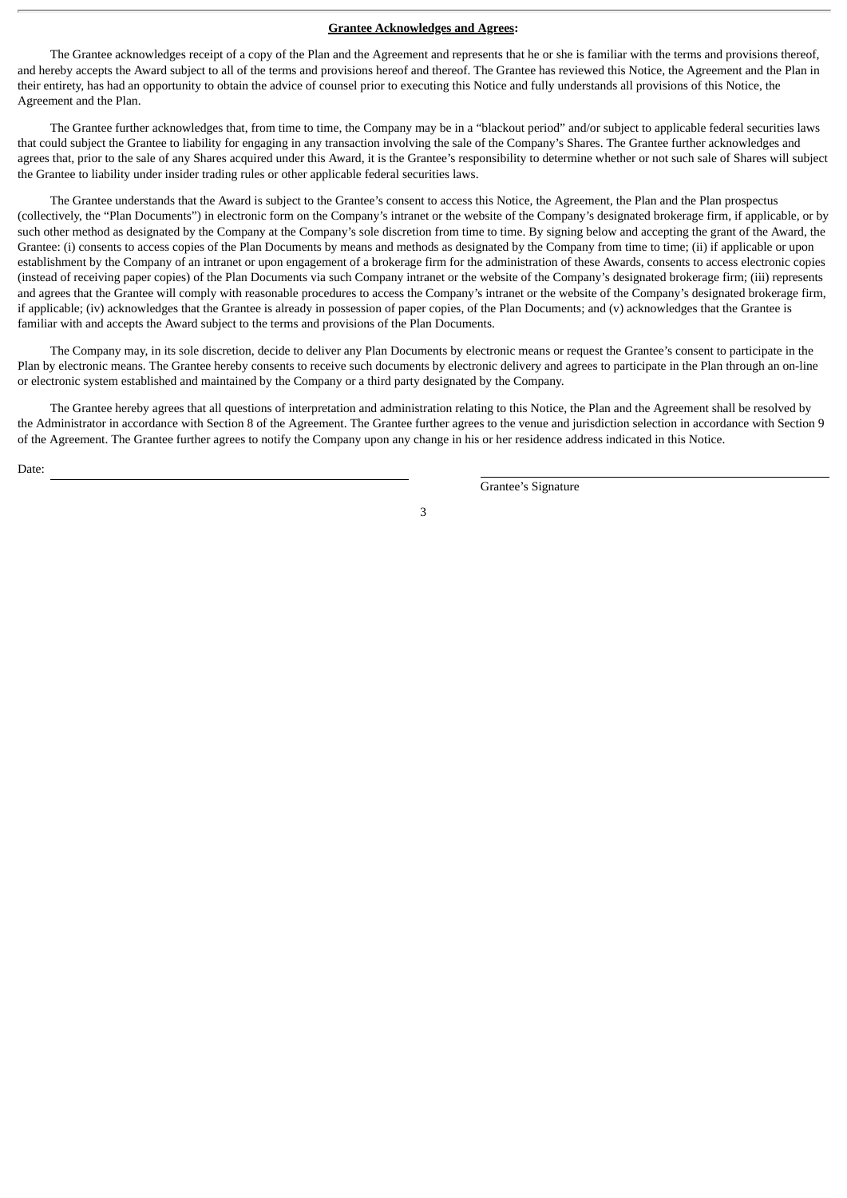#### **Grantee Acknowledges and Agrees:**

The Grantee acknowledges receipt of a copy of the Plan and the Agreement and represents that he or she is familiar with the terms and provisions thereof, and hereby accepts the Award subject to all of the terms and provisions hereof and thereof. The Grantee has reviewed this Notice, the Agreement and the Plan in their entirety, has had an opportunity to obtain the advice of counsel prior to executing this Notice and fully understands all provisions of this Notice, the Agreement and the Plan.

The Grantee further acknowledges that, from time to time, the Company may be in a "blackout period" and/or subject to applicable federal securities laws that could subject the Grantee to liability for engaging in any transaction involving the sale of the Company's Shares. The Grantee further acknowledges and agrees that, prior to the sale of any Shares acquired under this Award, it is the Grantee's responsibility to determine whether or not such sale of Shares will subject the Grantee to liability under insider trading rules or other applicable federal securities laws.

The Grantee understands that the Award is subject to the Grantee's consent to access this Notice, the Agreement, the Plan and the Plan prospectus (collectively, the "Plan Documents") in electronic form on the Company's intranet or the website of the Company's designated brokerage firm, if applicable, or by such other method as designated by the Company at the Company's sole discretion from time to time. By signing below and accepting the grant of the Award, the Grantee: (i) consents to access copies of the Plan Documents by means and methods as designated by the Company from time to time; (ii) if applicable or upon establishment by the Company of an intranet or upon engagement of a brokerage firm for the administration of these Awards, consents to access electronic copies (instead of receiving paper copies) of the Plan Documents via such Company intranet or the website of the Company's designated brokerage firm; (iii) represents and agrees that the Grantee will comply with reasonable procedures to access the Company's intranet or the website of the Company's designated brokerage firm, if applicable; (iv) acknowledges that the Grantee is already in possession of paper copies, of the Plan Documents; and (v) acknowledges that the Grantee is familiar with and accepts the Award subject to the terms and provisions of the Plan Documents.

The Company may, in its sole discretion, decide to deliver any Plan Documents by electronic means or request the Grantee's consent to participate in the Plan by electronic means. The Grantee hereby consents to receive such documents by electronic delivery and agrees to participate in the Plan through an on-line or electronic system established and maintained by the Company or a third party designated by the Company.

The Grantee hereby agrees that all questions of interpretation and administration relating to this Notice, the Plan and the Agreement shall be resolved by the Administrator in accordance with Section 8 of the Agreement. The Grantee further agrees to the venue and jurisdiction selection in accordance with Section 9 of the Agreement. The Grantee further agrees to notify the Company upon any change in his or her residence address indicated in this Notice.

Date:

Grantee's Signature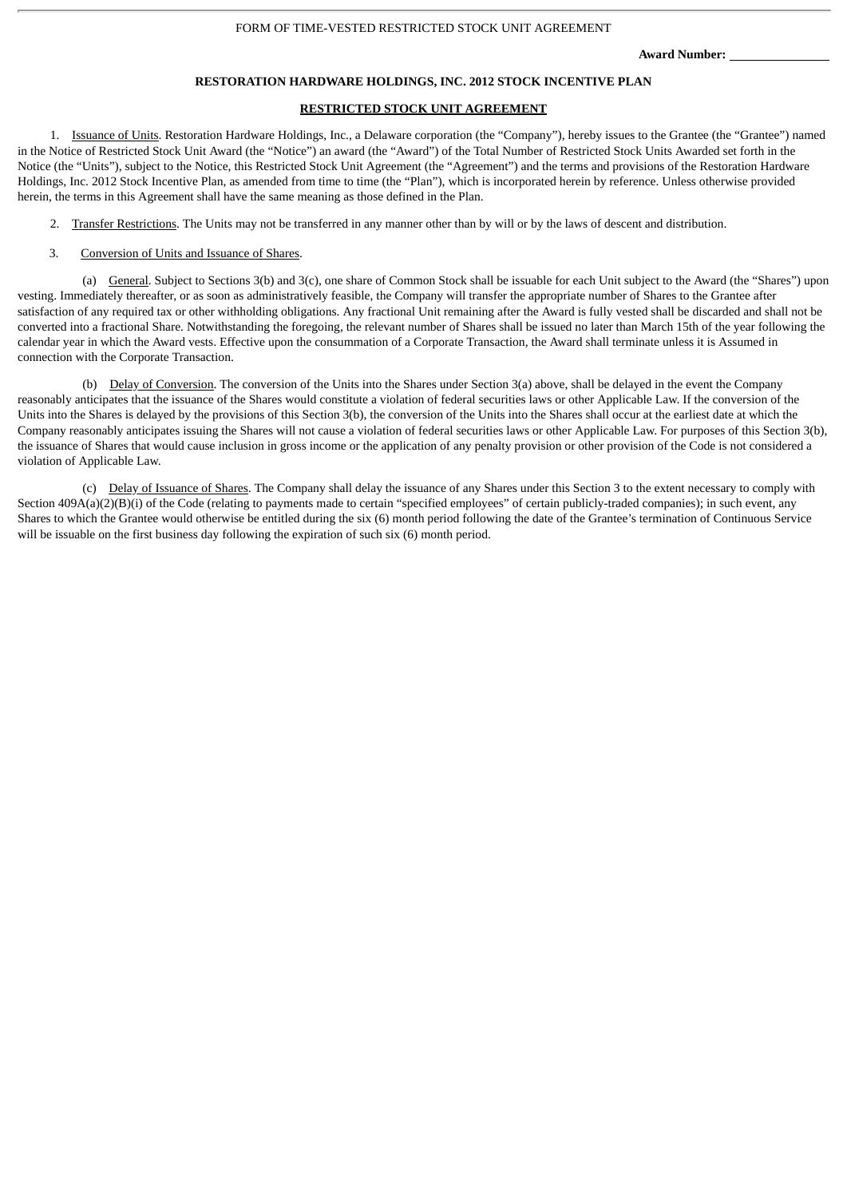### FORM OF TIME-VESTED RESTRICTED STOCK UNIT AGREEMENT

**Award Number:** 

## **RESTORATION HARDWARE HOLDINGS, INC. 2012 STOCK INCENTIVE PLAN**

#### **RESTRICTED STOCK UNIT AGREEMENT**

1. Issuance of Units. Restoration Hardware Holdings, Inc., a Delaware corporation (the "Company"), hereby issues to the Grantee (the "Grantee") named in the Notice of Restricted Stock Unit Award (the "Notice") an award (the "Award") of the Total Number of Restricted Stock Units Awarded set forth in the Notice (the "Units"), subject to the Notice, this Restricted Stock Unit Agreement (the "Agreement") and the terms and provisions of the Restoration Hardware Holdings, Inc. 2012 Stock Incentive Plan, as amended from time to time (the "Plan"), which is incorporated herein by reference. Unless otherwise provided herein, the terms in this Agreement shall have the same meaning as those defined in the Plan.

2. Transfer Restrictions. The Units may not be transferred in any manner other than by will or by the laws of descent and distribution.

3. Conversion of Units and Issuance of Shares.

(a) General. Subject to Sections 3(b) and 3(c), one share of Common Stock shall be issuable for each Unit subject to the Award (the "Shares") upon vesting. Immediately thereafter, or as soon as administratively feasible, the Company will transfer the appropriate number of Shares to the Grantee after satisfaction of any required tax or other withholding obligations. Any fractional Unit remaining after the Award is fully vested shall be discarded and shall not be converted into a fractional Share. Notwithstanding the foregoing, the relevant number of Shares shall be issued no later than March 15th of the year following the calendar year in which the Award vests. Effective upon the consummation of a Corporate Transaction, the Award shall terminate unless it is Assumed in connection with the Corporate Transaction.

(b) Delay of Conversion. The conversion of the Units into the Shares under Section 3(a) above, shall be delayed in the event the Company reasonably anticipates that the issuance of the Shares would constitute a violation of federal securities laws or other Applicable Law. If the conversion of the Units into the Shares is delayed by the provisions of this Section 3(b), the conversion of the Units into the Shares shall occur at the earliest date at which the Company reasonably anticipates issuing the Shares will not cause a violation of federal securities laws or other Applicable Law. For purposes of this Section 3(b), the issuance of Shares that would cause inclusion in gross income or the application of any penalty provision or other provision of the Code is not considered a violation of Applicable Law.

(c) Delay of Issuance of Shares. The Company shall delay the issuance of any Shares under this Section 3 to the extent necessary to comply with Section 409A(a)(2)(B)(i) of the Code (relating to payments made to certain "specified employees" of certain publicly-traded companies); in such event, any Shares to which the Grantee would otherwise be entitled during the six (6) month period following the date of the Grantee's termination of Continuous Service will be issuable on the first business day following the expiration of such six (6) month period.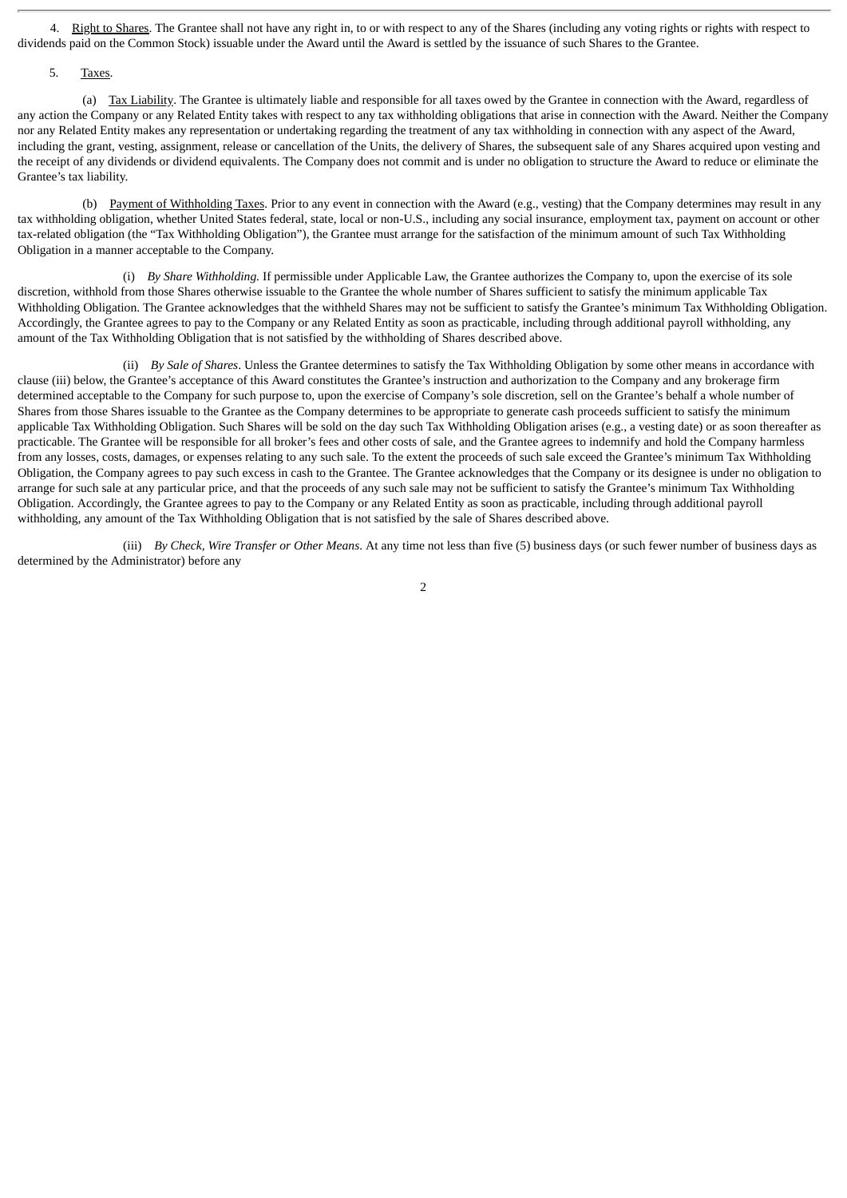4. Right to Shares. The Grantee shall not have any right in, to or with respect to any of the Shares (including any voting rights or rights with respect to dividends paid on the Common Stock) issuable under the Award until the Award is settled by the issuance of such Shares to the Grantee.

5. Taxes.

(a) Tax Liability. The Grantee is ultimately liable and responsible for all taxes owed by the Grantee in connection with the Award, regardless of any action the Company or any Related Entity takes with respect to any tax withholding obligations that arise in connection with the Award. Neither the Company nor any Related Entity makes any representation or undertaking regarding the treatment of any tax withholding in connection with any aspect of the Award, including the grant, vesting, assignment, release or cancellation of the Units, the delivery of Shares, the subsequent sale of any Shares acquired upon vesting and the receipt of any dividends or dividend equivalents. The Company does not commit and is under no obligation to structure the Award to reduce or eliminate the Grantee's tax liability.

(b) Payment of Withholding Taxes. Prior to any event in connection with the Award (e.g., vesting) that the Company determines may result in any tax withholding obligation, whether United States federal, state, local or non-U.S., including any social insurance, employment tax, payment on account or other tax-related obligation (the "Tax Withholding Obligation"), the Grantee must arrange for the satisfaction of the minimum amount of such Tax Withholding Obligation in a manner acceptable to the Company.

(i) *By Share Withholding.* If permissible under Applicable Law, the Grantee authorizes the Company to, upon the exercise of its sole discretion, withhold from those Shares otherwise issuable to the Grantee the whole number of Shares sufficient to satisfy the minimum applicable Tax Withholding Obligation. The Grantee acknowledges that the withheld Shares may not be sufficient to satisfy the Grantee's minimum Tax Withholding Obligation. Accordingly, the Grantee agrees to pay to the Company or any Related Entity as soon as practicable, including through additional payroll withholding, any amount of the Tax Withholding Obligation that is not satisfied by the withholding of Shares described above.

(ii) *By Sale of Shares*. Unless the Grantee determines to satisfy the Tax Withholding Obligation by some other means in accordance with clause (iii) below, the Grantee's acceptance of this Award constitutes the Grantee's instruction and authorization to the Company and any brokerage firm determined acceptable to the Company for such purpose to, upon the exercise of Company's sole discretion, sell on the Grantee's behalf a whole number of Shares from those Shares issuable to the Grantee as the Company determines to be appropriate to generate cash proceeds sufficient to satisfy the minimum applicable Tax Withholding Obligation. Such Shares will be sold on the day such Tax Withholding Obligation arises (e.g., a vesting date) or as soon thereafter as practicable. The Grantee will be responsible for all broker's fees and other costs of sale, and the Grantee agrees to indemnify and hold the Company harmless from any losses, costs, damages, or expenses relating to any such sale. To the extent the proceeds of such sale exceed the Grantee's minimum Tax Withholding Obligation, the Company agrees to pay such excess in cash to the Grantee. The Grantee acknowledges that the Company or its designee is under no obligation to arrange for such sale at any particular price, and that the proceeds of any such sale may not be sufficient to satisfy the Grantee's minimum Tax Withholding Obligation. Accordingly, the Grantee agrees to pay to the Company or any Related Entity as soon as practicable, including through additional payroll withholding, any amount of the Tax Withholding Obligation that is not satisfied by the sale of Shares described above.

(iii) *By Check, Wire Transfer or Other Means*. At any time not less than five (5) business days (or such fewer number of business days as determined by the Administrator) before any

 $\overline{2}$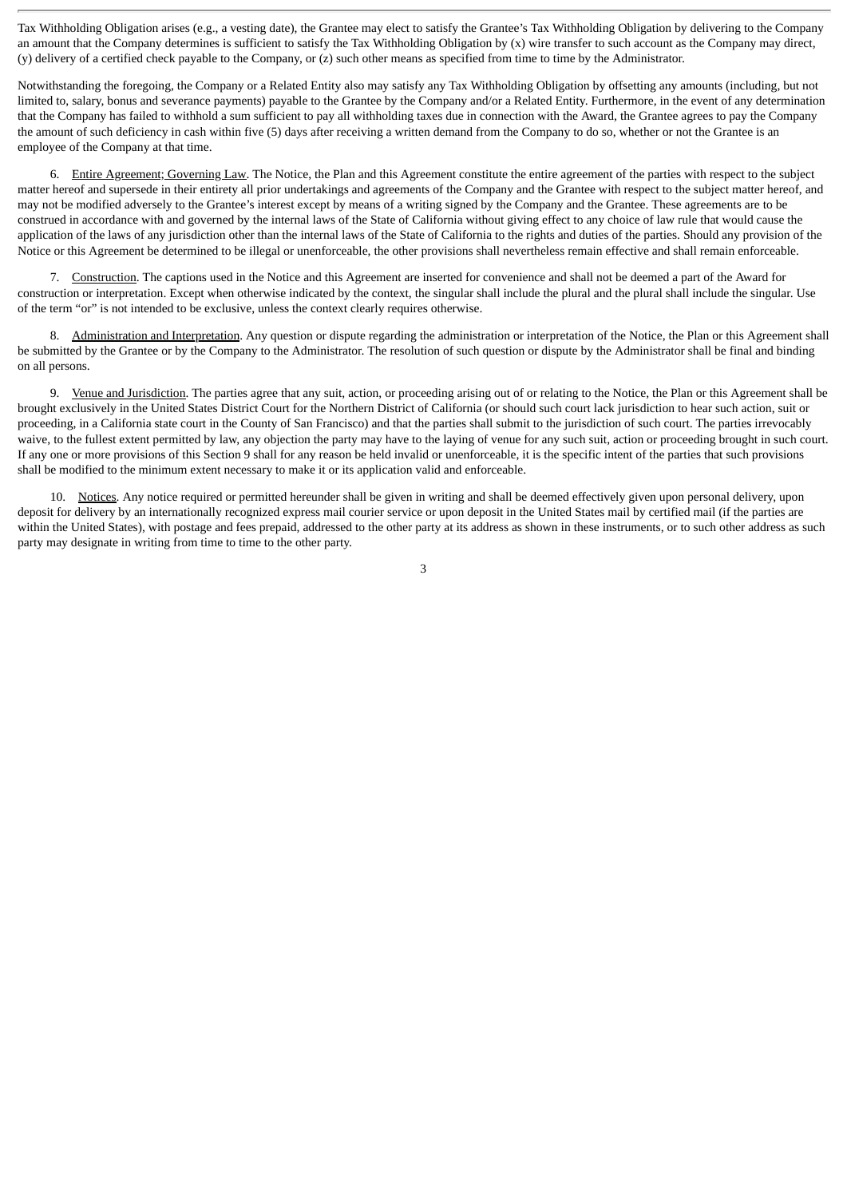Tax Withholding Obligation arises (e.g., a vesting date), the Grantee may elect to satisfy the Grantee's Tax Withholding Obligation by delivering to the Company an amount that the Company determines is sufficient to satisfy the Tax Withholding Obligation by  $(x)$  wire transfer to such account as the Company may direct, (y) delivery of a certified check payable to the Company, or (z) such other means as specified from time to time by the Administrator.

Notwithstanding the foregoing, the Company or a Related Entity also may satisfy any Tax Withholding Obligation by offsetting any amounts (including, but not limited to, salary, bonus and severance payments) payable to the Grantee by the Company and/or a Related Entity. Furthermore, in the event of any determination that the Company has failed to withhold a sum sufficient to pay all withholding taxes due in connection with the Award, the Grantee agrees to pay the Company the amount of such deficiency in cash within five (5) days after receiving a written demand from the Company to do so, whether or not the Grantee is an employee of the Company at that time.

6. Entire Agreement; Governing Law. The Notice, the Plan and this Agreement constitute the entire agreement of the parties with respect to the subject matter hereof and supersede in their entirety all prior undertakings and agreements of the Company and the Grantee with respect to the subject matter hereof, and may not be modified adversely to the Grantee's interest except by means of a writing signed by the Company and the Grantee. These agreements are to be construed in accordance with and governed by the internal laws of the State of California without giving effect to any choice of law rule that would cause the application of the laws of any jurisdiction other than the internal laws of the State of California to the rights and duties of the parties. Should any provision of the Notice or this Agreement be determined to be illegal or unenforceable, the other provisions shall nevertheless remain effective and shall remain enforceable.

7. Construction. The captions used in the Notice and this Agreement are inserted for convenience and shall not be deemed a part of the Award for construction or interpretation. Except when otherwise indicated by the context, the singular shall include the plural and the plural shall include the singular. Use of the term "or" is not intended to be exclusive, unless the context clearly requires otherwise.

8. Administration and Interpretation. Any question or dispute regarding the administration or interpretation of the Notice, the Plan or this Agreement shall be submitted by the Grantee or by the Company to the Administrator. The resolution of such question or dispute by the Administrator shall be final and binding on all persons.

9. Venue and Jurisdiction. The parties agree that any suit, action, or proceeding arising out of or relating to the Notice, the Plan or this Agreement shall be brought exclusively in the United States District Court for the Northern District of California (or should such court lack jurisdiction to hear such action, suit or proceeding, in a California state court in the County of San Francisco) and that the parties shall submit to the jurisdiction of such court. The parties irrevocably waive, to the fullest extent permitted by law, any objection the party may have to the laying of venue for any such suit, action or proceeding brought in such court. If any one or more provisions of this Section 9 shall for any reason be held invalid or unenforceable, it is the specific intent of the parties that such provisions shall be modified to the minimum extent necessary to make it or its application valid and enforceable.

10. Notices. Any notice required or permitted hereunder shall be given in writing and shall be deemed effectively given upon personal delivery, upon deposit for delivery by an internationally recognized express mail courier service or upon deposit in the United States mail by certified mail (if the parties are within the United States), with postage and fees prepaid, addressed to the other party at its address as shown in these instruments, or to such other address as such party may designate in writing from time to time to the other party.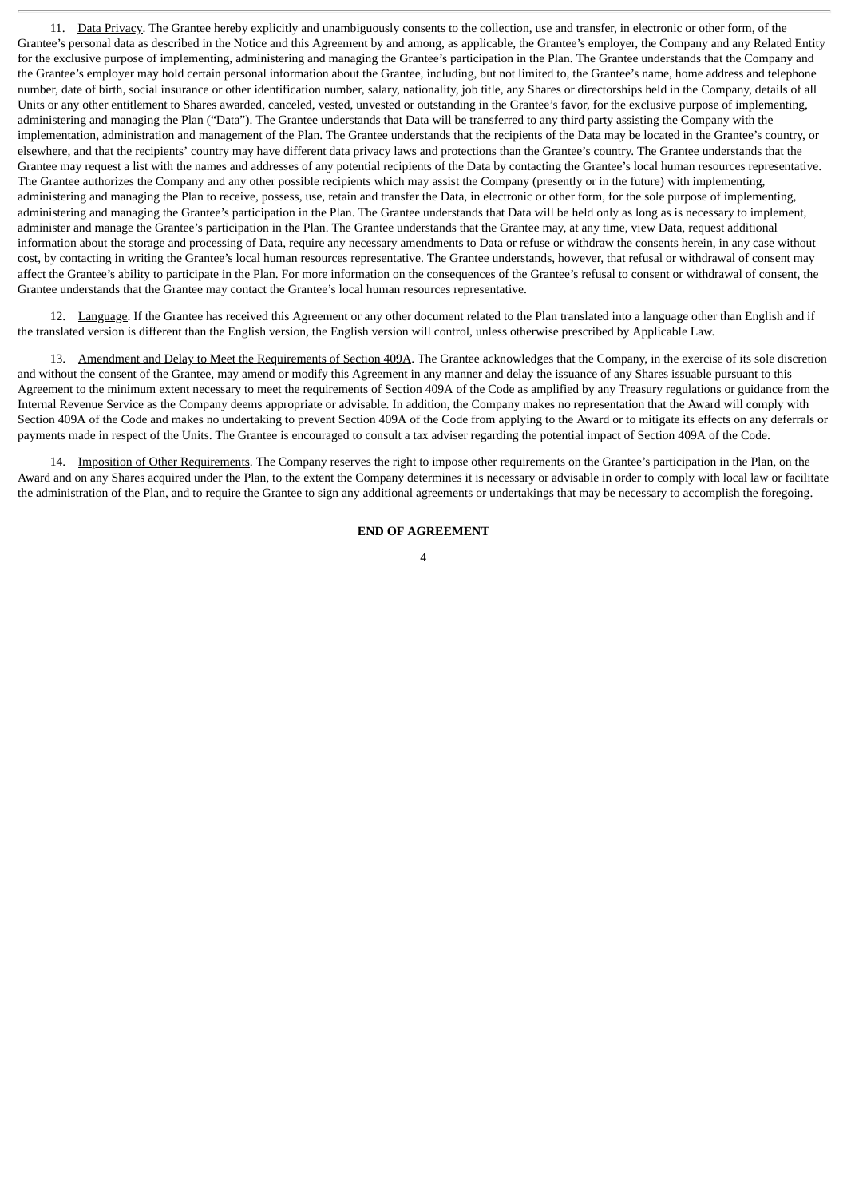11. Data Privacy. The Grantee hereby explicitly and unambiguously consents to the collection, use and transfer, in electronic or other form, of the Grantee's personal data as described in the Notice and this Agreement by and among, as applicable, the Grantee's employer, the Company and any Related Entity for the exclusive purpose of implementing, administering and managing the Grantee's participation in the Plan. The Grantee understands that the Company and the Grantee's employer may hold certain personal information about the Grantee, including, but not limited to, the Grantee's name, home address and telephone number, date of birth, social insurance or other identification number, salary, nationality, job title, any Shares or directorships held in the Company, details of all Units or any other entitlement to Shares awarded, canceled, vested, unvested or outstanding in the Grantee's favor, for the exclusive purpose of implementing, administering and managing the Plan ("Data"). The Grantee understands that Data will be transferred to any third party assisting the Company with the implementation, administration and management of the Plan. The Grantee understands that the recipients of the Data may be located in the Grantee's country, or elsewhere, and that the recipients' country may have different data privacy laws and protections than the Grantee's country. The Grantee understands that the Grantee may request a list with the names and addresses of any potential recipients of the Data by contacting the Grantee's local human resources representative. The Grantee authorizes the Company and any other possible recipients which may assist the Company (presently or in the future) with implementing, administering and managing the Plan to receive, possess, use, retain and transfer the Data, in electronic or other form, for the sole purpose of implementing, administering and managing the Grantee's participation in the Plan. The Grantee understands that Data will be held only as long as is necessary to implement, administer and manage the Grantee's participation in the Plan. The Grantee understands that the Grantee may, at any time, view Data, request additional information about the storage and processing of Data, require any necessary amendments to Data or refuse or withdraw the consents herein, in any case without cost, by contacting in writing the Grantee's local human resources representative. The Grantee understands, however, that refusal or withdrawal of consent may affect the Grantee's ability to participate in the Plan. For more information on the consequences of the Grantee's refusal to consent or withdrawal of consent, the Grantee understands that the Grantee may contact the Grantee's local human resources representative.

12. Language. If the Grantee has received this Agreement or any other document related to the Plan translated into a language other than English and if the translated version is different than the English version, the English version will control, unless otherwise prescribed by Applicable Law.

13. Amendment and Delay to Meet the Requirements of Section 409A. The Grantee acknowledges that the Company, in the exercise of its sole discretion and without the consent of the Grantee, may amend or modify this Agreement in any manner and delay the issuance of any Shares issuable pursuant to this Agreement to the minimum extent necessary to meet the requirements of Section 409A of the Code as amplified by any Treasury regulations or guidance from the Internal Revenue Service as the Company deems appropriate or advisable. In addition, the Company makes no representation that the Award will comply with Section 409A of the Code and makes no undertaking to prevent Section 409A of the Code from applying to the Award or to mitigate its effects on any deferrals or payments made in respect of the Units. The Grantee is encouraged to consult a tax adviser regarding the potential impact of Section 409A of the Code.

14. Imposition of Other Requirements. The Company reserves the right to impose other requirements on the Grantee's participation in the Plan, on the Award and on any Shares acquired under the Plan, to the extent the Company determines it is necessary or advisable in order to comply with local law or facilitate the administration of the Plan, and to require the Grantee to sign any additional agreements or undertakings that may be necessary to accomplish the foregoing.

### **END OF AGREEMENT**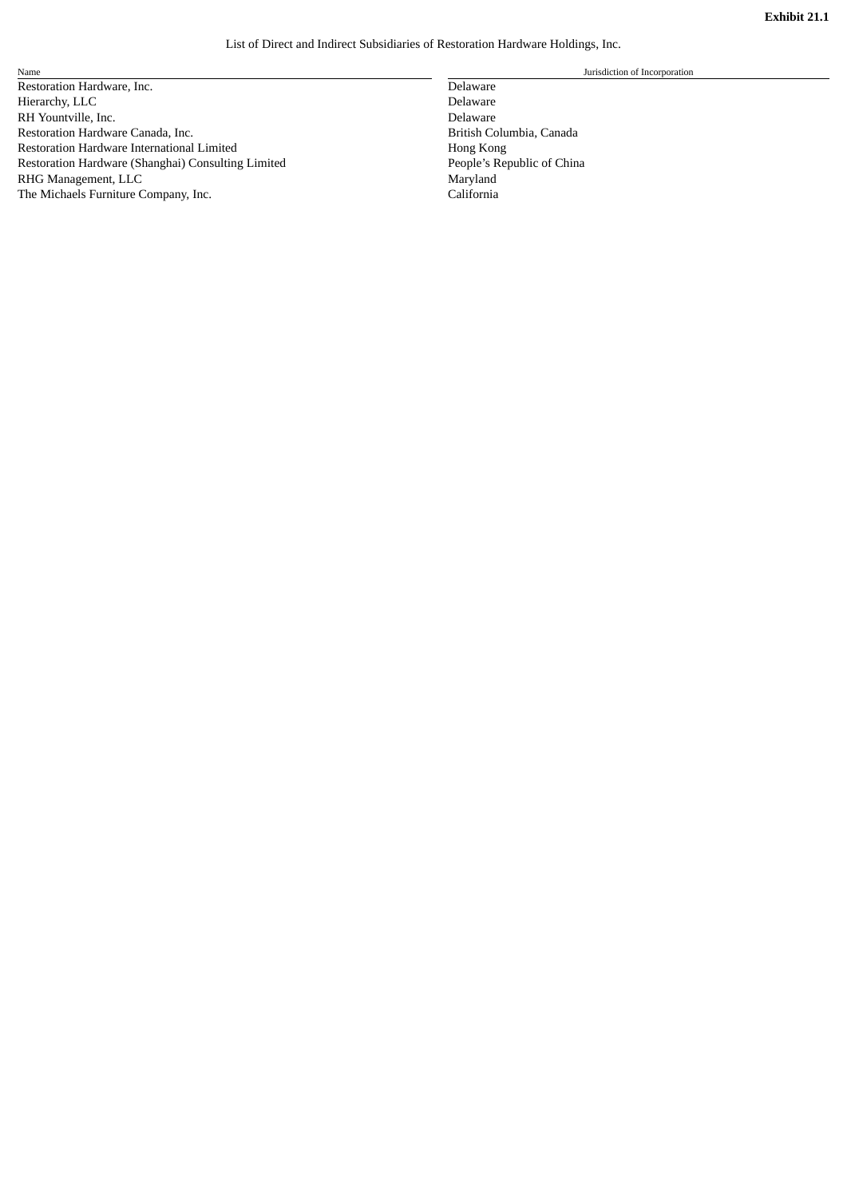# List of Direct and Indirect Subsidiaries of Restoration Hardware Holdings, Inc.

Name Jurisdiction Hardware, Inc. 2008 and 2009 and 2009 and 2009 and 2009 and 2009 and 2009 and 2009 and 2009 and 2009 and 2009 and 2009 and 2009 and 2009 and 2009 and 2009 and 2009 and 2009 and 2009 and 2009 and 2009 and Restoration Hardware, Inc. Delaware Hierarchy, LLC Delaware Hierarchy, LLC<br>
RH Yountville, Inc.<br>
Delaware RH Yountville, Inc.<br>
Restoration Hardware Canada, Inc.<br>
2011 - Partish Columbia, Canada Canada, Inc.<br>
2012 - Partish Columbia, Canada Restoration Hardware Canada, Inc. <br>Restoration Hardware International Limited Hong Kong Restoration Hardware International Limited<br>
Restoration Hardware (Shanghai) Consulting Limited<br>
Hong Kong People's Republic of China Restoration Hardware (Shanghai) Consulting Limited People's R<br>RHG Management, LLC Maryland RHG Management, LLC<br>
The Michaels Furniture Company, Inc.<br>
California The Michaels Furniture Company, Inc.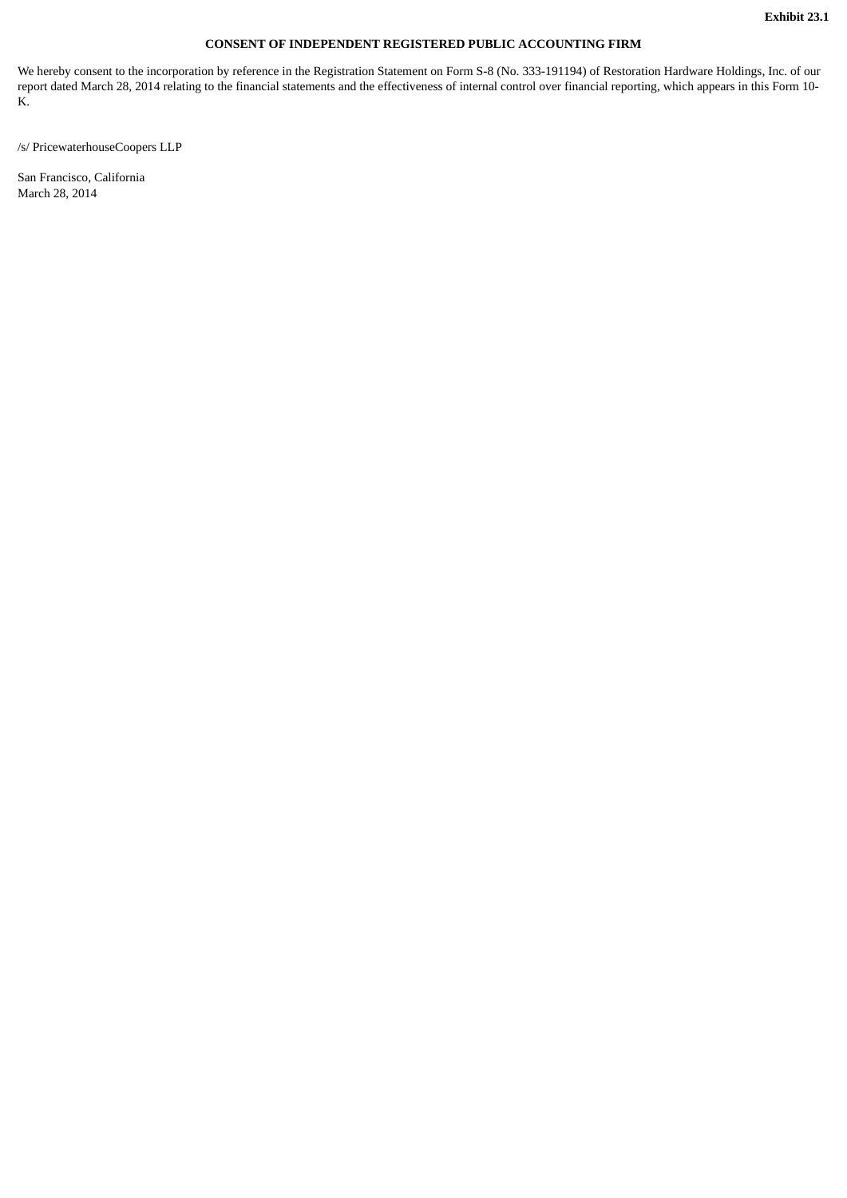### **CONSENT OF INDEPENDENT REGISTERED PUBLIC ACCOUNTING FIRM**

We hereby consent to the incorporation by reference in the Registration Statement on Form S-8 (No. 333-191194) of Restoration Hardware Holdings, Inc. of our report dated March 28, 2014 relating to the financial statements and the effectiveness of internal control over financial reporting, which appears in this Form 10- K.

/s/ PricewaterhouseCoopers LLP

San Francisco, California March 28, 2014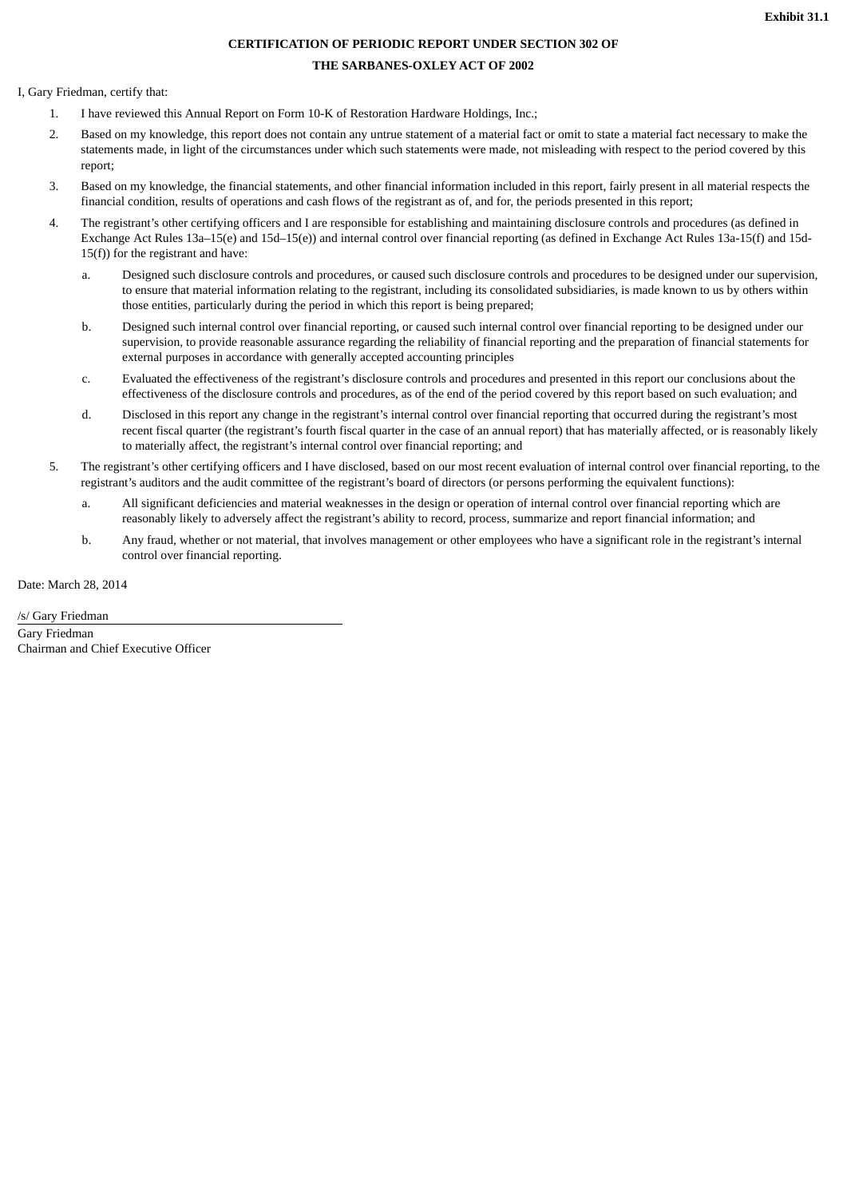# **CERTIFICATION OF PERIODIC REPORT UNDER SECTION 302 OF THE SARBANES-OXLEY ACT OF 2002**

I, Gary Friedman, certify that:

- 1. I have reviewed this Annual Report on Form 10-K of Restoration Hardware Holdings, Inc.;
- 2. Based on my knowledge, this report does not contain any untrue statement of a material fact or omit to state a material fact necessary to make the statements made, in light of the circumstances under which such statements were made, not misleading with respect to the period covered by this report;
- 3. Based on my knowledge, the financial statements, and other financial information included in this report, fairly present in all material respects the financial condition, results of operations and cash flows of the registrant as of, and for, the periods presented in this report;
- 4. The registrant's other certifying officers and I are responsible for establishing and maintaining disclosure controls and procedures (as defined in Exchange Act Rules 13a–15(e) and 15d–15(e)) and internal control over financial reporting (as defined in Exchange Act Rules 13a-15(f) and 15d-15(f)) for the registrant and have:
	- a. Designed such disclosure controls and procedures, or caused such disclosure controls and procedures to be designed under our supervision, to ensure that material information relating to the registrant, including its consolidated subsidiaries, is made known to us by others within those entities, particularly during the period in which this report is being prepared;
	- b. Designed such internal control over financial reporting, or caused such internal control over financial reporting to be designed under our supervision, to provide reasonable assurance regarding the reliability of financial reporting and the preparation of financial statements for external purposes in accordance with generally accepted accounting principles
	- c. Evaluated the effectiveness of the registrant's disclosure controls and procedures and presented in this report our conclusions about the effectiveness of the disclosure controls and procedures, as of the end of the period covered by this report based on such evaluation; and
	- d. Disclosed in this report any change in the registrant's internal control over financial reporting that occurred during the registrant's most recent fiscal quarter (the registrant's fourth fiscal quarter in the case of an annual report) that has materially affected, or is reasonably likely to materially affect, the registrant's internal control over financial reporting; and
- 5. The registrant's other certifying officers and I have disclosed, based on our most recent evaluation of internal control over financial reporting, to the registrant's auditors and the audit committee of the registrant's board of directors (or persons performing the equivalent functions):
	- a. All significant deficiencies and material weaknesses in the design or operation of internal control over financial reporting which are reasonably likely to adversely affect the registrant's ability to record, process, summarize and report financial information; and
	- b. Any fraud, whether or not material, that involves management or other employees who have a significant role in the registrant's internal control over financial reporting.

Date: March 28, 2014

/s/ Gary Friedman

Gary Friedman Chairman and Chief Executive Officer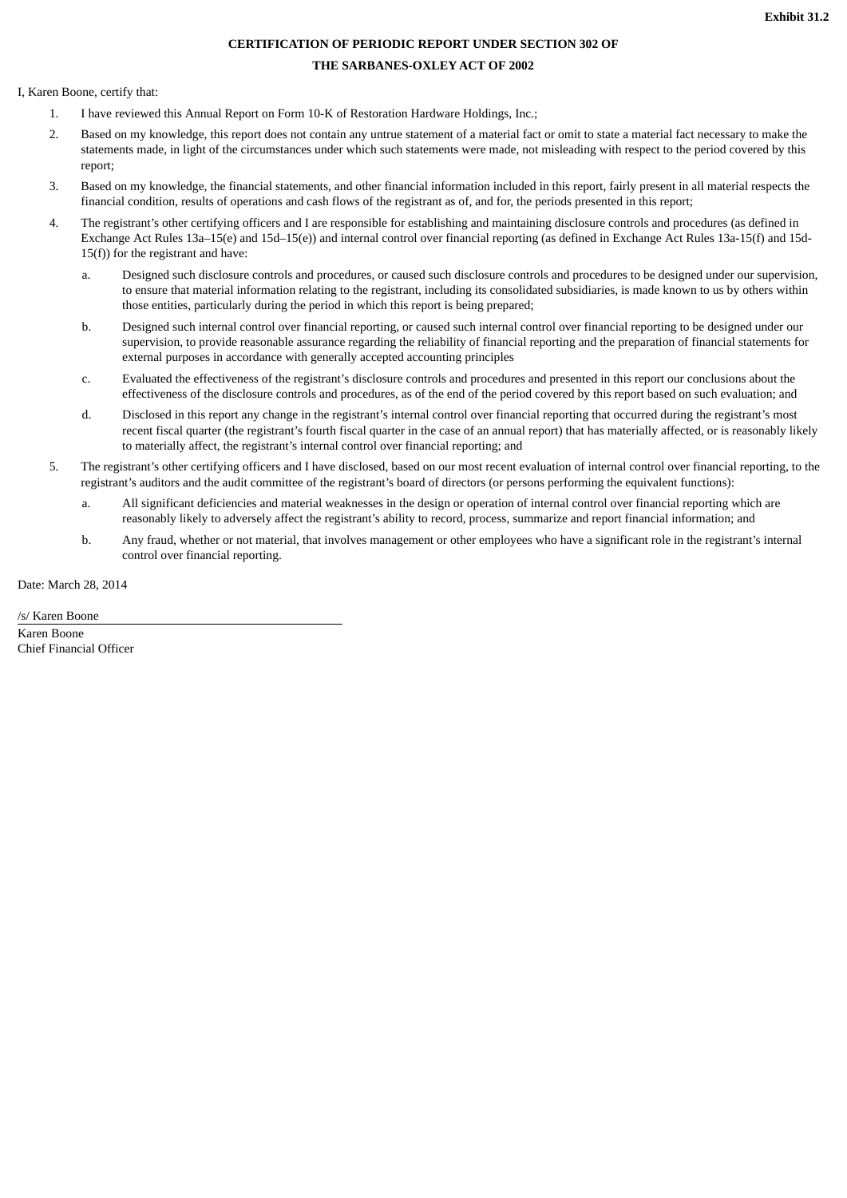# **CERTIFICATION OF PERIODIC REPORT UNDER SECTION 302 OF THE SARBANES-OXLEY ACT OF 2002**

I, Karen Boone, certify that:

- 1. I have reviewed this Annual Report on Form 10-K of Restoration Hardware Holdings, Inc.;
- 2. Based on my knowledge, this report does not contain any untrue statement of a material fact or omit to state a material fact necessary to make the statements made, in light of the circumstances under which such statements were made, not misleading with respect to the period covered by this report;
- 3. Based on my knowledge, the financial statements, and other financial information included in this report, fairly present in all material respects the financial condition, results of operations and cash flows of the registrant as of, and for, the periods presented in this report;
- 4. The registrant's other certifying officers and I are responsible for establishing and maintaining disclosure controls and procedures (as defined in Exchange Act Rules 13a–15(e) and 15d–15(e)) and internal control over financial reporting (as defined in Exchange Act Rules 13a-15(f) and 15d-15(f)) for the registrant and have:
	- a. Designed such disclosure controls and procedures, or caused such disclosure controls and procedures to be designed under our supervision, to ensure that material information relating to the registrant, including its consolidated subsidiaries, is made known to us by others within those entities, particularly during the period in which this report is being prepared;
	- b. Designed such internal control over financial reporting, or caused such internal control over financial reporting to be designed under our supervision, to provide reasonable assurance regarding the reliability of financial reporting and the preparation of financial statements for external purposes in accordance with generally accepted accounting principles
	- c. Evaluated the effectiveness of the registrant's disclosure controls and procedures and presented in this report our conclusions about the effectiveness of the disclosure controls and procedures, as of the end of the period covered by this report based on such evaluation; and
	- d. Disclosed in this report any change in the registrant's internal control over financial reporting that occurred during the registrant's most recent fiscal quarter (the registrant's fourth fiscal quarter in the case of an annual report) that has materially affected, or is reasonably likely to materially affect, the registrant's internal control over financial reporting; and
- 5. The registrant's other certifying officers and I have disclosed, based on our most recent evaluation of internal control over financial reporting, to the registrant's auditors and the audit committee of the registrant's board of directors (or persons performing the equivalent functions):
	- a. All significant deficiencies and material weaknesses in the design or operation of internal control over financial reporting which are reasonably likely to adversely affect the registrant's ability to record, process, summarize and report financial information; and
	- b. Any fraud, whether or not material, that involves management or other employees who have a significant role in the registrant's internal control over financial reporting.

Date: March 28, 2014

/s/ Karen Boone

Karen Boone Chief Financial Officer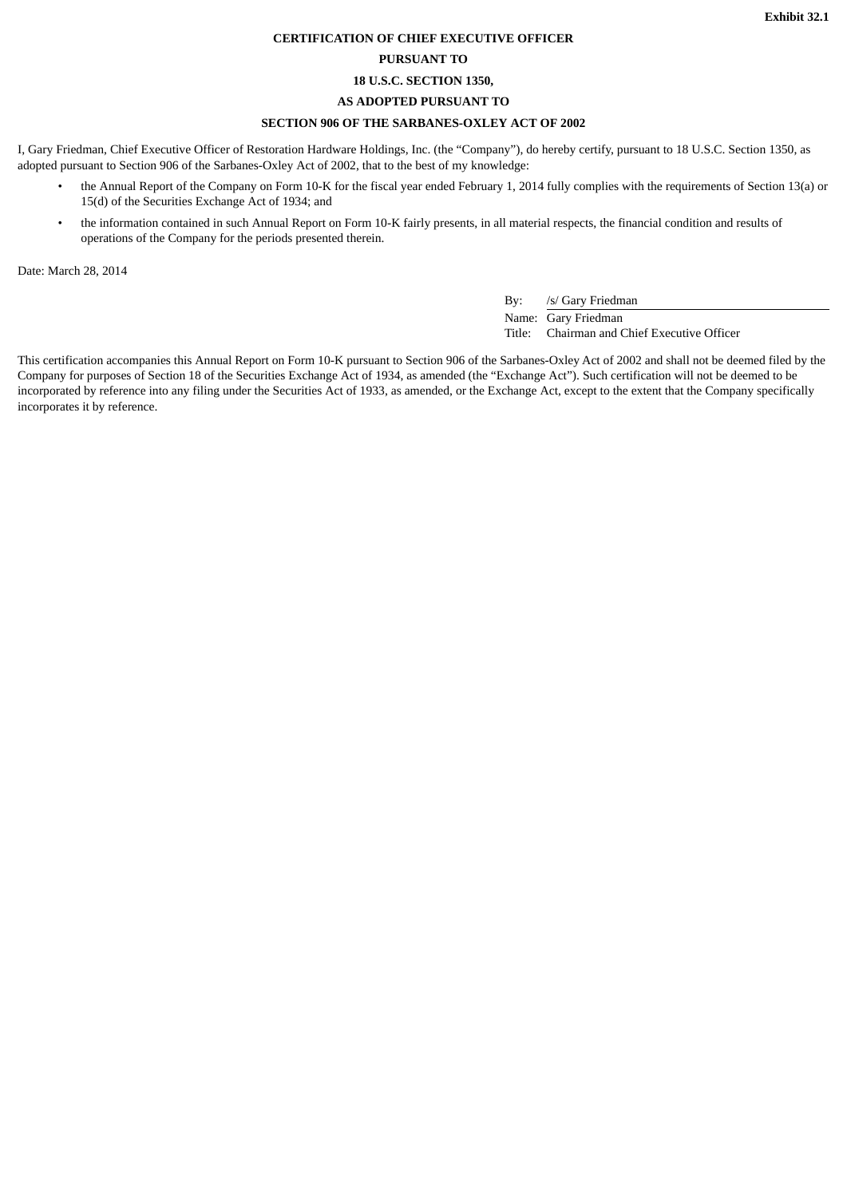## **CERTIFICATION OF CHIEF EXECUTIVE OFFICER**

### **PURSUANT TO**

# **18 U.S.C. SECTION 1350,**

## **AS ADOPTED PURSUANT TO**

### **SECTION 906 OF THE SARBANES-OXLEY ACT OF 2002**

I, Gary Friedman, Chief Executive Officer of Restoration Hardware Holdings, Inc. (the "Company"), do hereby certify, pursuant to 18 U.S.C. Section 1350, as adopted pursuant to Section 906 of the Sarbanes-Oxley Act of 2002, that to the best of my knowledge:

- the Annual Report of the Company on Form 10-K for the fiscal year ended February 1, 2014 fully complies with the requirements of Section 13(a) or 15(d) of the Securities Exchange Act of 1934; and
- the information contained in such Annual Report on Form 10-K fairly presents, in all material respects, the financial condition and results of operations of the Company for the periods presented therein.

Date: March 28, 2014

By: /s/ Gary Friedman

Name: Gary Friedman Title: Chairman and Chief Executive Officer

This certification accompanies this Annual Report on Form 10-K pursuant to Section 906 of the Sarbanes-Oxley Act of 2002 and shall not be deemed filed by the Company for purposes of Section 18 of the Securities Exchange Act of 1934, as amended (the "Exchange Act"). Such certification will not be deemed to be incorporated by reference into any filing under the Securities Act of 1933, as amended, or the Exchange Act, except to the extent that the Company specifically incorporates it by reference.